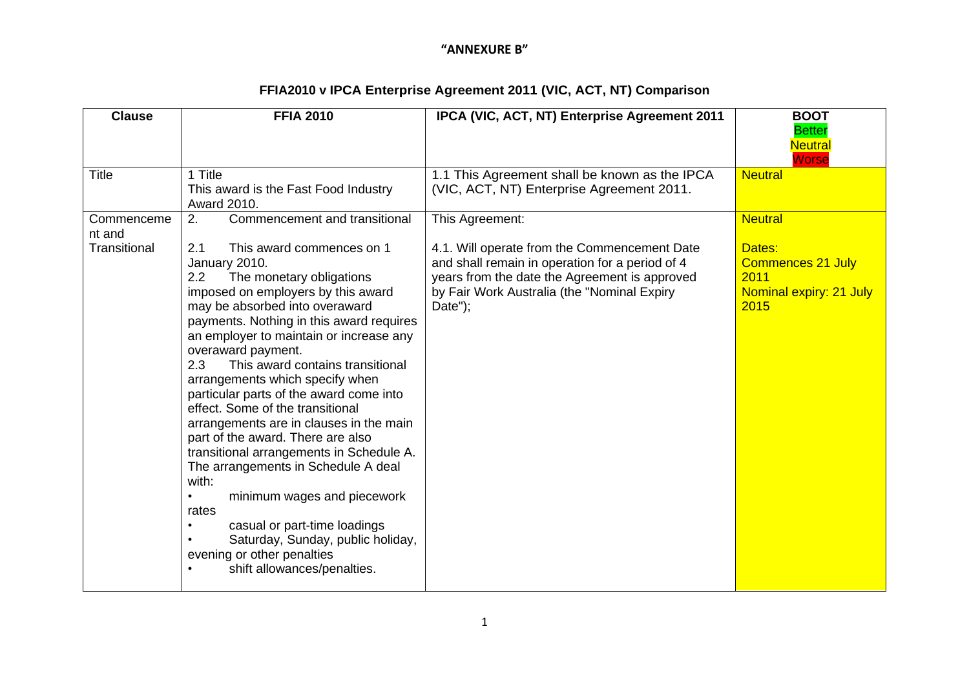| <b>Clause</b>                        | <b>FFIA 2010</b>                                                                                                                                                                                                                                                                                                                                                                                                                                                                                                                                                                                                                                                                                                                                                                                                  | IPCA (VIC, ACT, NT) Enterprise Agreement 2011                                                                                                                                                                                 | <b>BOOT</b><br><b>Better</b><br><b>Neutral</b><br>Worse                                         |
|--------------------------------------|-------------------------------------------------------------------------------------------------------------------------------------------------------------------------------------------------------------------------------------------------------------------------------------------------------------------------------------------------------------------------------------------------------------------------------------------------------------------------------------------------------------------------------------------------------------------------------------------------------------------------------------------------------------------------------------------------------------------------------------------------------------------------------------------------------------------|-------------------------------------------------------------------------------------------------------------------------------------------------------------------------------------------------------------------------------|-------------------------------------------------------------------------------------------------|
| <b>Title</b>                         | 1 Title<br>This award is the Fast Food Industry<br>Award 2010.                                                                                                                                                                                                                                                                                                                                                                                                                                                                                                                                                                                                                                                                                                                                                    | 1.1 This Agreement shall be known as the IPCA<br>(VIC, ACT, NT) Enterprise Agreement 2011.                                                                                                                                    | <b>Neutral</b>                                                                                  |
| Commenceme<br>nt and<br>Transitional | 2.<br>Commencement and transitional<br>This award commences on 1<br>2.1<br>January 2010.<br>The monetary obligations<br>2.2<br>imposed on employers by this award<br>may be absorbed into overaward<br>payments. Nothing in this award requires<br>an employer to maintain or increase any<br>overaward payment.<br>2.3<br>This award contains transitional<br>arrangements which specify when<br>particular parts of the award come into<br>effect. Some of the transitional<br>arrangements are in clauses in the main<br>part of the award. There are also<br>transitional arrangements in Schedule A.<br>The arrangements in Schedule A deal<br>with:<br>minimum wages and piecework<br>$\bullet$<br>rates<br>casual or part-time loadings<br>Saturday, Sunday, public holiday,<br>evening or other penalties | This Agreement:<br>4.1. Will operate from the Commencement Date<br>and shall remain in operation for a period of 4<br>years from the date the Agreement is approved<br>by Fair Work Australia (the "Nominal Expiry<br>Date"); | <b>Neutral</b><br>Dates:<br><b>Commences 21 July</b><br>2011<br>Nominal expiry: 21 July<br>2015 |
|                                      | shift allowances/penalties.                                                                                                                                                                                                                                                                                                                                                                                                                                                                                                                                                                                                                                                                                                                                                                                       |                                                                                                                                                                                                                               |                                                                                                 |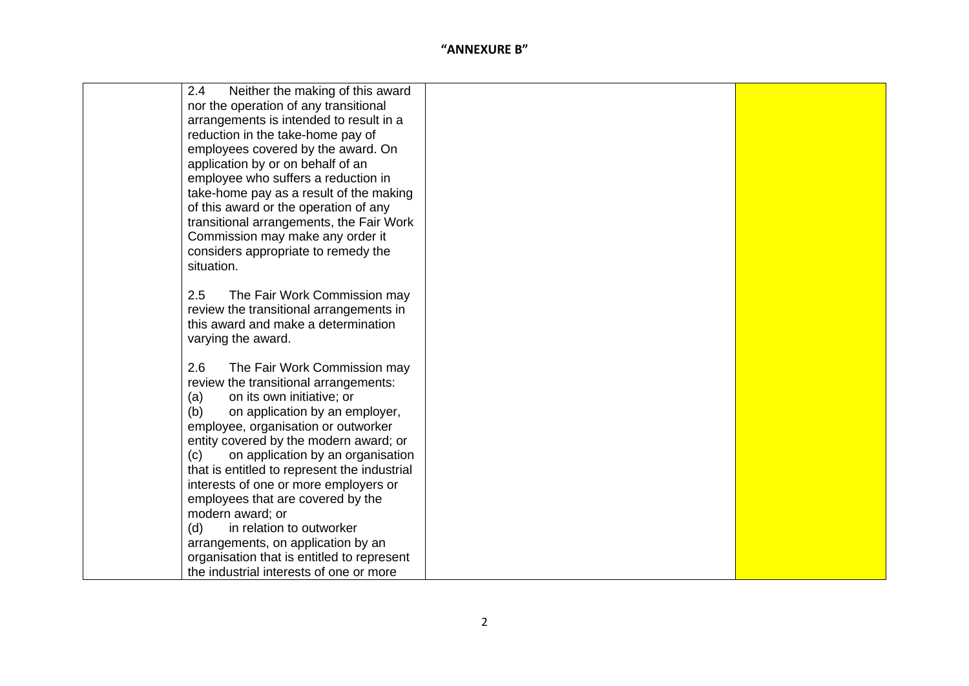| 2.4<br>Neither the making of this award      |  |
|----------------------------------------------|--|
| nor the operation of any transitional        |  |
| arrangements is intended to result in a      |  |
| reduction in the take-home pay of            |  |
| employees covered by the award. On           |  |
| application by or on behalf of an            |  |
| employee who suffers a reduction in          |  |
| take-home pay as a result of the making      |  |
| of this award or the operation of any        |  |
| transitional arrangements, the Fair Work     |  |
| Commission may make any order it             |  |
| considers appropriate to remedy the          |  |
| situation.                                   |  |
|                                              |  |
| 2.5<br>The Fair Work Commission may          |  |
| review the transitional arrangements in      |  |
| this award and make a determination          |  |
| varying the award.                           |  |
| 2.6<br>The Fair Work Commission may          |  |
| review the transitional arrangements:        |  |
| on its own initiative; or<br>(a)             |  |
| on application by an employer,<br>(b)        |  |
| employee, organisation or outworker          |  |
| entity covered by the modern award; or       |  |
| on application by an organisation<br>(c)     |  |
| that is entitled to represent the industrial |  |
| interests of one or more employers or        |  |
| employees that are covered by the            |  |
| modern award; or                             |  |
| in relation to outworker<br>(d)              |  |
| arrangements, on application by an           |  |
| organisation that is entitled to represent   |  |
| the industrial interests of one or more      |  |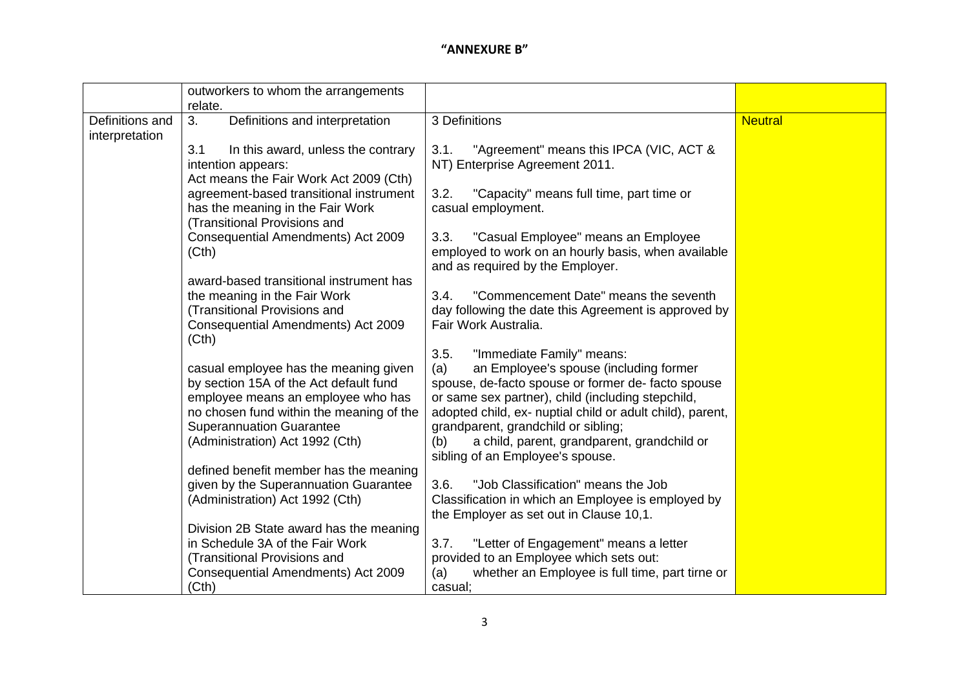|                                   | outworkers to whom the arrangements<br>relate.                                                                                                                                                                                          |                                                                                                                                                                                                                                                                                                                                                                                            |                |
|-----------------------------------|-----------------------------------------------------------------------------------------------------------------------------------------------------------------------------------------------------------------------------------------|--------------------------------------------------------------------------------------------------------------------------------------------------------------------------------------------------------------------------------------------------------------------------------------------------------------------------------------------------------------------------------------------|----------------|
| Definitions and<br>interpretation | 3.<br>Definitions and interpretation                                                                                                                                                                                                    | 3 Definitions                                                                                                                                                                                                                                                                                                                                                                              | <b>Neutral</b> |
|                                   | 3.1<br>In this award, unless the contrary<br>intention appears:<br>Act means the Fair Work Act 2009 (Cth)                                                                                                                               | "Agreement" means this IPCA (VIC, ACT &<br>3.1.<br>NT) Enterprise Agreement 2011.                                                                                                                                                                                                                                                                                                          |                |
|                                   | agreement-based transitional instrument<br>has the meaning in the Fair Work<br>(Transitional Provisions and                                                                                                                             | 3.2.<br>"Capacity" means full time, part time or<br>casual employment.                                                                                                                                                                                                                                                                                                                     |                |
|                                   | Consequential Amendments) Act 2009<br>(Cth)                                                                                                                                                                                             | 3.3.<br>"Casual Employee" means an Employee<br>employed to work on an hourly basis, when available<br>and as required by the Employer.                                                                                                                                                                                                                                                     |                |
|                                   | award-based transitional instrument has<br>the meaning in the Fair Work<br>(Transitional Provisions and<br>Consequential Amendments) Act 2009<br>(Cth)                                                                                  | "Commencement Date" means the seventh<br>3.4.<br>day following the date this Agreement is approved by<br>Fair Work Australia.                                                                                                                                                                                                                                                              |                |
|                                   | casual employee has the meaning given<br>by section 15A of the Act default fund<br>employee means an employee who has<br>no chosen fund within the meaning of the<br><b>Superannuation Guarantee</b><br>(Administration) Act 1992 (Cth) | "Immediate Family" means:<br>3.5.<br>an Employee's spouse (including former<br>(a)<br>spouse, de-facto spouse or former de-facto spouse<br>or same sex partner), child (including stepchild,<br>adopted child, ex- nuptial child or adult child), parent,<br>grandparent, grandchild or sibling;<br>a child, parent, grandparent, grandchild or<br>(b)<br>sibling of an Employee's spouse. |                |
|                                   | defined benefit member has the meaning<br>given by the Superannuation Guarantee<br>(Administration) Act 1992 (Cth)                                                                                                                      | 3.6.<br>"Job Classification" means the Job<br>Classification in which an Employee is employed by<br>the Employer as set out in Clause 10,1.                                                                                                                                                                                                                                                |                |
|                                   | Division 2B State award has the meaning<br>in Schedule 3A of the Fair Work<br>(Transitional Provisions and<br>Consequential Amendments) Act 2009<br>(Cth)                                                                               | "Letter of Engagement" means a letter<br>3.7.<br>provided to an Employee which sets out:<br>whether an Employee is full time, part tirne or<br>(a)<br>casual;                                                                                                                                                                                                                              |                |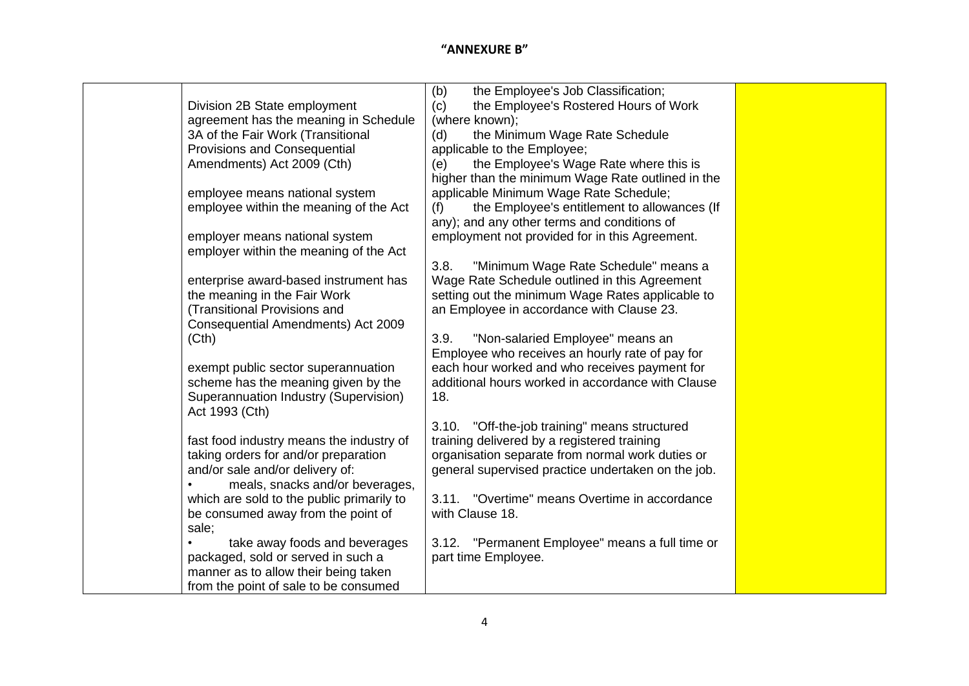|                                           | the Employee's Job Classification;<br>(b)           |  |
|-------------------------------------------|-----------------------------------------------------|--|
| Division 2B State employment              | the Employee's Rostered Hours of Work<br>(c)        |  |
| agreement has the meaning in Schedule     | (where known);                                      |  |
| 3A of the Fair Work (Transitional         | the Minimum Wage Rate Schedule<br>(d)               |  |
| <b>Provisions and Consequential</b>       | applicable to the Employee;                         |  |
| Amendments) Act 2009 (Cth)                | (e)<br>the Employee's Wage Rate where this is       |  |
|                                           | higher than the minimum Wage Rate outlined in the   |  |
| employee means national system            | applicable Minimum Wage Rate Schedule;              |  |
| employee within the meaning of the Act    | the Employee's entitlement to allowances (If<br>(f) |  |
|                                           | any); and any other terms and conditions of         |  |
| employer means national system            | employment not provided for in this Agreement.      |  |
| employer within the meaning of the Act    |                                                     |  |
|                                           | 3.8.<br>"Minimum Wage Rate Schedule" means a        |  |
| enterprise award-based instrument has     | Wage Rate Schedule outlined in this Agreement       |  |
| the meaning in the Fair Work              | setting out the minimum Wage Rates applicable to    |  |
| (Transitional Provisions and              | an Employee in accordance with Clause 23.           |  |
| Consequential Amendments) Act 2009        |                                                     |  |
| (Cth)                                     | 3.9.<br>"Non-salaried Employee" means an            |  |
|                                           | Employee who receives an hourly rate of pay for     |  |
| exempt public sector superannuation       | each hour worked and who receives payment for       |  |
| scheme has the meaning given by the       | additional hours worked in accordance with Clause   |  |
| Superannuation Industry (Supervision)     | 18.                                                 |  |
| Act 1993 (Cth)                            |                                                     |  |
|                                           | "Off-the-job training" means structured<br>3.10.    |  |
| fast food industry means the industry of  | training delivered by a registered training         |  |
| taking orders for and/or preparation      | organisation separate from normal work duties or    |  |
| and/or sale and/or delivery of:           | general supervised practice undertaken on the job.  |  |
| meals, snacks and/or beverages,           |                                                     |  |
| which are sold to the public primarily to | "Overtime" means Overtime in accordance<br>3.11.    |  |
| be consumed away from the point of        | with Clause 18.                                     |  |
| sale;                                     |                                                     |  |
| take away foods and beverages             | 3.12. "Permanent Employee" means a full time or     |  |
| packaged, sold or served in such a        | part time Employee.                                 |  |
| manner as to allow their being taken      |                                                     |  |
| from the point of sale to be consumed     |                                                     |  |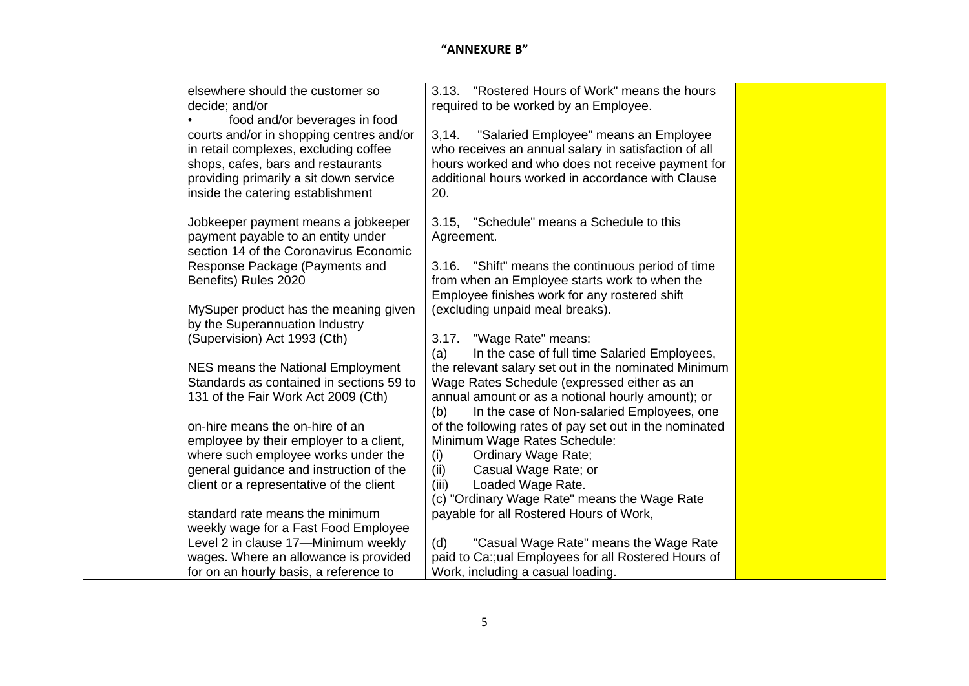| elsewhere should the customer so         | 3.13. "Rostered Hours of Work" means the hours         |
|------------------------------------------|--------------------------------------------------------|
| decide; and/or                           | required to be worked by an Employee.                  |
| food and/or beverages in food            |                                                        |
| courts and/or in shopping centres and/or | "Salaried Employee" means an Employee<br>3,14.         |
| in retail complexes, excluding coffee    | who receives an annual salary in satisfaction of all   |
| shops, cafes, bars and restaurants       | hours worked and who does not receive payment for      |
| providing primarily a sit down service   | additional hours worked in accordance with Clause      |
| inside the catering establishment        | 20.                                                    |
|                                          |                                                        |
| Jobkeeper payment means a jobkeeper      | 3.15, "Schedule" means a Schedule to this              |
| payment payable to an entity under       | Agreement.                                             |
| section 14 of the Coronavirus Economic   |                                                        |
| Response Package (Payments and           | 3.16. "Shift" means the continuous period of time      |
| Benefits) Rules 2020                     | from when an Employee starts work to when the          |
|                                          | Employee finishes work for any rostered shift          |
| MySuper product has the meaning given    | (excluding unpaid meal breaks).                        |
| by the Superannuation Industry           |                                                        |
| (Supervision) Act 1993 (Cth)             | 3.17. "Wage Rate" means:                               |
|                                          | In the case of full time Salaried Employees,<br>(a)    |
| NES means the National Employment        | the relevant salary set out in the nominated Minimum   |
| Standards as contained in sections 59 to | Wage Rates Schedule (expressed either as an            |
| 131 of the Fair Work Act 2009 (Cth)      | annual amount or as a notional hourly amount); or      |
|                                          | In the case of Non-salaried Employees, one<br>(b)      |
| on-hire means the on-hire of an          | of the following rates of pay set out in the nominated |
| employee by their employer to a client,  | Minimum Wage Rates Schedule:                           |
| where such employee works under the      | <b>Ordinary Wage Rate;</b><br>(i)                      |
| general guidance and instruction of the  | (ii)<br>Casual Wage Rate; or                           |
| client or a representative of the client | (iii)<br>Loaded Wage Rate.                             |
|                                          | (c) "Ordinary Wage Rate" means the Wage Rate           |
| standard rate means the minimum          | payable for all Rostered Hours of Work,                |
| weekly wage for a Fast Food Employee     |                                                        |
| Level 2 in clause 17-Minimum weekly      | "Casual Wage Rate" means the Wage Rate<br>(d)          |
| wages. Where an allowance is provided    | paid to Ca:;ual Employees for all Rostered Hours of    |
| for on an hourly basis, a reference to   | Work, including a casual loading.                      |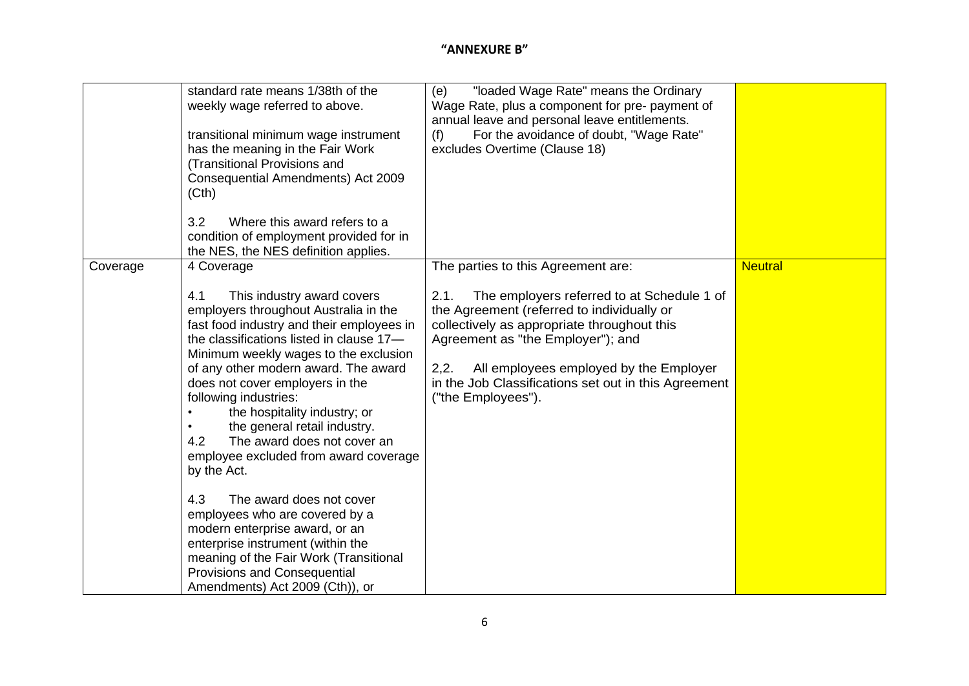|          | standard rate means 1/38th of the<br>weekly wage referred to above.<br>transitional minimum wage instrument<br>has the meaning in the Fair Work<br>(Transitional Provisions and<br>Consequential Amendments) Act 2009<br>(Cth)<br>3.2<br>Where this award refers to a<br>condition of employment provided for in<br>the NES, the NES definition applies.                                                                                                                                                                                                                                                                                                                                                                                              | "loaded Wage Rate" means the Ordinary<br>(e)<br>Wage Rate, plus a component for pre- payment of<br>annual leave and personal leave entitlements.<br>For the avoidance of doubt, "Wage Rate"<br>(f)<br>excludes Overtime (Clause 18)                                                                                                                        |                |
|----------|-------------------------------------------------------------------------------------------------------------------------------------------------------------------------------------------------------------------------------------------------------------------------------------------------------------------------------------------------------------------------------------------------------------------------------------------------------------------------------------------------------------------------------------------------------------------------------------------------------------------------------------------------------------------------------------------------------------------------------------------------------|------------------------------------------------------------------------------------------------------------------------------------------------------------------------------------------------------------------------------------------------------------------------------------------------------------------------------------------------------------|----------------|
| Coverage | 4 Coverage<br>4.1<br>This industry award covers<br>employers throughout Australia in the<br>fast food industry and their employees in<br>the classifications listed in clause 17-<br>Minimum weekly wages to the exclusion<br>of any other modern award. The award<br>does not cover employers in the<br>following industries:<br>the hospitality industry; or<br>the general retail industry.<br>4.2<br>The award does not cover an<br>employee excluded from award coverage<br>by the Act.<br>4.3<br>The award does not cover<br>employees who are covered by a<br>modern enterprise award, or an<br>enterprise instrument (within the<br>meaning of the Fair Work (Transitional<br>Provisions and Consequential<br>Amendments) Act 2009 (Cth)), or | The parties to this Agreement are:<br>The employers referred to at Schedule 1 of<br>2.1.<br>the Agreement (referred to individually or<br>collectively as appropriate throughout this<br>Agreement as "the Employer"); and<br>All employees employed by the Employer<br>2,2.<br>in the Job Classifications set out in this Agreement<br>("the Employees"). | <b>Neutral</b> |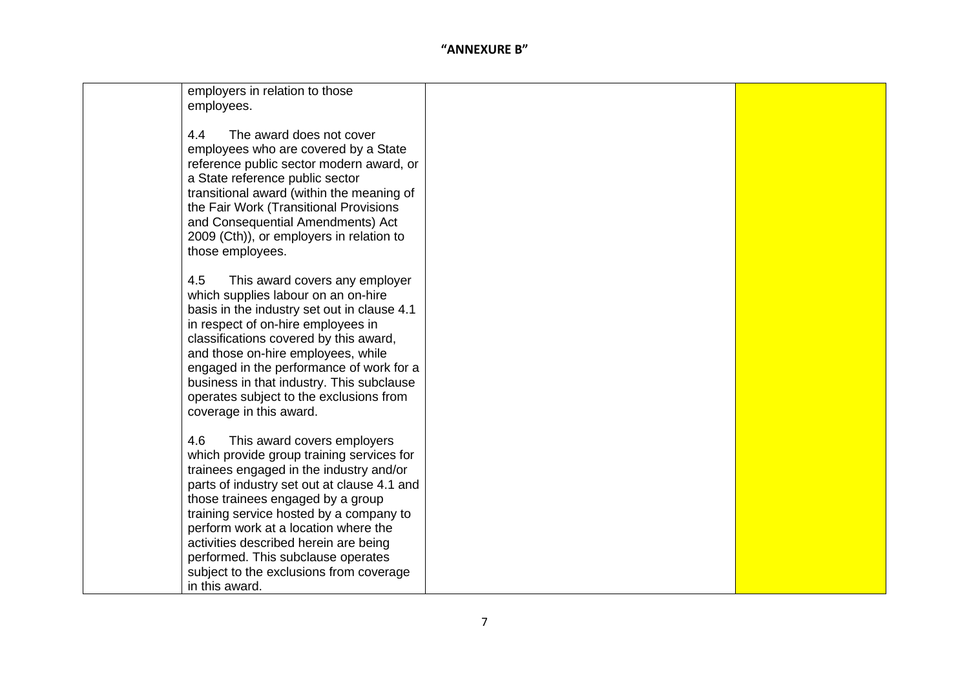| employers in relation to those<br>employees.                                                                                                                                                                                                                                                                                                                                                                                                  |  |
|-----------------------------------------------------------------------------------------------------------------------------------------------------------------------------------------------------------------------------------------------------------------------------------------------------------------------------------------------------------------------------------------------------------------------------------------------|--|
| The award does not cover<br>4.4<br>employees who are covered by a State<br>reference public sector modern award, or<br>a State reference public sector<br>transitional award (within the meaning of<br>the Fair Work (Transitional Provisions<br>and Consequential Amendments) Act<br>2009 (Cth)), or employers in relation to<br>those employees.                                                                                            |  |
| 4.5<br>This award covers any employer<br>which supplies labour on an on-hire<br>basis in the industry set out in clause 4.1<br>in respect of on-hire employees in<br>classifications covered by this award,<br>and those on-hire employees, while<br>engaged in the performance of work for a<br>business in that industry. This subclause<br>operates subject to the exclusions from<br>coverage in this award.                              |  |
| 4.6<br>This award covers employers<br>which provide group training services for<br>trainees engaged in the industry and/or<br>parts of industry set out at clause 4.1 and<br>those trainees engaged by a group<br>training service hosted by a company to<br>perform work at a location where the<br>activities described herein are being<br>performed. This subclause operates<br>subject to the exclusions from coverage<br>in this award. |  |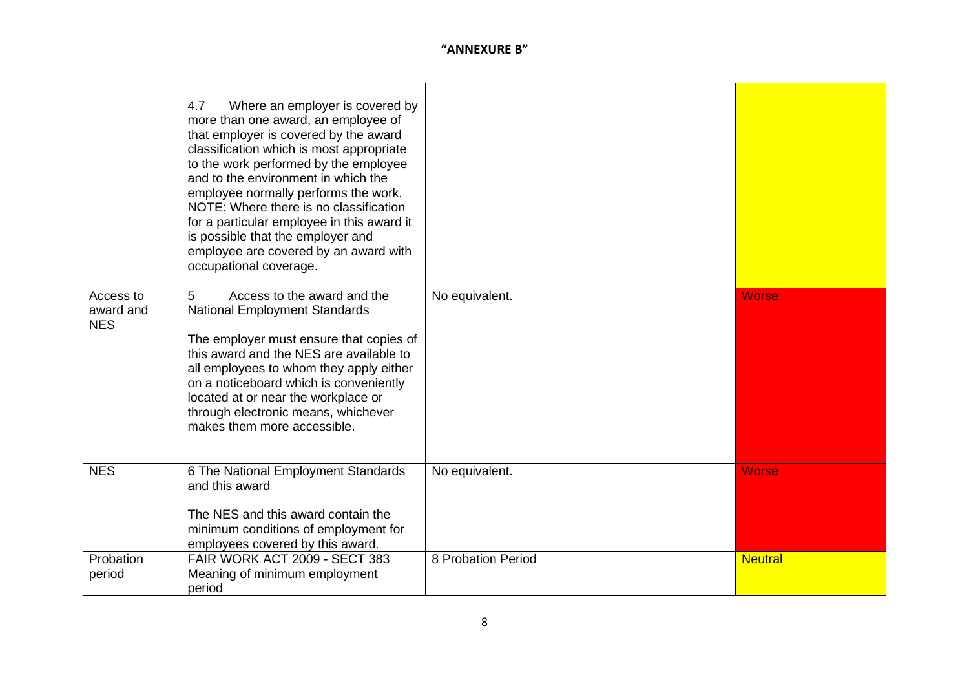|                                      | 4.7<br>Where an employer is covered by<br>more than one award, an employee of<br>that employer is covered by the award<br>classification which is most appropriate<br>to the work performed by the employee<br>and to the environment in which the<br>employee normally performs the work.<br>NOTE: Where there is no classification<br>for a particular employee in this award it<br>is possible that the employer and<br>employee are covered by an award with<br>occupational coverage. |                    |                |
|--------------------------------------|--------------------------------------------------------------------------------------------------------------------------------------------------------------------------------------------------------------------------------------------------------------------------------------------------------------------------------------------------------------------------------------------------------------------------------------------------------------------------------------------|--------------------|----------------|
| Access to<br>award and<br><b>NES</b> | Access to the award and the<br>5<br><b>National Employment Standards</b><br>The employer must ensure that copies of<br>this award and the NES are available to<br>all employees to whom they apply either<br>on a noticeboard which is conveniently<br>located at or near the workplace or<br>through electronic means, whichever<br>makes them more accessible.                                                                                                                           | No equivalent.     | <b>Worse</b>   |
| <b>NES</b>                           | 6 The National Employment Standards<br>and this award<br>The NES and this award contain the<br>minimum conditions of employment for<br>employees covered by this award.                                                                                                                                                                                                                                                                                                                    | No equivalent.     | <b>Worse</b>   |
| Probation<br>period                  | <b>FAIR WORK ACT 2009 - SECT 383</b><br>Meaning of minimum employment<br>period                                                                                                                                                                                                                                                                                                                                                                                                            | 8 Probation Period | <b>Neutral</b> |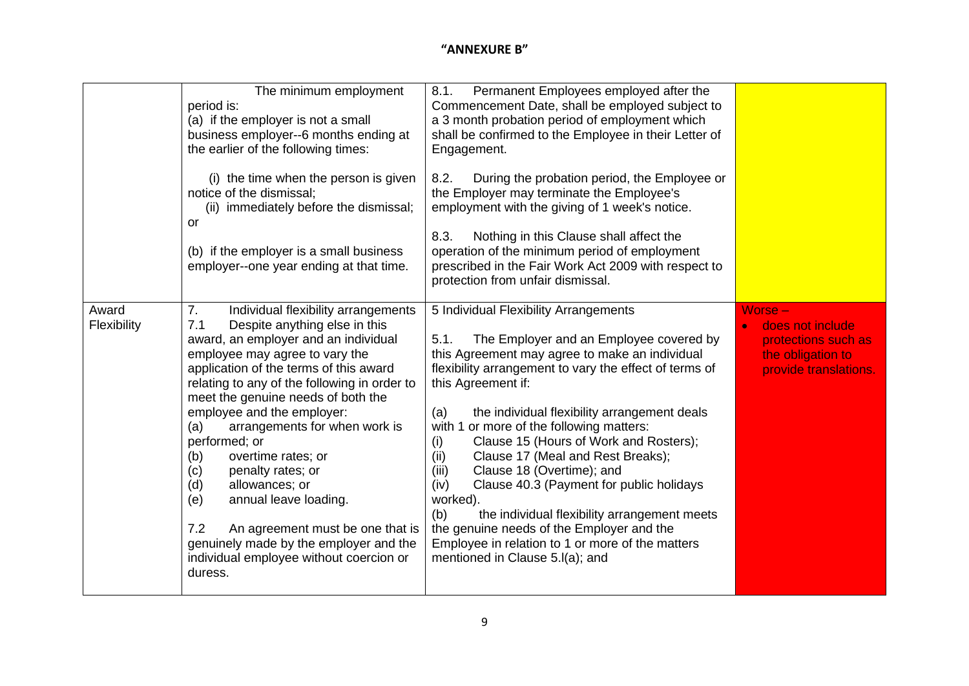|                      | The minimum employment<br>period is:<br>(a) if the employer is not a small<br>business employer--6 months ending at<br>the earlier of the following times:<br>(i) the time when the person is given<br>notice of the dismissal;<br>(ii) immediately before the dismissal;<br><b>or</b><br>(b) if the employer is a small business<br>employer--one year ending at that time.                                                                                                                                                                                                                                                                    | Permanent Employees employed after the<br>8.1.<br>Commencement Date, shall be employed subject to<br>a 3 month probation period of employment which<br>shall be confirmed to the Employee in their Letter of<br>Engagement.<br>During the probation period, the Employee or<br>8.2.<br>the Employer may terminate the Employee's<br>employment with the giving of 1 week's notice.<br>Nothing in this Clause shall affect the<br>8.3.<br>operation of the minimum period of employment<br>prescribed in the Fair Work Act 2009 with respect to<br>protection from unfair dismissal.                                                                                                                                          |                                                                                                                 |
|----------------------|-------------------------------------------------------------------------------------------------------------------------------------------------------------------------------------------------------------------------------------------------------------------------------------------------------------------------------------------------------------------------------------------------------------------------------------------------------------------------------------------------------------------------------------------------------------------------------------------------------------------------------------------------|------------------------------------------------------------------------------------------------------------------------------------------------------------------------------------------------------------------------------------------------------------------------------------------------------------------------------------------------------------------------------------------------------------------------------------------------------------------------------------------------------------------------------------------------------------------------------------------------------------------------------------------------------------------------------------------------------------------------------|-----------------------------------------------------------------------------------------------------------------|
| Award<br>Flexibility | 7.<br>Individual flexibility arrangements<br>Despite anything else in this<br>7.1<br>award, an employer and an individual<br>employee may agree to vary the<br>application of the terms of this award<br>relating to any of the following in order to<br>meet the genuine needs of both the<br>employee and the employer:<br>arrangements for when work is<br>(a)<br>performed; or<br>overtime rates; or<br>(b)<br>penalty rates; or<br>(c)<br>allowances; or<br>(d)<br>annual leave loading.<br>(e)<br>7.2<br>An agreement must be one that is<br>genuinely made by the employer and the<br>individual employee without coercion or<br>duress. | 5 Individual Flexibility Arrangements<br>The Employer and an Employee covered by<br>5.1.<br>this Agreement may agree to make an individual<br>flexibility arrangement to vary the effect of terms of<br>this Agreement if:<br>the individual flexibility arrangement deals<br>(a)<br>with 1 or more of the following matters:<br>Clause 15 (Hours of Work and Rosters);<br>(i)<br>Clause 17 (Meal and Rest Breaks);<br>(ii)<br>Clause 18 (Overtime); and<br>(iii)<br>(iv)<br>Clause 40.3 (Payment for public holidays<br>worked).<br>the individual flexibility arrangement meets<br>(b)<br>the genuine needs of the Employer and the<br>Employee in relation to 1 or more of the matters<br>mentioned in Clause 5.I(a); and | $Worse -$<br>does not include<br>$\bullet$<br>protections such as<br>the obligation to<br>provide translations. |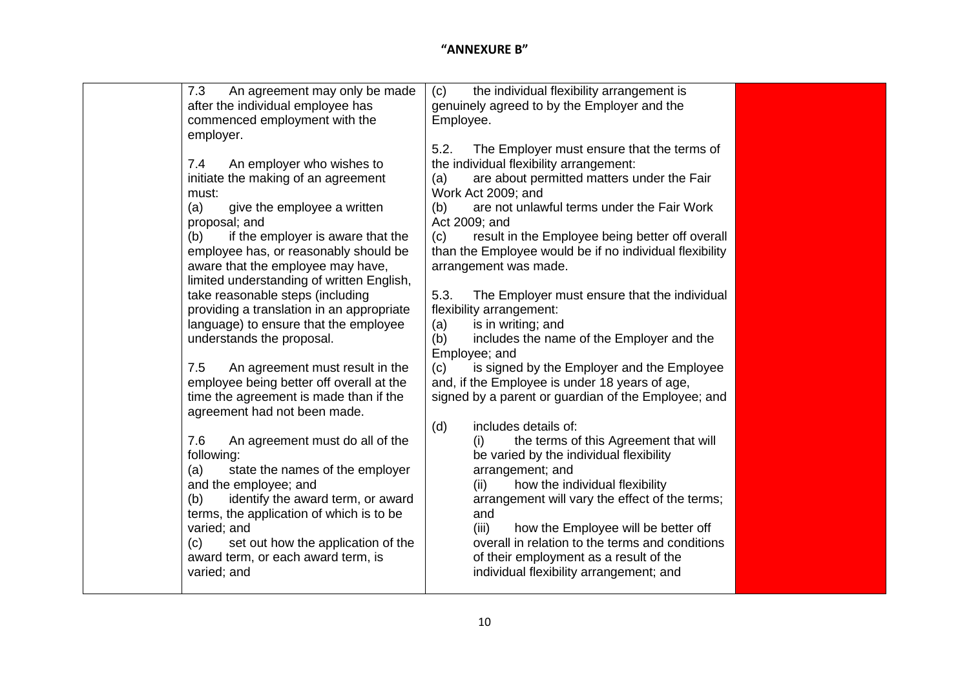| 7.3<br>An agreement may only be made      | the individual flexibility arrangement is<br>(c)        |
|-------------------------------------------|---------------------------------------------------------|
| after the individual employee has         | genuinely agreed to by the Employer and the             |
| commenced employment with the             | Employee.                                               |
| employer.                                 |                                                         |
|                                           | The Employer must ensure that the terms of<br>5.2.      |
| An employer who wishes to<br>7.4          | the individual flexibility arrangement:                 |
| initiate the making of an agreement       | are about permitted matters under the Fair<br>(a)       |
| must:                                     | Work Act 2009; and                                      |
| give the employee a written<br>(a)        | are not unlawful terms under the Fair Work<br>(b)       |
| proposal; and                             | Act 2009; and                                           |
| if the employer is aware that the<br>(b)  | result in the Employee being better off overall<br>(c)  |
| employee has, or reasonably should be     | than the Employee would be if no individual flexibility |
| aware that the employee may have,         | arrangement was made.                                   |
| limited understanding of written English, |                                                         |
| take reasonable steps (including          | 5.3.<br>The Employer must ensure that the individual    |
| providing a translation in an appropriate | flexibility arrangement:                                |
| language) to ensure that the employee     | is in writing; and<br>(a)                               |
| understands the proposal.                 | (b)<br>includes the name of the Employer and the        |
|                                           | Employee; and                                           |
| 7.5<br>An agreement must result in the    | is signed by the Employer and the Employee<br>(c)       |
| employee being better off overall at the  | and, if the Employee is under 18 years of age,          |
| time the agreement is made than if the    | signed by a parent or guardian of the Employee; and     |
| agreement had not been made.              | includes details of:                                    |
| 7.6<br>An agreement must do all of the    | (d)<br>the terms of this Agreement that will<br>(i)     |
| following:                                | be varied by the individual flexibility                 |
| state the names of the employer<br>(a)    | arrangement; and                                        |
| and the employee; and                     | how the individual flexibility<br>(ii)                  |
| identify the award term, or award<br>(b)  | arrangement will vary the effect of the terms;          |
| terms, the application of which is to be  | and                                                     |
| varied; and                               | (iii)<br>how the Employee will be better off            |
| (c)<br>set out how the application of the | overall in relation to the terms and conditions         |
| award term, or each award term, is        | of their employment as a result of the                  |
| varied; and                               | individual flexibility arrangement; and                 |
|                                           |                                                         |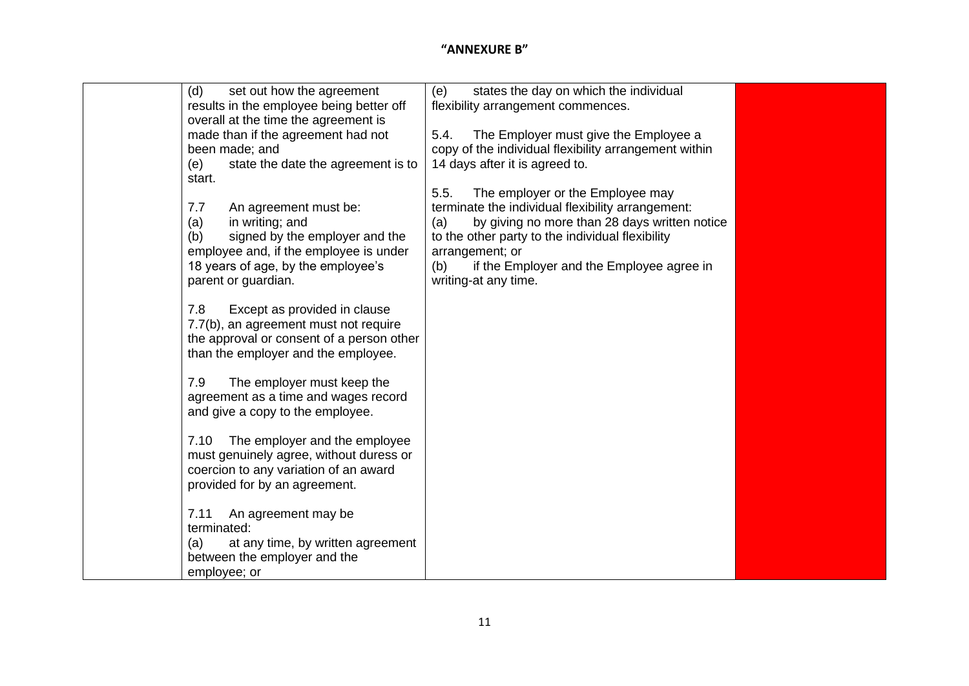| (d)<br>set out how the agreement          | states the day on which the individual<br>(e)         |  |
|-------------------------------------------|-------------------------------------------------------|--|
| results in the employee being better off  | flexibility arrangement commences.                    |  |
| overall at the time the agreement is      |                                                       |  |
| made than if the agreement had not        | The Employer must give the Employee a<br>5.4.         |  |
| been made; and                            | copy of the individual flexibility arrangement within |  |
| state the date the agreement is to<br>(e) | 14 days after it is agreed to.                        |  |
| start.                                    |                                                       |  |
|                                           | 5.5.<br>The employer or the Employee may              |  |
| 7.7<br>An agreement must be:              | terminate the individual flexibility arrangement:     |  |
| in writing; and<br>(a)                    | by giving no more than 28 days written notice<br>(a)  |  |
| signed by the employer and the<br>(b)     | to the other party to the individual flexibility      |  |
| employee and, if the employee is under    | arrangement; or                                       |  |
| 18 years of age, by the employee's        | if the Employer and the Employee agree in<br>(b)      |  |
| parent or guardian.                       | writing-at any time.                                  |  |
|                                           |                                                       |  |
| 7.8<br>Except as provided in clause       |                                                       |  |
| 7.7(b), an agreement must not require     |                                                       |  |
| the approval or consent of a person other |                                                       |  |
| than the employer and the employee.       |                                                       |  |
|                                           |                                                       |  |
| 7.9<br>The employer must keep the         |                                                       |  |
| agreement as a time and wages record      |                                                       |  |
| and give a copy to the employee.          |                                                       |  |
| 7.10<br>The employer and the employee     |                                                       |  |
| must genuinely agree, without duress or   |                                                       |  |
| coercion to any variation of an award     |                                                       |  |
| provided for by an agreement.             |                                                       |  |
|                                           |                                                       |  |
| 7.11<br>An agreement may be               |                                                       |  |
| terminated:                               |                                                       |  |
| (a)<br>at any time, by written agreement  |                                                       |  |
| between the employer and the              |                                                       |  |
| employee; or                              |                                                       |  |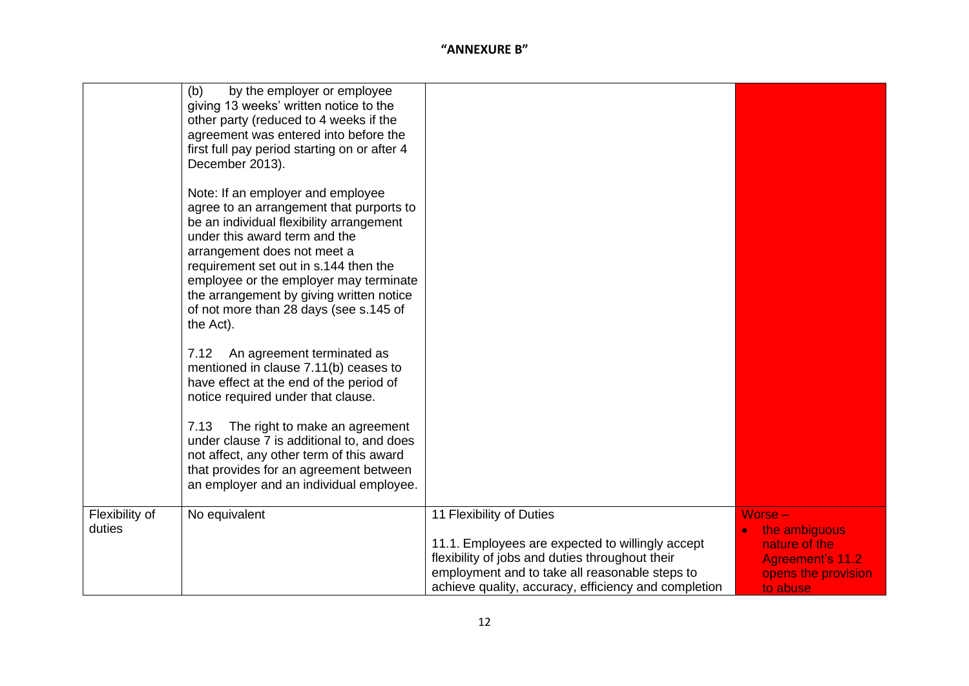|                          | (b)<br>by the employer or employee<br>giving 13 weeks' written notice to the<br>other party (reduced to 4 weeks if the<br>agreement was entered into before the<br>first full pay period starting on or after 4<br>December 2013).                                                                                                                                              |                                                                                                                                                                                                                                           |                                                                                                           |
|--------------------------|---------------------------------------------------------------------------------------------------------------------------------------------------------------------------------------------------------------------------------------------------------------------------------------------------------------------------------------------------------------------------------|-------------------------------------------------------------------------------------------------------------------------------------------------------------------------------------------------------------------------------------------|-----------------------------------------------------------------------------------------------------------|
|                          | Note: If an employer and employee<br>agree to an arrangement that purports to<br>be an individual flexibility arrangement<br>under this award term and the<br>arrangement does not meet a<br>requirement set out in s.144 then the<br>employee or the employer may terminate<br>the arrangement by giving written notice<br>of not more than 28 days (see s.145 of<br>the Act). |                                                                                                                                                                                                                                           |                                                                                                           |
|                          | An agreement terminated as<br>7.12<br>mentioned in clause 7.11(b) ceases to<br>have effect at the end of the period of<br>notice required under that clause.                                                                                                                                                                                                                    |                                                                                                                                                                                                                                           |                                                                                                           |
|                          | 7.13<br>The right to make an agreement<br>under clause 7 is additional to, and does<br>not affect, any other term of this award<br>that provides for an agreement between<br>an employer and an individual employee.                                                                                                                                                            |                                                                                                                                                                                                                                           |                                                                                                           |
| Flexibility of<br>duties | No equivalent                                                                                                                                                                                                                                                                                                                                                                   | 11 Flexibility of Duties<br>11.1. Employees are expected to willingly accept<br>flexibility of jobs and duties throughout their<br>employment and to take all reasonable steps to<br>achieve quality, accuracy, efficiency and completion | Worse $-$<br>the ambiguous<br>nature of the<br><b>Agreement's 11.2</b><br>opens the provision<br>to abuse |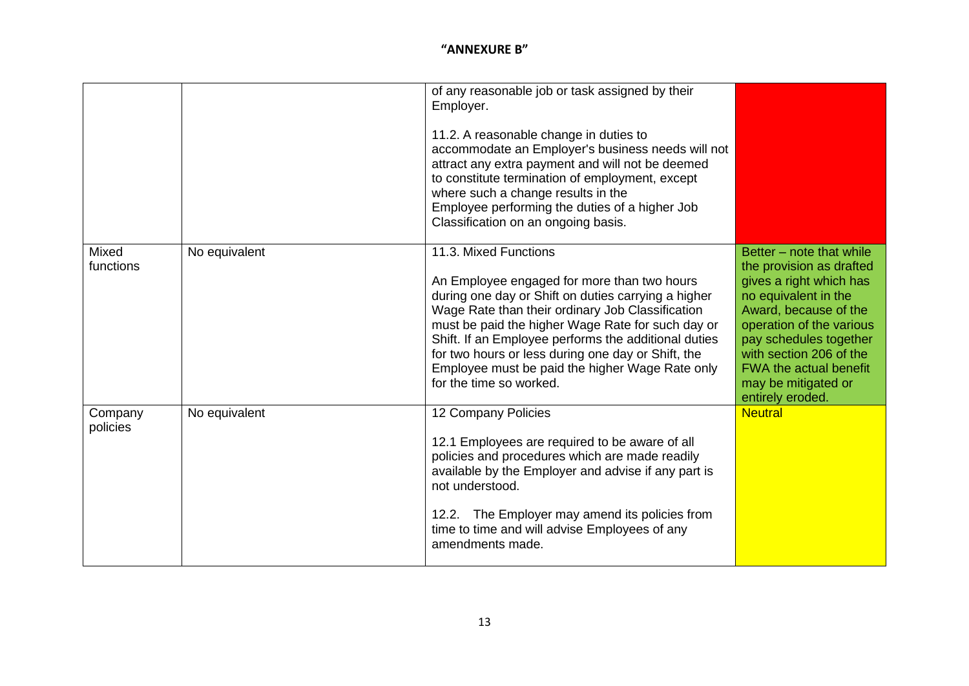|                     |               | of any reasonable job or task assigned by their<br>Employer.<br>11.2. A reasonable change in duties to<br>accommodate an Employer's business needs will not<br>attract any extra payment and will not be deemed<br>to constitute termination of employment, except<br>where such a change results in the<br>Employee performing the duties of a higher Job<br>Classification on an ongoing basis.                                |                                                                                                                                                                                                                                                                                               |
|---------------------|---------------|----------------------------------------------------------------------------------------------------------------------------------------------------------------------------------------------------------------------------------------------------------------------------------------------------------------------------------------------------------------------------------------------------------------------------------|-----------------------------------------------------------------------------------------------------------------------------------------------------------------------------------------------------------------------------------------------------------------------------------------------|
| Mixed<br>functions  | No equivalent | 11.3. Mixed Functions<br>An Employee engaged for more than two hours<br>during one day or Shift on duties carrying a higher<br>Wage Rate than their ordinary Job Classification<br>must be paid the higher Wage Rate for such day or<br>Shift. If an Employee performs the additional duties<br>for two hours or less during one day or Shift, the<br>Employee must be paid the higher Wage Rate only<br>for the time so worked. | Better - note that while<br>the provision as drafted<br>gives a right which has<br>no equivalent in the<br>Award, because of the<br>operation of the various<br>pay schedules together<br>with section 206 of the<br><b>FWA the actual benefit</b><br>may be mitigated or<br>entirely eroded. |
| Company<br>policies | No equivalent | 12 Company Policies<br>12.1 Employees are required to be aware of all<br>policies and procedures which are made readily<br>available by the Employer and advise if any part is<br>not understood.<br>12.2. The Employer may amend its policies from<br>time to time and will advise Employees of any<br>amendments made.                                                                                                         | <b>Neutral</b>                                                                                                                                                                                                                                                                                |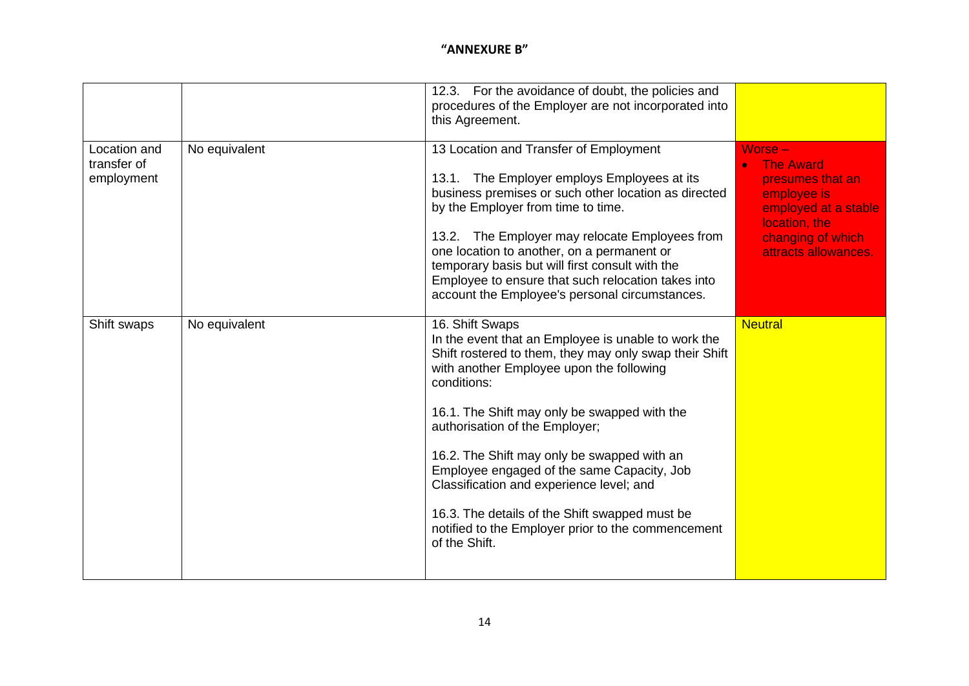|                                           |               | 12.3. For the avoidance of doubt, the policies and<br>procedures of the Employer are not incorporated into<br>this Agreement.                                                                                                                                                                                                                                                                                                                                                                                                                   |                                                                                                                                                      |
|-------------------------------------------|---------------|-------------------------------------------------------------------------------------------------------------------------------------------------------------------------------------------------------------------------------------------------------------------------------------------------------------------------------------------------------------------------------------------------------------------------------------------------------------------------------------------------------------------------------------------------|------------------------------------------------------------------------------------------------------------------------------------------------------|
| Location and<br>transfer of<br>employment | No equivalent | 13 Location and Transfer of Employment<br>13.1. The Employer employs Employees at its<br>business premises or such other location as directed<br>by the Employer from time to time.<br>13.2. The Employer may relocate Employees from<br>one location to another, on a permanent or<br>temporary basis but will first consult with the<br>Employee to ensure that such relocation takes into<br>account the Employee's personal circumstances.                                                                                                  | Worse -<br><b>The Award</b><br>presumes that an<br>employee is<br>employed at a stable<br>location, the<br>changing of which<br>attracts allowances. |
| Shift swaps                               | No equivalent | 16. Shift Swaps<br>In the event that an Employee is unable to work the<br>Shift rostered to them, they may only swap their Shift<br>with another Employee upon the following<br>conditions:<br>16.1. The Shift may only be swapped with the<br>authorisation of the Employer;<br>16.2. The Shift may only be swapped with an<br>Employee engaged of the same Capacity, Job<br>Classification and experience level; and<br>16.3. The details of the Shift swapped must be<br>notified to the Employer prior to the commencement<br>of the Shift. | <b>Neutral</b>                                                                                                                                       |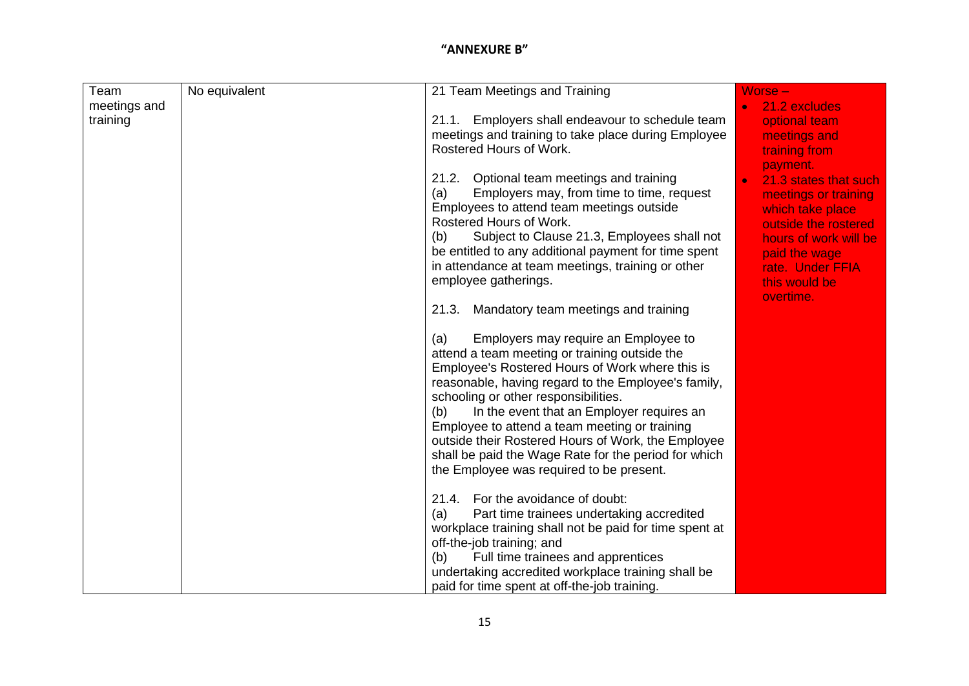| Team         | No equivalent | 21 Team Meetings and Training                                                                 | Worse -                                       |
|--------------|---------------|-----------------------------------------------------------------------------------------------|-----------------------------------------------|
| meetings and |               |                                                                                               | 21.2 excludes<br>$\bullet$                    |
| training     |               | Employers shall endeavour to schedule team<br>21.1.                                           | optional team                                 |
|              |               | meetings and training to take place during Employee                                           | meetings and                                  |
|              |               | Rostered Hours of Work.                                                                       | training from                                 |
|              |               |                                                                                               | payment.                                      |
|              |               | 21.2. Optional team meetings and training<br>Employers may, from time to time, request<br>(a) | 21.3 states that such<br>meetings or training |
|              |               | Employees to attend team meetings outside                                                     | which take place                              |
|              |               | Rostered Hours of Work.                                                                       | outside the rostered                          |
|              |               | Subject to Clause 21.3, Employees shall not<br>(b)                                            | hours of work will be                         |
|              |               | be entitled to any additional payment for time spent                                          | paid the wage                                 |
|              |               | in attendance at team meetings, training or other                                             | rate. Under FFIA                              |
|              |               | employee gatherings.                                                                          | this would be                                 |
|              |               |                                                                                               | overtime.                                     |
|              |               | Mandatory team meetings and training<br>21.3.                                                 |                                               |
|              |               |                                                                                               |                                               |
|              |               | Employers may require an Employee to<br>(a)                                                   |                                               |
|              |               | attend a team meeting or training outside the                                                 |                                               |
|              |               | Employee's Rostered Hours of Work where this is                                               |                                               |
|              |               | reasonable, having regard to the Employee's family,                                           |                                               |
|              |               | schooling or other responsibilities.                                                          |                                               |
|              |               | In the event that an Employer requires an<br>(b)                                              |                                               |
|              |               | Employee to attend a team meeting or training                                                 |                                               |
|              |               | outside their Rostered Hours of Work, the Employee                                            |                                               |
|              |               | shall be paid the Wage Rate for the period for which                                          |                                               |
|              |               | the Employee was required to be present.                                                      |                                               |
|              |               |                                                                                               |                                               |
|              |               | 21.4. For the avoidance of doubt:                                                             |                                               |
|              |               | Part time trainees undertaking accredited<br>(a)                                              |                                               |
|              |               | workplace training shall not be paid for time spent at                                        |                                               |
|              |               | off-the-job training; and                                                                     |                                               |
|              |               | Full time trainees and apprentices<br>(b)                                                     |                                               |
|              |               | undertaking accredited workplace training shall be                                            |                                               |
|              |               | paid for time spent at off-the-job training.                                                  |                                               |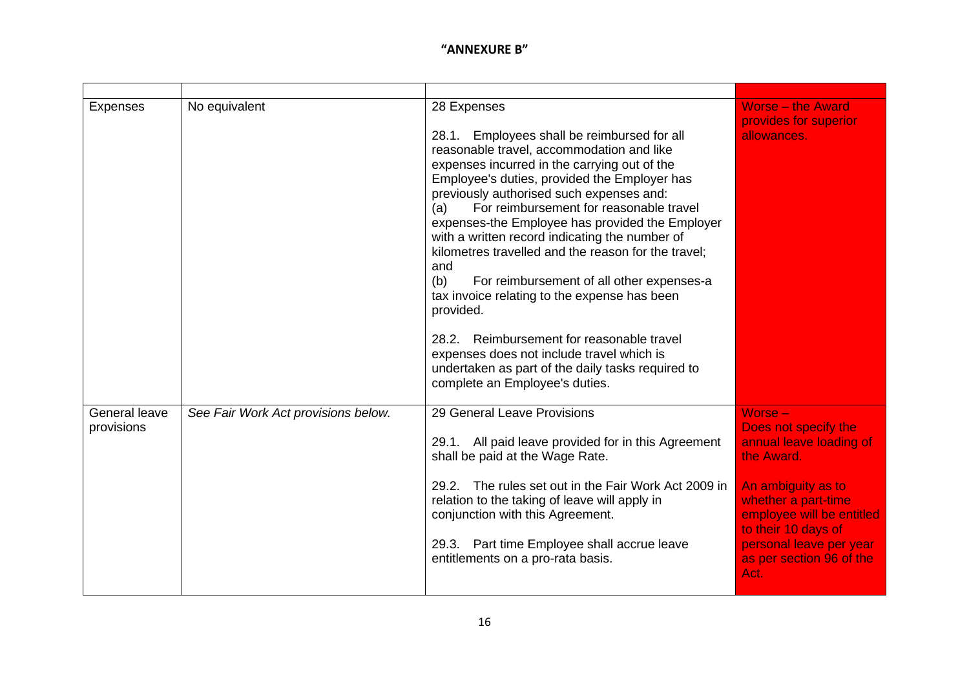| <b>Expenses</b>             | No equivalent                       | 28 Expenses<br>Employees shall be reimbursed for all<br>28.1.<br>reasonable travel, accommodation and like<br>expenses incurred in the carrying out of the<br>Employee's duties, provided the Employer has<br>previously authorised such expenses and:<br>For reimbursement for reasonable travel<br>(a)<br>expenses-the Employee has provided the Employer<br>with a written record indicating the number of<br>kilometres travelled and the reason for the travel;<br>and<br>(b)<br>For reimbursement of all other expenses-a<br>tax invoice relating to the expense has been<br>provided.<br>Reimbursement for reasonable travel<br>28.2.<br>expenses does not include travel which is<br>undertaken as part of the daily tasks required to<br>complete an Employee's duties. | <b>Worse - the Award</b><br>provides for superior<br>allowances.                                                                                                                                                                         |
|-----------------------------|-------------------------------------|----------------------------------------------------------------------------------------------------------------------------------------------------------------------------------------------------------------------------------------------------------------------------------------------------------------------------------------------------------------------------------------------------------------------------------------------------------------------------------------------------------------------------------------------------------------------------------------------------------------------------------------------------------------------------------------------------------------------------------------------------------------------------------|------------------------------------------------------------------------------------------------------------------------------------------------------------------------------------------------------------------------------------------|
| General leave<br>provisions | See Fair Work Act provisions below. | 29 General Leave Provisions<br>29.1. All paid leave provided for in this Agreement<br>shall be paid at the Wage Rate.<br>The rules set out in the Fair Work Act 2009 in<br>29.2.<br>relation to the taking of leave will apply in<br>conjunction with this Agreement.<br>29.3. Part time Employee shall accrue leave<br>entitlements on a pro-rata basis.                                                                                                                                                                                                                                                                                                                                                                                                                        | Worse -<br>Does not specify the<br>annual leave loading of<br>the Award.<br>An ambiguity as to<br>whether a part-time<br>employee will be entitled<br>to their 10 days of<br>personal leave per year<br>as per section 96 of the<br>Act. |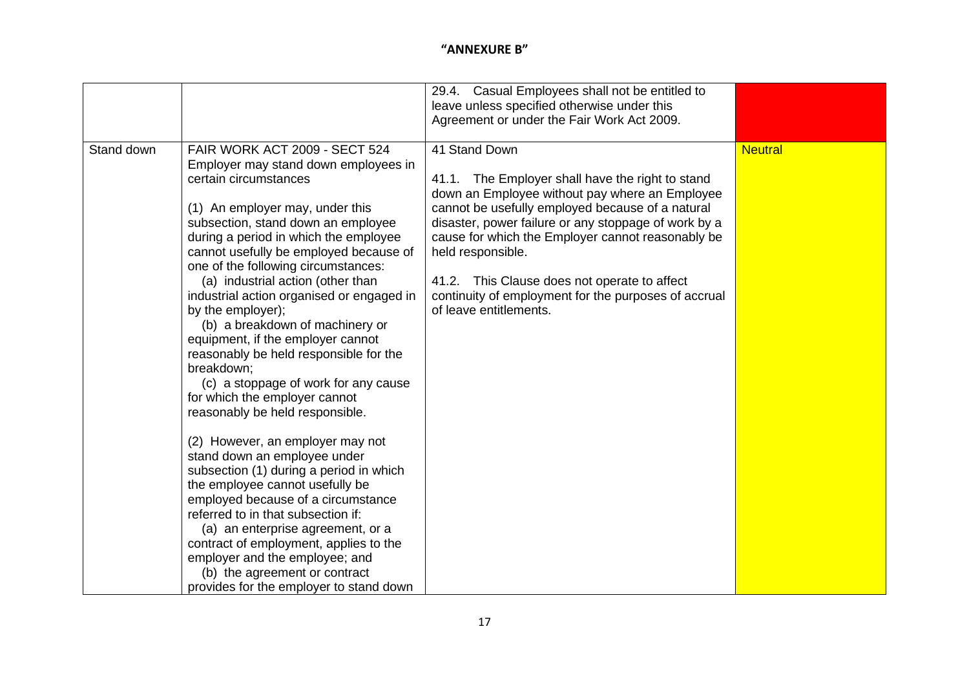|            |                                                                                                                                                                                                                                                                                                                                                                                                                                                                                                                                                                                                                                                                                                                                                                                                                                                                                                                                                                                                                                                                                 | 29.4. Casual Employees shall not be entitled to<br>leave unless specified otherwise under this<br>Agreement or under the Fair Work Act 2009.                                                                                                                                                                                                                                                                                                |                |
|------------|---------------------------------------------------------------------------------------------------------------------------------------------------------------------------------------------------------------------------------------------------------------------------------------------------------------------------------------------------------------------------------------------------------------------------------------------------------------------------------------------------------------------------------------------------------------------------------------------------------------------------------------------------------------------------------------------------------------------------------------------------------------------------------------------------------------------------------------------------------------------------------------------------------------------------------------------------------------------------------------------------------------------------------------------------------------------------------|---------------------------------------------------------------------------------------------------------------------------------------------------------------------------------------------------------------------------------------------------------------------------------------------------------------------------------------------------------------------------------------------------------------------------------------------|----------------|
| Stand down | FAIR WORK ACT 2009 - SECT 524<br>Employer may stand down employees in<br>certain circumstances<br>(1) An employer may, under this<br>subsection, stand down an employee<br>during a period in which the employee<br>cannot usefully be employed because of<br>one of the following circumstances:<br>(a) industrial action (other than<br>industrial action organised or engaged in<br>by the employer);<br>(b) a breakdown of machinery or<br>equipment, if the employer cannot<br>reasonably be held responsible for the<br>breakdown;<br>(c) a stoppage of work for any cause<br>for which the employer cannot<br>reasonably be held responsible.<br>(2) However, an employer may not<br>stand down an employee under<br>subsection (1) during a period in which<br>the employee cannot usefully be<br>employed because of a circumstance<br>referred to in that subsection if:<br>(a) an enterprise agreement, or a<br>contract of employment, applies to the<br>employer and the employee; and<br>(b) the agreement or contract<br>provides for the employer to stand down | 41 Stand Down<br>41.1. The Employer shall have the right to stand<br>down an Employee without pay where an Employee<br>cannot be usefully employed because of a natural<br>disaster, power failure or any stoppage of work by a<br>cause for which the Employer cannot reasonably be<br>held responsible.<br>41.2. This Clause does not operate to affect<br>continuity of employment for the purposes of accrual<br>of leave entitlements. | <b>Neutral</b> |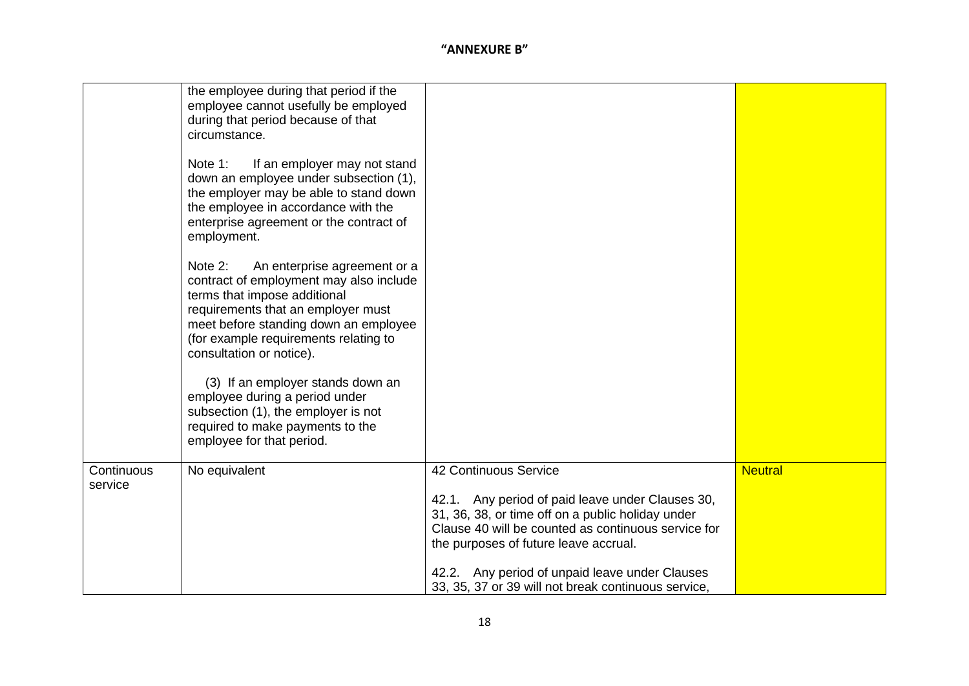|                       | the employee during that period if the<br>employee cannot usefully be employed<br>during that period because of that<br>circumstance.                                                                                                                                  |                                                                                                                                                                                                                                                                                  |                |
|-----------------------|------------------------------------------------------------------------------------------------------------------------------------------------------------------------------------------------------------------------------------------------------------------------|----------------------------------------------------------------------------------------------------------------------------------------------------------------------------------------------------------------------------------------------------------------------------------|----------------|
|                       | Note 1:<br>If an employer may not stand<br>down an employee under subsection (1),<br>the employer may be able to stand down<br>the employee in accordance with the<br>enterprise agreement or the contract of<br>employment.                                           |                                                                                                                                                                                                                                                                                  |                |
|                       | Note 2:<br>An enterprise agreement or a<br>contract of employment may also include<br>terms that impose additional<br>requirements that an employer must<br>meet before standing down an employee<br>(for example requirements relating to<br>consultation or notice). |                                                                                                                                                                                                                                                                                  |                |
|                       | (3) If an employer stands down an<br>employee during a period under<br>subsection (1), the employer is not<br>required to make payments to the<br>employee for that period.                                                                                            |                                                                                                                                                                                                                                                                                  |                |
| Continuous<br>service | No equivalent                                                                                                                                                                                                                                                          | 42 Continuous Service<br>42.1. Any period of paid leave under Clauses 30,<br>31, 36, 38, or time off on a public holiday under<br>Clause 40 will be counted as continuous service for<br>the purposes of future leave accrual.<br>42.2. Any period of unpaid leave under Clauses | <b>Neutral</b> |
|                       |                                                                                                                                                                                                                                                                        | 33, 35, 37 or 39 will not break continuous service,                                                                                                                                                                                                                              |                |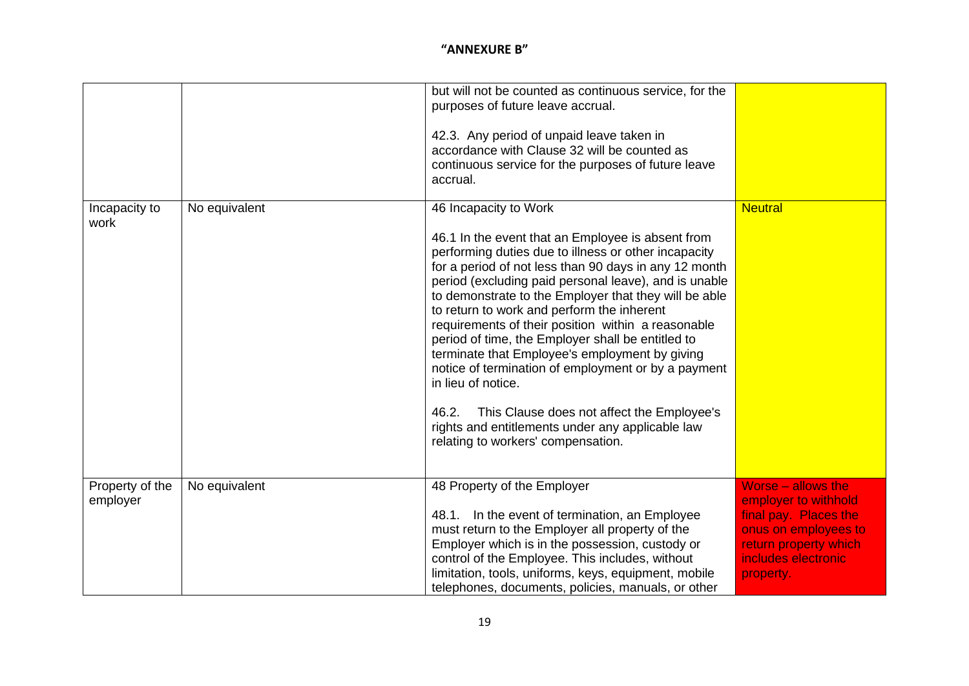|                       |               | but will not be counted as continuous service, for the<br>purposes of future leave accrual.                    |                                              |
|-----------------------|---------------|----------------------------------------------------------------------------------------------------------------|----------------------------------------------|
|                       |               | 42.3. Any period of unpaid leave taken in<br>accordance with Clause 32 will be counted as                      |                                              |
|                       |               | continuous service for the purposes of future leave<br>accrual.                                                |                                              |
| Incapacity to<br>work | No equivalent | 46 Incapacity to Work                                                                                          | <b>Neutral</b>                               |
|                       |               | 46.1 In the event that an Employee is absent from                                                              |                                              |
|                       |               | performing duties due to illness or other incapacity                                                           |                                              |
|                       |               | for a period of not less than 90 days in any 12 month<br>period (excluding paid personal leave), and is unable |                                              |
|                       |               | to demonstrate to the Employer that they will be able                                                          |                                              |
|                       |               | to return to work and perform the inherent                                                                     |                                              |
|                       |               | requirements of their position within a reasonable                                                             |                                              |
|                       |               | period of time, the Employer shall be entitled to<br>terminate that Employee's employment by giving            |                                              |
|                       |               | notice of termination of employment or by a payment<br>in lieu of notice.                                      |                                              |
|                       |               | This Clause does not affect the Employee's<br>46.2.                                                            |                                              |
|                       |               | rights and entitlements under any applicable law                                                               |                                              |
|                       |               | relating to workers' compensation.                                                                             |                                              |
| Property of the       | No equivalent | 48 Property of the Employer                                                                                    | Worse – allows the                           |
| employer              |               |                                                                                                                | employer to withhold                         |
|                       |               | 48.1. In the event of termination, an Employee                                                                 | final pay. Places the                        |
|                       |               | must return to the Employer all property of the                                                                | onus on employees to                         |
|                       |               | Employer which is in the possession, custody or<br>control of the Employee. This includes, without             | return property which<br>includes electronic |
|                       |               | limitation, tools, uniforms, keys, equipment, mobile                                                           | property.                                    |
|                       |               | telephones, documents, policies, manuals, or other                                                             |                                              |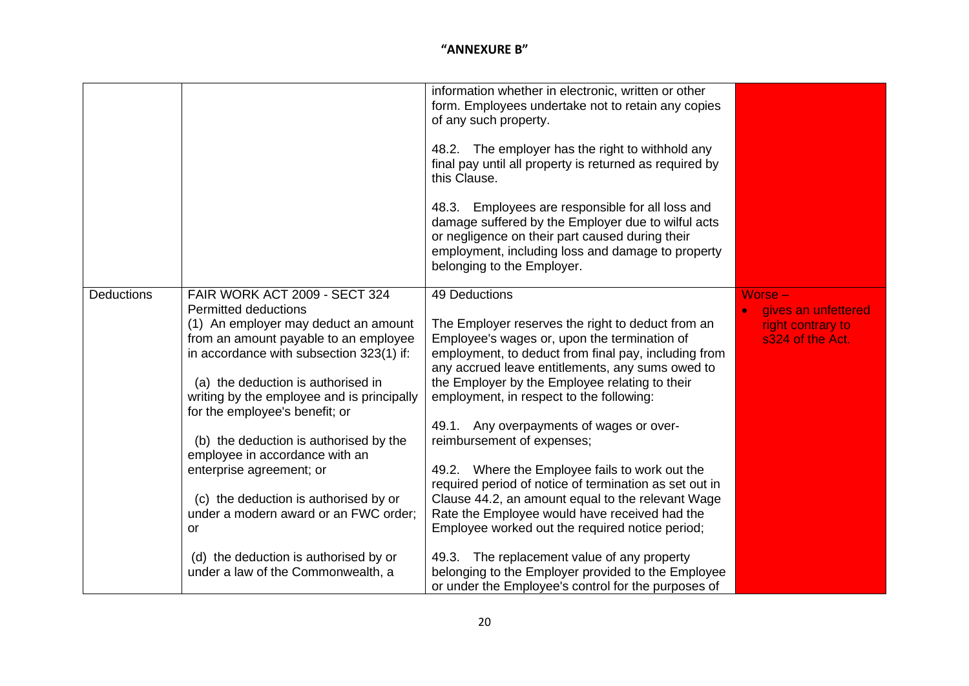|                   |                                                                                                                                                                                                                                                                                                                                                                                                                                                                                                                                                                                                | information whether in electronic, written or other<br>form. Employees undertake not to retain any copies<br>of any such property.<br>48.2. The employer has the right to withhold any<br>final pay until all property is returned as required by<br>this Clause.<br>48.3. Employees are responsible for all loss and<br>damage suffered by the Employer due to wilful acts<br>or negligence on their part caused during their<br>employment, including loss and damage to property<br>belonging to the Employer.                                                                                                                                                                                                                                                                                                                       |                                                                           |
|-------------------|------------------------------------------------------------------------------------------------------------------------------------------------------------------------------------------------------------------------------------------------------------------------------------------------------------------------------------------------------------------------------------------------------------------------------------------------------------------------------------------------------------------------------------------------------------------------------------------------|-----------------------------------------------------------------------------------------------------------------------------------------------------------------------------------------------------------------------------------------------------------------------------------------------------------------------------------------------------------------------------------------------------------------------------------------------------------------------------------------------------------------------------------------------------------------------------------------------------------------------------------------------------------------------------------------------------------------------------------------------------------------------------------------------------------------------------------------|---------------------------------------------------------------------------|
| <b>Deductions</b> | FAIR WORK ACT 2009 - SECT 324<br><b>Permitted deductions</b><br>(1) An employer may deduct an amount<br>from an amount payable to an employee<br>in accordance with subsection 323(1) if:<br>(a) the deduction is authorised in<br>writing by the employee and is principally<br>for the employee's benefit; or<br>(b) the deduction is authorised by the<br>employee in accordance with an<br>enterprise agreement; or<br>(c) the deduction is authorised by or<br>under a modern award or an FWC order;<br>or<br>(d) the deduction is authorised by or<br>under a law of the Commonwealth, a | 49 Deductions<br>The Employer reserves the right to deduct from an<br>Employee's wages or, upon the termination of<br>employment, to deduct from final pay, including from<br>any accrued leave entitlements, any sums owed to<br>the Employer by the Employee relating to their<br>employment, in respect to the following:<br>49.1. Any overpayments of wages or over-<br>reimbursement of expenses;<br>49.2. Where the Employee fails to work out the<br>required period of notice of termination as set out in<br>Clause 44.2, an amount equal to the relevant Wage<br>Rate the Employee would have received had the<br>Employee worked out the required notice period;<br>49.3. The replacement value of any property<br>belonging to the Employer provided to the Employee<br>or under the Employee's control for the purposes of | $Worse -$<br>gives an unfettered<br>right contrary to<br>s324 of the Act. |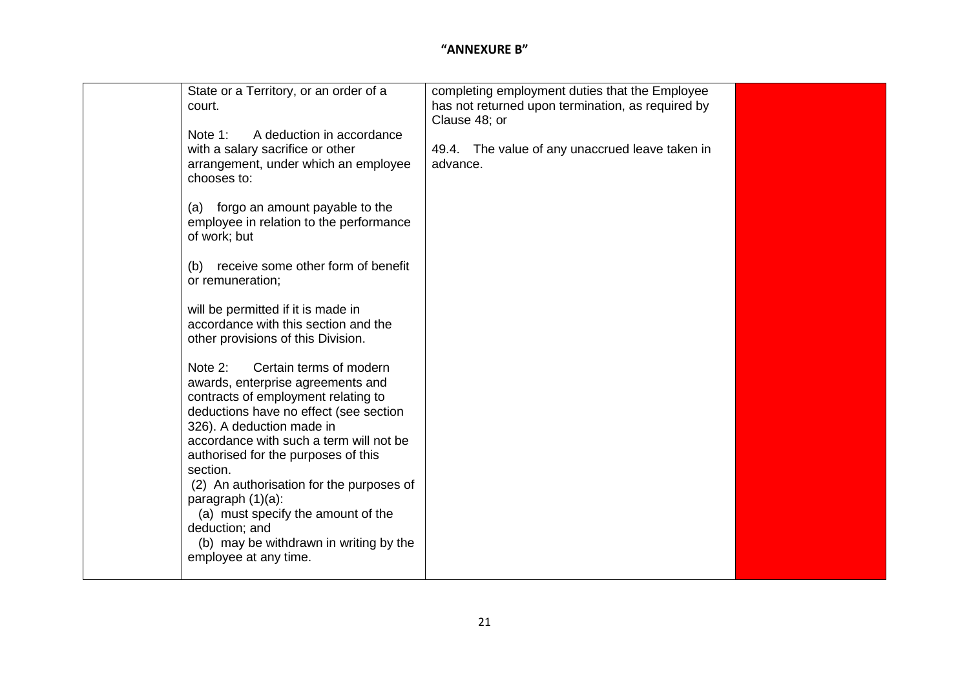| (a)<br>(b) | State or a Territory, or an order of a<br>court.<br>A deduction in accordance<br>Note 1:<br>with a salary sacrifice or other<br>arrangement, under which an employee<br>chooses to:<br>forgo an amount payable to the<br>employee in relation to the performance<br>of work; but<br>receive some other form of benefit<br>or remuneration;<br>will be permitted if it is made in<br>accordance with this section and the<br>other provisions of this Division.<br>Note 2:<br>Certain terms of modern<br>awards, enterprise agreements and<br>contracts of employment relating to<br>deductions have no effect (see section<br>326). A deduction made in<br>accordance with such a term will not be<br>authorised for the purposes of this<br>section.<br>(2) An authorisation for the purposes of<br>paragraph $(1)(a)$ :<br>(a) must specify the amount of the<br>deduction; and<br>(b) may be withdrawn in writing by the<br>employee at any time. | completing employment duties that the Employee<br>has not returned upon termination, as required by<br>Clause 48; or<br>49.4. The value of any unaccrued leave taken in<br>advance. |  |
|------------|------------------------------------------------------------------------------------------------------------------------------------------------------------------------------------------------------------------------------------------------------------------------------------------------------------------------------------------------------------------------------------------------------------------------------------------------------------------------------------------------------------------------------------------------------------------------------------------------------------------------------------------------------------------------------------------------------------------------------------------------------------------------------------------------------------------------------------------------------------------------------------------------------------------------------------------------------|-------------------------------------------------------------------------------------------------------------------------------------------------------------------------------------|--|
|------------|------------------------------------------------------------------------------------------------------------------------------------------------------------------------------------------------------------------------------------------------------------------------------------------------------------------------------------------------------------------------------------------------------------------------------------------------------------------------------------------------------------------------------------------------------------------------------------------------------------------------------------------------------------------------------------------------------------------------------------------------------------------------------------------------------------------------------------------------------------------------------------------------------------------------------------------------------|-------------------------------------------------------------------------------------------------------------------------------------------------------------------------------------|--|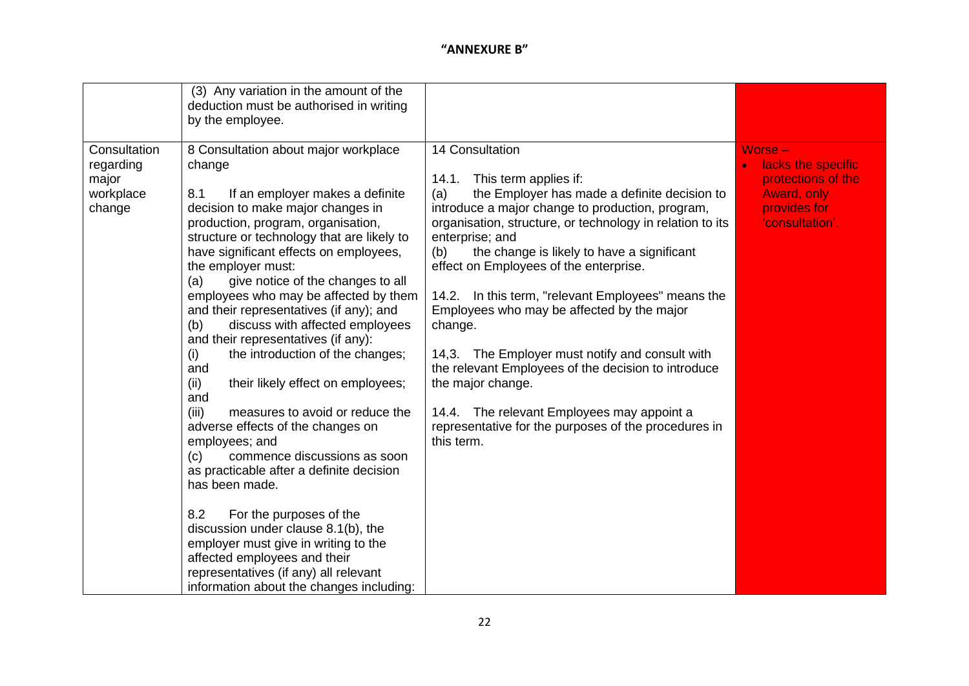|                                                           | (3) Any variation in the amount of the<br>deduction must be authorised in writing<br>by the employee.                                                                                                                                                                                                                                                                                                                                                                                                                                                                                                                                                                                                                                                                                                                                                                                                                                                             |                                                                                                                                                                                                                                                                                                                                                                                                                                                                                                                                                                                                                                                                                                               |                                                                                                      |
|-----------------------------------------------------------|-------------------------------------------------------------------------------------------------------------------------------------------------------------------------------------------------------------------------------------------------------------------------------------------------------------------------------------------------------------------------------------------------------------------------------------------------------------------------------------------------------------------------------------------------------------------------------------------------------------------------------------------------------------------------------------------------------------------------------------------------------------------------------------------------------------------------------------------------------------------------------------------------------------------------------------------------------------------|---------------------------------------------------------------------------------------------------------------------------------------------------------------------------------------------------------------------------------------------------------------------------------------------------------------------------------------------------------------------------------------------------------------------------------------------------------------------------------------------------------------------------------------------------------------------------------------------------------------------------------------------------------------------------------------------------------------|------------------------------------------------------------------------------------------------------|
| Consultation<br>regarding<br>major<br>workplace<br>change | 8 Consultation about major workplace<br>change<br>8.1<br>If an employer makes a definite<br>decision to make major changes in<br>production, program, organisation,<br>structure or technology that are likely to<br>have significant effects on employees,<br>the employer must:<br>give notice of the changes to all<br>(a)<br>employees who may be affected by them<br>and their representatives (if any); and<br>discuss with affected employees<br>(b)<br>and their representatives (if any):<br>the introduction of the changes;<br>(i)<br>and<br>(ii)<br>their likely effect on employees;<br>and<br>(iii)<br>measures to avoid or reduce the<br>adverse effects of the changes on<br>employees; and<br>commence discussions as soon<br>(c)<br>as practicable after a definite decision<br>has been made.<br>8.2<br>For the purposes of the<br>discussion under clause 8.1(b), the<br>employer must give in writing to the<br>affected employees and their | 14 Consultation<br>14.1.<br>This term applies if:<br>the Employer has made a definite decision to<br>(a)<br>introduce a major change to production, program,<br>organisation, structure, or technology in relation to its<br>enterprise; and<br>(b)<br>the change is likely to have a significant<br>effect on Employees of the enterprise.<br>14.2. In this term, "relevant Employees" means the<br>Employees who may be affected by the major<br>change.<br>14,3. The Employer must notify and consult with<br>the relevant Employees of the decision to introduce<br>the major change.<br>14.4. The relevant Employees may appoint a<br>representative for the purposes of the procedures in<br>this term. | Worse-<br>lacks the specific<br>protections of the<br>Award, only<br>provides for<br>'consultation'. |
|                                                           | representatives (if any) all relevant<br>information about the changes including:                                                                                                                                                                                                                                                                                                                                                                                                                                                                                                                                                                                                                                                                                                                                                                                                                                                                                 |                                                                                                                                                                                                                                                                                                                                                                                                                                                                                                                                                                                                                                                                                                               |                                                                                                      |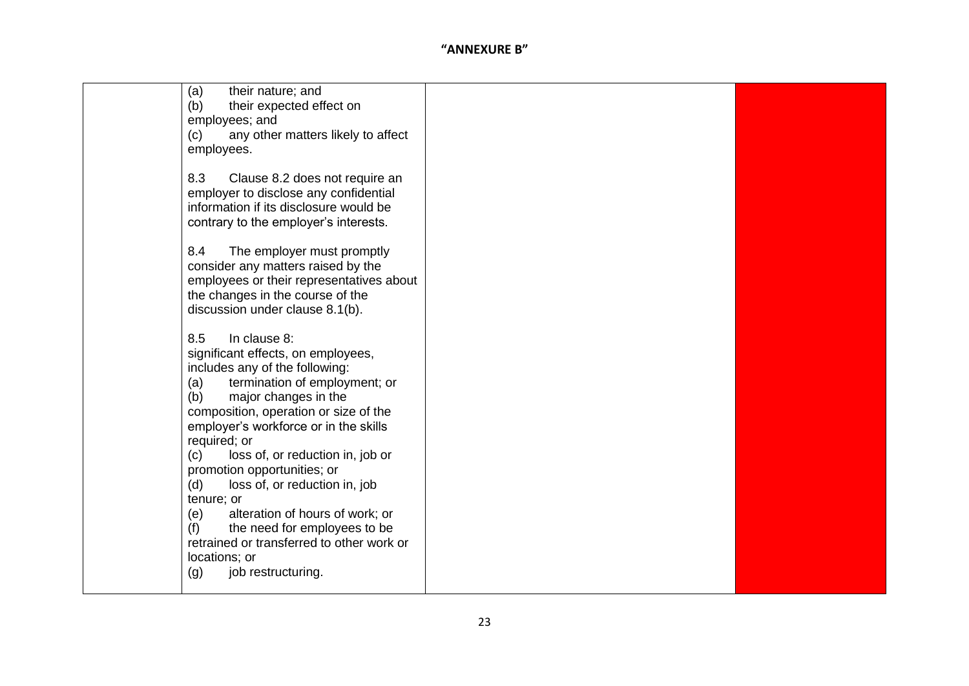| (a)<br>their nature; and                  |  |
|-------------------------------------------|--|
| their expected effect on<br>(b)           |  |
| employees; and                            |  |
|                                           |  |
| any other matters likely to affect<br>(c) |  |
| employees.                                |  |
|                                           |  |
| 8.3                                       |  |
| Clause 8.2 does not require an            |  |
| employer to disclose any confidential     |  |
| information if its disclosure would be    |  |
| contrary to the employer's interests.     |  |
|                                           |  |
|                                           |  |
| 8.4<br>The employer must promptly         |  |
| consider any matters raised by the        |  |
| employees or their representatives about  |  |
| the changes in the course of the          |  |
|                                           |  |
| discussion under clause 8.1(b).           |  |
|                                           |  |
| 8.5<br>In clause 8:                       |  |
| significant effects, on employees,        |  |
|                                           |  |
| includes any of the following:            |  |
| termination of employment; or<br>(a)      |  |
| major changes in the<br>(b)               |  |
| composition, operation or size of the     |  |
|                                           |  |
| employer's workforce or in the skills     |  |
| required; or                              |  |
| (c)<br>loss of, or reduction in, job or   |  |
| promotion opportunities; or               |  |
| loss of, or reduction in, job<br>(d)      |  |
|                                           |  |
| tenure; or                                |  |
| alteration of hours of work; or<br>(e)    |  |
| the need for employees to be<br>(f)       |  |
| retrained or transferred to other work or |  |
|                                           |  |
| locations; or                             |  |
| (g)<br>job restructuring.                 |  |
|                                           |  |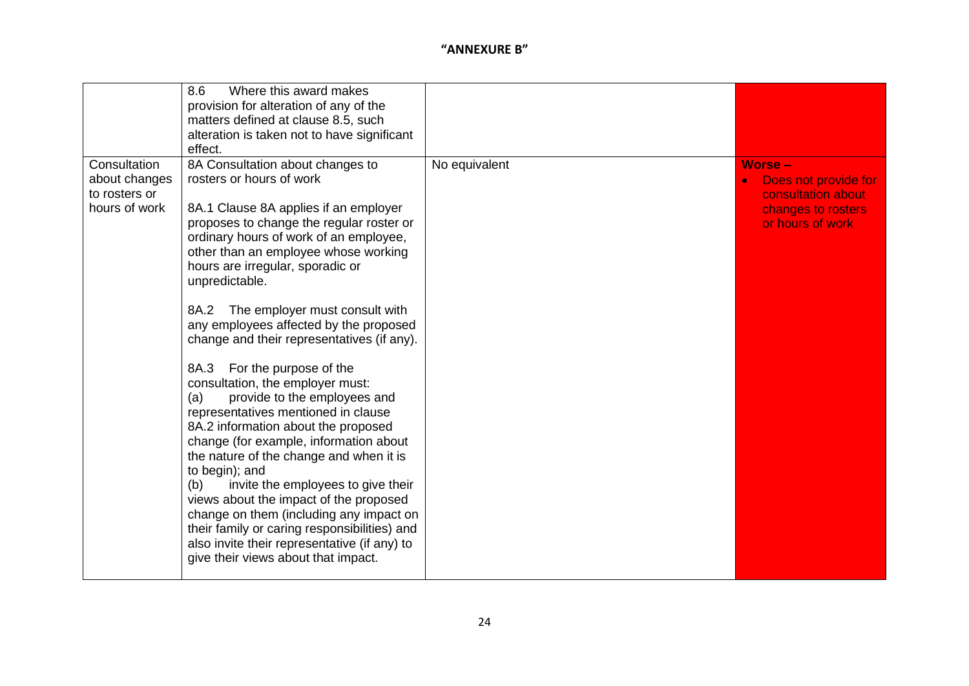|                                                                 | Where this award makes<br>8.6<br>provision for alteration of any of the<br>matters defined at clause 8.5, such<br>alteration is taken not to have significant<br>effect.                                                                                                                                                                                                                                                                                                                                                                                                                                                                                                                                                                                                                                                                                                                                                                                                                               |               |                                                                                                       |
|-----------------------------------------------------------------|--------------------------------------------------------------------------------------------------------------------------------------------------------------------------------------------------------------------------------------------------------------------------------------------------------------------------------------------------------------------------------------------------------------------------------------------------------------------------------------------------------------------------------------------------------------------------------------------------------------------------------------------------------------------------------------------------------------------------------------------------------------------------------------------------------------------------------------------------------------------------------------------------------------------------------------------------------------------------------------------------------|---------------|-------------------------------------------------------------------------------------------------------|
| Consultation<br>about changes<br>to rosters or<br>hours of work | 8A Consultation about changes to<br>rosters or hours of work<br>8A.1 Clause 8A applies if an employer<br>proposes to change the regular roster or<br>ordinary hours of work of an employee,<br>other than an employee whose working<br>hours are irregular, sporadic or<br>unpredictable.<br>The employer must consult with<br>8A.2<br>any employees affected by the proposed<br>change and their representatives (if any).<br>8A.3<br>For the purpose of the<br>consultation, the employer must:<br>provide to the employees and<br>(a)<br>representatives mentioned in clause<br>8A.2 information about the proposed<br>change (for example, information about<br>the nature of the change and when it is<br>to begin); and<br>invite the employees to give their<br>(b)<br>views about the impact of the proposed<br>change on them (including any impact on<br>their family or caring responsibilities) and<br>also invite their representative (if any) to<br>give their views about that impact. | No equivalent | <b>Worse-</b><br>Does not provide for<br>consultation about<br>changes to rosters<br>or hours of work |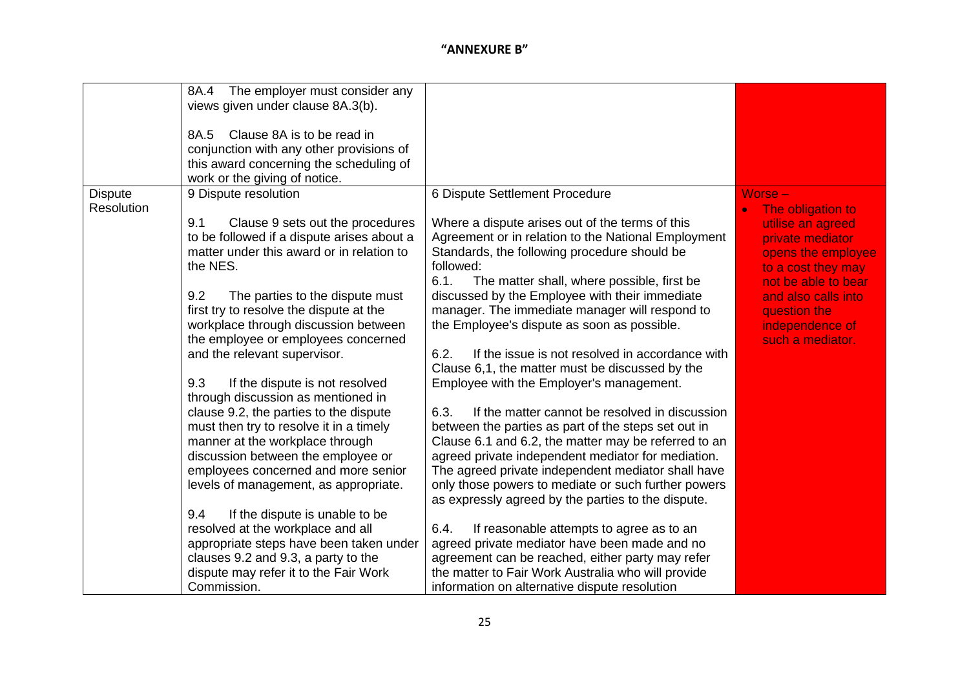|                              | The employer must consider any<br>8A.4<br>views given under clause 8A.3(b).<br>Clause 8A is to be read in<br>8A.5<br>conjunction with any other provisions of<br>this award concerning the scheduling of<br>work or the giving of notice.                                                                                                                                                                                                                                                                                                                                                                                                                                                                                                                                                                                                                                                                                       |                                                                                                                                                                                                                                                                                                                                                                                                                                                                                                                                                                                                                                                                                                                                                                                                                                                                                                                                                                                                                                                                                                                                                                                                                                            |                                                                                                                                                                                                                          |
|------------------------------|---------------------------------------------------------------------------------------------------------------------------------------------------------------------------------------------------------------------------------------------------------------------------------------------------------------------------------------------------------------------------------------------------------------------------------------------------------------------------------------------------------------------------------------------------------------------------------------------------------------------------------------------------------------------------------------------------------------------------------------------------------------------------------------------------------------------------------------------------------------------------------------------------------------------------------|--------------------------------------------------------------------------------------------------------------------------------------------------------------------------------------------------------------------------------------------------------------------------------------------------------------------------------------------------------------------------------------------------------------------------------------------------------------------------------------------------------------------------------------------------------------------------------------------------------------------------------------------------------------------------------------------------------------------------------------------------------------------------------------------------------------------------------------------------------------------------------------------------------------------------------------------------------------------------------------------------------------------------------------------------------------------------------------------------------------------------------------------------------------------------------------------------------------------------------------------|--------------------------------------------------------------------------------------------------------------------------------------------------------------------------------------------------------------------------|
| <b>Dispute</b><br>Resolution | 9 Dispute resolution<br>9.1<br>Clause 9 sets out the procedures<br>to be followed if a dispute arises about a<br>matter under this award or in relation to<br>the NES.<br>9.2<br>The parties to the dispute must<br>first try to resolve the dispute at the<br>workplace through discussion between<br>the employee or employees concerned<br>and the relevant supervisor.<br>9.3<br>If the dispute is not resolved<br>through discussion as mentioned in<br>clause 9.2, the parties to the dispute<br>must then try to resolve it in a timely<br>manner at the workplace through<br>discussion between the employee or<br>employees concerned and more senior<br>levels of management, as appropriate.<br>9.4<br>If the dispute is unable to be<br>resolved at the workplace and all<br>appropriate steps have been taken under<br>clauses 9.2 and 9.3, a party to the<br>dispute may refer it to the Fair Work<br>Commission. | 6 Dispute Settlement Procedure<br>Where a dispute arises out of the terms of this<br>Agreement or in relation to the National Employment<br>Standards, the following procedure should be<br>followed:<br>6.1.<br>The matter shall, where possible, first be<br>discussed by the Employee with their immediate<br>manager. The immediate manager will respond to<br>the Employee's dispute as soon as possible.<br>6.2.<br>If the issue is not resolved in accordance with<br>Clause 6,1, the matter must be discussed by the<br>Employee with the Employer's management.<br>If the matter cannot be resolved in discussion<br>6.3.<br>between the parties as part of the steps set out in<br>Clause 6.1 and 6.2, the matter may be referred to an<br>agreed private independent mediator for mediation.<br>The agreed private independent mediator shall have<br>only those powers to mediate or such further powers<br>as expressly agreed by the parties to the dispute.<br>If reasonable attempts to agree as to an<br>6.4.<br>agreed private mediator have been made and no<br>agreement can be reached, either party may refer<br>the matter to Fair Work Australia who will provide<br>information on alternative dispute resolution | $Worse -$<br>The obligation to<br>utilise an agreed<br>private mediator<br>opens the employee<br>to a cost they may<br>not be able to bear<br>and also calls into<br>question the<br>independence of<br>such a mediator. |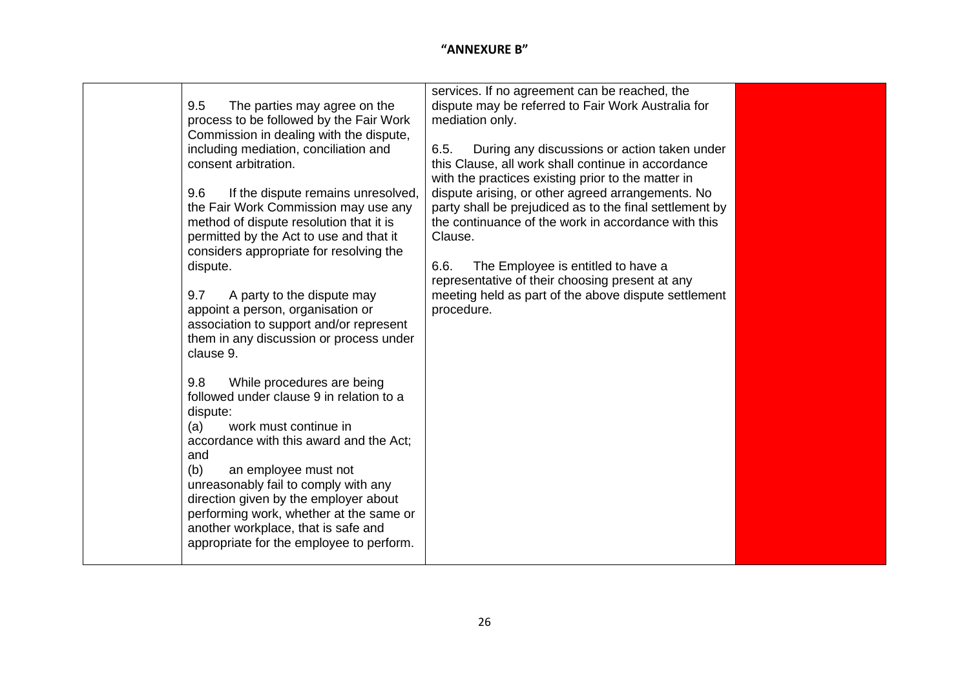| work must continue in<br>(a)<br>accordance with this award and the Act;<br>and<br>(b)<br>an employee must not<br>unreasonably fail to comply with any<br>direction given by the employer about<br>performing work, whether at the same or<br>another workplace, that is safe and<br>appropriate for the employee to perform. | considers appropriate for resolving the<br>The Employee is entitled to have a<br>dispute.<br>6.6.<br>representative of their choosing present at any<br>meeting held as part of the above dispute settlement<br>9.7<br>A party to the dispute may<br>appoint a person, organisation or<br>procedure.<br>association to support and/or represent<br>them in any discussion or process under<br>clause 9.<br>9.8<br>While procedures are being | services. If no agreement can be reached, the<br>dispute may be referred to Fair Work Australia for<br>9.5<br>The parties may agree on the<br>process to be followed by the Fair Work<br>mediation only.<br>Commission in dealing with the dispute,<br>including mediation, conciliation and<br>6.5.<br>During any discussions or action taken under<br>consent arbitration.<br>this Clause, all work shall continue in accordance<br>with the practices existing prior to the matter in<br>9.6<br>dispute arising, or other agreed arrangements. No<br>If the dispute remains unresolved,<br>party shall be prejudiced as to the final settlement by<br>the Fair Work Commission may use any<br>method of dispute resolution that it is<br>the continuance of the work in accordance with this<br>permitted by the Act to use and that it<br>Clause. |
|------------------------------------------------------------------------------------------------------------------------------------------------------------------------------------------------------------------------------------------------------------------------------------------------------------------------------|----------------------------------------------------------------------------------------------------------------------------------------------------------------------------------------------------------------------------------------------------------------------------------------------------------------------------------------------------------------------------------------------------------------------------------------------|-------------------------------------------------------------------------------------------------------------------------------------------------------------------------------------------------------------------------------------------------------------------------------------------------------------------------------------------------------------------------------------------------------------------------------------------------------------------------------------------------------------------------------------------------------------------------------------------------------------------------------------------------------------------------------------------------------------------------------------------------------------------------------------------------------------------------------------------------------|
|------------------------------------------------------------------------------------------------------------------------------------------------------------------------------------------------------------------------------------------------------------------------------------------------------------------------------|----------------------------------------------------------------------------------------------------------------------------------------------------------------------------------------------------------------------------------------------------------------------------------------------------------------------------------------------------------------------------------------------------------------------------------------------|-------------------------------------------------------------------------------------------------------------------------------------------------------------------------------------------------------------------------------------------------------------------------------------------------------------------------------------------------------------------------------------------------------------------------------------------------------------------------------------------------------------------------------------------------------------------------------------------------------------------------------------------------------------------------------------------------------------------------------------------------------------------------------------------------------------------------------------------------------|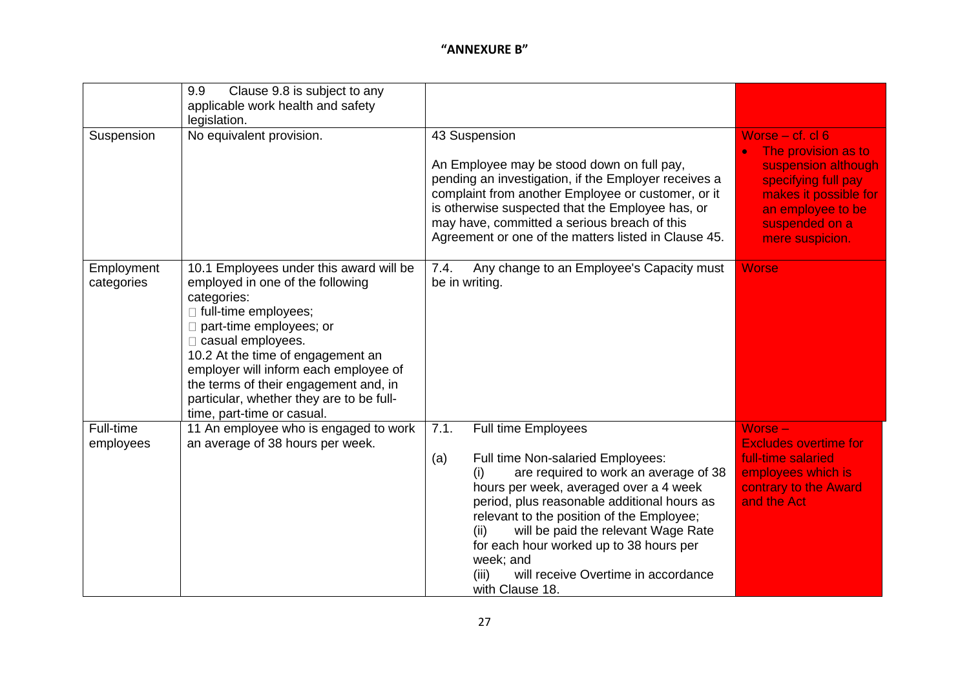| Suspension               | Clause 9.8 is subject to any<br>9.9<br>applicable work health and safety<br>legislation.<br>No equivalent provision.                                                                                                                                                                                                                                                         | 43 Suspension                                                                                                                                                                                                                                                                                                                                                                                                                                  | Worse $-$ cf. cl $6$                                                                                                                                 |
|--------------------------|------------------------------------------------------------------------------------------------------------------------------------------------------------------------------------------------------------------------------------------------------------------------------------------------------------------------------------------------------------------------------|------------------------------------------------------------------------------------------------------------------------------------------------------------------------------------------------------------------------------------------------------------------------------------------------------------------------------------------------------------------------------------------------------------------------------------------------|------------------------------------------------------------------------------------------------------------------------------------------------------|
|                          |                                                                                                                                                                                                                                                                                                                                                                              | An Employee may be stood down on full pay,<br>pending an investigation, if the Employer receives a<br>complaint from another Employee or customer, or it<br>is otherwise suspected that the Employee has, or<br>may have, committed a serious breach of this<br>Agreement or one of the matters listed in Clause 45.                                                                                                                           | The provision as to<br>suspension although<br>specifying full pay<br>makes it possible for<br>an employee to be<br>suspended on a<br>mere suspicion. |
| Employment<br>categories | 10.1 Employees under this award will be<br>employed in one of the following<br>categories:<br>□ full-time employees;<br>part-time employees; or<br>$\Box$ casual employees.<br>10.2 At the time of engagement an<br>employer will inform each employee of<br>the terms of their engagement and, in<br>particular, whether they are to be full-<br>time, part-time or casual. | Any change to an Employee's Capacity must<br>7.4.<br>be in writing.                                                                                                                                                                                                                                                                                                                                                                            | <b>Worse</b>                                                                                                                                         |
| Full-time<br>employees   | 11 An employee who is engaged to work<br>an average of 38 hours per week.                                                                                                                                                                                                                                                                                                    | 7.1.<br><b>Full time Employees</b><br>Full time Non-salaried Employees:<br>(a)<br>are required to work an average of 38<br>(i)<br>hours per week, averaged over a 4 week<br>period, plus reasonable additional hours as<br>relevant to the position of the Employee;<br>will be paid the relevant Wage Rate<br>(ii)<br>for each hour worked up to 38 hours per<br>week; and<br>(iii)<br>will receive Overtime in accordance<br>with Clause 18. | Worse -<br><b>Excludes overtime for</b><br>full-time salaried<br>employees which is<br>contrary to the Award<br>and the Act                          |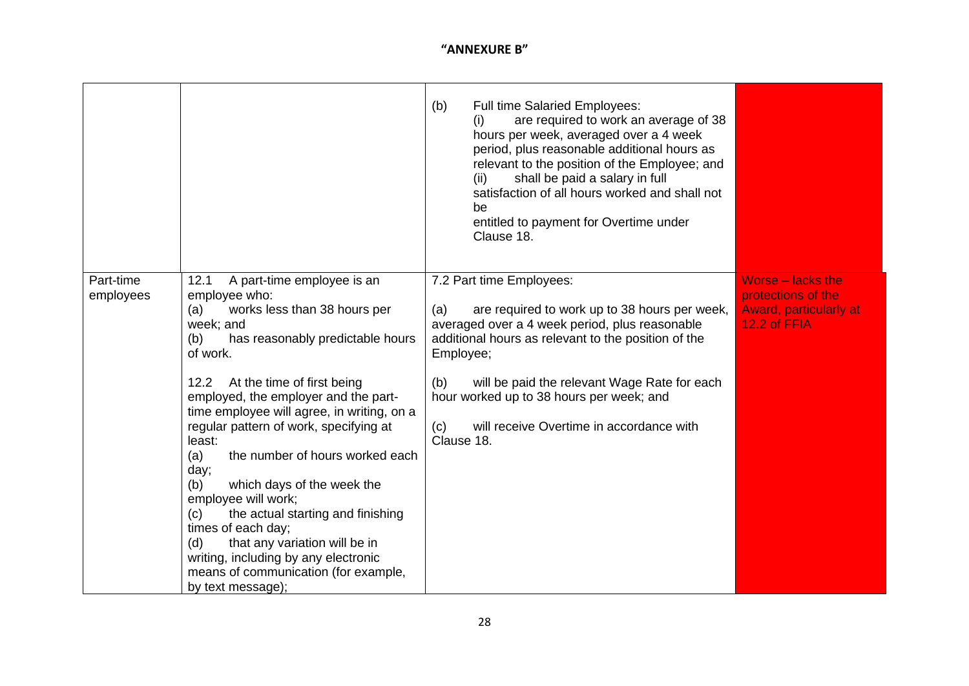|                        |                                                                                                                                                                                                                                                                                                                                                                                                                                                                                                                                                                                                                                                                             | <b>Full time Salaried Employees:</b><br>(b)<br>are required to work an average of 38<br>(i)<br>hours per week, averaged over a 4 week<br>period, plus reasonable additional hours as<br>relevant to the position of the Employee; and<br>shall be paid a salary in full<br>(ii)<br>satisfaction of all hours worked and shall not<br>be<br>entitled to payment for Overtime under<br>Clause 18. |                                                                                          |
|------------------------|-----------------------------------------------------------------------------------------------------------------------------------------------------------------------------------------------------------------------------------------------------------------------------------------------------------------------------------------------------------------------------------------------------------------------------------------------------------------------------------------------------------------------------------------------------------------------------------------------------------------------------------------------------------------------------|-------------------------------------------------------------------------------------------------------------------------------------------------------------------------------------------------------------------------------------------------------------------------------------------------------------------------------------------------------------------------------------------------|------------------------------------------------------------------------------------------|
| Part-time<br>employees | A part-time employee is an<br>12.1<br>employee who:<br>works less than 38 hours per<br>(a)<br>week; and<br>has reasonably predictable hours<br>(b)<br>of work.<br>At the time of first being<br>12.2<br>employed, the employer and the part-<br>time employee will agree, in writing, on a<br>regular pattern of work, specifying at<br>least:<br>the number of hours worked each<br>(a)<br>day;<br>(b)<br>which days of the week the<br>employee will work;<br>the actual starting and finishing<br>(c)<br>times of each day;<br>that any variation will be in<br>(d)<br>writing, including by any electronic<br>means of communication (for example,<br>by text message); | 7.2 Part time Employees:<br>(a)<br>are required to work up to 38 hours per week,<br>averaged over a 4 week period, plus reasonable<br>additional hours as relevant to the position of the<br>Employee;<br>will be paid the relevant Wage Rate for each<br>(b)<br>hour worked up to 38 hours per week; and<br>(c)<br>will receive Overtime in accordance with<br>Clause 18.                      | Worse - lacks the<br>protections of the<br><b>Award, particularly at</b><br>12.2 of FFIA |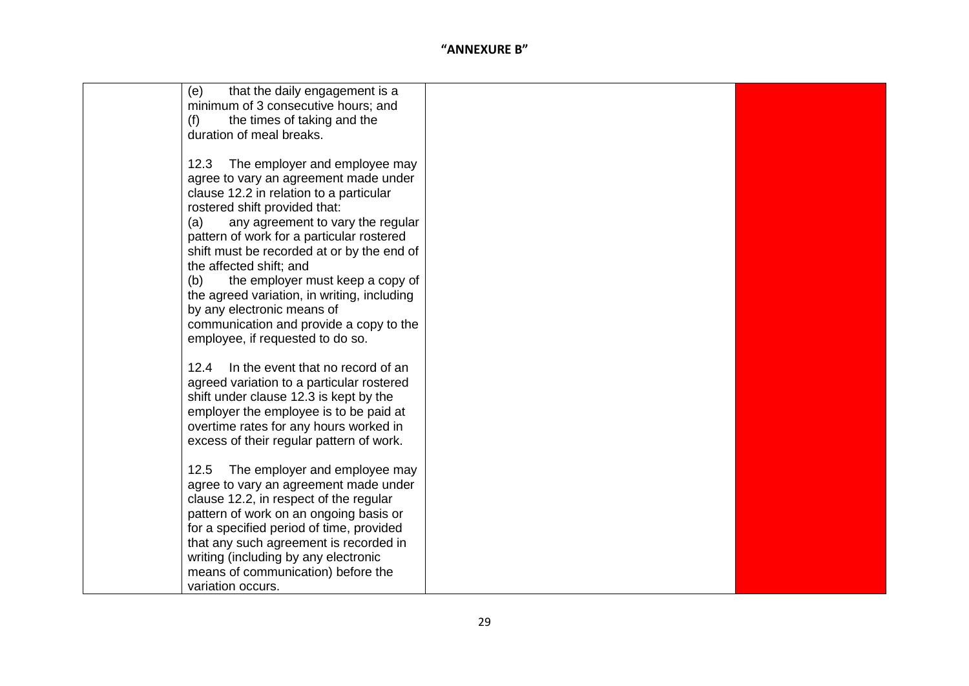| (e)<br>that the daily engagement is a<br>minimum of 3 consecutive hours; and<br>the times of taking and the<br>(f)<br>duration of meal breaks.                                                                                                                                                                                                                                                                                                                                                                                      |  |
|-------------------------------------------------------------------------------------------------------------------------------------------------------------------------------------------------------------------------------------------------------------------------------------------------------------------------------------------------------------------------------------------------------------------------------------------------------------------------------------------------------------------------------------|--|
| The employer and employee may<br>12.3<br>agree to vary an agreement made under<br>clause 12.2 in relation to a particular<br>rostered shift provided that:<br>(a)<br>any agreement to vary the regular<br>pattern of work for a particular rostered<br>shift must be recorded at or by the end of<br>the affected shift; and<br>(b)<br>the employer must keep a copy of<br>the agreed variation, in writing, including<br>by any electronic means of<br>communication and provide a copy to the<br>employee, if requested to do so. |  |
| 12.4<br>In the event that no record of an<br>agreed variation to a particular rostered<br>shift under clause 12.3 is kept by the<br>employer the employee is to be paid at<br>overtime rates for any hours worked in<br>excess of their regular pattern of work.                                                                                                                                                                                                                                                                    |  |
| 12.5<br>The employer and employee may<br>agree to vary an agreement made under<br>clause 12.2, in respect of the regular<br>pattern of work on an ongoing basis or<br>for a specified period of time, provided<br>that any such agreement is recorded in<br>writing (including by any electronic<br>means of communication) before the<br>variation occurs.                                                                                                                                                                         |  |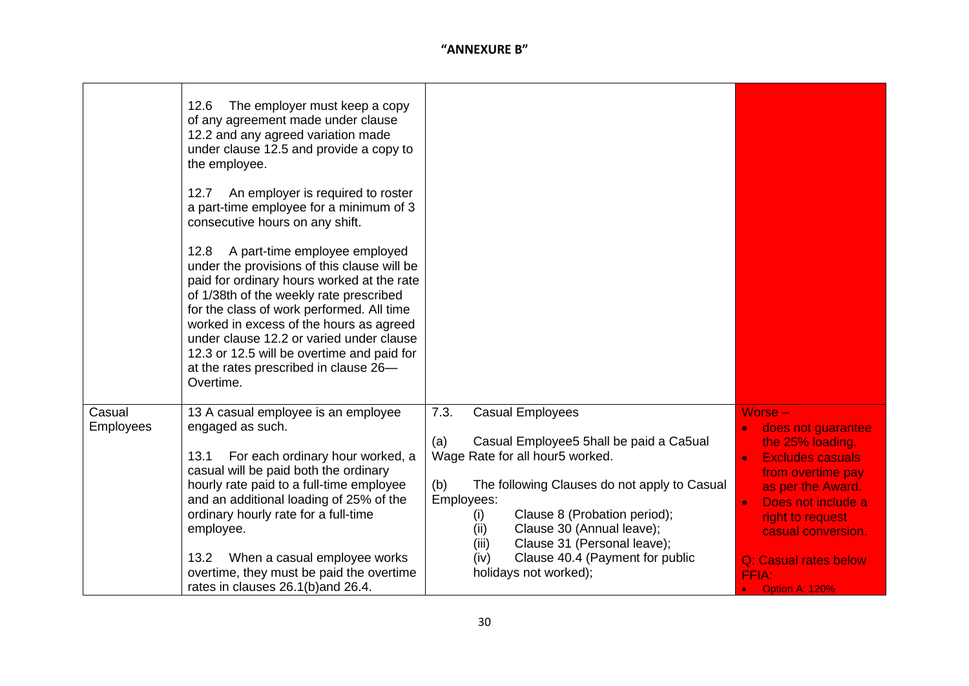|                            | The employer must keep a copy<br>12.6<br>of any agreement made under clause<br>12.2 and any agreed variation made<br>under clause 12.5 and provide a copy to<br>the employee.<br>An employer is required to roster<br>12.7<br>a part-time employee for a minimum of 3<br>consecutive hours on any shift.<br>A part-time employee employed<br>12.8<br>under the provisions of this clause will be<br>paid for ordinary hours worked at the rate<br>of 1/38th of the weekly rate prescribed<br>for the class of work performed. All time<br>worked in excess of the hours as agreed<br>under clause 12.2 or varied under clause<br>12.3 or 12.5 will be overtime and paid for<br>at the rates prescribed in clause 26-<br>Overtime. |                                                                                                                                                                                                                                                                                                                                                                                   |                                                                                                                                                                                                                                                                                                         |
|----------------------------|-----------------------------------------------------------------------------------------------------------------------------------------------------------------------------------------------------------------------------------------------------------------------------------------------------------------------------------------------------------------------------------------------------------------------------------------------------------------------------------------------------------------------------------------------------------------------------------------------------------------------------------------------------------------------------------------------------------------------------------|-----------------------------------------------------------------------------------------------------------------------------------------------------------------------------------------------------------------------------------------------------------------------------------------------------------------------------------------------------------------------------------|---------------------------------------------------------------------------------------------------------------------------------------------------------------------------------------------------------------------------------------------------------------------------------------------------------|
| Casual<br><b>Employees</b> | 13 A casual employee is an employee<br>engaged as such.<br>For each ordinary hour worked, a<br>13.1<br>casual will be paid both the ordinary<br>hourly rate paid to a full-time employee<br>and an additional loading of 25% of the<br>ordinary hourly rate for a full-time<br>employee.<br>When a casual employee works<br>13.2<br>overtime, they must be paid the overtime<br>rates in clauses 26.1(b) and 26.4.                                                                                                                                                                                                                                                                                                                | 7.3.<br><b>Casual Employees</b><br>(a)<br>Casual Employee5 5hall be paid a Ca5ual<br>Wage Rate for all hour5 worked.<br>(b)<br>The following Clauses do not apply to Casual<br>Employees:<br>Clause 8 (Probation period);<br>(i)<br>Clause 30 (Annual leave);<br>(ii)<br>Clause 31 (Personal leave);<br>(iii)<br>Clause 40.4 (Payment for public<br>(iv)<br>holidays not worked); | $Worse -$<br>does not guarantee<br>$\bullet$<br>the 25% loading.<br><b>Excludes casuals</b><br>$\bullet$<br>from overtime pay<br>as per the Award.<br>Does not include a<br>$\bullet$<br>right to request<br>casual conversion.<br>Q: Casual rates below<br>FFIA:<br><b>Option A: 120%</b><br>$\bullet$ |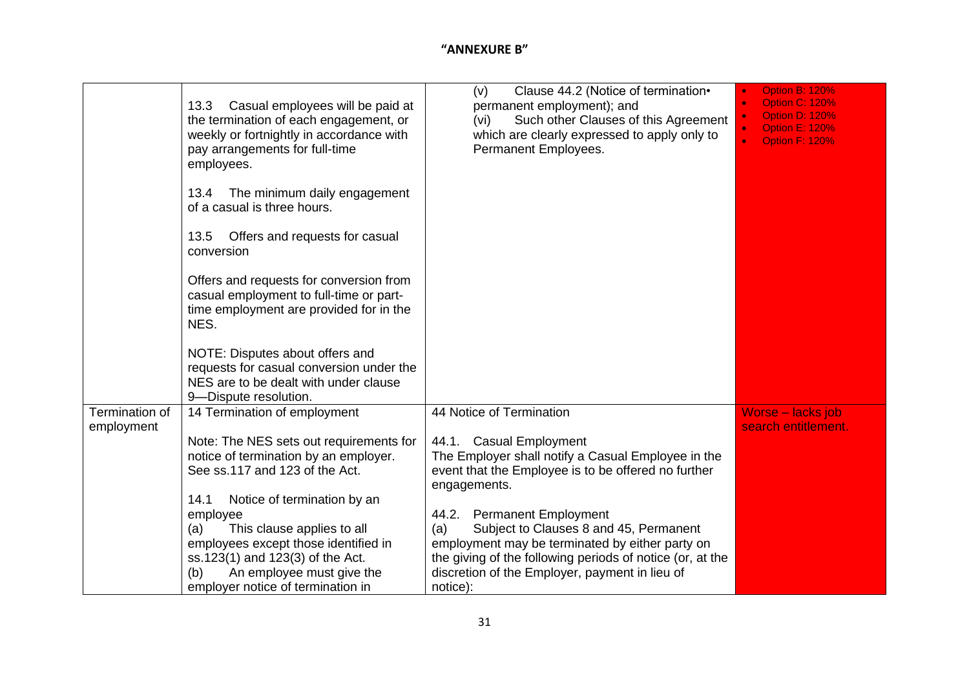|                | Casual employees will be paid at<br>13.3<br>the termination of each engagement, or<br>weekly or fortnightly in accordance with<br>pay arrangements for full-time<br>employees.         | Clause 44.2 (Notice of termination•<br>(v)<br>permanent employment); and<br>Such other Clauses of this Agreement<br>(vi)<br>which are clearly expressed to apply only to<br>Permanent Employees.                            | <b>Option B: 120%</b><br><b>Option C: 120%</b><br><b>Option D: 120%</b><br><b>Option E: 120%</b><br><b>Option F: 120%</b> |
|----------------|----------------------------------------------------------------------------------------------------------------------------------------------------------------------------------------|-----------------------------------------------------------------------------------------------------------------------------------------------------------------------------------------------------------------------------|---------------------------------------------------------------------------------------------------------------------------|
|                | 13.4<br>The minimum daily engagement<br>of a casual is three hours.                                                                                                                    |                                                                                                                                                                                                                             |                                                                                                                           |
|                | Offers and requests for casual<br>13.5<br>conversion                                                                                                                                   |                                                                                                                                                                                                                             |                                                                                                                           |
|                | Offers and requests for conversion from<br>casual employment to full-time or part-<br>time employment are provided for in the<br>NES.                                                  |                                                                                                                                                                                                                             |                                                                                                                           |
|                | NOTE: Disputes about offers and<br>requests for casual conversion under the<br>NES are to be dealt with under clause<br>9-Dispute resolution.                                          |                                                                                                                                                                                                                             |                                                                                                                           |
| Termination of | 14 Termination of employment                                                                                                                                                           | 44 Notice of Termination                                                                                                                                                                                                    | Worse - lacks job                                                                                                         |
| employment     | Note: The NES sets out requirements for<br>notice of termination by an employer.<br>See ss.117 and 123 of the Act.<br>14.1<br>Notice of termination by an<br>employee                  | 44.1. Casual Employment<br>The Employer shall notify a Casual Employee in the<br>event that the Employee is to be offered no further<br>engagements.<br>44.2. Permanent Employment                                          | search entitlement.                                                                                                       |
|                | This clause applies to all<br>(a)<br>employees except those identified in<br>ss.123(1) and 123(3) of the Act.<br>An employee must give the<br>(b)<br>employer notice of termination in | Subject to Clauses 8 and 45, Permanent<br>(a)<br>employment may be terminated by either party on<br>the giving of the following periods of notice (or, at the<br>discretion of the Employer, payment in lieu of<br>notice): |                                                                                                                           |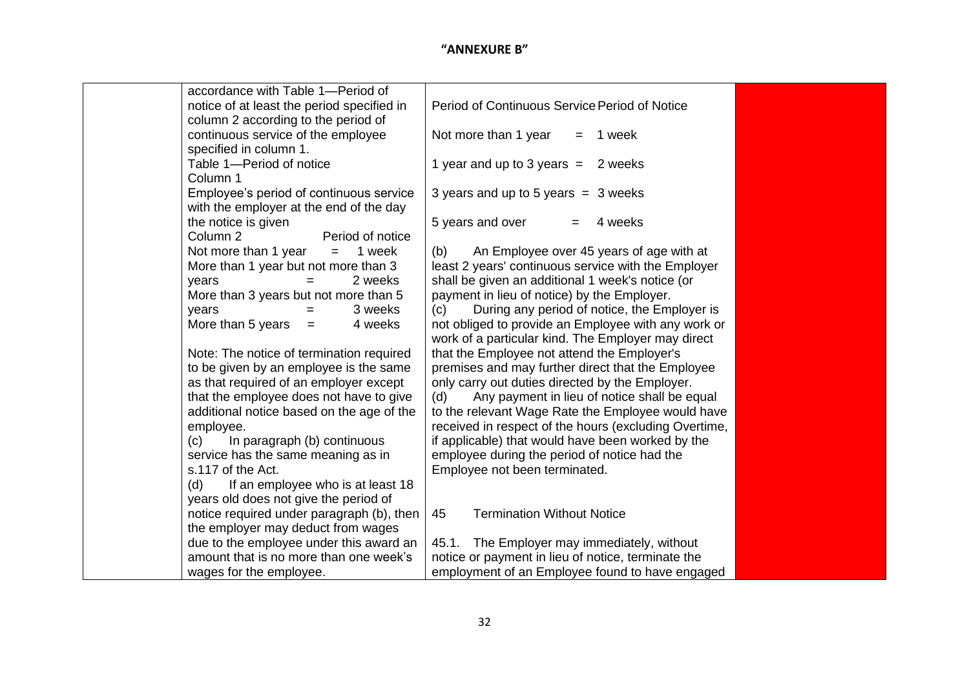| accordance with Table 1-Period of          |                                                                |
|--------------------------------------------|----------------------------------------------------------------|
| notice of at least the period specified in | Period of Continuous Service Period of Notice                  |
| column 2 according to the period of        |                                                                |
| continuous service of the employee         | Not more than 1 year<br>1 week<br>$=$                          |
| specified in column 1.                     |                                                                |
| Table 1-Period of notice                   | 1 year and up to 3 years $=$<br>2 weeks                        |
| Column 1                                   |                                                                |
| Employee's period of continuous service    | 3 years and up to 5 years $=$ 3 weeks                          |
| with the employer at the end of the day    |                                                                |
| the notice is given                        | 5 years and over<br>4 weeks                                    |
| Column 2<br>Period of notice               |                                                                |
| Not more than 1 year<br>$=$ $-$            | 1 week<br>An Employee over 45 years of age with at<br>(b)      |
| More than 1 year but not more than 3       | least 2 years' continuous service with the Employer            |
| years<br>$=$                               | shall be given an additional 1 week's notice (or<br>2 weeks    |
| More than 3 years but not more than 5      | payment in lieu of notice) by the Employer.                    |
| years                                      | 3 weeks<br>During any period of notice, the Employer is<br>(c) |
| More than 5 years $=$                      | not obliged to provide an Employee with any work or<br>4 weeks |
|                                            | work of a particular kind. The Employer may direct             |
| Note: The notice of termination required   | that the Employee not attend the Employer's                    |
| to be given by an employee is the same     | premises and may further direct that the Employee              |
| as that required of an employer except     | only carry out duties directed by the Employer.                |
| that the employee does not have to give    | Any payment in lieu of notice shall be equal<br>(d)            |
| additional notice based on the age of the  | to the relevant Wage Rate the Employee would have              |
| employee.                                  | received in respect of the hours (excluding Overtime,          |
| In paragraph (b) continuous<br>(c)         | if applicable) that would have been worked by the              |
| service has the same meaning as in         | employee during the period of notice had the                   |
| s.117 of the Act.                          | Employee not been terminated.                                  |
| If an employee who is at least 18<br>(d)   |                                                                |
| years old does not give the period of      |                                                                |
| notice required under paragraph (b), then  | <b>Termination Without Notice</b><br>45                        |
| the employer may deduct from wages         |                                                                |
| due to the employee under this award an    | 45.1. The Employer may immediately, without                    |
| amount that is no more than one week's     | notice or payment in lieu of notice, terminate the             |
| wages for the employee.                    | employment of an Employee found to have engaged                |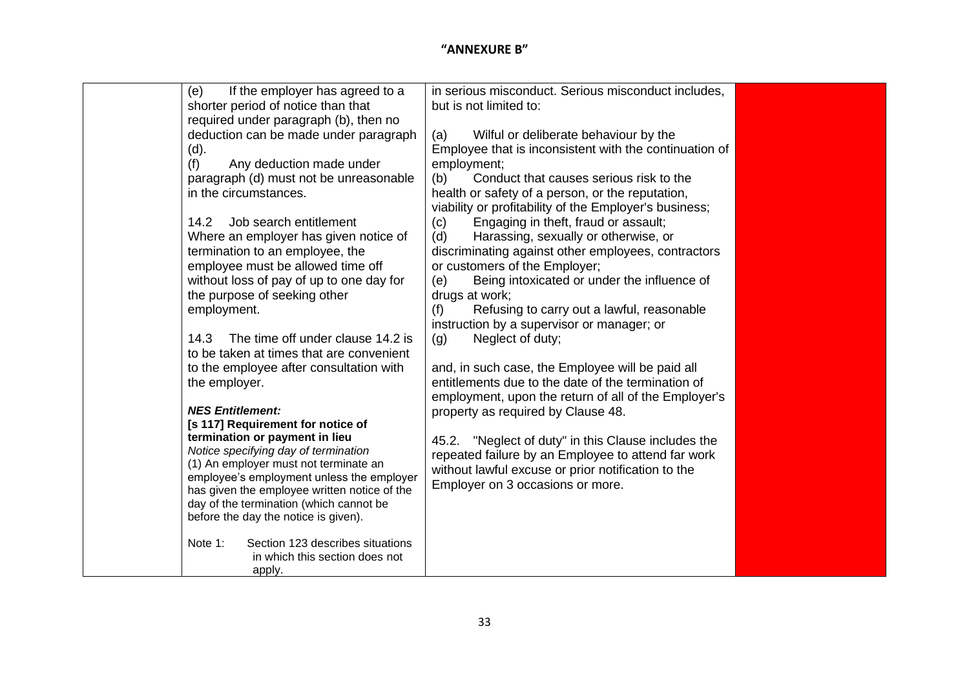| (e)<br>If the employer has agreed to a                                                    | in serious misconduct. Serious misconduct includes,    |
|-------------------------------------------------------------------------------------------|--------------------------------------------------------|
| shorter period of notice than that                                                        | but is not limited to:                                 |
| required under paragraph (b), then no                                                     |                                                        |
| deduction can be made under paragraph                                                     | Wilful or deliberate behaviour by the<br>(a)           |
| (d).                                                                                      | Employee that is inconsistent with the continuation of |
| Any deduction made under<br>(f)                                                           | employment;                                            |
| paragraph (d) must not be unreasonable                                                    | Conduct that causes serious risk to the<br>(b)         |
| in the circumstances.                                                                     | health or safety of a person, or the reputation,       |
|                                                                                           | viability or profitability of the Employer's business; |
| Job search entitlement<br>14.2                                                            | Engaging in theft, fraud or assault;<br>(c)            |
| Where an employer has given notice of                                                     | Harassing, sexually or otherwise, or<br>(d)            |
| termination to an employee, the                                                           | discriminating against other employees, contractors    |
| employee must be allowed time off                                                         | or customers of the Employer;                          |
| without loss of pay of up to one day for                                                  | Being intoxicated or under the influence of<br>(e)     |
| the purpose of seeking other                                                              | drugs at work;                                         |
| employment.                                                                               | Refusing to carry out a lawful, reasonable<br>(f)      |
|                                                                                           | instruction by a supervisor or manager; or             |
| The time off under clause 14.2 is<br>14.3                                                 | Neglect of duty;<br>(g)                                |
| to be taken at times that are convenient<br>to the employee after consultation with       | and, in such case, the Employee will be paid all       |
| the employer.                                                                             | entitlements due to the date of the termination of     |
|                                                                                           | employment, upon the return of all of the Employer's   |
| <b>NES Entitlement:</b>                                                                   | property as required by Clause 48.                     |
| [s 117] Requirement for notice of                                                         |                                                        |
| termination or payment in lieu                                                            | 45.2. "Neglect of duty" in this Clause includes the    |
| Notice specifying day of termination                                                      | repeated failure by an Employee to attend far work     |
| (1) An employer must not terminate an                                                     | without lawful excuse or prior notification to the     |
| employee's employment unless the employer<br>has given the employee written notice of the | Employer on 3 occasions or more.                       |
| day of the termination (which cannot be                                                   |                                                        |
| before the day the notice is given).                                                      |                                                        |
|                                                                                           |                                                        |
| Note 1:<br>Section 123 describes situations                                               |                                                        |
| in which this section does not                                                            |                                                        |
| apply.                                                                                    |                                                        |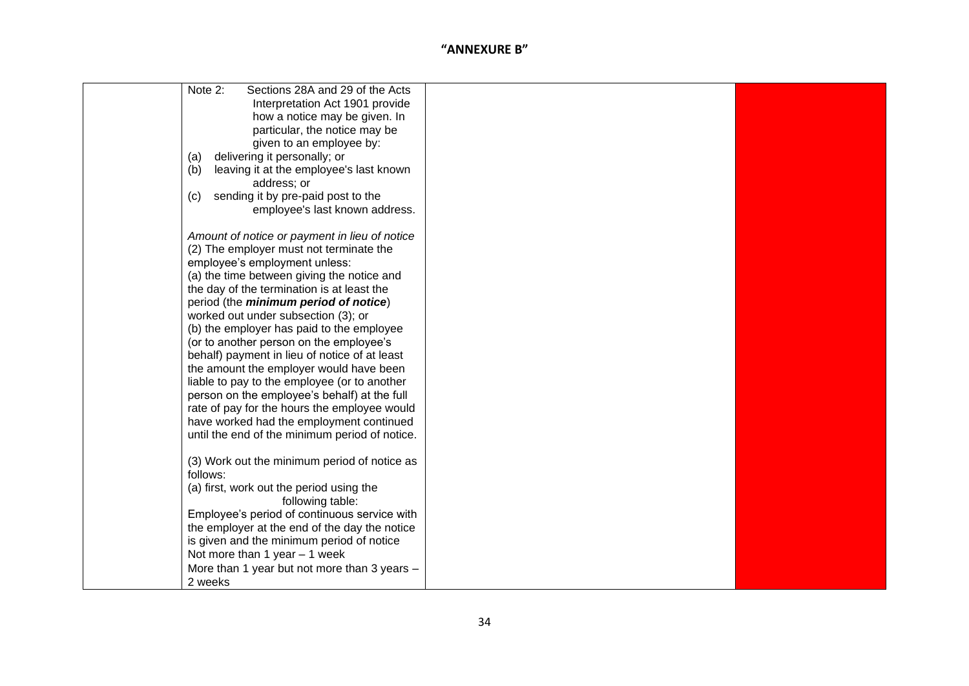| Sections 28A and 29 of the Acts<br>Note 2:     |  |
|------------------------------------------------|--|
| Interpretation Act 1901 provide                |  |
| how a notice may be given. In                  |  |
| particular, the notice may be                  |  |
| given to an employee by:                       |  |
| delivering it personally; or<br>(a)            |  |
| (b)<br>leaving it at the employee's last known |  |
| address; or                                    |  |
| sending it by pre-paid post to the<br>(c)      |  |
| employee's last known address.                 |  |
|                                                |  |
| Amount of notice or payment in lieu of notice  |  |
| (2) The employer must not terminate the        |  |
| employee's employment unless:                  |  |
| (a) the time between giving the notice and     |  |
| the day of the termination is at least the     |  |
| period (the <i>minimum period of notice</i> )  |  |
| worked out under subsection (3); or            |  |
| (b) the employer has paid to the employee      |  |
| (or to another person on the employee's        |  |
| behalf) payment in lieu of notice of at least  |  |
| the amount the employer would have been        |  |
| liable to pay to the employee (or to another   |  |
| person on the employee's behalf) at the full   |  |
| rate of pay for the hours the employee would   |  |
| have worked had the employment continued       |  |
| until the end of the minimum period of notice. |  |
|                                                |  |
| (3) Work out the minimum period of notice as   |  |
| follows:                                       |  |
| (a) first, work out the period using the       |  |
| following table:                               |  |
| Employee's period of continuous service with   |  |
| the employer at the end of the day the notice  |  |
| is given and the minimum period of notice      |  |
| Not more than 1 year - 1 week                  |  |
| More than 1 year but not more than 3 years -   |  |
| 2 weeks                                        |  |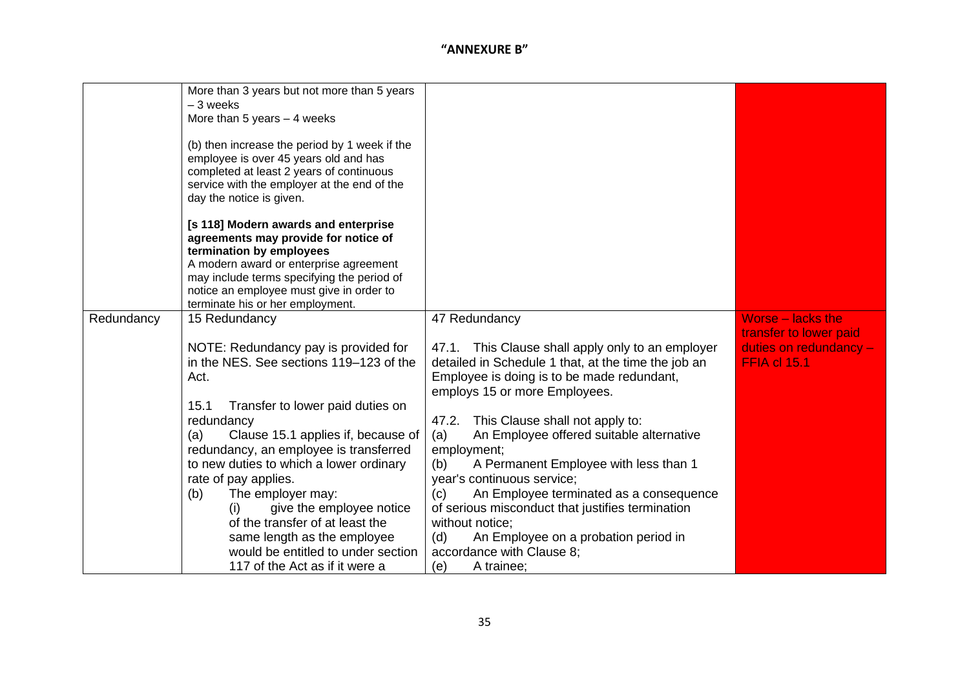|            | More than 3 years but not more than 5 years<br>$-3$ weeks<br>More than 5 years $-4$ weeks<br>(b) then increase the period by 1 week if the<br>employee is over 45 years old and has<br>completed at least 2 years of continuous<br>service with the employer at the end of the<br>day the notice is given.<br>[s 118] Modern awards and enterprise<br>agreements may provide for notice of<br>termination by employees<br>A modern award or enterprise agreement<br>may include terms specifying the period of<br>notice an employee must give in order to |                                                                                                   |                        |
|------------|------------------------------------------------------------------------------------------------------------------------------------------------------------------------------------------------------------------------------------------------------------------------------------------------------------------------------------------------------------------------------------------------------------------------------------------------------------------------------------------------------------------------------------------------------------|---------------------------------------------------------------------------------------------------|------------------------|
| Redundancy | terminate his or her employment.<br>15 Redundancy                                                                                                                                                                                                                                                                                                                                                                                                                                                                                                          | 47 Redundancy                                                                                     | Worse – lacks the      |
|            |                                                                                                                                                                                                                                                                                                                                                                                                                                                                                                                                                            |                                                                                                   | transfer to lower paid |
|            | NOTE: Redundancy pay is provided for                                                                                                                                                                                                                                                                                                                                                                                                                                                                                                                       | 47.1. This Clause shall apply only to an employer                                                 | duties on redundancy - |
|            | in the NES. See sections 119-123 of the<br>Act.                                                                                                                                                                                                                                                                                                                                                                                                                                                                                                            | detailed in Schedule 1 that, at the time the job an<br>Employee is doing is to be made redundant, | <b>FFIA cl 15.1</b>    |
|            |                                                                                                                                                                                                                                                                                                                                                                                                                                                                                                                                                            | employs 15 or more Employees.                                                                     |                        |
|            | Transfer to lower paid duties on<br>15.1                                                                                                                                                                                                                                                                                                                                                                                                                                                                                                                   |                                                                                                   |                        |
|            | redundancy                                                                                                                                                                                                                                                                                                                                                                                                                                                                                                                                                 | 47.2. This Clause shall not apply to:                                                             |                        |
|            | Clause 15.1 applies if, because of<br>(a)                                                                                                                                                                                                                                                                                                                                                                                                                                                                                                                  | (a)<br>An Employee offered suitable alternative                                                   |                        |
|            | redundancy, an employee is transferred                                                                                                                                                                                                                                                                                                                                                                                                                                                                                                                     | employment;                                                                                       |                        |
|            | to new duties to which a lower ordinary                                                                                                                                                                                                                                                                                                                                                                                                                                                                                                                    | A Permanent Employee with less than 1<br>(b)                                                      |                        |
|            | rate of pay applies.                                                                                                                                                                                                                                                                                                                                                                                                                                                                                                                                       | year's continuous service;                                                                        |                        |
|            | The employer may:<br>(b)                                                                                                                                                                                                                                                                                                                                                                                                                                                                                                                                   | An Employee terminated as a consequence<br>(c)                                                    |                        |
|            | give the employee notice<br>(i)                                                                                                                                                                                                                                                                                                                                                                                                                                                                                                                            | of serious misconduct that justifies termination                                                  |                        |
|            | of the transfer of at least the                                                                                                                                                                                                                                                                                                                                                                                                                                                                                                                            | without notice:                                                                                   |                        |
|            | same length as the employee<br>would be entitled to under section                                                                                                                                                                                                                                                                                                                                                                                                                                                                                          | An Employee on a probation period in<br>(d)                                                       |                        |
|            |                                                                                                                                                                                                                                                                                                                                                                                                                                                                                                                                                            | accordance with Clause 8;                                                                         |                        |
|            | 117 of the Act as if it were a                                                                                                                                                                                                                                                                                                                                                                                                                                                                                                                             | A trainee;<br>(e)                                                                                 |                        |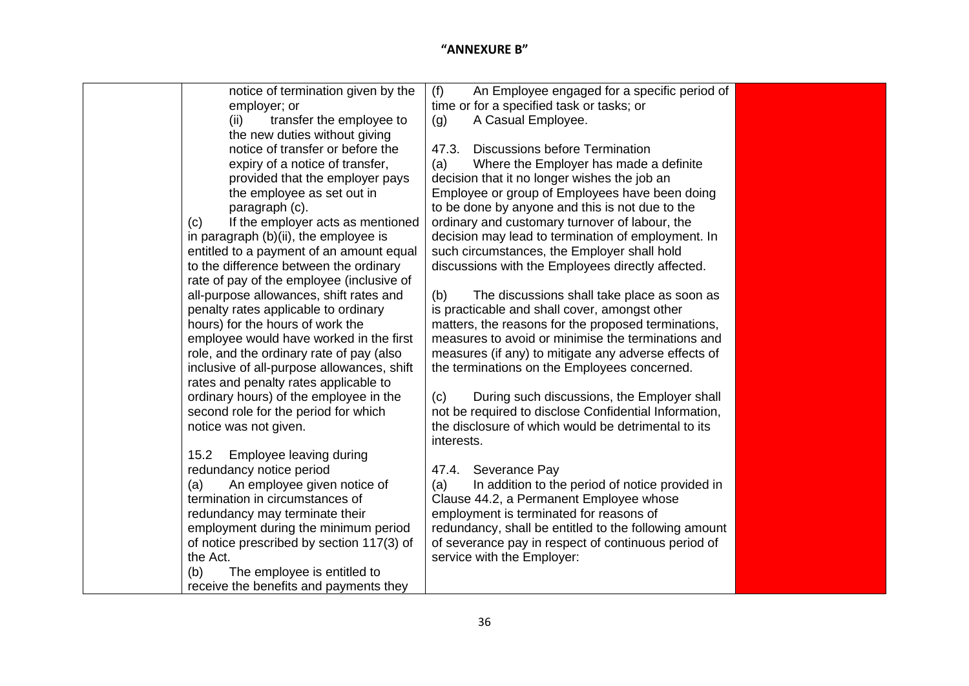| notice of termination given by the                                    | An Employee engaged for a specific period of<br>(f)                    |  |
|-----------------------------------------------------------------------|------------------------------------------------------------------------|--|
| employer; or                                                          | time or for a specified task or tasks; or                              |  |
| transfer the employee to<br>(ii)                                      | A Casual Employee.<br>(g)                                              |  |
| the new duties without giving                                         |                                                                        |  |
| notice of transfer or before the                                      | <b>Discussions before Termination</b><br>47.3.                         |  |
| expiry of a notice of transfer,                                       | Where the Employer has made a definite<br>(a)                          |  |
| provided that the employer pays                                       | decision that it no longer wishes the job an                           |  |
| the employee as set out in                                            | Employee or group of Employees have been doing                         |  |
| paragraph (c).                                                        | to be done by anyone and this is not due to the                        |  |
| If the employer acts as mentioned<br>(c)                              | ordinary and customary turnover of labour, the                         |  |
| in paragraph $(b)(ii)$ , the employee is                              | decision may lead to termination of employment. In                     |  |
| entitled to a payment of an amount equal                              | such circumstances, the Employer shall hold                            |  |
| to the difference between the ordinary                                | discussions with the Employees directly affected.                      |  |
| rate of pay of the employee (inclusive of                             |                                                                        |  |
| all-purpose allowances, shift rates and                               | (b)<br>The discussions shall take place as soon as                     |  |
| penalty rates applicable to ordinary                                  | is practicable and shall cover, amongst other                          |  |
| hours) for the hours of work the                                      | matters, the reasons for the proposed terminations,                    |  |
| employee would have worked in the first                               | measures to avoid or minimise the terminations and                     |  |
| role, and the ordinary rate of pay (also                              | measures (if any) to mitigate any adverse effects of                   |  |
| inclusive of all-purpose allowances, shift                            | the terminations on the Employees concerned.                           |  |
| rates and penalty rates applicable to                                 |                                                                        |  |
| ordinary hours) of the employee in the                                | During such discussions, the Employer shall<br>(c)                     |  |
| second role for the period for which                                  | not be required to disclose Confidential Information,                  |  |
| notice was not given.                                                 | the disclosure of which would be detrimental to its                    |  |
|                                                                       | interests.                                                             |  |
| Employee leaving during<br>15.2                                       |                                                                        |  |
| redundancy notice period                                              | 47.4. Severance Pay<br>In addition to the period of notice provided in |  |
| An employee given notice of<br>(a)<br>termination in circumstances of | (a)<br>Clause 44.2, a Permanent Employee whose                         |  |
| redundancy may terminate their                                        | employment is terminated for reasons of                                |  |
| employment during the minimum period                                  | redundancy, shall be entitled to the following amount                  |  |
| of notice prescribed by section 117(3) of                             | of severance pay in respect of continuous period of                    |  |
| the Act.                                                              | service with the Employer:                                             |  |
| The employee is entitled to<br>(b)                                    |                                                                        |  |
| receive the benefits and payments they                                |                                                                        |  |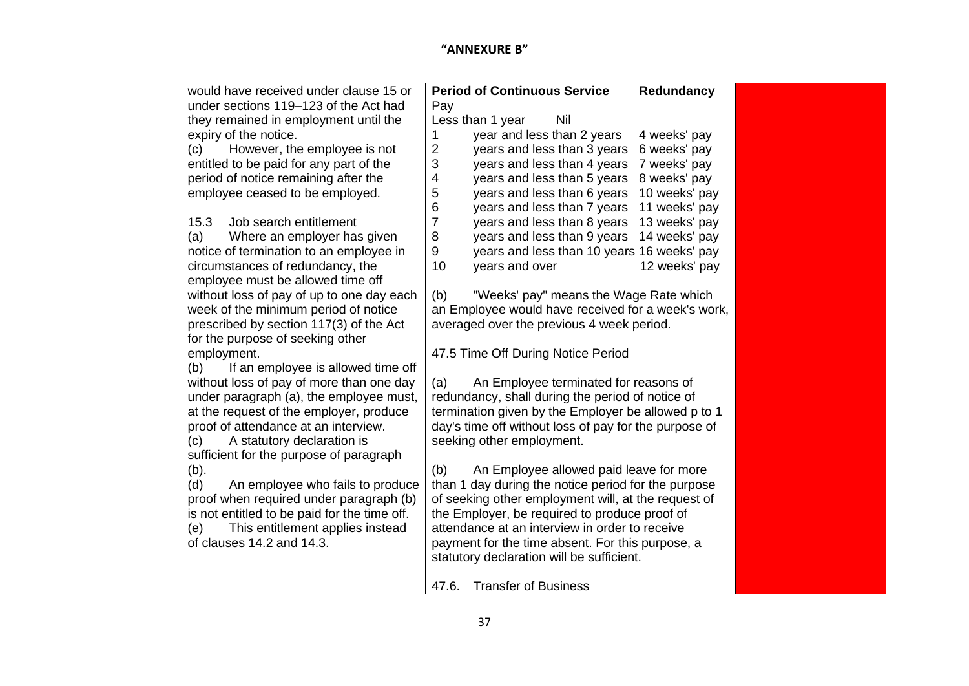| would have received under clause 15 or       | <b>Period of Continuous Service</b><br>Redundancy              |  |
|----------------------------------------------|----------------------------------------------------------------|--|
| under sections 119-123 of the Act had        | Pay                                                            |  |
| they remained in employment until the        | Less than 1 year<br>Nil                                        |  |
| expiry of the notice.                        | year and less than 2 years<br>4 weeks' pay<br>1                |  |
| However, the employee is not<br>(c)          | $\overline{2}$<br>years and less than 3 years<br>6 weeks' pay  |  |
| entitled to be paid for any part of the      | 3<br>years and less than 4 years<br>7 weeks' pay               |  |
| period of notice remaining after the         | 4<br>years and less than 5 years<br>8 weeks' pay               |  |
| employee ceased to be employed.              | 5<br>years and less than 6 years<br>10 weeks' pay              |  |
|                                              | $\,6$<br>years and less than 7 years<br>11 weeks' pay          |  |
| Job search entitlement<br>15.3               | $\overline{7}$<br>years and less than 8 years<br>13 weeks' pay |  |
| Where an employer has given<br>(a)           | 8<br>years and less than 9 years<br>14 weeks' pay              |  |
| notice of termination to an employee in      | 9<br>years and less than 10 years 16 weeks' pay                |  |
| circumstances of redundancy, the             | 10<br>years and over<br>12 weeks' pay                          |  |
| employee must be allowed time off            |                                                                |  |
| without loss of pay of up to one day each    | "Weeks' pay" means the Wage Rate which<br>(b)                  |  |
| week of the minimum period of notice         | an Employee would have received for a week's work,             |  |
| prescribed by section 117(3) of the Act      | averaged over the previous 4 week period.                      |  |
| for the purpose of seeking other             |                                                                |  |
| employment.                                  | 47.5 Time Off During Notice Period                             |  |
| If an employee is allowed time off<br>(b)    |                                                                |  |
| without loss of pay of more than one day     | An Employee terminated for reasons of<br>(a)                   |  |
| under paragraph (a), the employee must,      | redundancy, shall during the period of notice of               |  |
| at the request of the employer, produce      | termination given by the Employer be allowed p to 1            |  |
| proof of attendance at an interview.         | day's time off without loss of pay for the purpose of          |  |
| (c)<br>A statutory declaration is            | seeking other employment.                                      |  |
| sufficient for the purpose of paragraph      |                                                                |  |
| $(b)$ .                                      | An Employee allowed paid leave for more<br>(b)                 |  |
| (d)<br>An employee who fails to produce      | than 1 day during the notice period for the purpose            |  |
| proof when required under paragraph (b)      | of seeking other employment will, at the request of            |  |
| is not entitled to be paid for the time off. | the Employer, be required to produce proof of                  |  |
| This entitlement applies instead<br>(e)      | attendance at an interview in order to receive                 |  |
| of clauses 14.2 and 14.3.                    | payment for the time absent. For this purpose, a               |  |
|                                              | statutory declaration will be sufficient.                      |  |
|                                              |                                                                |  |
|                                              | <b>Transfer of Business</b><br>47.6.                           |  |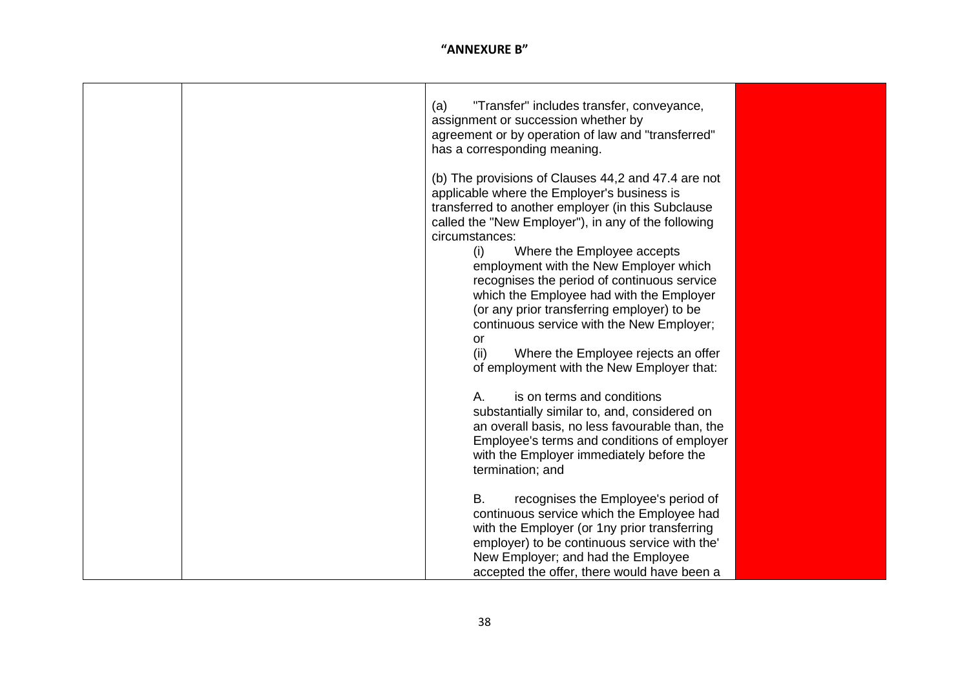|  | "Transfer" includes transfer, conveyance,<br>(a)<br>assignment or succession whether by<br>agreement or by operation of law and "transferred"<br>has a corresponding meaning.                                                                                                                                                                                                                                                                                                                                                                                                                                                                                                                                                                                                                                                                                 |
|--|---------------------------------------------------------------------------------------------------------------------------------------------------------------------------------------------------------------------------------------------------------------------------------------------------------------------------------------------------------------------------------------------------------------------------------------------------------------------------------------------------------------------------------------------------------------------------------------------------------------------------------------------------------------------------------------------------------------------------------------------------------------------------------------------------------------------------------------------------------------|
|  | (b) The provisions of Clauses 44,2 and 47.4 are not<br>applicable where the Employer's business is<br>transferred to another employer (in this Subclause<br>called the "New Employer"), in any of the following<br>circumstances:<br>Where the Employee accepts<br>(i)<br>employment with the New Employer which<br>recognises the period of continuous service<br>which the Employee had with the Employer<br>(or any prior transferring employer) to be<br>continuous service with the New Employer;<br>or<br>(ii)<br>Where the Employee rejects an offer<br>of employment with the New Employer that:<br>is on terms and conditions<br>Α.<br>substantially similar to, and, considered on<br>an overall basis, no less favourable than, the<br>Employee's terms and conditions of employer<br>with the Employer immediately before the<br>termination; and |
|  | <b>B.</b><br>recognises the Employee's period of<br>continuous service which the Employee had<br>with the Employer (or 1ny prior transferring<br>employer) to be continuous service with the'<br>New Employer; and had the Employee<br>accepted the offer, there would have been a                                                                                                                                                                                                                                                                                                                                                                                                                                                                                                                                                                            |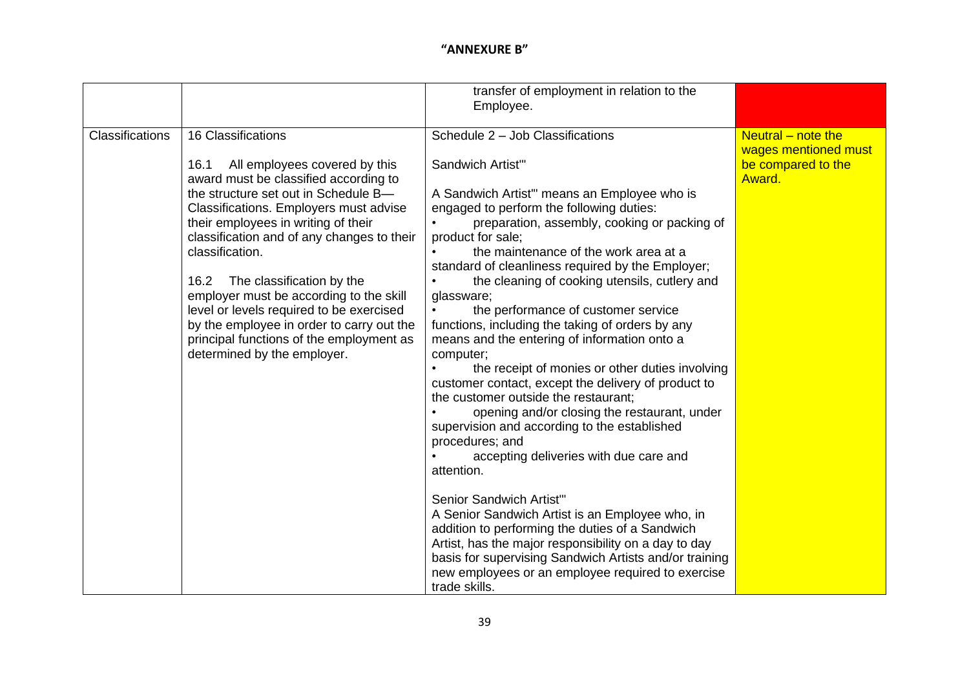|                 |                                                                                                                                                                                                                                                                                                                                                                                                                                                                                                                              | transfer of employment in relation to the<br>Employee.                                                                                                                                                                                                                                                                                                                                                                                                                                                                                                                                                                                                                                                                                                                                                                                                                                                                                                              |                                              |
|-----------------|------------------------------------------------------------------------------------------------------------------------------------------------------------------------------------------------------------------------------------------------------------------------------------------------------------------------------------------------------------------------------------------------------------------------------------------------------------------------------------------------------------------------------|---------------------------------------------------------------------------------------------------------------------------------------------------------------------------------------------------------------------------------------------------------------------------------------------------------------------------------------------------------------------------------------------------------------------------------------------------------------------------------------------------------------------------------------------------------------------------------------------------------------------------------------------------------------------------------------------------------------------------------------------------------------------------------------------------------------------------------------------------------------------------------------------------------------------------------------------------------------------|----------------------------------------------|
| Classifications | 16 Classifications                                                                                                                                                                                                                                                                                                                                                                                                                                                                                                           | Schedule 2 - Job Classifications                                                                                                                                                                                                                                                                                                                                                                                                                                                                                                                                                                                                                                                                                                                                                                                                                                                                                                                                    | Neutral $-$ note the<br>wages mentioned must |
|                 | All employees covered by this<br>16.1<br>award must be classified according to<br>the structure set out in Schedule B-<br>Classifications. Employers must advise<br>their employees in writing of their<br>classification and of any changes to their<br>classification.<br>The classification by the<br>16.2<br>employer must be according to the skill<br>level or levels required to be exercised<br>by the employee in order to carry out the<br>principal functions of the employment as<br>determined by the employer. | Sandwich Artist"<br>A Sandwich Artist" means an Employee who is<br>engaged to perform the following duties:<br>preparation, assembly, cooking or packing of<br>product for sale;<br>the maintenance of the work area at a<br>standard of cleanliness required by the Employer;<br>the cleaning of cooking utensils, cutlery and<br>glassware;<br>the performance of customer service<br>functions, including the taking of orders by any<br>means and the entering of information onto a<br>computer;<br>the receipt of monies or other duties involving<br>customer contact, except the delivery of product to<br>the customer outside the restaurant;<br>opening and/or closing the restaurant, under<br>supervision and according to the established<br>procedures; and<br>accepting deliveries with due care and<br>attention.<br>Senior Sandwich Artist"<br>A Senior Sandwich Artist is an Employee who, in<br>addition to performing the duties of a Sandwich | be compared to the<br>Award.                 |
|                 |                                                                                                                                                                                                                                                                                                                                                                                                                                                                                                                              | Artist, has the major responsibility on a day to day<br>basis for supervising Sandwich Artists and/or training<br>new employees or an employee required to exercise<br>trade skills.                                                                                                                                                                                                                                                                                                                                                                                                                                                                                                                                                                                                                                                                                                                                                                                |                                              |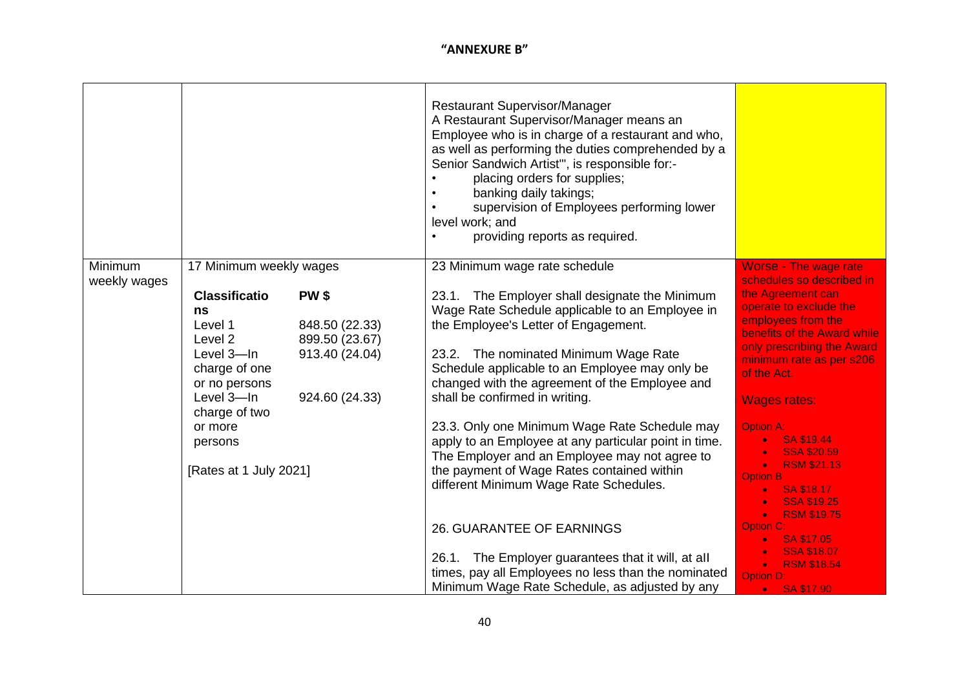|                         |                                                                                                                                 |                                                                                     | <b>Restaurant Supervisor/Manager</b><br>A Restaurant Supervisor/Manager means an<br>Employee who is in charge of a restaurant and who,<br>as well as performing the duties comprehended by a<br>Senior Sandwich Artist", is responsible for:-<br>placing orders for supplies;<br>banking daily takings;<br>supervision of Employees performing lower<br>level work; and<br>providing reports as required. |                                                                                                                                                                                                  |
|-------------------------|---------------------------------------------------------------------------------------------------------------------------------|-------------------------------------------------------------------------------------|-----------------------------------------------------------------------------------------------------------------------------------------------------------------------------------------------------------------------------------------------------------------------------------------------------------------------------------------------------------------------------------------------------------|--------------------------------------------------------------------------------------------------------------------------------------------------------------------------------------------------|
| Minimum<br>weekly wages | 17 Minimum weekly wages                                                                                                         |                                                                                     | 23 Minimum wage rate schedule                                                                                                                                                                                                                                                                                                                                                                             | <b>Worse - The wage rate</b><br>schedules so described in                                                                                                                                        |
|                         | <b>Classificatio</b><br>ns<br>Level 1<br>Level 2<br>Level 3-In<br>charge of one<br>or no persons<br>Level 3-In<br>charge of two | <b>PW\$</b><br>848.50 (22.33)<br>899.50 (23.67)<br>913.40 (24.04)<br>924.60 (24.33) | 23.1. The Employer shall designate the Minimum<br>Wage Rate Schedule applicable to an Employee in<br>the Employee's Letter of Engagement.<br>23.2. The nominated Minimum Wage Rate<br>Schedule applicable to an Employee may only be<br>changed with the agreement of the Employee and<br>shall be confirmed in writing.                                                                                  | the Agreement can<br>operate to exclude the<br>employees from the<br>benefits of the Award while<br>only prescribing the Award<br>minimum rate as per s206<br>of the Act.<br><b>Wages rates:</b> |
|                         | or more<br>persons<br>[Rates at 1 July 2021]                                                                                    |                                                                                     | 23.3. Only one Minimum Wage Rate Schedule may<br>apply to an Employee at any particular point in time.<br>The Employer and an Employee may not agree to<br>the payment of Wage Rates contained within<br>different Minimum Wage Rate Schedules.                                                                                                                                                           | <b>Option A:</b><br>SA \$19.44<br><b>SSA \$20.59</b><br><b>RSM \$21.13</b><br>$\bullet$<br><b>Option B</b><br>SA \$18.17<br><b>SSA \$19.25</b>                                                   |
|                         |                                                                                                                                 |                                                                                     | 26. GUARANTEE OF EARNINGS<br>26.1. The Employer guarantees that it will, at all<br>times, pay all Employees no less than the nominated<br>Minimum Wage Rate Schedule, as adjusted by any                                                                                                                                                                                                                  | <b>RSM \$19.75</b><br><b>Option C:</b><br>SA \$17.05<br><b>SSA \$18.07</b><br><b>RSM \$18.54</b><br>$\bullet$<br><b>Option D:</b><br>• SA \$17.90                                                |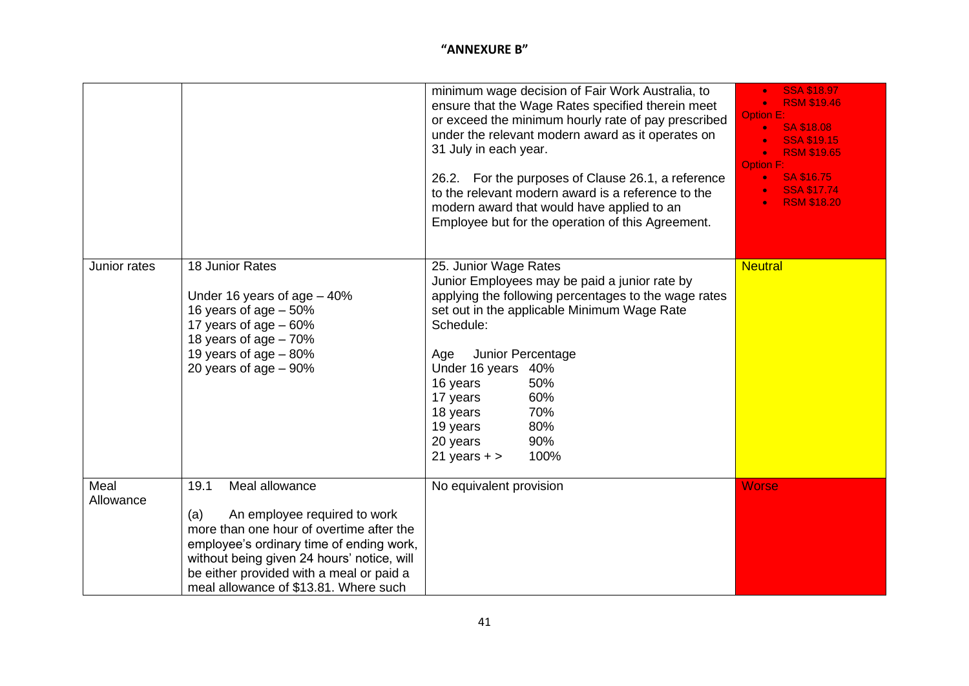|                   |                                                                                                                                                                                                                                                                                          | minimum wage decision of Fair Work Australia, to<br>ensure that the Wage Rates specified therein meet<br>or exceed the minimum hourly rate of pay prescribed<br>under the relevant modern award as it operates on<br>31 July in each year.<br>26.2. For the purposes of Clause 26.1, a reference<br>to the relevant modern award is a reference to the<br>modern award that would have applied to an<br>Employee but for the operation of this Agreement. | <b>SSA \$18.97</b><br><b>RSM \$19.46</b><br><b>Option E:</b><br><b>SA \$18.08</b><br><b>SSA \$19.15</b><br><b>RSM \$19.65</b><br><b>Option F:</b><br>SA \$16.75<br><b>SSA \$17.74</b><br><b>RSM \$18.20</b> |
|-------------------|------------------------------------------------------------------------------------------------------------------------------------------------------------------------------------------------------------------------------------------------------------------------------------------|-----------------------------------------------------------------------------------------------------------------------------------------------------------------------------------------------------------------------------------------------------------------------------------------------------------------------------------------------------------------------------------------------------------------------------------------------------------|-------------------------------------------------------------------------------------------------------------------------------------------------------------------------------------------------------------|
| Junior rates      | 18 Junior Rates<br>Under 16 years of age $-40%$<br>16 years of age $-50\%$<br>17 years of age $-60%$<br>18 years of age $-70%$<br>19 years of age $-80%$<br>20 years of age $-90\%$                                                                                                      | 25. Junior Wage Rates<br>Junior Employees may be paid a junior rate by<br>applying the following percentages to the wage rates<br>set out in the applicable Minimum Wage Rate<br>Schedule:<br>Junior Percentage<br>Age<br>Under 16 years 40%<br>50%<br>16 years<br>60%<br>17 years<br>70%<br>18 years<br>80%<br>19 years<br>90%<br>20 years<br>21 years $+$ ><br>100%                                                                                     | <b>Neutral</b>                                                                                                                                                                                              |
| Meal<br>Allowance | 19.1<br>Meal allowance<br>An employee required to work<br>(a)<br>more than one hour of overtime after the<br>employee's ordinary time of ending work,<br>without being given 24 hours' notice, will<br>be either provided with a meal or paid a<br>meal allowance of \$13.81. Where such | No equivalent provision                                                                                                                                                                                                                                                                                                                                                                                                                                   | <b>Worse</b>                                                                                                                                                                                                |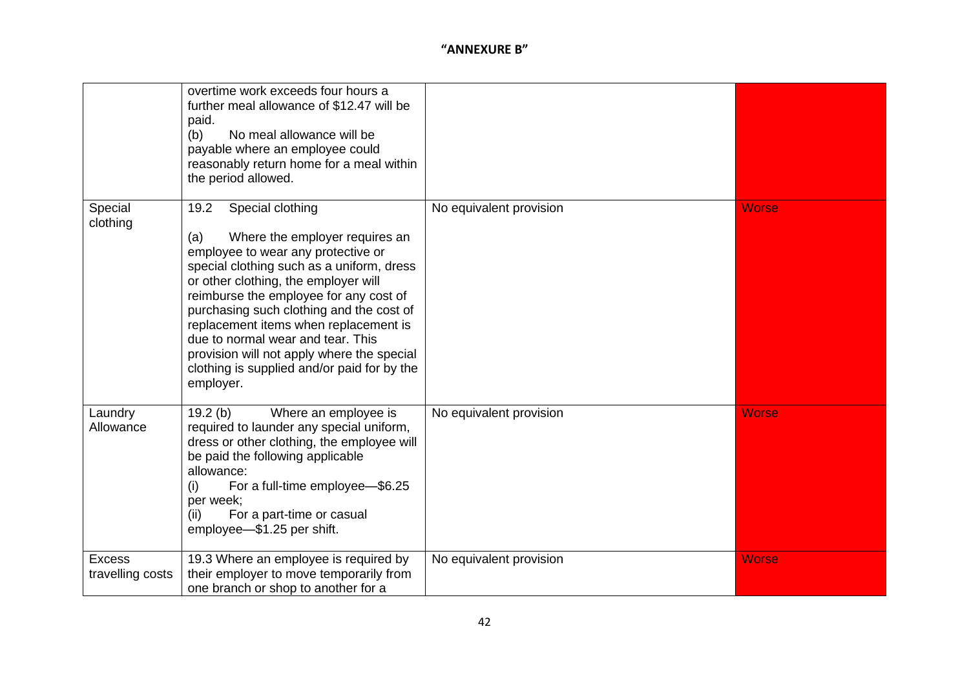|                                   | overtime work exceeds four hours a<br>further meal allowance of \$12.47 will be<br>paid.<br>No meal allowance will be<br>(b)<br>payable where an employee could<br>reasonably return home for a meal within<br>the period allowed.                                                                                                                                                                                                                                         |                         |              |
|-----------------------------------|----------------------------------------------------------------------------------------------------------------------------------------------------------------------------------------------------------------------------------------------------------------------------------------------------------------------------------------------------------------------------------------------------------------------------------------------------------------------------|-------------------------|--------------|
| Special<br>clothing               | Special clothing<br>19.2<br>Where the employer requires an<br>(a)<br>employee to wear any protective or<br>special clothing such as a uniform, dress<br>or other clothing, the employer will<br>reimburse the employee for any cost of<br>purchasing such clothing and the cost of<br>replacement items when replacement is<br>due to normal wear and tear. This<br>provision will not apply where the special<br>clothing is supplied and/or paid for by the<br>employer. | No equivalent provision | <b>Worse</b> |
| Laundry<br>Allowance              | 19.2(b)<br>Where an employee is<br>required to launder any special uniform,<br>dress or other clothing, the employee will<br>be paid the following applicable<br>allowance:<br>For a full-time employee-\$6.25<br>(i)<br>per week;<br>For a part-time or casual<br>(ii)<br>employee-\$1.25 per shift.                                                                                                                                                                      | No equivalent provision | <b>Worse</b> |
| <b>Excess</b><br>travelling costs | 19.3 Where an employee is required by<br>their employer to move temporarily from<br>one branch or shop to another for a                                                                                                                                                                                                                                                                                                                                                    | No equivalent provision | <b>Worse</b> |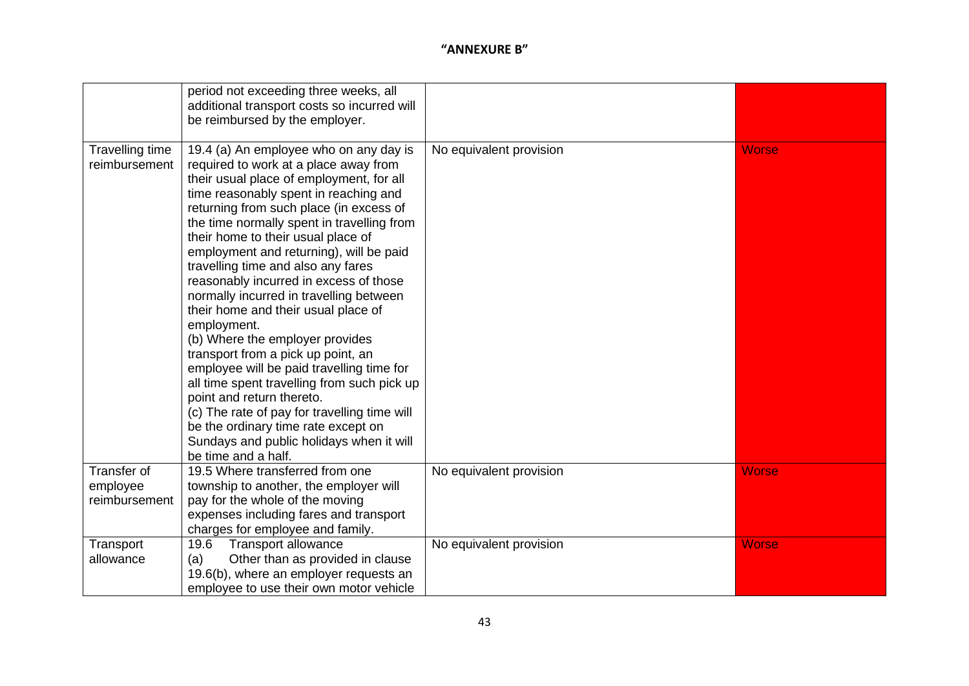|                                  | period not exceeding three weeks, all<br>additional transport costs so incurred will<br>be reimbursed by the employer.                                                                                                                                                                                                                                                                                                                                                                                                                                                                                                                                                                                                                                                                                                                                                                      |                         |              |
|----------------------------------|---------------------------------------------------------------------------------------------------------------------------------------------------------------------------------------------------------------------------------------------------------------------------------------------------------------------------------------------------------------------------------------------------------------------------------------------------------------------------------------------------------------------------------------------------------------------------------------------------------------------------------------------------------------------------------------------------------------------------------------------------------------------------------------------------------------------------------------------------------------------------------------------|-------------------------|--------------|
| Travelling time<br>reimbursement | 19.4 (a) An employee who on any day is<br>required to work at a place away from<br>their usual place of employment, for all<br>time reasonably spent in reaching and<br>returning from such place (in excess of<br>the time normally spent in travelling from<br>their home to their usual place of<br>employment and returning), will be paid<br>travelling time and also any fares<br>reasonably incurred in excess of those<br>normally incurred in travelling between<br>their home and their usual place of<br>employment.<br>(b) Where the employer provides<br>transport from a pick up point, an<br>employee will be paid travelling time for<br>all time spent travelling from such pick up<br>point and return thereto.<br>(c) The rate of pay for travelling time will<br>be the ordinary time rate except on<br>Sundays and public holidays when it will<br>be time and a half. | No equivalent provision | <b>Worse</b> |
| Transfer of                      | 19.5 Where transferred from one                                                                                                                                                                                                                                                                                                                                                                                                                                                                                                                                                                                                                                                                                                                                                                                                                                                             | No equivalent provision | <b>Worse</b> |
| employee                         | township to another, the employer will                                                                                                                                                                                                                                                                                                                                                                                                                                                                                                                                                                                                                                                                                                                                                                                                                                                      |                         |              |
| reimbursement                    | pay for the whole of the moving                                                                                                                                                                                                                                                                                                                                                                                                                                                                                                                                                                                                                                                                                                                                                                                                                                                             |                         |              |
|                                  | expenses including fares and transport                                                                                                                                                                                                                                                                                                                                                                                                                                                                                                                                                                                                                                                                                                                                                                                                                                                      |                         |              |
|                                  | charges for employee and family.<br>19.6                                                                                                                                                                                                                                                                                                                                                                                                                                                                                                                                                                                                                                                                                                                                                                                                                                                    |                         |              |
| Transport<br>allowance           | <b>Transport allowance</b><br>Other than as provided in clause                                                                                                                                                                                                                                                                                                                                                                                                                                                                                                                                                                                                                                                                                                                                                                                                                              | No equivalent provision | <b>Worse</b> |
|                                  | (a)<br>19.6(b), where an employer requests an                                                                                                                                                                                                                                                                                                                                                                                                                                                                                                                                                                                                                                                                                                                                                                                                                                               |                         |              |
|                                  | employee to use their own motor vehicle                                                                                                                                                                                                                                                                                                                                                                                                                                                                                                                                                                                                                                                                                                                                                                                                                                                     |                         |              |
|                                  |                                                                                                                                                                                                                                                                                                                                                                                                                                                                                                                                                                                                                                                                                                                                                                                                                                                                                             |                         |              |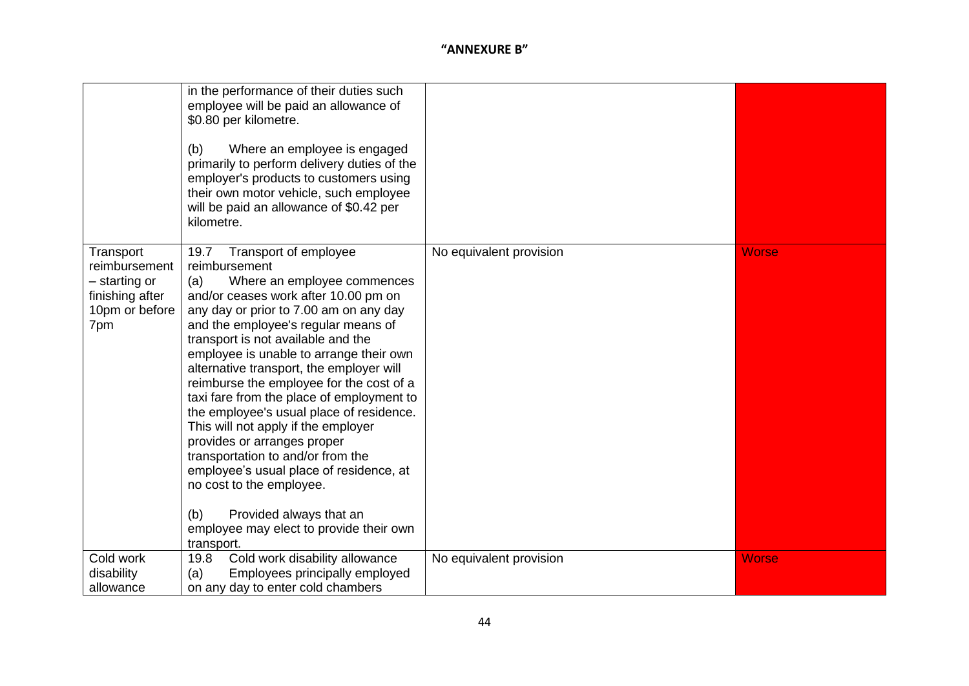|                                                                                         | in the performance of their duties such<br>employee will be paid an allowance of<br>\$0.80 per kilometre.<br>Where an employee is engaged<br>(b)<br>primarily to perform delivery duties of the<br>employer's products to customers using<br>their own motor vehicle, such employee<br>will be paid an allowance of \$0.42 per<br>kilometre.                                                                                                                                                                                                                                                                                                                                                                                                                 |                         |              |
|-----------------------------------------------------------------------------------------|--------------------------------------------------------------------------------------------------------------------------------------------------------------------------------------------------------------------------------------------------------------------------------------------------------------------------------------------------------------------------------------------------------------------------------------------------------------------------------------------------------------------------------------------------------------------------------------------------------------------------------------------------------------------------------------------------------------------------------------------------------------|-------------------------|--------------|
| Transport<br>reimbursement<br>– starting or<br>finishing after<br>10pm or before<br>7pm | Transport of employee<br>19.7<br>reimbursement<br>Where an employee commences<br>(a)<br>and/or ceases work after 10.00 pm on<br>any day or prior to 7.00 am on any day<br>and the employee's regular means of<br>transport is not available and the<br>employee is unable to arrange their own<br>alternative transport, the employer will<br>reimburse the employee for the cost of a<br>taxi fare from the place of employment to<br>the employee's usual place of residence.<br>This will not apply if the employer<br>provides or arranges proper<br>transportation to and/or from the<br>employee's usual place of residence, at<br>no cost to the employee.<br>(b)<br>Provided always that an<br>employee may elect to provide their own<br>transport. | No equivalent provision | <b>Worse</b> |
| Cold work<br>disability<br>allowance                                                    | Cold work disability allowance<br>19.8<br>Employees principally employed<br>(a)<br>on any day to enter cold chambers                                                                                                                                                                                                                                                                                                                                                                                                                                                                                                                                                                                                                                         | No equivalent provision | <b>Worse</b> |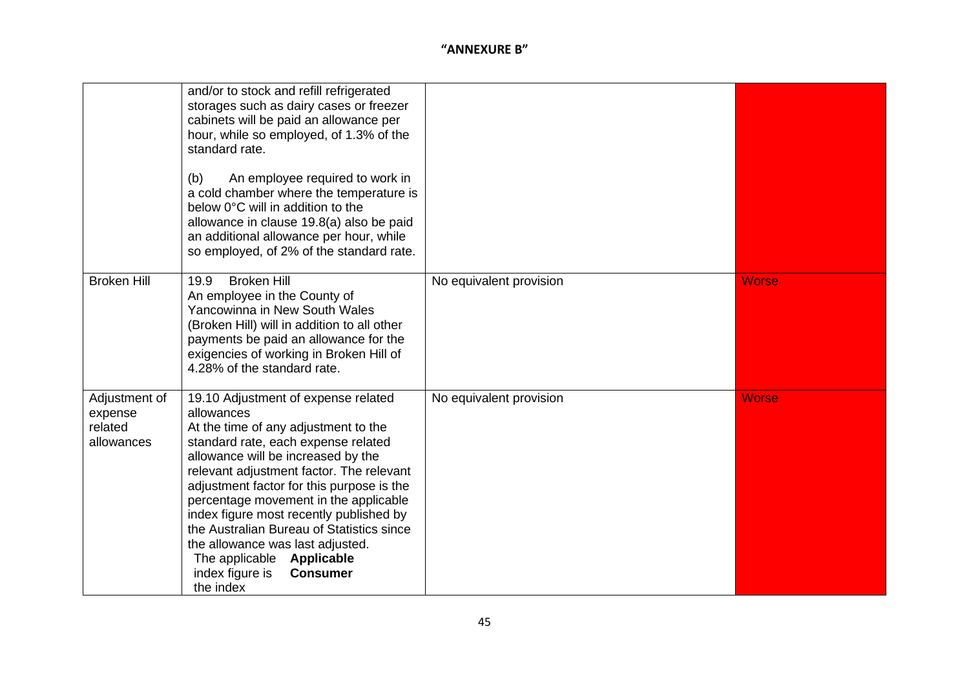|                                                   | and/or to stock and refill refrigerated<br>storages such as dairy cases or freezer<br>cabinets will be paid an allowance per<br>hour, while so employed, of 1.3% of the<br>standard rate.<br>An employee required to work in<br>(b)<br>a cold chamber where the temperature is<br>below 0°C will in addition to the<br>allowance in clause 19.8(a) also be paid<br>an additional allowance per hour, while<br>so employed, of 2% of the standard rate.                                                               |                         |              |
|---------------------------------------------------|----------------------------------------------------------------------------------------------------------------------------------------------------------------------------------------------------------------------------------------------------------------------------------------------------------------------------------------------------------------------------------------------------------------------------------------------------------------------------------------------------------------------|-------------------------|--------------|
| <b>Broken Hill</b>                                | <b>Broken Hill</b><br>19.9<br>An employee in the County of<br>Yancowinna in New South Wales<br>(Broken Hill) will in addition to all other<br>payments be paid an allowance for the<br>exigencies of working in Broken Hill of<br>4.28% of the standard rate.                                                                                                                                                                                                                                                        | No equivalent provision | <b>Worse</b> |
| Adjustment of<br>expense<br>related<br>allowances | 19.10 Adjustment of expense related<br>allowances<br>At the time of any adjustment to the<br>standard rate, each expense related<br>allowance will be increased by the<br>relevant adjustment factor. The relevant<br>adjustment factor for this purpose is the<br>percentage movement in the applicable<br>index figure most recently published by<br>the Australian Bureau of Statistics since<br>the allowance was last adjusted.<br>The applicable Applicable<br>index figure is<br><b>Consumer</b><br>the index | No equivalent provision | <b>Worse</b> |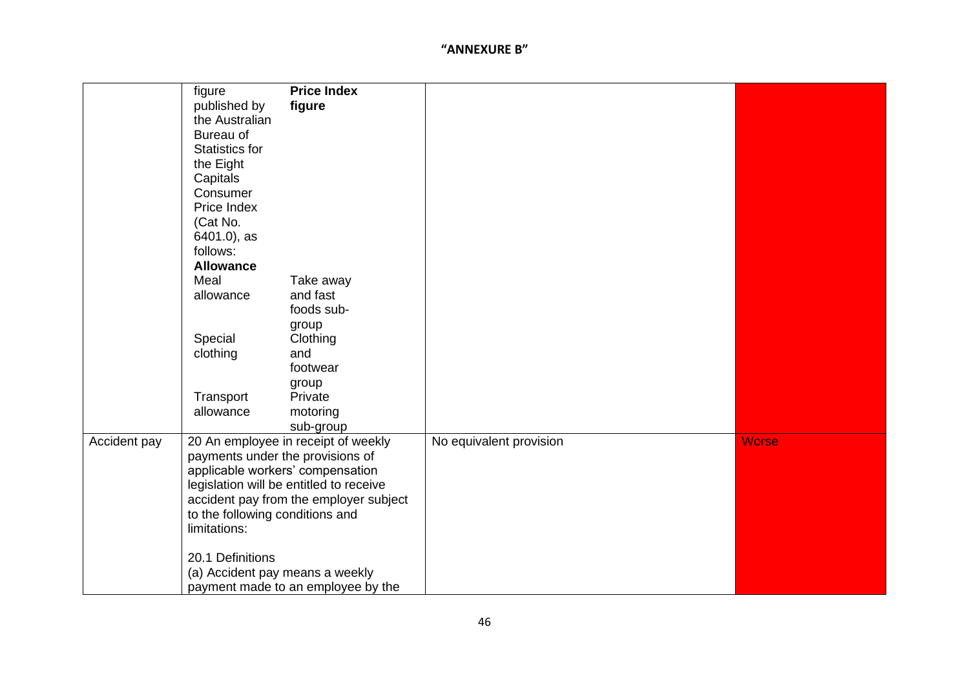|              | figure                           | <b>Price Index</b>                      |                         |              |
|--------------|----------------------------------|-----------------------------------------|-------------------------|--------------|
|              | published by                     | figure                                  |                         |              |
|              | the Australian                   |                                         |                         |              |
|              | Bureau of                        |                                         |                         |              |
|              | <b>Statistics for</b>            |                                         |                         |              |
|              | the Eight                        |                                         |                         |              |
|              | Capitals                         |                                         |                         |              |
|              | Consumer                         |                                         |                         |              |
|              | Price Index                      |                                         |                         |              |
|              | (Cat No.                         |                                         |                         |              |
|              | 6401.0), as                      |                                         |                         |              |
|              | follows:                         |                                         |                         |              |
|              | <b>Allowance</b>                 |                                         |                         |              |
|              | Meal                             | Take away                               |                         |              |
|              | allowance                        | and fast                                |                         |              |
|              |                                  | foods sub-                              |                         |              |
|              |                                  | group                                   |                         |              |
|              | Special                          | Clothing                                |                         |              |
|              | clothing                         | and                                     |                         |              |
|              |                                  | footwear                                |                         |              |
|              |                                  | group                                   |                         |              |
|              | Transport                        | Private                                 |                         |              |
|              | allowance                        | motoring                                |                         |              |
|              |                                  | sub-group                               |                         |              |
| Accident pay |                                  | 20 An employee in receipt of weekly     | No equivalent provision | <b>Worse</b> |
|              | payments under the provisions of |                                         |                         |              |
|              |                                  | applicable workers' compensation        |                         |              |
|              |                                  | legislation will be entitled to receive |                         |              |
|              |                                  | accident pay from the employer subject  |                         |              |
|              | to the following conditions and  |                                         |                         |              |
|              | limitations:                     |                                         |                         |              |
|              |                                  |                                         |                         |              |
|              | 20.1 Definitions                 |                                         |                         |              |
|              | (a) Accident pay means a weekly  |                                         |                         |              |
|              |                                  | payment made to an employee by the      |                         |              |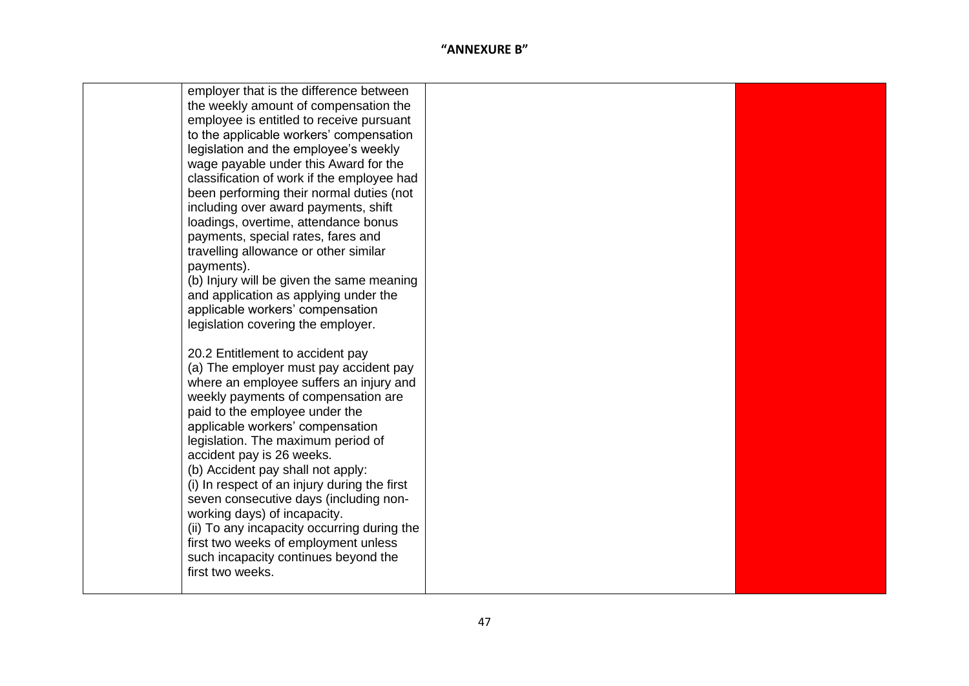| employer that is the difference between                                     |  |
|-----------------------------------------------------------------------------|--|
| the weekly amount of compensation the                                       |  |
| employee is entitled to receive pursuant                                    |  |
| to the applicable workers' compensation                                     |  |
| legislation and the employee's weekly                                       |  |
| wage payable under this Award for the                                       |  |
| classification of work if the employee had                                  |  |
| been performing their normal duties (not                                    |  |
| including over award payments, shift                                        |  |
| loadings, overtime, attendance bonus                                        |  |
| payments, special rates, fares and                                          |  |
| travelling allowance or other similar                                       |  |
| payments).                                                                  |  |
| (b) Injury will be given the same meaning                                   |  |
| and application as applying under the                                       |  |
| applicable workers' compensation                                            |  |
| legislation covering the employer.                                          |  |
|                                                                             |  |
| 20.2 Entitlement to accident pay                                            |  |
| (a) The employer must pay accident pay                                      |  |
| where an employee suffers an injury and                                     |  |
| weekly payments of compensation are                                         |  |
| paid to the employee under the                                              |  |
| applicable workers' compensation                                            |  |
| legislation. The maximum period of                                          |  |
| accident pay is 26 weeks.                                                   |  |
| (b) Accident pay shall not apply:                                           |  |
| (i) In respect of an injury during the first                                |  |
| seven consecutive days (including non-                                      |  |
| working days) of incapacity.<br>(ii) To any incapacity occurring during the |  |
| first two weeks of employment unless                                        |  |
| such incapacity continues beyond the                                        |  |
| first two weeks.                                                            |  |
|                                                                             |  |
|                                                                             |  |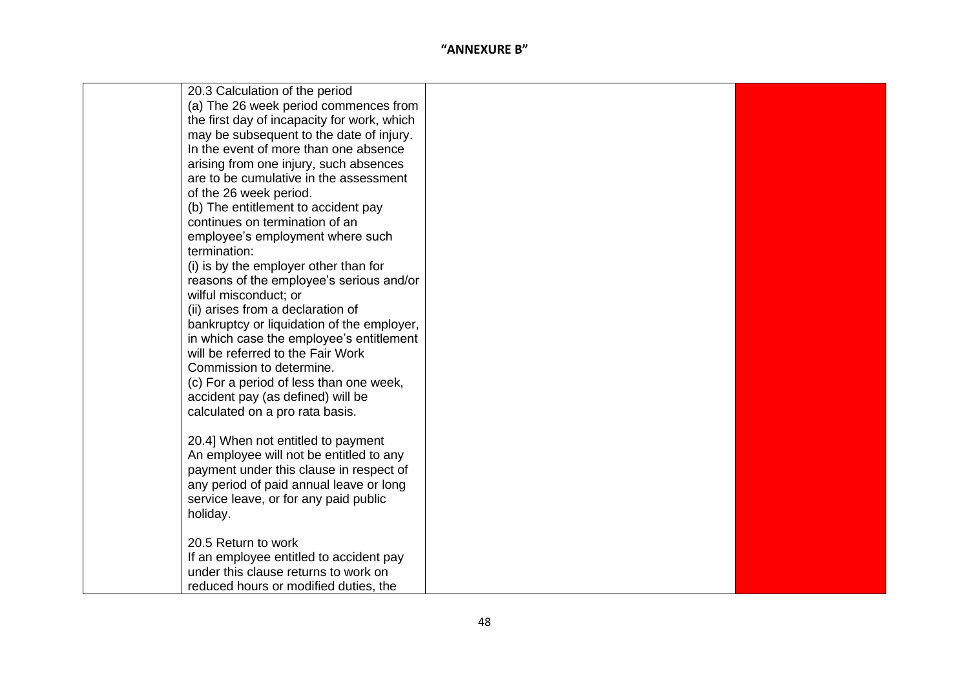| 20.3 Calculation of the period                    |  |
|---------------------------------------------------|--|
| (a) The 26 week period commences from             |  |
| the first day of incapacity for work, which       |  |
| may be subsequent to the date of injury.          |  |
| In the event of more than one absence             |  |
| arising from one injury, such absences            |  |
| are to be cumulative in the assessment            |  |
| of the 26 week period.                            |  |
| (b) The entitlement to accident pay               |  |
| continues on termination of an                    |  |
| employee's employment where such                  |  |
| termination:                                      |  |
| (i) is by the employer other than for             |  |
| reasons of the employee's serious and/or          |  |
| wilful misconduct; or                             |  |
| (ii) arises from a declaration of                 |  |
| bankruptcy or liquidation of the employer,        |  |
| in which case the employee's entitlement          |  |
| will be referred to the Fair Work                 |  |
| Commission to determine.                          |  |
| (c) For a period of less than one week,           |  |
| accident pay (as defined) will be                 |  |
| calculated on a pro rata basis.                   |  |
|                                                   |  |
| 20.4] When not entitled to payment                |  |
| An employee will not be entitled to any           |  |
| payment under this clause in respect of           |  |
| any period of paid annual leave or long           |  |
| service leave, or for any paid public<br>holiday. |  |
|                                                   |  |
| 20.5 Return to work                               |  |
| If an employee entitled to accident pay           |  |
| under this clause returns to work on              |  |
| reduced hours or modified duties, the             |  |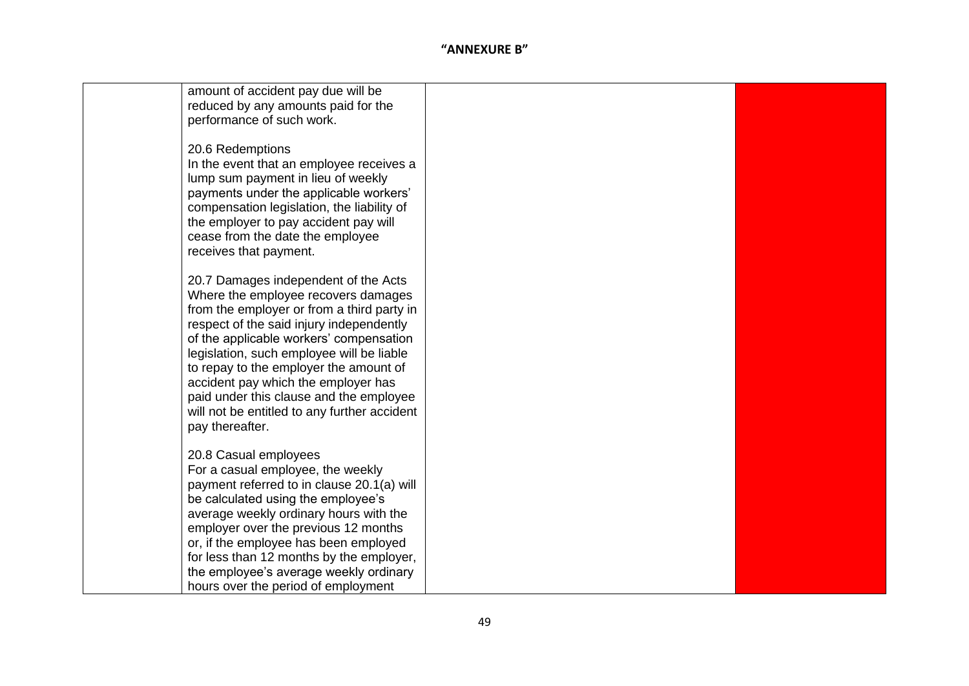| amount of accident pay due will be           |  |
|----------------------------------------------|--|
| reduced by any amounts paid for the          |  |
| performance of such work.                    |  |
|                                              |  |
| 20.6 Redemptions                             |  |
| In the event that an employee receives a     |  |
| lump sum payment in lieu of weekly           |  |
| payments under the applicable workers'       |  |
| compensation legislation, the liability of   |  |
| the employer to pay accident pay will        |  |
| cease from the date the employee             |  |
|                                              |  |
| receives that payment.                       |  |
|                                              |  |
| 20.7 Damages independent of the Acts         |  |
| Where the employee recovers damages          |  |
| from the employer or from a third party in   |  |
| respect of the said injury independently     |  |
| of the applicable workers' compensation      |  |
| legislation, such employee will be liable    |  |
| to repay to the employer the amount of       |  |
| accident pay which the employer has          |  |
| paid under this clause and the employee      |  |
| will not be entitled to any further accident |  |
| pay thereafter.                              |  |
|                                              |  |
| 20.8 Casual employees                        |  |
| For a casual employee, the weekly            |  |
| payment referred to in clause 20.1(a) will   |  |
| be calculated using the employee's           |  |
| average weekly ordinary hours with the       |  |
| employer over the previous 12 months         |  |
| or, if the employee has been employed        |  |
| for less than 12 months by the employer,     |  |
| the employee's average weekly ordinary       |  |
| hours over the period of employment          |  |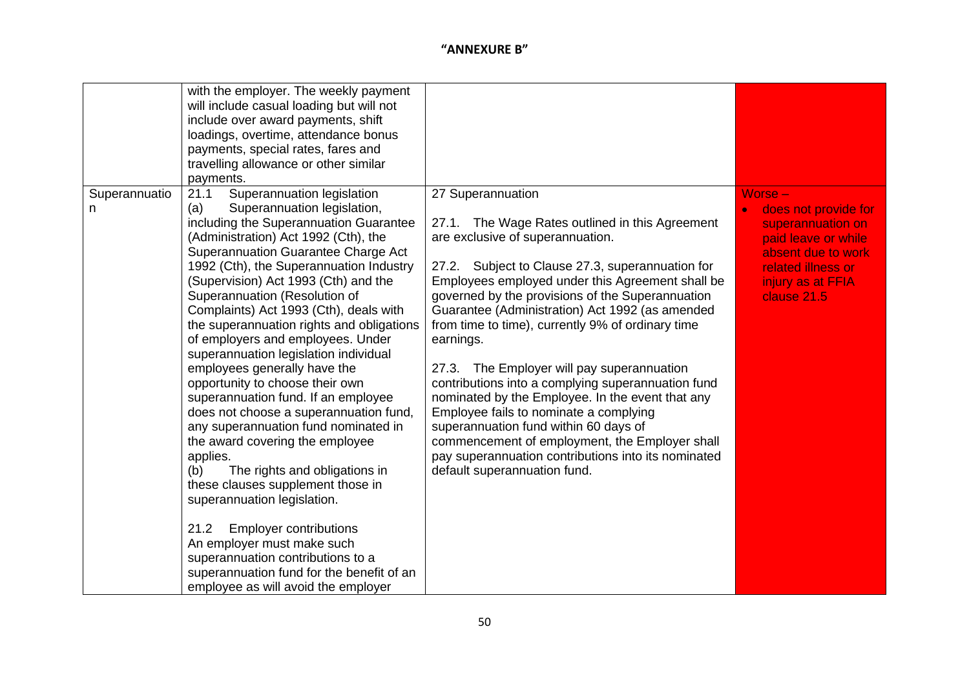| Superannuatio | with the employer. The weekly payment<br>will include casual loading but will not<br>include over award payments, shift<br>loadings, overtime, attendance bonus<br>payments, special rates, fares and<br>travelling allowance or other similar<br>payments.<br>Superannuation legislation<br>21.1                                                                                                                                                                                                                                                                                                                                                                                                                                                                                                                                                                                                                                                                                                           | 27 Superannuation                                                                                                                                                                                                                                                                                                                                                                                                                                                                                                                                                                                                                                                                                                                                           | $Worse -$                                                                                                                                        |
|---------------|-------------------------------------------------------------------------------------------------------------------------------------------------------------------------------------------------------------------------------------------------------------------------------------------------------------------------------------------------------------------------------------------------------------------------------------------------------------------------------------------------------------------------------------------------------------------------------------------------------------------------------------------------------------------------------------------------------------------------------------------------------------------------------------------------------------------------------------------------------------------------------------------------------------------------------------------------------------------------------------------------------------|-------------------------------------------------------------------------------------------------------------------------------------------------------------------------------------------------------------------------------------------------------------------------------------------------------------------------------------------------------------------------------------------------------------------------------------------------------------------------------------------------------------------------------------------------------------------------------------------------------------------------------------------------------------------------------------------------------------------------------------------------------------|--------------------------------------------------------------------------------------------------------------------------------------------------|
| n.            | (a)<br>Superannuation legislation,<br>including the Superannuation Guarantee<br>(Administration) Act 1992 (Cth), the<br>Superannuation Guarantee Charge Act<br>1992 (Cth), the Superannuation Industry<br>(Supervision) Act 1993 (Cth) and the<br>Superannuation (Resolution of<br>Complaints) Act 1993 (Cth), deals with<br>the superannuation rights and obligations<br>of employers and employees. Under<br>superannuation legislation individual<br>employees generally have the<br>opportunity to choose their own<br>superannuation fund. If an employee<br>does not choose a superannuation fund,<br>any superannuation fund nominated in<br>the award covering the employee<br>applies.<br>The rights and obligations in<br>(b)<br>these clauses supplement those in<br>superannuation legislation.<br><b>Employer contributions</b><br>21.2<br>An employer must make such<br>superannuation contributions to a<br>superannuation fund for the benefit of an<br>employee as will avoid the employer | 27.1. The Wage Rates outlined in this Agreement<br>are exclusive of superannuation.<br>Subject to Clause 27.3, superannuation for<br>27.2.<br>Employees employed under this Agreement shall be<br>governed by the provisions of the Superannuation<br>Guarantee (Administration) Act 1992 (as amended<br>from time to time), currently 9% of ordinary time<br>earnings.<br>27.3. The Employer will pay superannuation<br>contributions into a complying superannuation fund<br>nominated by the Employee. In the event that any<br>Employee fails to nominate a complying<br>superannuation fund within 60 days of<br>commencement of employment, the Employer shall<br>pay superannuation contributions into its nominated<br>default superannuation fund. | does not provide for<br>superannuation on<br>paid leave or while<br>absent due to work<br>related illness or<br>injury as at FFIA<br>clause 21.5 |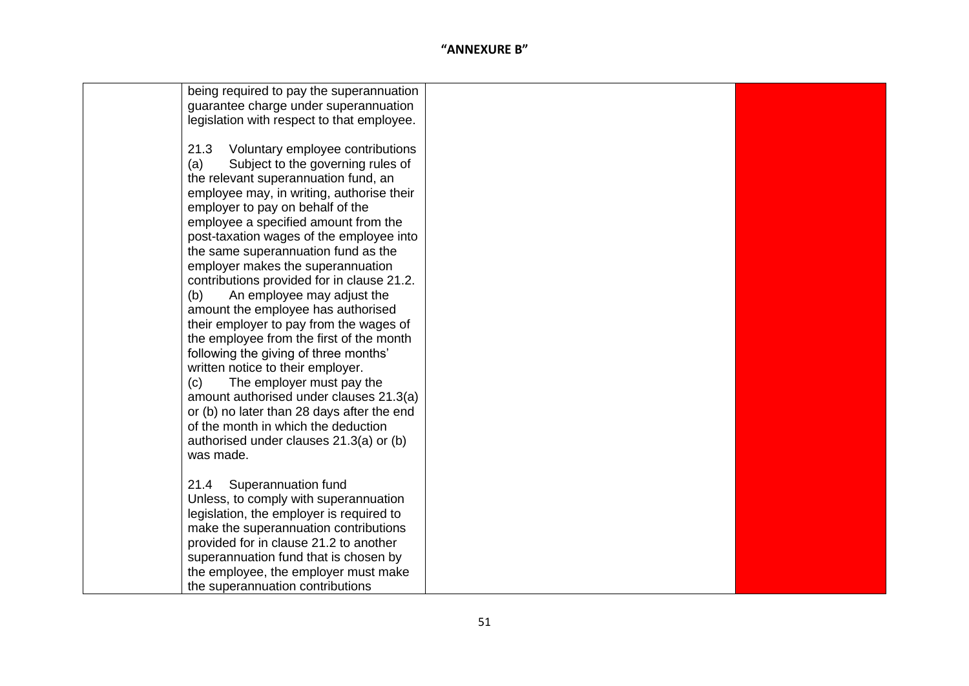| being required to pay the superannuation   |  |
|--------------------------------------------|--|
| guarantee charge under superannuation      |  |
| legislation with respect to that employee. |  |
|                                            |  |
| 21.3<br>Voluntary employee contributions   |  |
| Subject to the governing rules of<br>(a)   |  |
| the relevant superannuation fund, an       |  |
| employee may, in writing, authorise their  |  |
| employer to pay on behalf of the           |  |
| employee a specified amount from the       |  |
| post-taxation wages of the employee into   |  |
| the same superannuation fund as the        |  |
| employer makes the superannuation          |  |
| contributions provided for in clause 21.2. |  |
| An employee may adjust the<br>(b)          |  |
| amount the employee has authorised         |  |
| their employer to pay from the wages of    |  |
| the employee from the first of the month   |  |
| following the giving of three months'      |  |
| written notice to their employer.          |  |
| (c)<br>The employer must pay the           |  |
| amount authorised under clauses 21.3(a)    |  |
| or (b) no later than 28 days after the end |  |
| of the month in which the deduction        |  |
| authorised under clauses 21.3(a) or (b)    |  |
| was made.                                  |  |
|                                            |  |
| 21.4<br>Superannuation fund                |  |
| Unless, to comply with superannuation      |  |
| legislation, the employer is required to   |  |
| make the superannuation contributions      |  |
| provided for in clause 21.2 to another     |  |
| superannuation fund that is chosen by      |  |
| the employee, the employer must make       |  |
| the superannuation contributions           |  |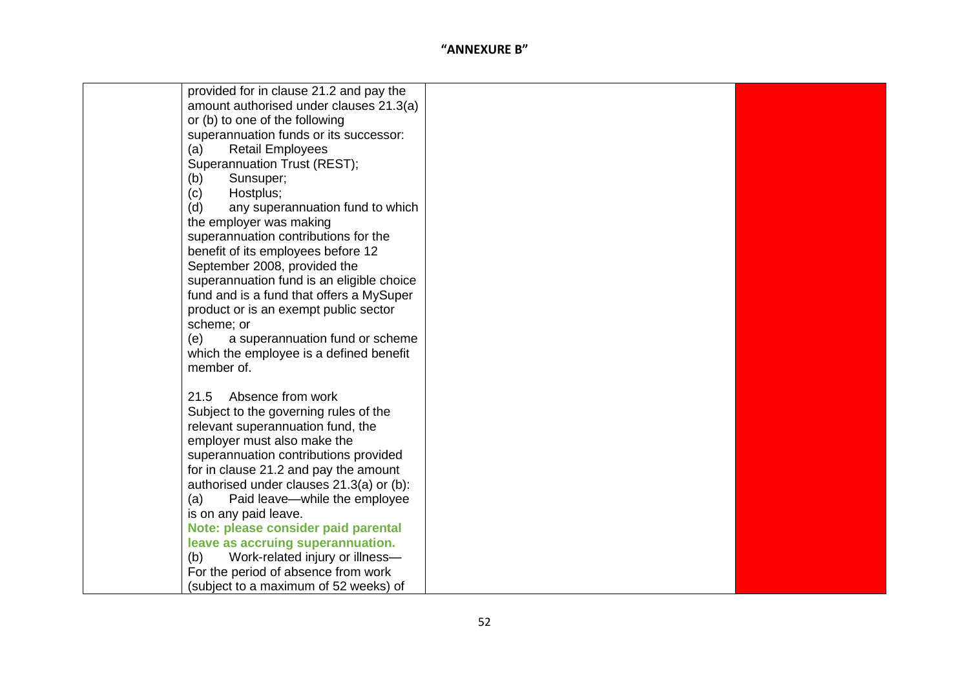| provided for in clause 21.2 and pay the   |  |
|-------------------------------------------|--|
| amount authorised under clauses 21.3(a)   |  |
| or (b) to one of the following            |  |
| superannuation funds or its successor:    |  |
| <b>Retail Employees</b><br>(a)            |  |
| Superannuation Trust (REST);              |  |
| Sunsuper;<br>(b)                          |  |
| Hostplus;<br>(c)                          |  |
| any superannuation fund to which<br>(d)   |  |
| the employer was making                   |  |
| superannuation contributions for the      |  |
| benefit of its employees before 12        |  |
| September 2008, provided the              |  |
| superannuation fund is an eligible choice |  |
| fund and is a fund that offers a MySuper  |  |
| product or is an exempt public sector     |  |
| scheme; or                                |  |
| a superannuation fund or scheme<br>(e)    |  |
| which the employee is a defined benefit   |  |
| member of.                                |  |
|                                           |  |
| Absence from work<br>21.5                 |  |
| Subject to the governing rules of the     |  |
| relevant superannuation fund, the         |  |
| employer must also make the               |  |
| superannuation contributions provided     |  |
| for in clause 21.2 and pay the amount     |  |
| authorised under clauses 21.3(a) or (b):  |  |
| (a)<br>Paid leave-while the employee      |  |
| is on any paid leave.                     |  |
| Note: please consider paid parental       |  |
| leave as accruing superannuation.         |  |
| Work-related injury or illness-<br>(b)    |  |
| For the period of absence from work       |  |
|                                           |  |
| (subject to a maximum of 52 weeks) of     |  |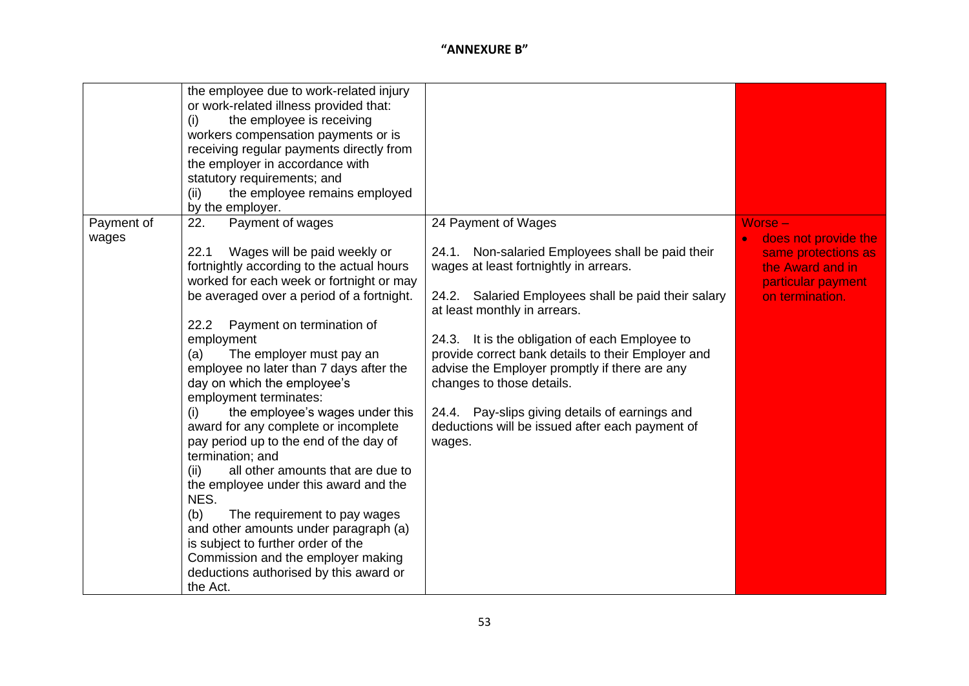|                     | the employee due to work-related injury<br>or work-related illness provided that:<br>the employee is receiving<br>(i)<br>workers compensation payments or is<br>receiving regular payments directly from<br>the employer in accordance with<br>statutory requirements; and<br>the employee remains employed<br>(ii)<br>by the employer.                                                                                                                                                                                                                                                                                                                                                                                                                                                                                                                         |                                                                                                                                                                                                                                                                                                                                                                                                                                                                                                               |                                                                                                                     |
|---------------------|-----------------------------------------------------------------------------------------------------------------------------------------------------------------------------------------------------------------------------------------------------------------------------------------------------------------------------------------------------------------------------------------------------------------------------------------------------------------------------------------------------------------------------------------------------------------------------------------------------------------------------------------------------------------------------------------------------------------------------------------------------------------------------------------------------------------------------------------------------------------|---------------------------------------------------------------------------------------------------------------------------------------------------------------------------------------------------------------------------------------------------------------------------------------------------------------------------------------------------------------------------------------------------------------------------------------------------------------------------------------------------------------|---------------------------------------------------------------------------------------------------------------------|
| Payment of<br>wages | Payment of wages<br>22.<br>22.1<br>Wages will be paid weekly or<br>fortnightly according to the actual hours<br>worked for each week or fortnight or may<br>be averaged over a period of a fortnight.<br>22.2<br>Payment on termination of<br>employment<br>The employer must pay an<br>(a)<br>employee no later than 7 days after the<br>day on which the employee's<br>employment terminates:<br>the employee's wages under this<br>(i)<br>award for any complete or incomplete<br>pay period up to the end of the day of<br>termination; and<br>all other amounts that are due to<br>(ii)<br>the employee under this award and the<br>NES.<br>(b)<br>The requirement to pay wages<br>and other amounts under paragraph (a)<br>is subject to further order of the<br>Commission and the employer making<br>deductions authorised by this award or<br>the Act. | 24 Payment of Wages<br>24.1. Non-salaried Employees shall be paid their<br>wages at least fortnightly in arrears.<br>24.2. Salaried Employees shall be paid their salary<br>at least monthly in arrears.<br>24.3. It is the obligation of each Employee to<br>provide correct bank details to their Employer and<br>advise the Employer promptly if there are any<br>changes to those details.<br>24.4. Pay-slips giving details of earnings and<br>deductions will be issued after each payment of<br>wages. | Worse -<br>does not provide the<br>same protections as<br>the Award and in<br>particular payment<br>on termination. |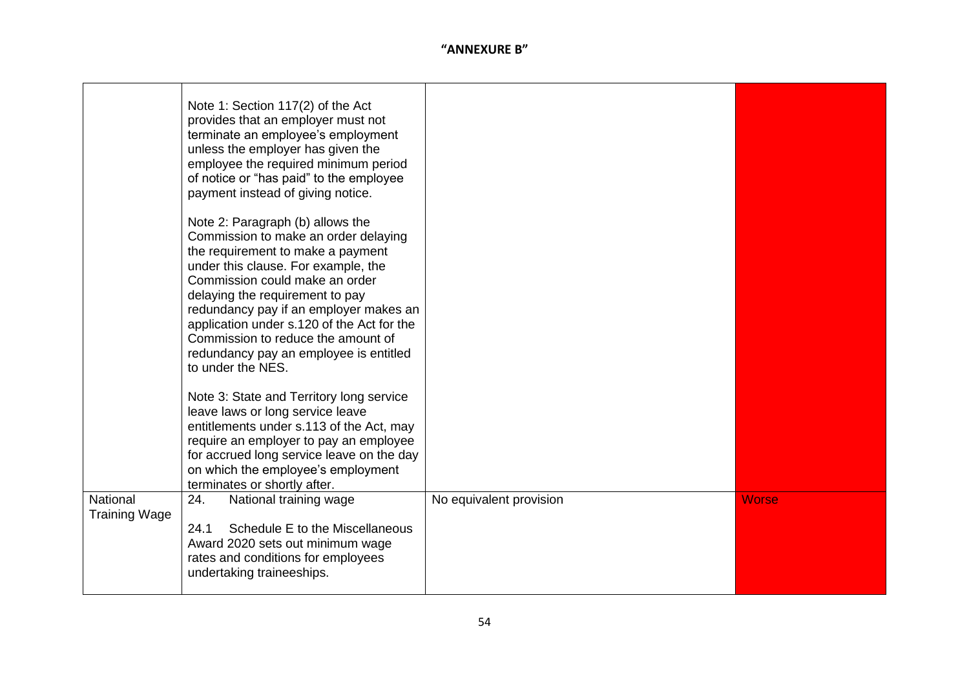|                                  | Note 1: Section 117(2) of the Act<br>provides that an employer must not<br>terminate an employee's employment<br>unless the employer has given the<br>employee the required minimum period<br>of notice or "has paid" to the employee<br>payment instead of giving notice.                                                                                                                                             |                         |              |
|----------------------------------|------------------------------------------------------------------------------------------------------------------------------------------------------------------------------------------------------------------------------------------------------------------------------------------------------------------------------------------------------------------------------------------------------------------------|-------------------------|--------------|
|                                  | Note 2: Paragraph (b) allows the<br>Commission to make an order delaying<br>the requirement to make a payment<br>under this clause. For example, the<br>Commission could make an order<br>delaying the requirement to pay<br>redundancy pay if an employer makes an<br>application under s.120 of the Act for the<br>Commission to reduce the amount of<br>redundancy pay an employee is entitled<br>to under the NES. |                         |              |
|                                  | Note 3: State and Territory long service<br>leave laws or long service leave<br>entitlements under s.113 of the Act, may<br>require an employer to pay an employee<br>for accrued long service leave on the day<br>on which the employee's employment<br>terminates or shortly after.                                                                                                                                  |                         |              |
| National<br><b>Training Wage</b> | 24.<br>National training wage<br>Schedule E to the Miscellaneous<br>24.1<br>Award 2020 sets out minimum wage<br>rates and conditions for employees<br>undertaking traineeships.                                                                                                                                                                                                                                        | No equivalent provision | <b>Worse</b> |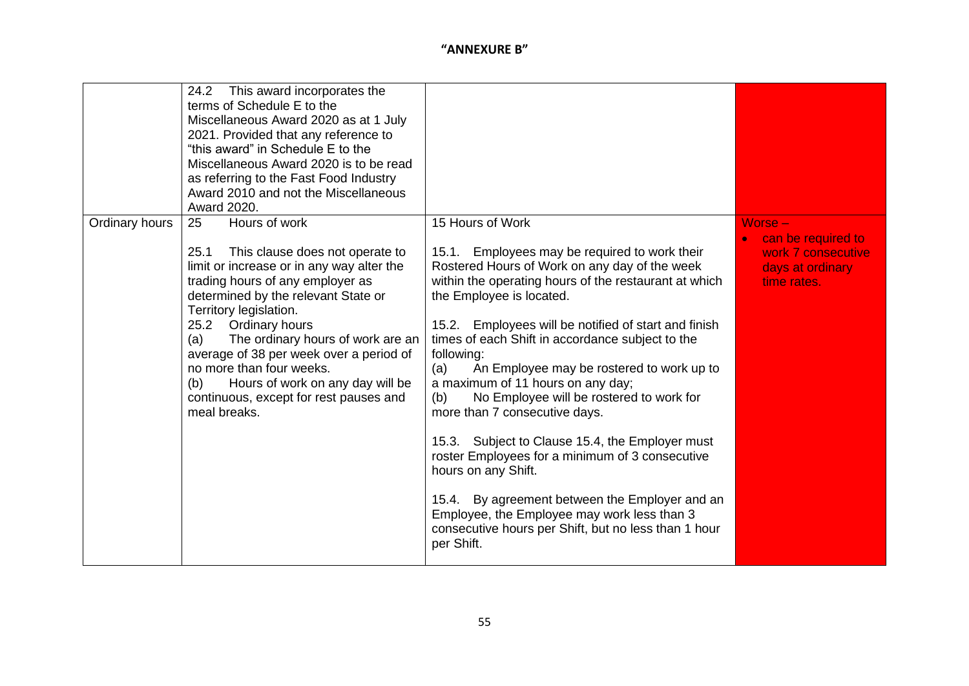|                | This award incorporates the<br>24.2<br>terms of Schedule E to the<br>Miscellaneous Award 2020 as at 1 July<br>2021. Provided that any reference to<br>"this award" in Schedule E to the<br>Miscellaneous Award 2020 is to be read<br>as referring to the Fast Food Industry<br>Award 2010 and not the Miscellaneous<br>Award 2020.                                                                                                                              |                                                                                                                                                                                                                                                                                                                                                                                                                                                                                                                                                                                                                                                                                                                                                                                                                       |                                                                                        |
|----------------|-----------------------------------------------------------------------------------------------------------------------------------------------------------------------------------------------------------------------------------------------------------------------------------------------------------------------------------------------------------------------------------------------------------------------------------------------------------------|-----------------------------------------------------------------------------------------------------------------------------------------------------------------------------------------------------------------------------------------------------------------------------------------------------------------------------------------------------------------------------------------------------------------------------------------------------------------------------------------------------------------------------------------------------------------------------------------------------------------------------------------------------------------------------------------------------------------------------------------------------------------------------------------------------------------------|----------------------------------------------------------------------------------------|
| Ordinary hours | 25<br>Hours of work<br>This clause does not operate to<br>25.1<br>limit or increase or in any way alter the<br>trading hours of any employer as<br>determined by the relevant State or<br>Territory legislation.<br>25.2 Ordinary hours<br>The ordinary hours of work are an<br>(a)<br>average of 38 per week over a period of<br>no more than four weeks.<br>Hours of work on any day will be<br>(b)<br>continuous, except for rest pauses and<br>meal breaks. | 15 Hours of Work<br>15.1. Employees may be required to work their<br>Rostered Hours of Work on any day of the week<br>within the operating hours of the restaurant at which<br>the Employee is located.<br>Employees will be notified of start and finish<br>15.2.<br>times of each Shift in accordance subject to the<br>following:<br>An Employee may be rostered to work up to<br>(a)<br>a maximum of 11 hours on any day;<br>No Employee will be rostered to work for<br>(b)<br>more than 7 consecutive days.<br>15.3. Subject to Clause 15.4, the Employer must<br>roster Employees for a minimum of 3 consecutive<br>hours on any Shift.<br>15.4. By agreement between the Employer and an<br>Employee, the Employee may work less than 3<br>consecutive hours per Shift, but no less than 1 hour<br>per Shift. | Worse -<br>can be required to<br>work 7 consecutive<br>days at ordinary<br>time rates. |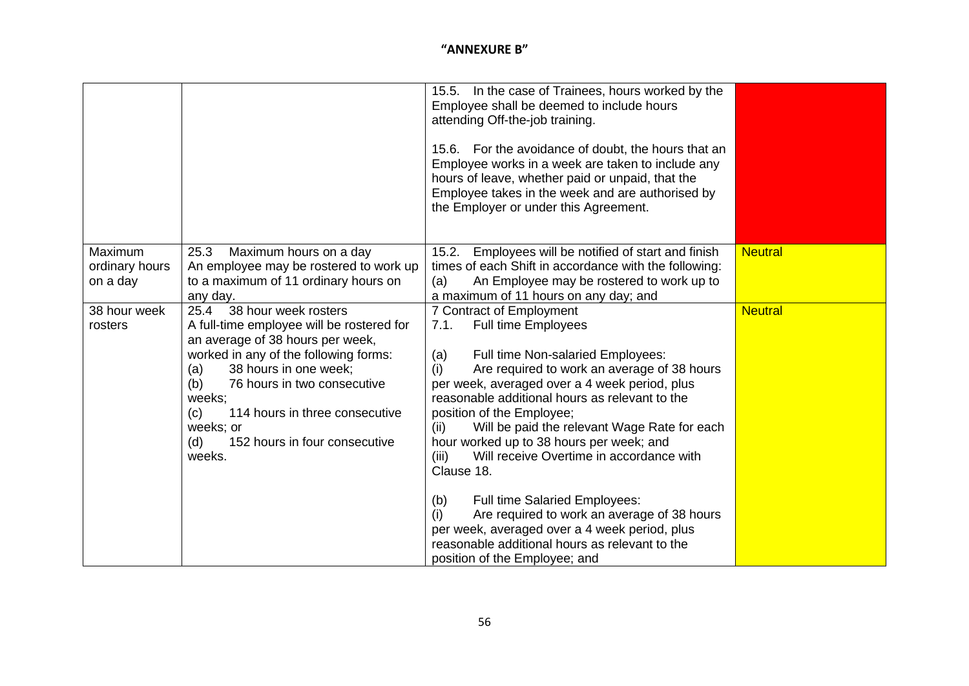|                                                                  |                                                                                                                                                                                                                                                                                                                                                                                                                                                                                | 15.5. In the case of Trainees, hours worked by the<br>Employee shall be deemed to include hours<br>attending Off-the-job training.<br>15.6. For the avoidance of doubt, the hours that an<br>Employee works in a week are taken to include any<br>hours of leave, whether paid or unpaid, that the<br>Employee takes in the week and are authorised by<br>the Employer or under this Agreement.                                                                                                                                                                                                                                                                                                                                                                                                                                                                                                                                   |                                  |
|------------------------------------------------------------------|--------------------------------------------------------------------------------------------------------------------------------------------------------------------------------------------------------------------------------------------------------------------------------------------------------------------------------------------------------------------------------------------------------------------------------------------------------------------------------|-----------------------------------------------------------------------------------------------------------------------------------------------------------------------------------------------------------------------------------------------------------------------------------------------------------------------------------------------------------------------------------------------------------------------------------------------------------------------------------------------------------------------------------------------------------------------------------------------------------------------------------------------------------------------------------------------------------------------------------------------------------------------------------------------------------------------------------------------------------------------------------------------------------------------------------|----------------------------------|
| Maximum<br>ordinary hours<br>on a day<br>38 hour week<br>rosters | Maximum hours on a day<br>25.3<br>An employee may be rostered to work up<br>to a maximum of 11 ordinary hours on<br>any day.<br>38 hour week rosters<br>25.4<br>A full-time employee will be rostered for<br>an average of 38 hours per week,<br>worked in any of the following forms:<br>38 hours in one week;<br>(a)<br>76 hours in two consecutive<br>(b)<br>weeks;<br>114 hours in three consecutive<br>(c)<br>weeks; or<br>152 hours in four consecutive<br>(d)<br>weeks. | Employees will be notified of start and finish<br>15.2.<br>times of each Shift in accordance with the following:<br>An Employee may be rostered to work up to<br>(a)<br>a maximum of 11 hours on any day; and<br>7 Contract of Employment<br><b>Full time Employees</b><br>7.1.<br>Full time Non-salaried Employees:<br>(a)<br>Are required to work an average of 38 hours<br>(i)<br>per week, averaged over a 4 week period, plus<br>reasonable additional hours as relevant to the<br>position of the Employee;<br>Will be paid the relevant Wage Rate for each<br>(ii)<br>hour worked up to 38 hours per week; and<br>Will receive Overtime in accordance with<br>(iii)<br>Clause 18.<br><b>Full time Salaried Employees:</b><br>(b)<br>Are required to work an average of 38 hours<br>(i)<br>per week, averaged over a 4 week period, plus<br>reasonable additional hours as relevant to the<br>position of the Employee; and | <b>Neutral</b><br><b>Neutral</b> |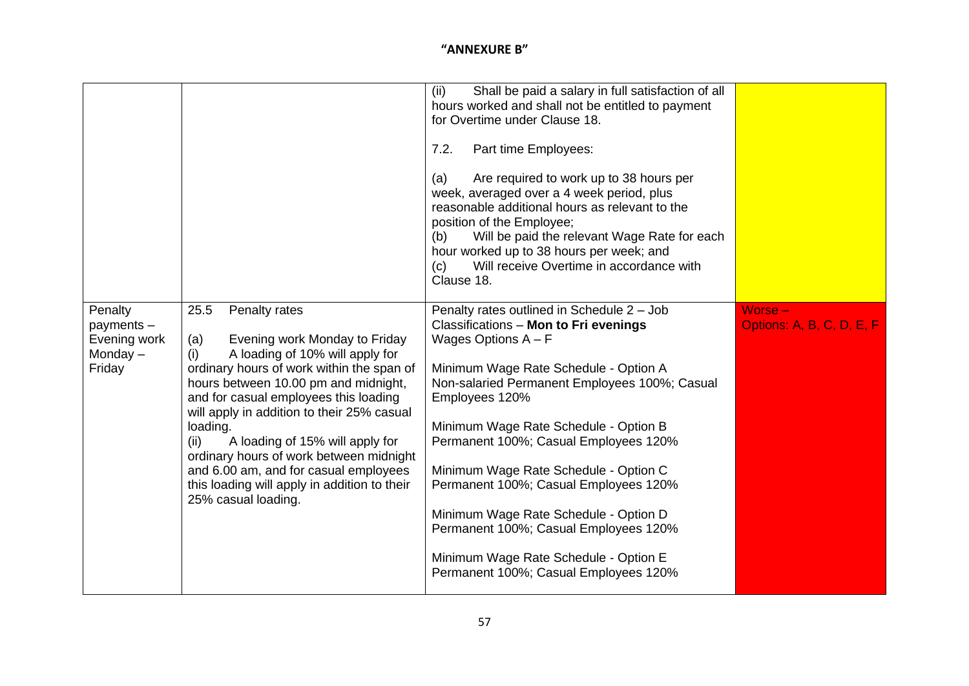|                                                               |                                                                                                                                                                                                                                                                                                                                                                                                                                                                                                       | (ii)<br>Shall be paid a salary in full satisfaction of all<br>hours worked and shall not be entitled to payment<br>for Overtime under Clause 18.<br>7.2.<br>Part time Employees:<br>Are required to work up to 38 hours per<br>(a)<br>week, averaged over a 4 week period, plus<br>reasonable additional hours as relevant to the<br>position of the Employee;<br>Will be paid the relevant Wage Rate for each<br>(b)<br>hour worked up to 38 hours per week; and<br>Will receive Overtime in accordance with<br>(c)<br>Clause 18.                               |                                        |
|---------------------------------------------------------------|-------------------------------------------------------------------------------------------------------------------------------------------------------------------------------------------------------------------------------------------------------------------------------------------------------------------------------------------------------------------------------------------------------------------------------------------------------------------------------------------------------|------------------------------------------------------------------------------------------------------------------------------------------------------------------------------------------------------------------------------------------------------------------------------------------------------------------------------------------------------------------------------------------------------------------------------------------------------------------------------------------------------------------------------------------------------------------|----------------------------------------|
| Penalty<br>payments -<br>Evening work<br>Monday $-$<br>Friday | 25.5<br>Penalty rates<br>Evening work Monday to Friday<br>(a)<br>A loading of 10% will apply for<br>(i)<br>ordinary hours of work within the span of<br>hours between 10.00 pm and midnight,<br>and for casual employees this loading<br>will apply in addition to their 25% casual<br>loading.<br>A loading of 15% will apply for<br>(ii)<br>ordinary hours of work between midnight<br>and 6.00 am, and for casual employees<br>this loading will apply in addition to their<br>25% casual loading. | Penalty rates outlined in Schedule 2 - Job<br>Classifications - Mon to Fri evenings<br>Wages Options $A - F$<br>Minimum Wage Rate Schedule - Option A<br>Non-salaried Permanent Employees 100%; Casual<br>Employees 120%<br>Minimum Wage Rate Schedule - Option B<br>Permanent 100%; Casual Employees 120%<br>Minimum Wage Rate Schedule - Option C<br>Permanent 100%; Casual Employees 120%<br>Minimum Wage Rate Schedule - Option D<br>Permanent 100%; Casual Employees 120%<br>Minimum Wage Rate Schedule - Option E<br>Permanent 100%; Casual Employees 120% | $Worse -$<br>Options: A, B, C, D, E, F |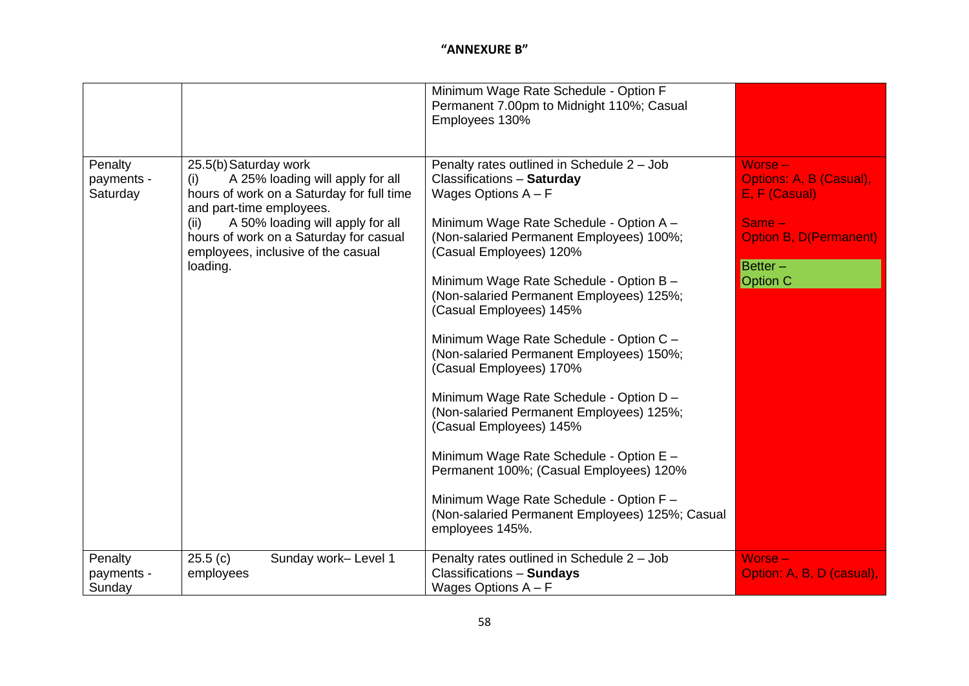|                                   |                                                                                                                                                                                                                                                                                   | Minimum Wage Rate Schedule - Option F<br>Permanent 7.00pm to Midnight 110%; Casual<br>Employees 130%                                                                                                                                                                                                                                                                                                                                                                                                                                                                                                                                                                                                                                                                             |                                                                                                                                   |
|-----------------------------------|-----------------------------------------------------------------------------------------------------------------------------------------------------------------------------------------------------------------------------------------------------------------------------------|----------------------------------------------------------------------------------------------------------------------------------------------------------------------------------------------------------------------------------------------------------------------------------------------------------------------------------------------------------------------------------------------------------------------------------------------------------------------------------------------------------------------------------------------------------------------------------------------------------------------------------------------------------------------------------------------------------------------------------------------------------------------------------|-----------------------------------------------------------------------------------------------------------------------------------|
| Penalty<br>payments -<br>Saturday | 25.5(b) Saturday work<br>A 25% loading will apply for all<br>(i)<br>hours of work on a Saturday for full time<br>and part-time employees.<br>A 50% loading will apply for all<br>(ii)<br>hours of work on a Saturday for casual<br>employees, inclusive of the casual<br>loading. | Penalty rates outlined in Schedule 2 - Job<br>Classifications - Saturday<br>Wages Options $A - F$<br>Minimum Wage Rate Schedule - Option A -<br>(Non-salaried Permanent Employees) 100%;<br>(Casual Employees) 120%<br>Minimum Wage Rate Schedule - Option B -<br>(Non-salaried Permanent Employees) 125%;<br>(Casual Employees) 145%<br>Minimum Wage Rate Schedule - Option C -<br>(Non-salaried Permanent Employees) 150%;<br>(Casual Employees) 170%<br>Minimum Wage Rate Schedule - Option D -<br>(Non-salaried Permanent Employees) 125%;<br>(Casual Employees) 145%<br>Minimum Wage Rate Schedule - Option E -<br>Permanent 100%; (Casual Employees) 120%<br>Minimum Wage Rate Schedule - Option F -<br>(Non-salaried Permanent Employees) 125%; Casual<br>employees 145%. | Worse -<br>Options: A, B (Casual),<br>E, F (Casual)<br>$Same -$<br><b>Option B, D(Permanent)</b><br>$Better -$<br><b>Option C</b> |
| Penalty<br>payments -<br>Sunday   | 25.5(c)<br>Sunday work-Level 1<br>employees                                                                                                                                                                                                                                       | Penalty rates outlined in Schedule 2 - Job<br>Classifications - Sundays<br>Wages Options $A - F$                                                                                                                                                                                                                                                                                                                                                                                                                                                                                                                                                                                                                                                                                 | Worse -<br>Option: A, B, D (casual),                                                                                              |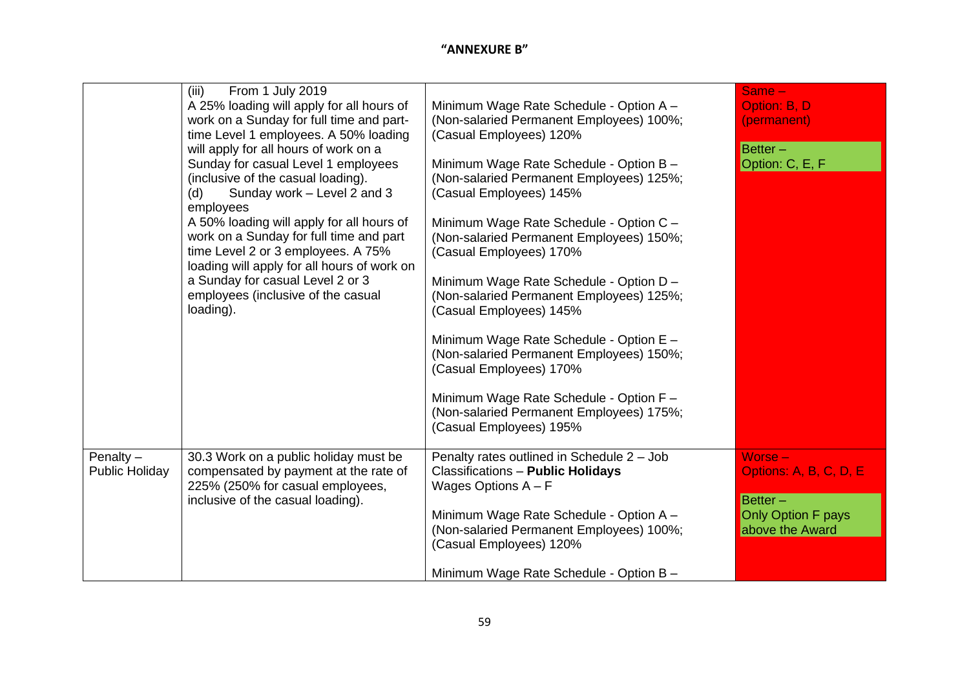|                                      | From 1 July 2019<br>(iii)<br>A 25% loading will apply for all hours of<br>work on a Sunday for full time and part-<br>time Level 1 employees. A 50% loading                                                                                                                                         | Minimum Wage Rate Schedule - Option A -<br>(Non-salaried Permanent Employees) 100%;<br>(Casual Employees) 120%                                                                                                                   | $Same -$<br>Option: B, D<br>(permanent)           |
|--------------------------------------|-----------------------------------------------------------------------------------------------------------------------------------------------------------------------------------------------------------------------------------------------------------------------------------------------------|----------------------------------------------------------------------------------------------------------------------------------------------------------------------------------------------------------------------------------|---------------------------------------------------|
|                                      | will apply for all hours of work on a<br>Sunday for casual Level 1 employees<br>(inclusive of the casual loading).<br>Sunday work - Level 2 and 3<br>(d)<br>employees<br>A 50% loading will apply for all hours of<br>work on a Sunday for full time and part<br>time Level 2 or 3 employees. A 75% | Minimum Wage Rate Schedule - Option B -<br>(Non-salaried Permanent Employees) 125%;<br>(Casual Employees) 145%<br>Minimum Wage Rate Schedule - Option C -<br>(Non-salaried Permanent Employees) 150%;<br>(Casual Employees) 170% | $Better -$<br>Option: C, E, F                     |
|                                      | loading will apply for all hours of work on<br>a Sunday for casual Level 2 or 3<br>employees (inclusive of the casual<br>loading).                                                                                                                                                                  | Minimum Wage Rate Schedule - Option D -<br>(Non-salaried Permanent Employees) 125%;<br>(Casual Employees) 145%                                                                                                                   |                                                   |
|                                      |                                                                                                                                                                                                                                                                                                     | Minimum Wage Rate Schedule - Option E -<br>(Non-salaried Permanent Employees) 150%;<br>(Casual Employees) 170%                                                                                                                   |                                                   |
|                                      |                                                                                                                                                                                                                                                                                                     | Minimum Wage Rate Schedule - Option F -<br>(Non-salaried Permanent Employees) 175%;<br>(Casual Employees) 195%                                                                                                                   |                                                   |
| Penalty $-$<br><b>Public Holiday</b> | 30.3 Work on a public holiday must be<br>compensated by payment at the rate of<br>225% (250% for casual employees,<br>inclusive of the casual loading).                                                                                                                                             | Penalty rates outlined in Schedule 2 - Job<br><b>Classifications - Public Holidays</b><br>Wages Options $A - F$                                                                                                                  | $Worse -$<br>Options: A, B, C, D, E<br>$Better -$ |
|                                      |                                                                                                                                                                                                                                                                                                     | Minimum Wage Rate Schedule - Option A -<br>(Non-salaried Permanent Employees) 100%;<br>(Casual Employees) 120%                                                                                                                   | Only Option F pays<br>above the Award             |
|                                      |                                                                                                                                                                                                                                                                                                     | Minimum Wage Rate Schedule - Option B -                                                                                                                                                                                          |                                                   |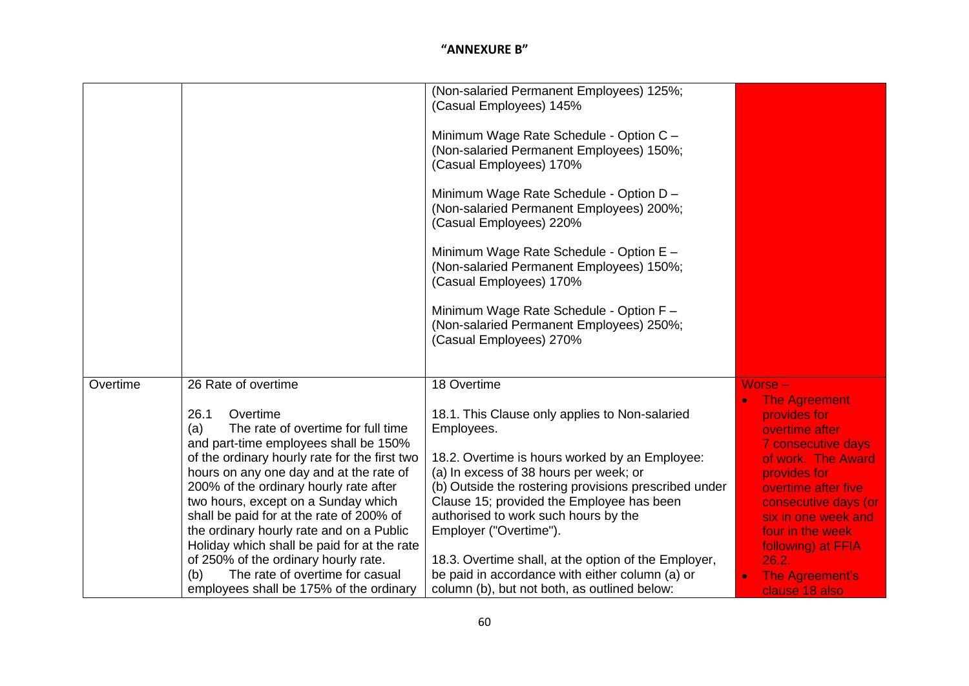|          |                                                                                                                                                                                                                                                                                                                                                                                                                                                                                                                                                         | (Non-salaried Permanent Employees) 125%;<br>(Casual Employees) 145%<br>Minimum Wage Rate Schedule - Option C -<br>(Non-salaried Permanent Employees) 150%;<br>(Casual Employees) 170%<br>Minimum Wage Rate Schedule - Option D -<br>(Non-salaried Permanent Employees) 200%;<br>(Casual Employees) 220%<br>Minimum Wage Rate Schedule - Option E -<br>(Non-salaried Permanent Employees) 150%;<br>(Casual Employees) 170%<br>Minimum Wage Rate Schedule - Option F -<br>(Non-salaried Permanent Employees) 250%;<br>(Casual Employees) 270% |                                                                                                                                                                                                                                                                                                |
|----------|---------------------------------------------------------------------------------------------------------------------------------------------------------------------------------------------------------------------------------------------------------------------------------------------------------------------------------------------------------------------------------------------------------------------------------------------------------------------------------------------------------------------------------------------------------|---------------------------------------------------------------------------------------------------------------------------------------------------------------------------------------------------------------------------------------------------------------------------------------------------------------------------------------------------------------------------------------------------------------------------------------------------------------------------------------------------------------------------------------------|------------------------------------------------------------------------------------------------------------------------------------------------------------------------------------------------------------------------------------------------------------------------------------------------|
| Overtime | 26 Rate of overtime                                                                                                                                                                                                                                                                                                                                                                                                                                                                                                                                     | 18 Overtime                                                                                                                                                                                                                                                                                                                                                                                                                                                                                                                                 | Worse -                                                                                                                                                                                                                                                                                        |
|          | Overtime<br>26.1<br>The rate of overtime for full time<br>(a)<br>and part-time employees shall be 150%<br>of the ordinary hourly rate for the first two<br>hours on any one day and at the rate of<br>200% of the ordinary hourly rate after<br>two hours, except on a Sunday which<br>shall be paid for at the rate of 200% of<br>the ordinary hourly rate and on a Public<br>Holiday which shall be paid for at the rate<br>of 250% of the ordinary hourly rate.<br>The rate of overtime for casual<br>(b)<br>employees shall be 175% of the ordinary | 18.1. This Clause only applies to Non-salaried<br>Employees.<br>18.2. Overtime is hours worked by an Employee:<br>(a) In excess of 38 hours per week; or<br>(b) Outside the rostering provisions prescribed under<br>Clause 15; provided the Employee has been<br>authorised to work such hours by the<br>Employer ("Overtime").<br>18.3. Overtime shall, at the option of the Employer,<br>be paid in accordance with either column (a) or<br>column (b), but not both, as outlined below:                                                 | <b>The Agreement</b><br>provides for<br>overtime after<br><b>7 consecutive days</b><br>of work. The Award<br>provides for<br>overtime after five<br>consecutive days (or<br>six in one week and<br>four in the week<br>following) at FFIA<br>26.2.<br><b>The Agreement's</b><br>clause 18 also |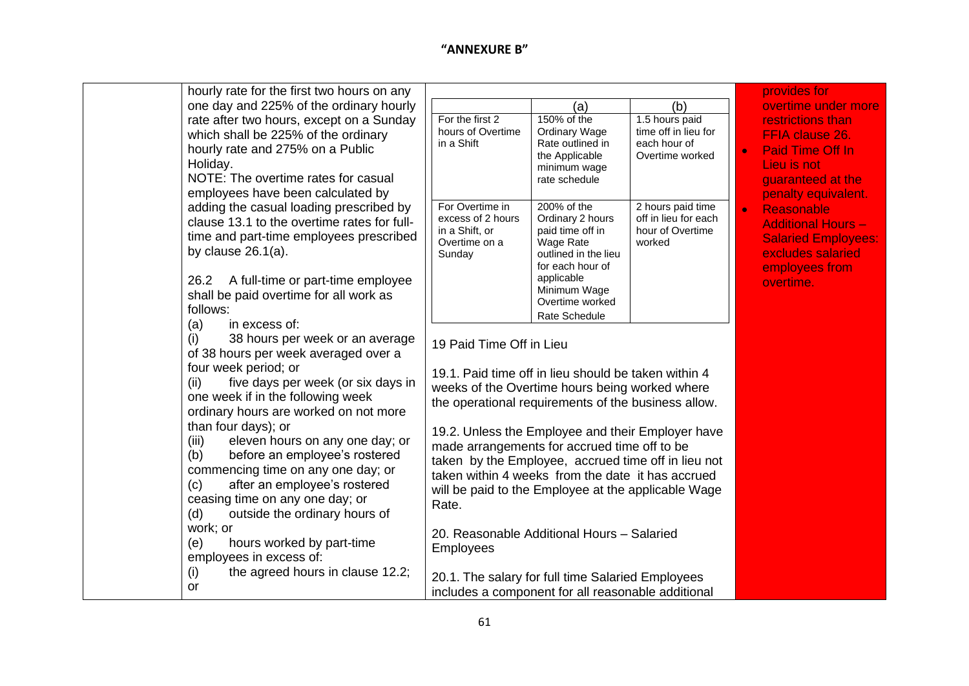| hourly rate for the first two hours on any  |                                                      |                                          |                      | provides for               |  |
|---------------------------------------------|------------------------------------------------------|------------------------------------------|----------------------|----------------------------|--|
| one day and 225% of the ordinary hourly     |                                                      | (a)                                      | (b)                  | overtime under more        |  |
| rate after two hours, except on a Sunday    | For the first 2                                      | 150% of the                              | 1.5 hours paid       | restrictions than          |  |
| which shall be 225% of the ordinary         | hours of Overtime                                    | <b>Ordinary Wage</b>                     | time off in lieu for | <b>FFIA clause 26.</b>     |  |
| hourly rate and 275% on a Public            | in a Shift                                           | Rate outlined in                         | each hour of         | <b>Paid Time Off In</b>    |  |
| Holiday.                                    |                                                      | the Applicable<br>minimum wage           | Overtime worked      | Lieu is not                |  |
| NOTE: The overtime rates for casual         |                                                      | rate schedule                            |                      | guaranteed at the          |  |
| employees have been calculated by           |                                                      |                                          |                      | penalty equivalent.        |  |
| adding the casual loading prescribed by     | For Overtime in                                      | 200% of the                              | 2 hours paid time    | Reasonable<br>$\bullet$    |  |
| clause 13.1 to the overtime rates for full- | excess of 2 hours                                    | Ordinary 2 hours                         | off in lieu for each | <b>Additional Hours -</b>  |  |
| time and part-time employees prescribed     | in a Shift, or                                       | paid time off in                         | hour of Overtime     | <b>Salaried Employees:</b> |  |
| by clause $26.1(a)$ .                       | Overtime on a                                        | Wage Rate                                | worked               | excludes salaried          |  |
|                                             | Sunday                                               | outlined in the lieu<br>for each hour of |                      |                            |  |
| A full-time or part-time employee<br>26.2   |                                                      | applicable                               |                      | employees from             |  |
| shall be paid overtime for all work as      |                                                      | Minimum Wage                             |                      | overtime.                  |  |
| follows:                                    |                                                      | Overtime worked                          |                      |                            |  |
| in excess of:<br>(a)                        |                                                      | Rate Schedule                            |                      |                            |  |
|                                             |                                                      |                                          |                      |                            |  |
| 38 hours per week or an average<br>(i)      | 19 Paid Time Off in Lieu                             |                                          |                      |                            |  |
| of 38 hours per week averaged over a        |                                                      |                                          |                      |                            |  |
| four week period; or                        | 19.1. Paid time off in lieu should be taken within 4 |                                          |                      |                            |  |
| five days per week (or six days in<br>(ii)  | weeks of the Overtime hours being worked where       |                                          |                      |                            |  |
| one week if in the following week           | the operational requirements of the business allow.  |                                          |                      |                            |  |
| ordinary hours are worked on not more       |                                                      |                                          |                      |                            |  |
| than four days); or                         | 19.2. Unless the Employee and their Employer have    |                                          |                      |                            |  |
| eleven hours on any one day; or<br>(iii)    | made arrangements for accrued time off to be         |                                          |                      |                            |  |
| before an employee's rostered<br>(b)        | taken by the Employee, accrued time off in lieu not  |                                          |                      |                            |  |
| commencing time on any one day; or          | taken within 4 weeks from the date it has accrued    |                                          |                      |                            |  |
| after an employee's rostered<br>(c)         | will be paid to the Employee at the applicable Wage  |                                          |                      |                            |  |
| ceasing time on any one day; or             | Rate.                                                |                                          |                      |                            |  |
| outside the ordinary hours of<br>(d)        |                                                      |                                          |                      |                            |  |
| work; or                                    | 20. Reasonable Additional Hours - Salaried           |                                          |                      |                            |  |
| hours worked by part-time<br>(e)            | <b>Employees</b>                                     |                                          |                      |                            |  |
| employees in excess of:                     |                                                      |                                          |                      |                            |  |
| the agreed hours in clause 12.2;<br>(i)     | 20.1. The salary for full time Salaried Employees    |                                          |                      |                            |  |
| <b>or</b>                                   | includes a component for all reasonable additional   |                                          |                      |                            |  |
|                                             |                                                      |                                          |                      |                            |  |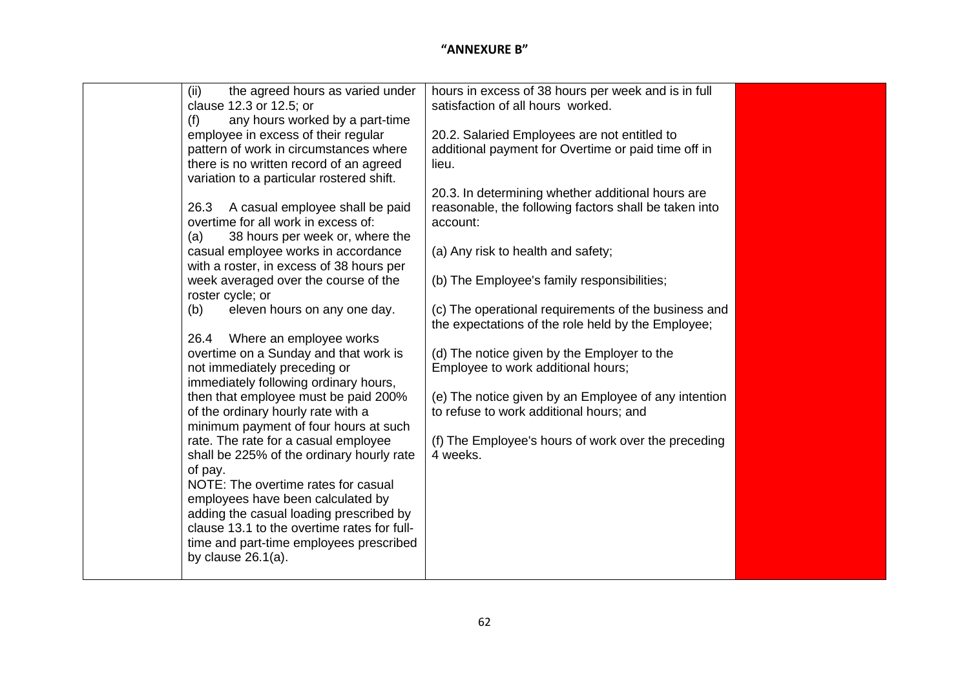| (ii)<br>the agreed hours as varied under<br>clause 12.3 or 12.5; or                  | hours in excess of 38 hours per week and is in full<br>satisfaction of all hours worked. |  |
|--------------------------------------------------------------------------------------|------------------------------------------------------------------------------------------|--|
| any hours worked by a part-time<br>(f)                                               |                                                                                          |  |
| employee in excess of their regular                                                  | 20.2. Salaried Employees are not entitled to                                             |  |
| pattern of work in circumstances where                                               | additional payment for Overtime or paid time off in                                      |  |
| there is no written record of an agreed<br>variation to a particular rostered shift. | lieu.                                                                                    |  |
|                                                                                      | 20.3. In determining whether additional hours are                                        |  |
| A casual employee shall be paid<br>26.3                                              | reasonable, the following factors shall be taken into                                    |  |
| overtime for all work in excess of:                                                  | account:                                                                                 |  |
| 38 hours per week or, where the<br>(a)<br>casual employee works in accordance        | (a) Any risk to health and safety;                                                       |  |
| with a roster, in excess of 38 hours per                                             |                                                                                          |  |
| week averaged over the course of the                                                 | (b) The Employee's family responsibilities;                                              |  |
| roster cycle; or                                                                     |                                                                                          |  |
| eleven hours on any one day.<br>(b)                                                  | (c) The operational requirements of the business and                                     |  |
| 26.4 Where an employee works                                                         | the expectations of the role held by the Employee;                                       |  |
| overtime on a Sunday and that work is                                                | (d) The notice given by the Employer to the                                              |  |
| not immediately preceding or                                                         | Employee to work additional hours;                                                       |  |
| immediately following ordinary hours,                                                |                                                                                          |  |
| then that employee must be paid 200%                                                 | (e) The notice given by an Employee of any intention                                     |  |
| of the ordinary hourly rate with a<br>minimum payment of four hours at such          | to refuse to work additional hours; and                                                  |  |
| rate. The rate for a casual employee                                                 | (f) The Employee's hours of work over the preceding                                      |  |
| shall be 225% of the ordinary hourly rate                                            | 4 weeks.                                                                                 |  |
| of pay.                                                                              |                                                                                          |  |
| NOTE: The overtime rates for casual                                                  |                                                                                          |  |
| employees have been calculated by<br>adding the casual loading prescribed by         |                                                                                          |  |
| clause 13.1 to the overtime rates for full-                                          |                                                                                          |  |
| time and part-time employees prescribed                                              |                                                                                          |  |
| by clause $26.1(a)$ .                                                                |                                                                                          |  |
|                                                                                      |                                                                                          |  |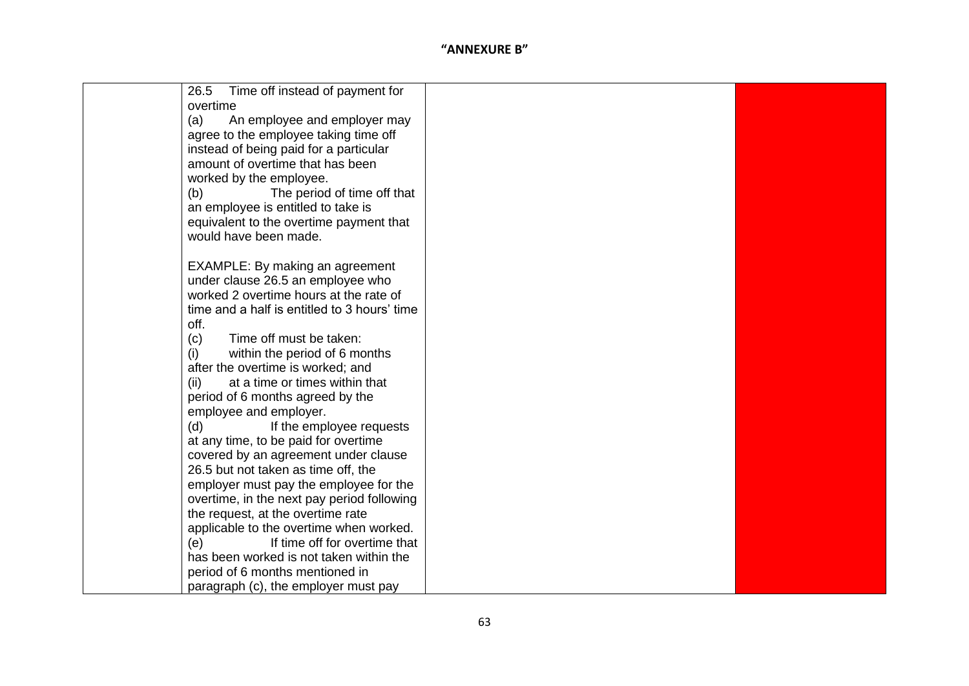| 26.5<br>Time off instead of payment for      |  |
|----------------------------------------------|--|
| overtime                                     |  |
| (a)<br>An employee and employer may          |  |
| agree to the employee taking time off        |  |
| instead of being paid for a particular       |  |
| amount of overtime that has been             |  |
| worked by the employee.                      |  |
| The period of time off that<br>(b)           |  |
| an employee is entitled to take is           |  |
| equivalent to the overtime payment that      |  |
| would have been made.                        |  |
|                                              |  |
| <b>EXAMPLE: By making an agreement</b>       |  |
| under clause 26.5 an employee who            |  |
| worked 2 overtime hours at the rate of       |  |
| time and a half is entitled to 3 hours' time |  |
| off.                                         |  |
| Time off must be taken:<br>(c)               |  |
| (i)<br>within the period of 6 months         |  |
| after the overtime is worked; and            |  |
| at a time or times within that<br>(ii)       |  |
| period of 6 months agreed by the             |  |
| employee and employer.                       |  |
| (d)<br>If the employee requests              |  |
| at any time, to be paid for overtime         |  |
| covered by an agreement under clause         |  |
| 26.5 but not taken as time off, the          |  |
| employer must pay the employee for the       |  |
| overtime, in the next pay period following   |  |
| the request, at the overtime rate            |  |
| applicable to the overtime when worked.      |  |
| If time off for overtime that<br>(e)         |  |
| has been worked is not taken within the      |  |
| period of 6 months mentioned in              |  |
| paragraph (c), the employer must pay         |  |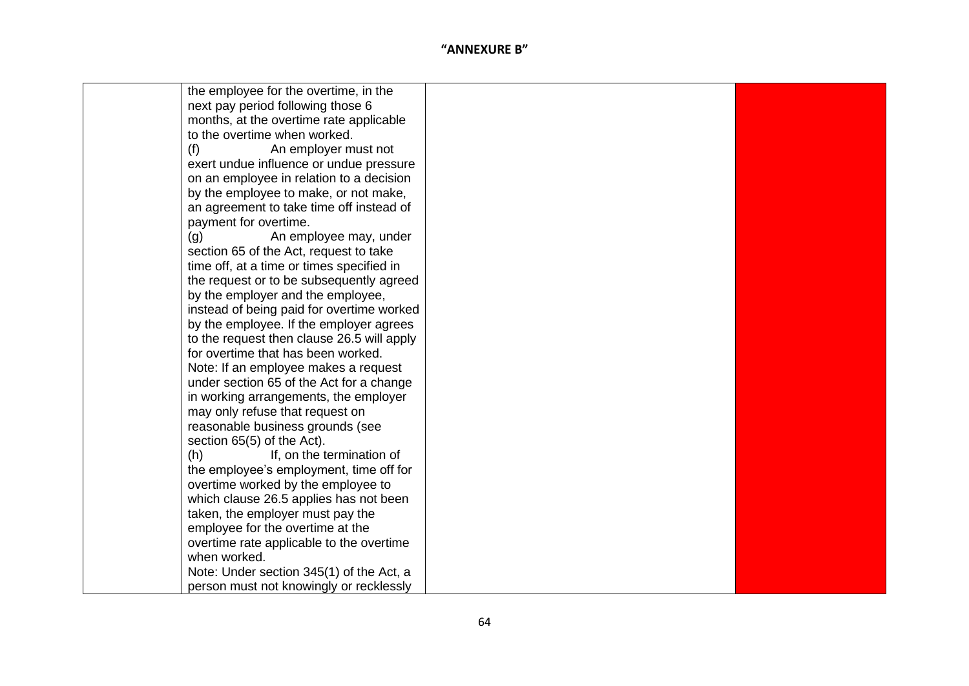| the employee for the overtime, in the      |  |
|--------------------------------------------|--|
| next pay period following those 6          |  |
| months, at the overtime rate applicable    |  |
| to the overtime when worked.               |  |
| (f)<br>An employer must not                |  |
| exert undue influence or undue pressure    |  |
| on an employee in relation to a decision   |  |
| by the employee to make, or not make,      |  |
| an agreement to take time off instead of   |  |
| payment for overtime.                      |  |
| (g)<br>An employee may, under              |  |
| section 65 of the Act, request to take     |  |
| time off, at a time or times specified in  |  |
| the request or to be subsequently agreed   |  |
| by the employer and the employee,          |  |
| instead of being paid for overtime worked  |  |
| by the employee. If the employer agrees    |  |
| to the request then clause 26.5 will apply |  |
| for overtime that has been worked.         |  |
| Note: If an employee makes a request       |  |
| under section 65 of the Act for a change   |  |
| in working arrangements, the employer      |  |
| may only refuse that request on            |  |
| reasonable business grounds (see           |  |
| section 65(5) of the Act).                 |  |
| (h)<br>If, on the termination of           |  |
| the employee's employment, time off for    |  |
| overtime worked by the employee to         |  |
| which clause 26.5 applies has not been     |  |
| taken, the employer must pay the           |  |
| employee for the overtime at the           |  |
| overtime rate applicable to the overtime   |  |
| when worked.                               |  |
| Note: Under section 345(1) of the Act, a   |  |
| person must not knowingly or recklessly    |  |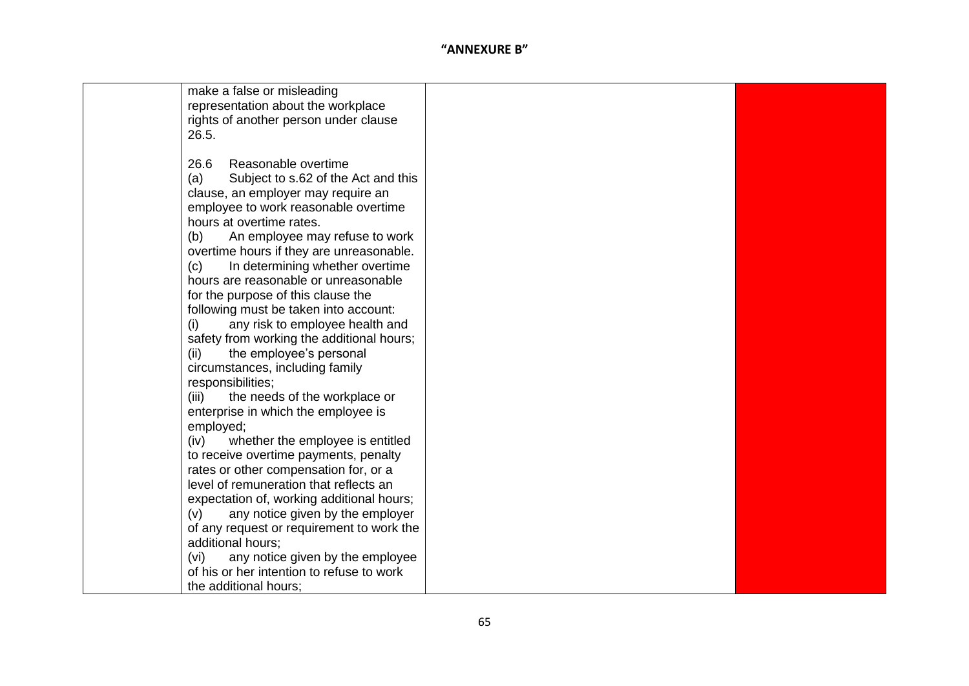| make a false or misleading<br>representation about the workplace<br>rights of another person under clause<br>26.5.                                                                                                                                                                                                                                                                                                                                                                                                                                                                                                          |  |
|-----------------------------------------------------------------------------------------------------------------------------------------------------------------------------------------------------------------------------------------------------------------------------------------------------------------------------------------------------------------------------------------------------------------------------------------------------------------------------------------------------------------------------------------------------------------------------------------------------------------------------|--|
| Reasonable overtime<br>26.6<br>Subject to s.62 of the Act and this<br>(a)<br>clause, an employer may require an<br>employee to work reasonable overtime<br>hours at overtime rates.<br>An employee may refuse to work<br>(b)<br>overtime hours if they are unreasonable.<br>In determining whether overtime<br>(c)<br>hours are reasonable or unreasonable<br>for the purpose of this clause the<br>following must be taken into account:<br>any risk to employee health and<br>(i)<br>safety from working the additional hours;<br>the employee's personal<br>(ii)<br>circumstances, including family<br>responsibilities; |  |
| the needs of the workplace or<br>(iii)<br>enterprise in which the employee is<br>employed;                                                                                                                                                                                                                                                                                                                                                                                                                                                                                                                                  |  |
| whether the employee is entitled<br>(iv)<br>to receive overtime payments, penalty<br>rates or other compensation for, or a<br>level of remuneration that reflects an                                                                                                                                                                                                                                                                                                                                                                                                                                                        |  |
| expectation of, working additional hours;<br>any notice given by the employer<br>(v)<br>of any request or requirement to work the<br>additional hours;                                                                                                                                                                                                                                                                                                                                                                                                                                                                      |  |
| any notice given by the employee<br>(vi)<br>of his or her intention to refuse to work<br>the additional hours;                                                                                                                                                                                                                                                                                                                                                                                                                                                                                                              |  |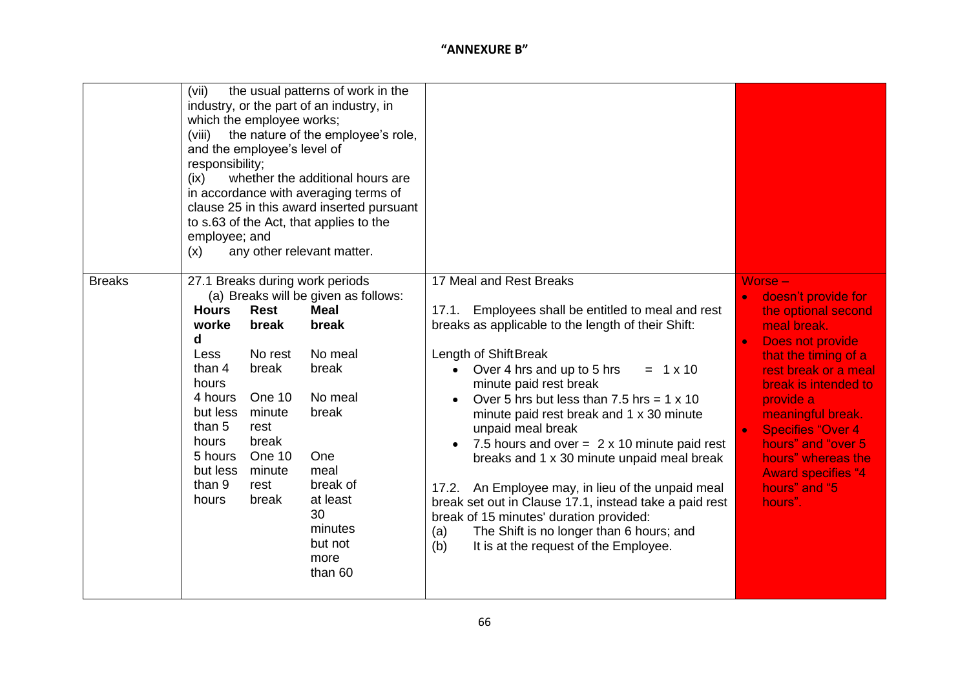|               | (vii)<br>industry, or the part of an industry, in<br>which the employee works;<br>(viii)<br>and the employee's level of<br>responsibility;<br>(ix)<br>in accordance with averaging terms of<br>to s.63 of the Act, that applies to the<br>employee; and<br>(x)                                     | the usual patterns of work in the<br>the nature of the employee's role,<br>whether the additional hours are<br>clause 25 in this award inserted pursuant<br>any other relevant matter.     |                                                                                                                                                                                                                                                                                                                                                                                                                                                                                                                                                                                                                                                                                                                                                         |                                                                                                                                                                                                                                                                                                                                                    |
|---------------|----------------------------------------------------------------------------------------------------------------------------------------------------------------------------------------------------------------------------------------------------------------------------------------------------|--------------------------------------------------------------------------------------------------------------------------------------------------------------------------------------------|---------------------------------------------------------------------------------------------------------------------------------------------------------------------------------------------------------------------------------------------------------------------------------------------------------------------------------------------------------------------------------------------------------------------------------------------------------------------------------------------------------------------------------------------------------------------------------------------------------------------------------------------------------------------------------------------------------------------------------------------------------|----------------------------------------------------------------------------------------------------------------------------------------------------------------------------------------------------------------------------------------------------------------------------------------------------------------------------------------------------|
| <b>Breaks</b> | 27.1 Breaks during work periods<br><b>Rest</b><br><b>Hours</b><br>break<br>worke<br>d<br>No rest<br>Less<br>than 4<br>break<br>hours<br>One 10<br>4 hours<br>but less<br>minute<br>than 5<br>rest<br>hours<br>break<br>5 hours<br>One 10<br>but less<br>minute<br>than 9<br>rest<br>hours<br>break | (a) Breaks will be given as follows:<br><b>Meal</b><br>break<br>No meal<br>break<br>No meal<br>break<br>One<br>meal<br>break of<br>at least<br>30<br>minutes<br>but not<br>more<br>than 60 | 17 Meal and Rest Breaks<br>17.1. Employees shall be entitled to meal and rest<br>breaks as applicable to the length of their Shift:<br>Length of ShiftBreak<br>Over 4 hrs and up to 5 hrs<br>$= 1 \times 10$<br>$\bullet$<br>minute paid rest break<br>Over 5 hrs but less than 7.5 hrs = $1 \times 10$<br>minute paid rest break and 1 x 30 minute<br>unpaid meal break<br>7.5 hours and over = $2 \times 10$ minute paid rest<br>$\bullet$<br>breaks and 1 x 30 minute unpaid meal break<br>17.2. An Employee may, in lieu of the unpaid meal<br>break set out in Clause 17.1, instead take a paid rest<br>break of 15 minutes' duration provided:<br>The Shift is no longer than 6 hours; and<br>(a)<br>(b)<br>It is at the request of the Employee. | $Worse -$<br>doesn't provide for<br>the optional second<br>meal break.<br>Does not provide<br>that the timing of a<br>rest break or a meal<br>break is intended to<br>provide a<br>meaningful break.<br><b>Specifies "Over 4</b><br>$\bullet$<br>hours" and "over 5<br>hours" whereas the<br><b>Award specifies "4</b><br>hours" and "5<br>hours". |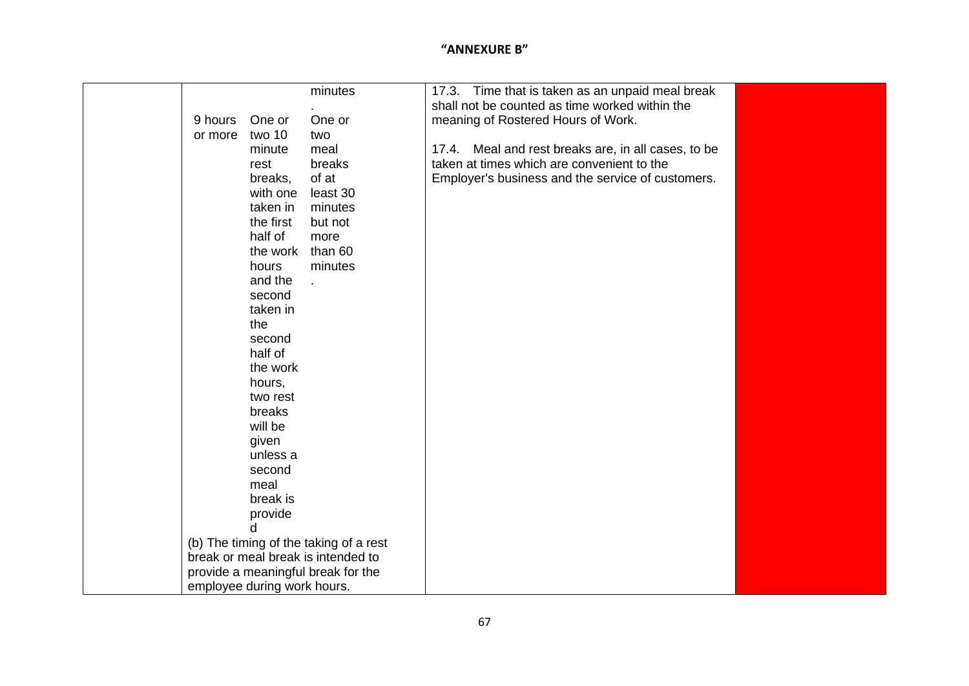|         |                             | minutes                                |  |                                                | 17.3. Time that is taken as an unpaid meal break    |  |
|---------|-----------------------------|----------------------------------------|--|------------------------------------------------|-----------------------------------------------------|--|
|         |                             |                                        |  | shall not be counted as time worked within the |                                                     |  |
| 9 hours | One or                      | One or                                 |  | meaning of Rostered Hours of Work.             |                                                     |  |
| or more | two 10                      | two                                    |  |                                                |                                                     |  |
|         | minute                      | meal                                   |  |                                                | 17.4. Meal and rest breaks are, in all cases, to be |  |
|         | rest                        | breaks                                 |  | taken at times which are convenient to the     |                                                     |  |
|         | breaks,                     | of at                                  |  |                                                | Employer's business and the service of customers.   |  |
|         | with one                    | least 30                               |  |                                                |                                                     |  |
|         | taken in                    | minutes                                |  |                                                |                                                     |  |
|         | the first                   | but not                                |  |                                                |                                                     |  |
|         | half of                     | more                                   |  |                                                |                                                     |  |
|         | the work than 60            |                                        |  |                                                |                                                     |  |
|         | hours                       | minutes                                |  |                                                |                                                     |  |
|         | and the                     |                                        |  |                                                |                                                     |  |
|         | second                      |                                        |  |                                                |                                                     |  |
|         | taken in                    |                                        |  |                                                |                                                     |  |
|         | the                         |                                        |  |                                                |                                                     |  |
|         | second                      |                                        |  |                                                |                                                     |  |
|         | half of                     |                                        |  |                                                |                                                     |  |
|         | the work                    |                                        |  |                                                |                                                     |  |
|         | hours,                      |                                        |  |                                                |                                                     |  |
|         | two rest                    |                                        |  |                                                |                                                     |  |
|         | breaks                      |                                        |  |                                                |                                                     |  |
|         | will be                     |                                        |  |                                                |                                                     |  |
|         | given                       |                                        |  |                                                |                                                     |  |
|         | unless a                    |                                        |  |                                                |                                                     |  |
|         | second                      |                                        |  |                                                |                                                     |  |
|         | meal                        |                                        |  |                                                |                                                     |  |
|         | break is                    |                                        |  |                                                |                                                     |  |
|         | provide                     |                                        |  |                                                |                                                     |  |
|         | d                           |                                        |  |                                                |                                                     |  |
|         |                             | (b) The timing of the taking of a rest |  |                                                |                                                     |  |
|         |                             | break or meal break is intended to     |  |                                                |                                                     |  |
|         |                             | provide a meaningful break for the     |  |                                                |                                                     |  |
|         | employee during work hours. |                                        |  |                                                |                                                     |  |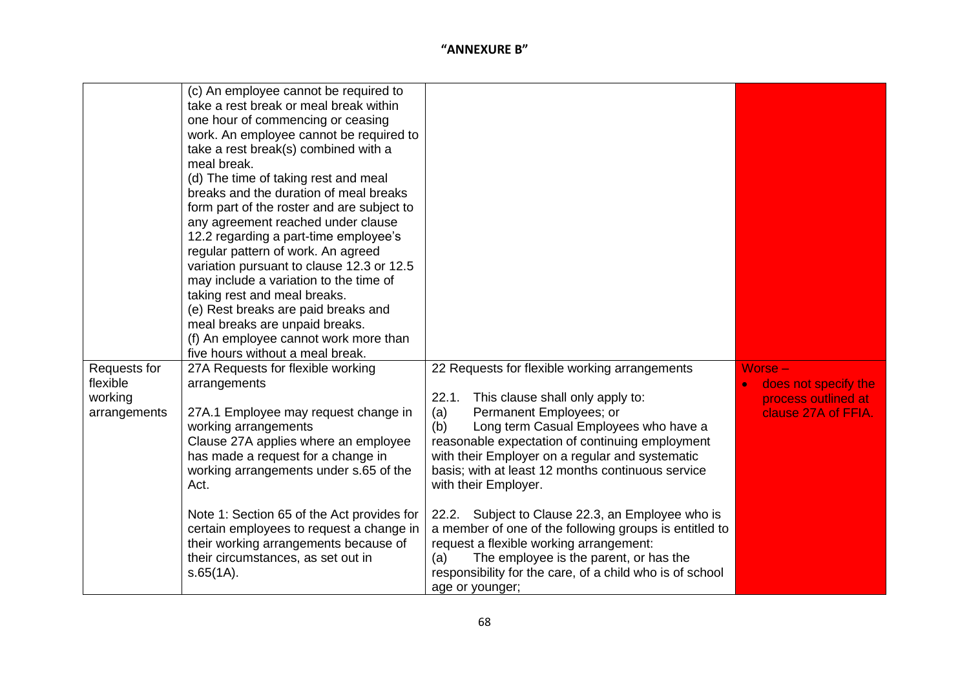| Requests for<br>flexible<br>working<br>arrangements | (c) An employee cannot be required to<br>take a rest break or meal break within<br>one hour of commencing or ceasing<br>work. An employee cannot be required to<br>take a rest break(s) combined with a<br>meal break.<br>(d) The time of taking rest and meal<br>breaks and the duration of meal breaks<br>form part of the roster and are subject to<br>any agreement reached under clause<br>12.2 regarding a part-time employee's<br>regular pattern of work. An agreed<br>variation pursuant to clause 12.3 or 12.5<br>may include a variation to the time of<br>taking rest and meal breaks.<br>(e) Rest breaks are paid breaks and<br>meal breaks are unpaid breaks.<br>(f) An employee cannot work more than<br>five hours without a meal break.<br>27A Requests for flexible working<br>arrangements<br>27A.1 Employee may request change in<br>working arrangements<br>Clause 27A applies where an employee<br>has made a request for a change in<br>working arrangements under s.65 of the<br>Act.<br>Note 1: Section 65 of the Act provides for<br>certain employees to request a change in | 22 Requests for flexible working arrangements<br>22.1. This clause shall only apply to:<br>Permanent Employees; or<br>(a)<br>Long term Casual Employees who have a<br>(b)<br>reasonable expectation of continuing employment<br>with their Employer on a regular and systematic<br>basis; with at least 12 months continuous service<br>with their Employer.<br>22.2. Subject to Clause 22.3, an Employee who is<br>a member of one of the following groups is entitled to | $Worse -$<br>does not specify the<br>process outlined at<br>clause 27A of FFIA. |
|-----------------------------------------------------|---------------------------------------------------------------------------------------------------------------------------------------------------------------------------------------------------------------------------------------------------------------------------------------------------------------------------------------------------------------------------------------------------------------------------------------------------------------------------------------------------------------------------------------------------------------------------------------------------------------------------------------------------------------------------------------------------------------------------------------------------------------------------------------------------------------------------------------------------------------------------------------------------------------------------------------------------------------------------------------------------------------------------------------------------------------------------------------------------------|----------------------------------------------------------------------------------------------------------------------------------------------------------------------------------------------------------------------------------------------------------------------------------------------------------------------------------------------------------------------------------------------------------------------------------------------------------------------------|---------------------------------------------------------------------------------|
|                                                     | their working arrangements because of<br>their circumstances, as set out in<br>$s.65(1A)$ .                                                                                                                                                                                                                                                                                                                                                                                                                                                                                                                                                                                                                                                                                                                                                                                                                                                                                                                                                                                                             | request a flexible working arrangement:<br>The employee is the parent, or has the<br>(a)<br>responsibility for the care, of a child who is of school<br>age or younger;                                                                                                                                                                                                                                                                                                    |                                                                                 |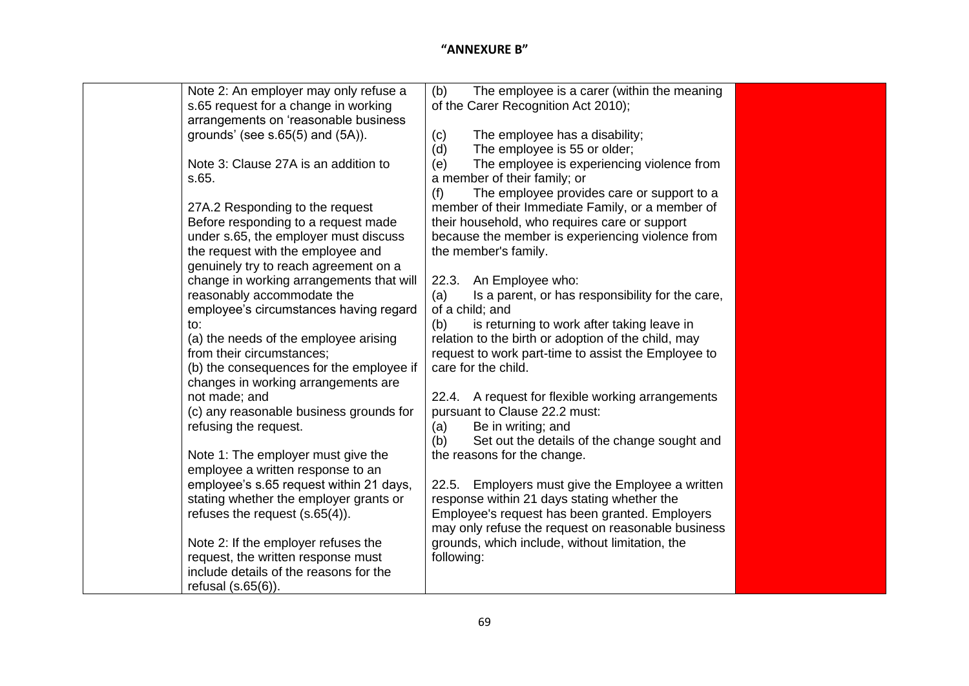| Note 2: An employer may only refuse a    | The employee is a carer (within the meaning<br>(b)      |  |
|------------------------------------------|---------------------------------------------------------|--|
| s.65 request for a change in working     | of the Carer Recognition Act 2010);                     |  |
| arrangements on 'reasonable business     |                                                         |  |
| grounds' (see $s.65(5)$ and $(5A)$ ).    | The employee has a disability;<br>(c)                   |  |
|                                          | The employee is 55 or older;<br>(d)                     |  |
| Note 3: Clause 27A is an addition to     | The employee is experiencing violence from<br>(e)       |  |
| s.65.                                    | a member of their family; or                            |  |
|                                          | The employee provides care or support to a<br>(f)       |  |
| 27A.2 Responding to the request          | member of their Immediate Family, or a member of        |  |
| Before responding to a request made      | their household, who requires care or support           |  |
| under s.65, the employer must discuss    | because the member is experiencing violence from        |  |
| the request with the employee and        | the member's family.                                    |  |
| genuinely try to reach agreement on a    |                                                         |  |
| change in working arrangements that will | 22.3. An Employee who:                                  |  |
| reasonably accommodate the               | Is a parent, or has responsibility for the care,<br>(a) |  |
| employee's circumstances having regard   | of a child; and                                         |  |
| to:                                      | is returning to work after taking leave in<br>(b)       |  |
| (a) the needs of the employee arising    | relation to the birth or adoption of the child, may     |  |
| from their circumstances;                | request to work part-time to assist the Employee to     |  |
| (b) the consequences for the employee if | care for the child.                                     |  |
| changes in working arrangements are      |                                                         |  |
| not made; and                            | 22.4. A request for flexible working arrangements       |  |
| (c) any reasonable business grounds for  | pursuant to Clause 22.2 must:                           |  |
| refusing the request.                    | Be in writing; and<br>(a)                               |  |
|                                          | Set out the details of the change sought and<br>(b)     |  |
| Note 1: The employer must give the       | the reasons for the change.                             |  |
| employee a written response to an        |                                                         |  |
| employee's s.65 request within 21 days,  | 22.5. Employers must give the Employee a written        |  |
| stating whether the employer grants or   | response within 21 days stating whether the             |  |
| refuses the request $(s.65(4))$ .        | Employee's request has been granted. Employers          |  |
|                                          | may only refuse the request on reasonable business      |  |
| Note 2: If the employer refuses the      | grounds, which include, without limitation, the         |  |
| request, the written response must       | following:                                              |  |
| include details of the reasons for the   |                                                         |  |
| refusal $(s.65(6))$ .                    |                                                         |  |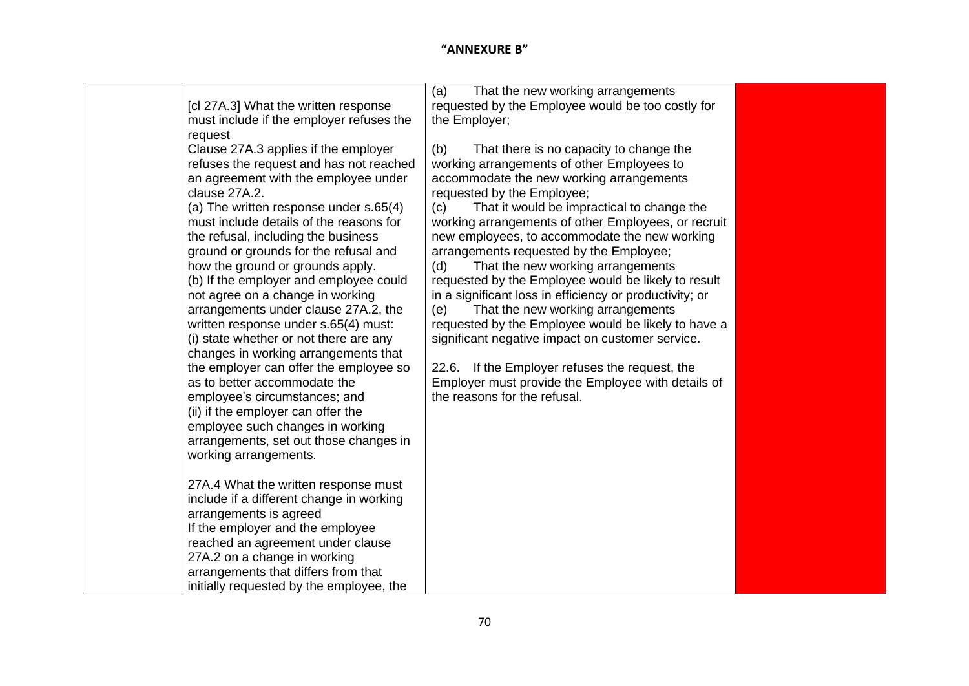|                                                                                | That the new working arrangements<br>(a)                                                                |
|--------------------------------------------------------------------------------|---------------------------------------------------------------------------------------------------------|
| [cl 27A.3] What the written response                                           | requested by the Employee would be too costly for                                                       |
| must include if the employer refuses the                                       | the Employer;                                                                                           |
| request                                                                        |                                                                                                         |
| Clause 27A.3 applies if the employer                                           | (b)<br>That there is no capacity to change the                                                          |
| refuses the request and has not reached                                        | working arrangements of other Employees to                                                              |
| an agreement with the employee under                                           | accommodate the new working arrangements                                                                |
| clause 27A.2.                                                                  | requested by the Employee;                                                                              |
| (a) The written response under s.65(4)                                         | That it would be impractical to change the<br>(c)                                                       |
| must include details of the reasons for                                        | working arrangements of other Employees, or recruit                                                     |
| the refusal, including the business                                            | new employees, to accommodate the new working                                                           |
| ground or grounds for the refusal and                                          | arrangements requested by the Employee;                                                                 |
| how the ground or grounds apply.                                               | That the new working arrangements<br>(d)                                                                |
| (b) If the employer and employee could                                         | requested by the Employee would be likely to result                                                     |
| not agree on a change in working                                               | in a significant loss in efficiency or productivity; or                                                 |
| arrangements under clause 27A.2, the                                           | That the new working arrangements<br>(e)                                                                |
| written response under s.65(4) must:<br>(i) state whether or not there are any | requested by the Employee would be likely to have a<br>significant negative impact on customer service. |
| changes in working arrangements that                                           |                                                                                                         |
| the employer can offer the employee so                                         | 22.6. If the Employer refuses the request, the                                                          |
| as to better accommodate the                                                   | Employer must provide the Employee with details of                                                      |
| employee's circumstances; and                                                  | the reasons for the refusal.                                                                            |
| (ii) if the employer can offer the                                             |                                                                                                         |
| employee such changes in working                                               |                                                                                                         |
| arrangements, set out those changes in                                         |                                                                                                         |
| working arrangements.                                                          |                                                                                                         |
|                                                                                |                                                                                                         |
| 27A.4 What the written response must                                           |                                                                                                         |
| include if a different change in working                                       |                                                                                                         |
| arrangements is agreed                                                         |                                                                                                         |
| If the employer and the employee                                               |                                                                                                         |
| reached an agreement under clause                                              |                                                                                                         |
| 27A.2 on a change in working                                                   |                                                                                                         |
| arrangements that differs from that                                            |                                                                                                         |
| initially requested by the employee, the                                       |                                                                                                         |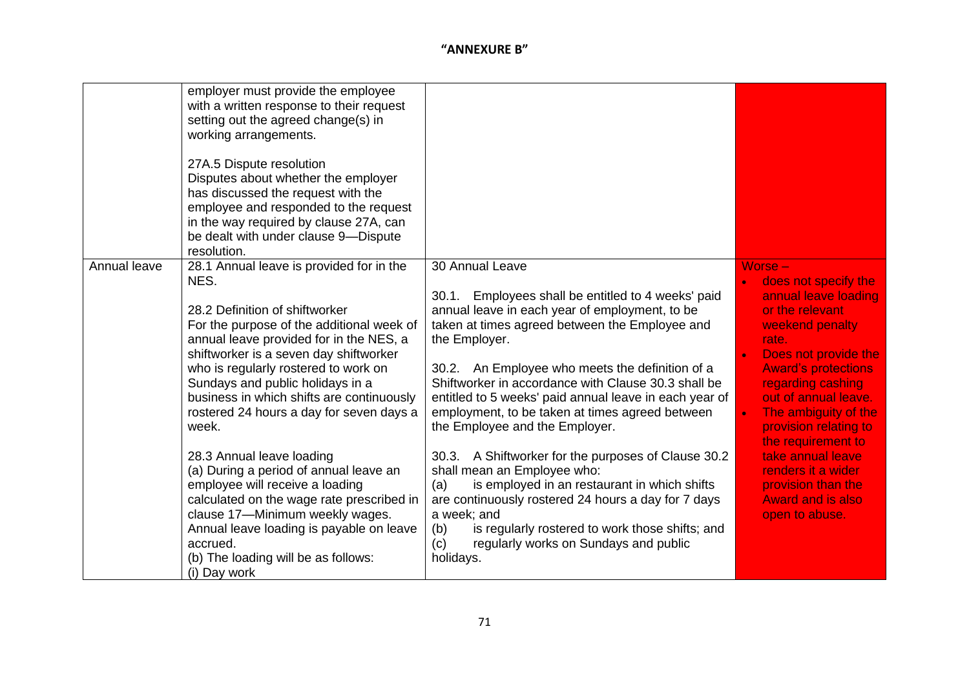|              | employer must provide the employee        |                                                        |                            |
|--------------|-------------------------------------------|--------------------------------------------------------|----------------------------|
|              | with a written response to their request  |                                                        |                            |
|              | setting out the agreed change(s) in       |                                                        |                            |
|              | working arrangements.                     |                                                        |                            |
|              |                                           |                                                        |                            |
|              | 27A.5 Dispute resolution                  |                                                        |                            |
|              | Disputes about whether the employer       |                                                        |                            |
|              | has discussed the request with the        |                                                        |                            |
|              | employee and responded to the request     |                                                        |                            |
|              | in the way required by clause 27A, can    |                                                        |                            |
|              | be dealt with under clause 9-Dispute      |                                                        |                            |
|              | resolution.                               |                                                        |                            |
| Annual leave | 28.1 Annual leave is provided for in the  | 30 Annual Leave                                        | Worse -                    |
|              | NES.                                      |                                                        | does not specify the       |
|              |                                           | 30.1. Employees shall be entitled to 4 weeks' paid     | annual leave loading       |
|              | 28.2 Definition of shiftworker            | annual leave in each year of employment, to be         | or the relevant            |
|              | For the purpose of the additional week of | taken at times agreed between the Employee and         | weekend penalty            |
|              | annual leave provided for in the NES, a   | the Employer.                                          | rate.                      |
|              | shiftworker is a seven day shiftworker    |                                                        | Does not provide the       |
|              | who is regularly rostered to work on      | 30.2. An Employee who meets the definition of a        | <b>Award's protections</b> |
|              | Sundays and public holidays in a          | Shiftworker in accordance with Clause 30.3 shall be    | regarding cashing          |
|              | business in which shifts are continuously | entitled to 5 weeks' paid annual leave in each year of | out of annual leave.       |
|              | rostered 24 hours a day for seven days a  | employment, to be taken at times agreed between        | The ambiguity of the       |
|              | week.                                     | the Employee and the Employer.                         | provision relating to      |
|              |                                           |                                                        | the requirement to         |
|              | 28.3 Annual leave loading                 | 30.3. A Shiftworker for the purposes of Clause 30.2    | take annual leave          |
|              | (a) During a period of annual leave an    | shall mean an Employee who:                            | renders it a wider         |
|              | employee will receive a loading           | is employed in an restaurant in which shifts<br>(a)    | provision than the         |
|              | calculated on the wage rate prescribed in | are continuously rostered 24 hours a day for 7 days    | <b>Award and is also</b>   |
|              | clause 17-Minimum weekly wages.           | a week; and                                            | open to abuse.             |
|              | Annual leave loading is payable on leave  | is regularly rostered to work those shifts; and<br>(b) |                            |
|              | accrued.                                  | regularly works on Sundays and public<br>(c)           |                            |
|              | (b) The loading will be as follows:       | holidays.                                              |                            |
|              | (i) Day work                              |                                                        |                            |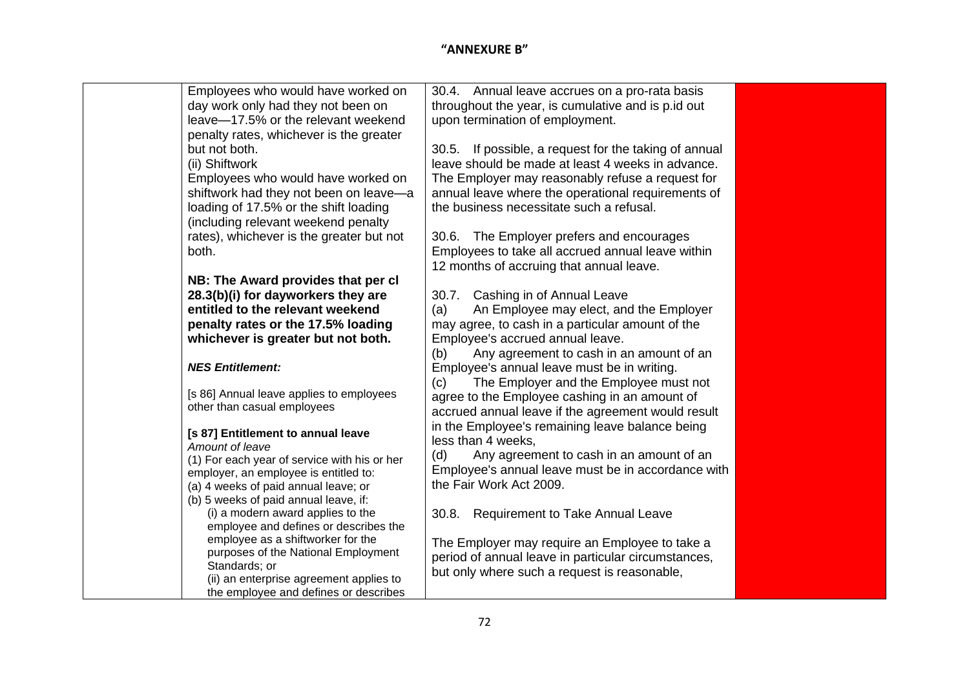| Employees who would have worked on                   | 30.4. Annual leave accrues on a pro-rata basis        |
|------------------------------------------------------|-------------------------------------------------------|
| day work only had they not been on                   | throughout the year, is cumulative and is p.id out    |
| leave-17.5% or the relevant weekend                  | upon termination of employment.                       |
| penalty rates, whichever is the greater              |                                                       |
| but not both.                                        | 30.5. If possible, a request for the taking of annual |
| (ii) Shiftwork                                       | leave should be made at least 4 weeks in advance.     |
| Employees who would have worked on                   | The Employer may reasonably refuse a request for      |
| shiftwork had they not been on leave-a               | annual leave where the operational requirements of    |
| loading of 17.5% or the shift loading                | the business necessitate such a refusal.              |
| (including relevant weekend penalty                  |                                                       |
| rates), whichever is the greater but not             | 30.6. The Employer prefers and encourages             |
| both.                                                | Employees to take all accrued annual leave within     |
|                                                      | 12 months of accruing that annual leave.              |
| NB: The Award provides that per cl                   |                                                       |
| 28.3(b)(i) for dayworkers they are                   | 30.7. Cashing in of Annual Leave                      |
| entitled to the relevant weekend                     | An Employee may elect, and the Employer<br>(a)        |
| penalty rates or the 17.5% loading                   | may agree, to cash in a particular amount of the      |
| whichever is greater but not both.                   | Employee's accrued annual leave.                      |
|                                                      | Any agreement to cash in an amount of an<br>(b)       |
| <b>NES Entitlement:</b>                              | Employee's annual leave must be in writing.           |
|                                                      | The Employer and the Employee must not<br>(c)         |
| [s 86] Annual leave applies to employees             | agree to the Employee cashing in an amount of         |
| other than casual employees                          | accrued annual leave if the agreement would result    |
| [s 87] Entitlement to annual leave                   | in the Employee's remaining leave balance being       |
| Amount of leave                                      | less than 4 weeks,                                    |
| (1) For each year of service with his or her         | (d)<br>Any agreement to cash in an amount of an       |
| employer, an employee is entitled to:                | Employee's annual leave must be in accordance with    |
| (a) 4 weeks of paid annual leave; or                 | the Fair Work Act 2009.                               |
| (b) 5 weeks of paid annual leave, if:                |                                                       |
| (i) a modern award applies to the                    | <b>Requirement to Take Annual Leave</b><br>30.8.      |
| employee and defines or describes the                |                                                       |
| employee as a shiftworker for the                    | The Employer may require an Employee to take a        |
| purposes of the National Employment<br>Standards; or | period of annual leave in particular circumstances,   |
| (ii) an enterprise agreement applies to              | but only where such a request is reasonable,          |
| the employee and defines or describes                |                                                       |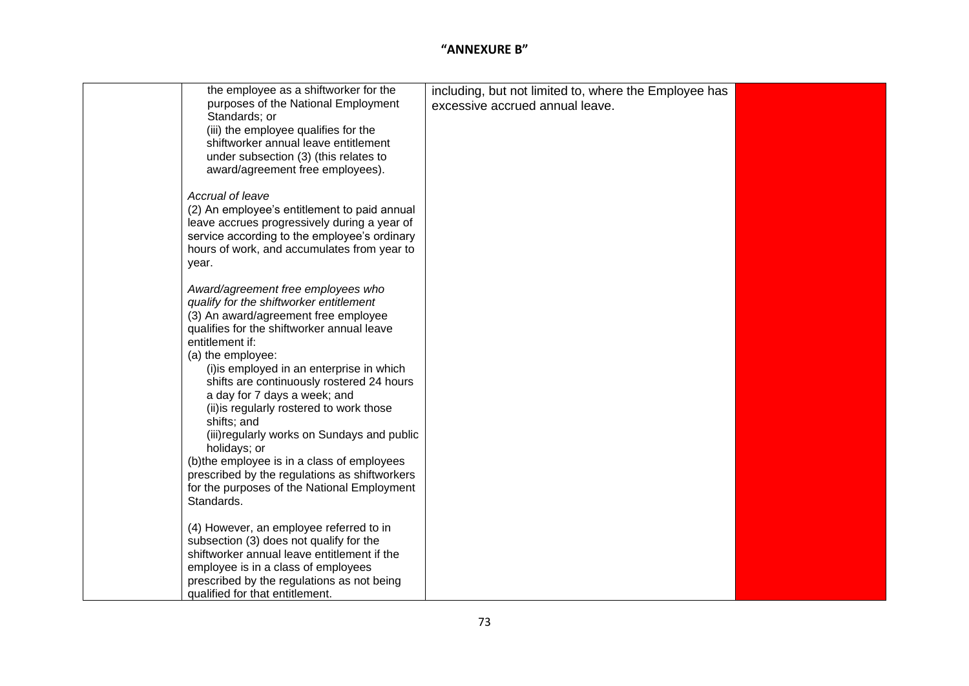| the employee as a shiftworker for the<br>purposes of the National Employment                                                                                                                                                                                                                                                                                                                                                                                                                                                                                                                                                 | including, but not limited to, where the Employee has<br>excessive accrued annual leave. |  |
|------------------------------------------------------------------------------------------------------------------------------------------------------------------------------------------------------------------------------------------------------------------------------------------------------------------------------------------------------------------------------------------------------------------------------------------------------------------------------------------------------------------------------------------------------------------------------------------------------------------------------|------------------------------------------------------------------------------------------|--|
| Standards; or<br>(iii) the employee qualifies for the<br>shiftworker annual leave entitlement<br>under subsection (3) (this relates to<br>award/agreement free employees).                                                                                                                                                                                                                                                                                                                                                                                                                                                   |                                                                                          |  |
| Accrual of leave<br>(2) An employee's entitlement to paid annual<br>leave accrues progressively during a year of<br>service according to the employee's ordinary<br>hours of work, and accumulates from year to<br>year.                                                                                                                                                                                                                                                                                                                                                                                                     |                                                                                          |  |
| Award/agreement free employees who<br>qualify for the shiftworker entitlement<br>(3) An award/agreement free employee<br>qualifies for the shiftworker annual leave<br>entitlement if:<br>(a) the employee:<br>(i) is employed in an enterprise in which<br>shifts are continuously rostered 24 hours<br>a day for 7 days a week; and<br>(ii) is regularly rostered to work those<br>shifts; and<br>(iii) regularly works on Sundays and public<br>holidays; or<br>(b) the employee is in a class of employees<br>prescribed by the regulations as shiftworkers<br>for the purposes of the National Employment<br>Standards. |                                                                                          |  |
| (4) However, an employee referred to in<br>subsection (3) does not qualify for the<br>shiftworker annual leave entitlement if the<br>employee is in a class of employees<br>prescribed by the regulations as not being<br>qualified for that entitlement.                                                                                                                                                                                                                                                                                                                                                                    |                                                                                          |  |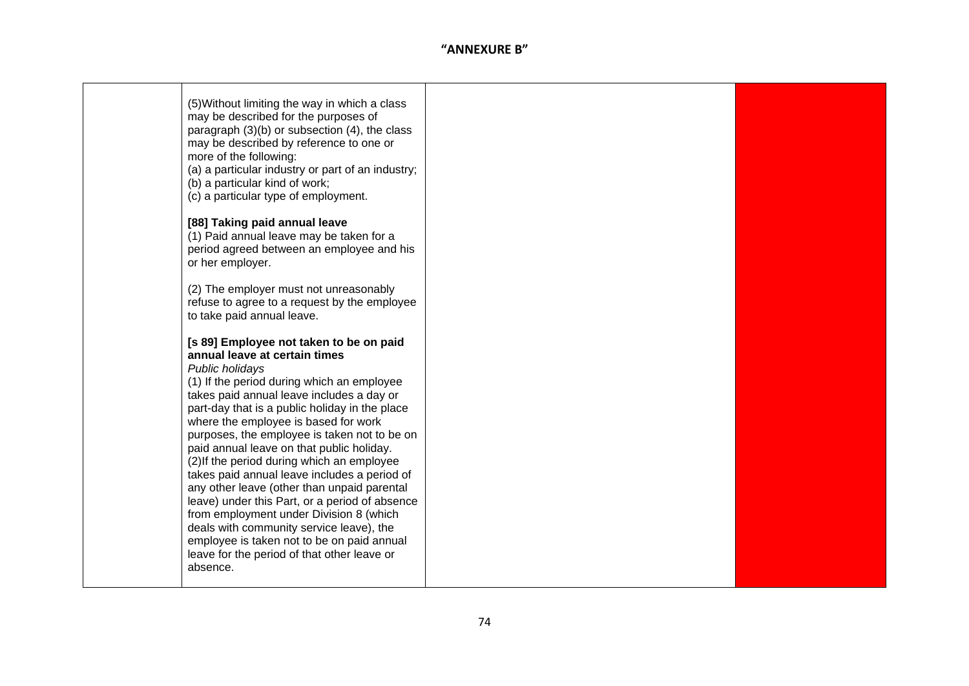| (5) Without limiting the way in which a class<br>may be described for the purposes of<br>paragraph $(3)(b)$ or subsection $(4)$ , the class<br>may be described by reference to one or<br>more of the following:<br>(a) a particular industry or part of an industry;<br>(b) a particular kind of work;<br>(c) a particular type of employment.                                                                                                                                                                                                                                                                                                                                                                                                                              |  |
|------------------------------------------------------------------------------------------------------------------------------------------------------------------------------------------------------------------------------------------------------------------------------------------------------------------------------------------------------------------------------------------------------------------------------------------------------------------------------------------------------------------------------------------------------------------------------------------------------------------------------------------------------------------------------------------------------------------------------------------------------------------------------|--|
| [88] Taking paid annual leave<br>(1) Paid annual leave may be taken for a<br>period agreed between an employee and his<br>or her employer.                                                                                                                                                                                                                                                                                                                                                                                                                                                                                                                                                                                                                                   |  |
| (2) The employer must not unreasonably<br>refuse to agree to a request by the employee<br>to take paid annual leave.                                                                                                                                                                                                                                                                                                                                                                                                                                                                                                                                                                                                                                                         |  |
| [s 89] Employee not taken to be on paid<br>annual leave at certain times<br>Public holidays<br>(1) If the period during which an employee<br>takes paid annual leave includes a day or<br>part-day that is a public holiday in the place<br>where the employee is based for work<br>purposes, the employee is taken not to be on<br>paid annual leave on that public holiday.<br>(2) If the period during which an employee<br>takes paid annual leave includes a period of<br>any other leave (other than unpaid parental<br>leave) under this Part, or a period of absence<br>from employment under Division 8 (which<br>deals with community service leave), the<br>employee is taken not to be on paid annual<br>leave for the period of that other leave or<br>absence. |  |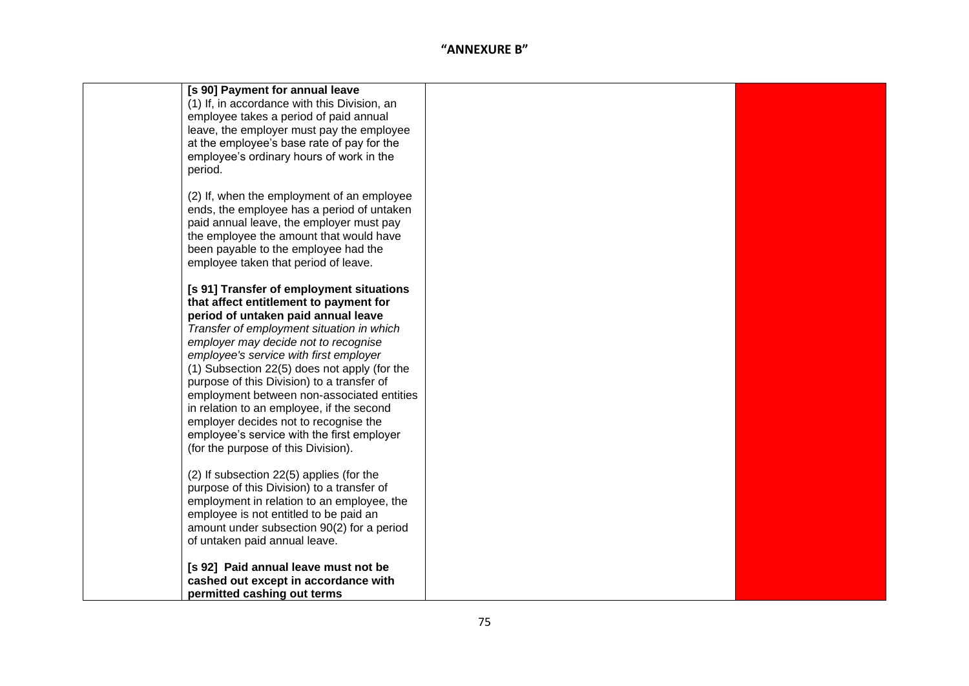|         | [s 90] Payment for annual leave              |  |
|---------|----------------------------------------------|--|
|         | (1) If, in accordance with this Division, an |  |
|         | employee takes a period of paid annual       |  |
|         | leave, the employer must pay the employee    |  |
|         | at the employee's base rate of pay for the   |  |
|         | employee's ordinary hours of work in the     |  |
| period. |                                              |  |
|         |                                              |  |
|         | (2) If, when the employment of an employee   |  |
|         | ends, the employee has a period of untaken   |  |
|         | paid annual leave, the employer must pay     |  |
|         | the employee the amount that would have      |  |
|         | been payable to the employee had the         |  |
|         | employee taken that period of leave.         |  |
|         | [s 91] Transfer of employment situations     |  |
|         | that affect entitlement to payment for       |  |
|         | period of untaken paid annual leave          |  |
|         | Transfer of employment situation in which    |  |
|         | employer may decide not to recognise         |  |
|         | employee's service with first employer       |  |
|         | (1) Subsection 22(5) does not apply (for the |  |
|         | purpose of this Division) to a transfer of   |  |
|         | employment between non-associated entities   |  |
|         | in relation to an employee, if the second    |  |
|         | employer decides not to recognise the        |  |
|         | employee's service with the first employer   |  |
|         | (for the purpose of this Division).          |  |
|         |                                              |  |
|         | (2) If subsection 22(5) applies (for the     |  |
|         | purpose of this Division) to a transfer of   |  |
|         | employment in relation to an employee, the   |  |
|         | employee is not entitled to be paid an       |  |
|         | amount under subsection 90(2) for a period   |  |
|         | of untaken paid annual leave.                |  |
|         |                                              |  |
|         | [s 92] Paid annual leave must not be         |  |
|         | cashed out except in accordance with         |  |
|         | permitted cashing out terms                  |  |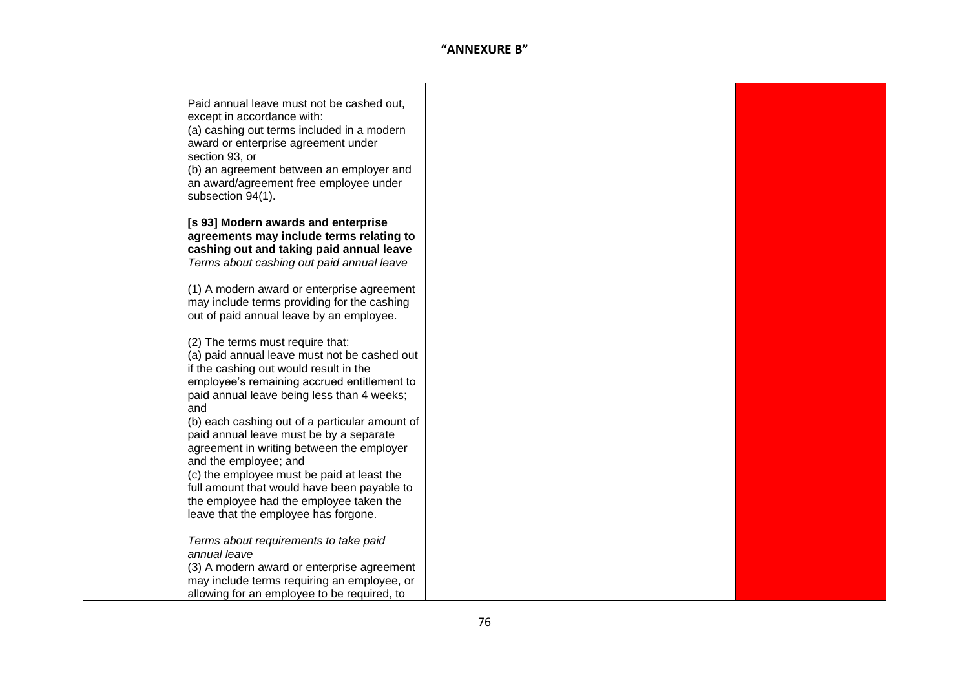| Paid annual leave must not be cashed out,<br>except in accordance with:<br>(a) cashing out terms included in a modern<br>award or enterprise agreement under<br>section 93, or<br>(b) an agreement between an employer and<br>an award/agreement free employee under<br>subsection 94(1).                                                                                                                                                                                                                                                                                         |  |
|-----------------------------------------------------------------------------------------------------------------------------------------------------------------------------------------------------------------------------------------------------------------------------------------------------------------------------------------------------------------------------------------------------------------------------------------------------------------------------------------------------------------------------------------------------------------------------------|--|
| [s 93] Modern awards and enterprise<br>agreements may include terms relating to<br>cashing out and taking paid annual leave<br>Terms about cashing out paid annual leave                                                                                                                                                                                                                                                                                                                                                                                                          |  |
| (1) A modern award or enterprise agreement<br>may include terms providing for the cashing<br>out of paid annual leave by an employee.                                                                                                                                                                                                                                                                                                                                                                                                                                             |  |
| (2) The terms must require that:<br>(a) paid annual leave must not be cashed out<br>if the cashing out would result in the<br>employee's remaining accrued entitlement to<br>paid annual leave being less than 4 weeks;<br>and<br>(b) each cashing out of a particular amount of<br>paid annual leave must be by a separate<br>agreement in writing between the employer<br>and the employee; and<br>(c) the employee must be paid at least the<br>full amount that would have been payable to<br>the employee had the employee taken the<br>leave that the employee has forgone. |  |
| Terms about requirements to take paid<br>annual leave<br>(3) A modern award or enterprise agreement<br>may include terms requiring an employee, or<br>allowing for an employee to be required, to                                                                                                                                                                                                                                                                                                                                                                                 |  |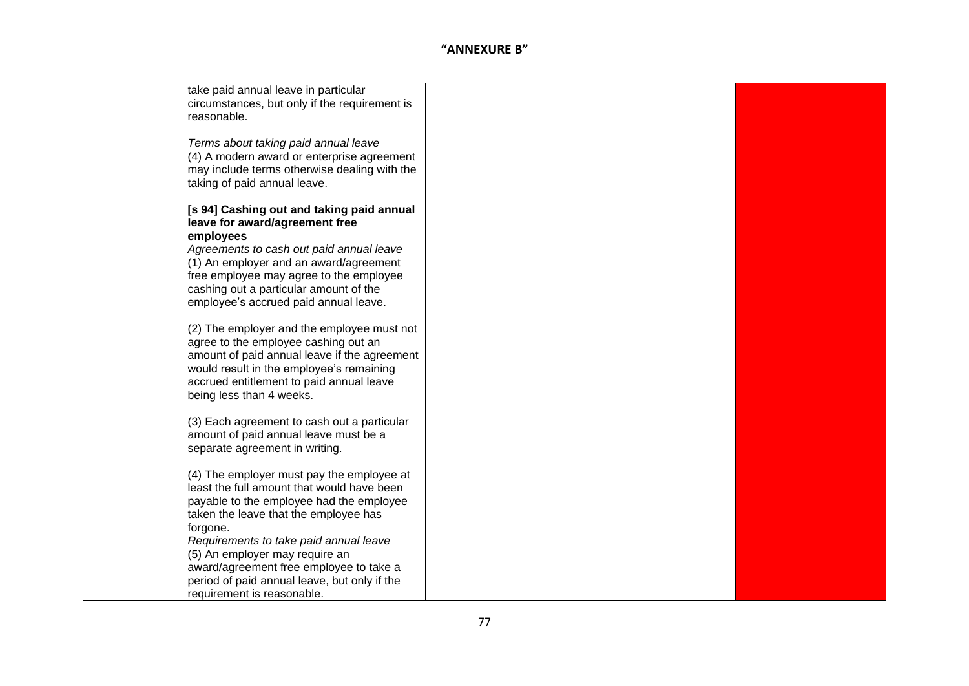| take paid annual leave in particular<br>circumstances, but only if the requirement is<br>reasonable.                                                                                                                                                                                                                                                                                          |  |
|-----------------------------------------------------------------------------------------------------------------------------------------------------------------------------------------------------------------------------------------------------------------------------------------------------------------------------------------------------------------------------------------------|--|
| Terms about taking paid annual leave<br>(4) A modern award or enterprise agreement<br>may include terms otherwise dealing with the<br>taking of paid annual leave.                                                                                                                                                                                                                            |  |
| [s 94] Cashing out and taking paid annual<br>leave for award/agreement free<br>employees<br>Agreements to cash out paid annual leave<br>(1) An employer and an award/agreement<br>free employee may agree to the employee<br>cashing out a particular amount of the<br>employee's accrued paid annual leave.                                                                                  |  |
| (2) The employer and the employee must not<br>agree to the employee cashing out an<br>amount of paid annual leave if the agreement<br>would result in the employee's remaining<br>accrued entitlement to paid annual leave<br>being less than 4 weeks.                                                                                                                                        |  |
| (3) Each agreement to cash out a particular<br>amount of paid annual leave must be a<br>separate agreement in writing.                                                                                                                                                                                                                                                                        |  |
| (4) The employer must pay the employee at<br>least the full amount that would have been<br>payable to the employee had the employee<br>taken the leave that the employee has<br>forgone.<br>Requirements to take paid annual leave<br>(5) An employer may require an<br>award/agreement free employee to take a<br>period of paid annual leave, but only if the<br>requirement is reasonable. |  |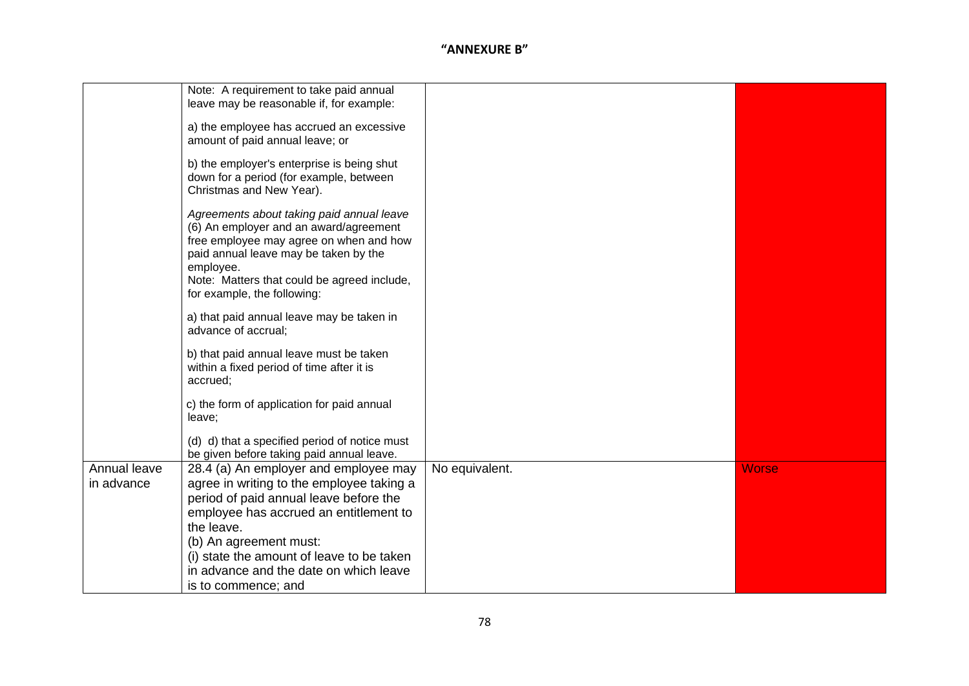|                            | Note: A requirement to take paid annual<br>leave may be reasonable if, for example:<br>a) the employee has accrued an excessive<br>amount of paid annual leave; or<br>b) the employer's enterprise is being shut<br>down for a period (for example, between<br>Christmas and New Year).<br>Agreements about taking paid annual leave<br>(6) An employer and an award/agreement<br>free employee may agree on when and how<br>paid annual leave may be taken by the |                |              |
|----------------------------|--------------------------------------------------------------------------------------------------------------------------------------------------------------------------------------------------------------------------------------------------------------------------------------------------------------------------------------------------------------------------------------------------------------------------------------------------------------------|----------------|--------------|
|                            | employee.<br>Note: Matters that could be agreed include,<br>for example, the following:<br>a) that paid annual leave may be taken in                                                                                                                                                                                                                                                                                                                               |                |              |
|                            | advance of accrual;                                                                                                                                                                                                                                                                                                                                                                                                                                                |                |              |
|                            | b) that paid annual leave must be taken<br>within a fixed period of time after it is<br>accrued;                                                                                                                                                                                                                                                                                                                                                                   |                |              |
|                            | c) the form of application for paid annual<br>leave;                                                                                                                                                                                                                                                                                                                                                                                                               |                |              |
|                            | (d) d) that a specified period of notice must<br>be given before taking paid annual leave.                                                                                                                                                                                                                                                                                                                                                                         |                |              |
| Annual leave<br>in advance | 28.4 (a) An employer and employee may<br>agree in writing to the employee taking a<br>period of paid annual leave before the<br>employee has accrued an entitlement to<br>the leave.<br>(b) An agreement must:<br>(i) state the amount of leave to be taken                                                                                                                                                                                                        | No equivalent. | <b>Worse</b> |
|                            | in advance and the date on which leave<br>is to commence; and                                                                                                                                                                                                                                                                                                                                                                                                      |                |              |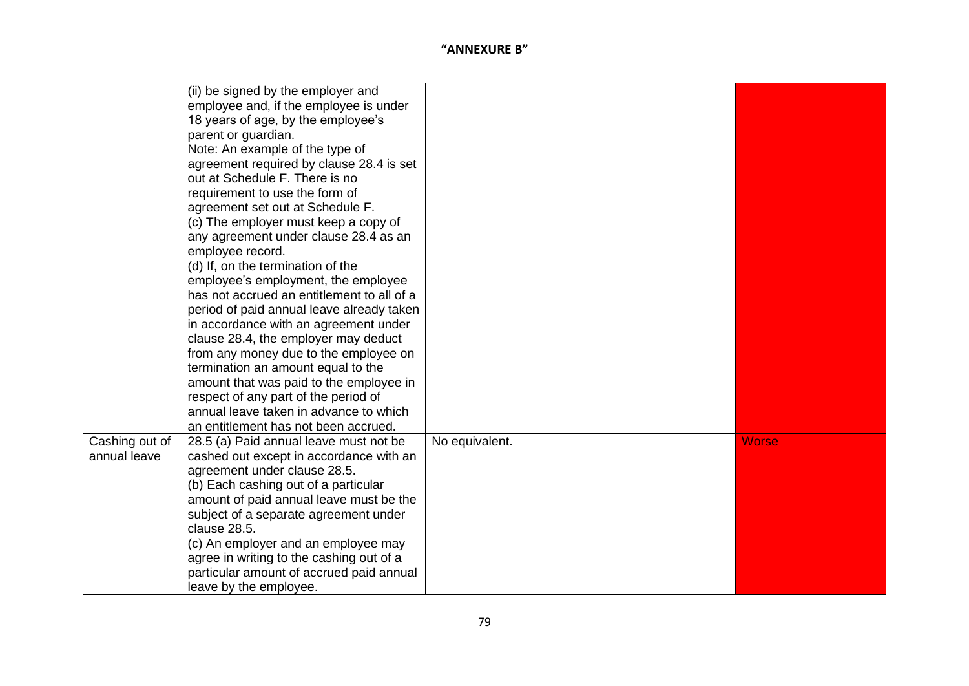|                | (ii) be signed by the employer and         |                |              |
|----------------|--------------------------------------------|----------------|--------------|
|                | employee and, if the employee is under     |                |              |
|                | 18 years of age, by the employee's         |                |              |
|                | parent or guardian.                        |                |              |
|                | Note: An example of the type of            |                |              |
|                | agreement required by clause 28.4 is set   |                |              |
|                | out at Schedule F. There is no             |                |              |
|                | requirement to use the form of             |                |              |
|                | agreement set out at Schedule F.           |                |              |
|                | (c) The employer must keep a copy of       |                |              |
|                | any agreement under clause 28.4 as an      |                |              |
|                | employee record.                           |                |              |
|                | (d) If, on the termination of the          |                |              |
|                | employee's employment, the employee        |                |              |
|                | has not accrued an entitlement to all of a |                |              |
|                | period of paid annual leave already taken  |                |              |
|                | in accordance with an agreement under      |                |              |
|                | clause 28.4, the employer may deduct       |                |              |
|                | from any money due to the employee on      |                |              |
|                | termination an amount equal to the         |                |              |
|                | amount that was paid to the employee in    |                |              |
|                | respect of any part of the period of       |                |              |
|                | annual leave taken in advance to which     |                |              |
|                | an entitlement has not been accrued.       |                |              |
| Cashing out of | 28.5 (a) Paid annual leave must not be     | No equivalent. | <b>Worse</b> |
| annual leave   | cashed out except in accordance with an    |                |              |
|                | agreement under clause 28.5.               |                |              |
|                | (b) Each cashing out of a particular       |                |              |
|                | amount of paid annual leave must be the    |                |              |
|                | subject of a separate agreement under      |                |              |
|                | clause 28.5.                               |                |              |
|                | (c) An employer and an employee may        |                |              |
|                | agree in writing to the cashing out of a   |                |              |
|                | particular amount of accrued paid annual   |                |              |
|                | leave by the employee.                     |                |              |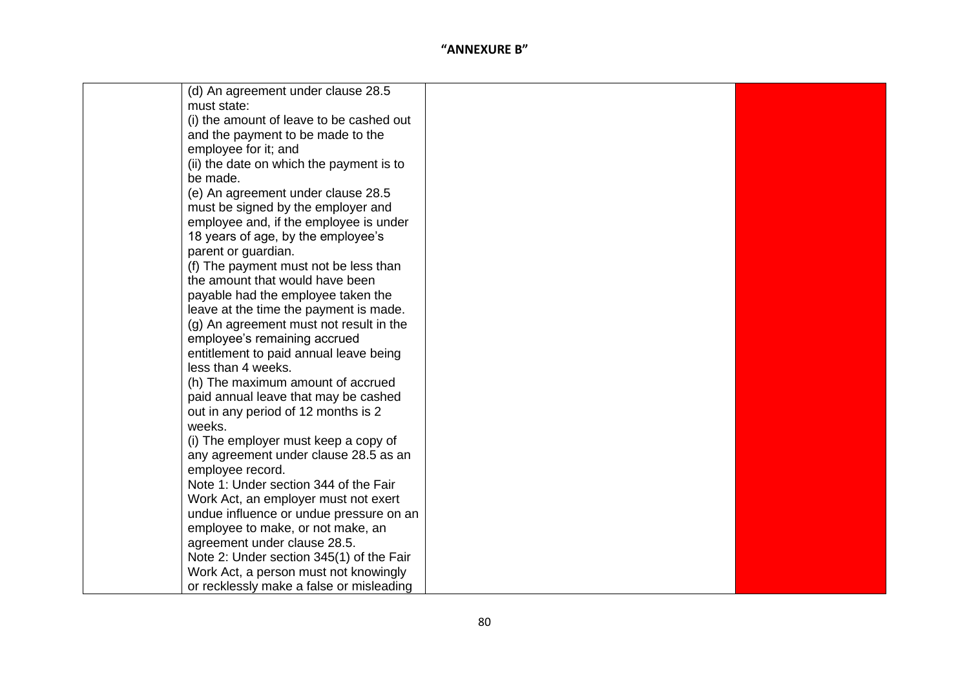| (d) An agreement under clause 28.5       |  |
|------------------------------------------|--|
| must state:                              |  |
| (i) the amount of leave to be cashed out |  |
| and the payment to be made to the        |  |
| employee for it; and                     |  |
| (ii) the date on which the payment is to |  |
| be made.                                 |  |
| (e) An agreement under clause 28.5       |  |
| must be signed by the employer and       |  |
| employee and, if the employee is under   |  |
| 18 years of age, by the employee's       |  |
| parent or guardian.                      |  |
| (f) The payment must not be less than    |  |
| the amount that would have been          |  |
| payable had the employee taken the       |  |
| leave at the time the payment is made.   |  |
| (g) An agreement must not result in the  |  |
| employee's remaining accrued             |  |
| entitlement to paid annual leave being   |  |
| less than 4 weeks.                       |  |
| (h) The maximum amount of accrued        |  |
| paid annual leave that may be cashed     |  |
| out in any period of 12 months is 2      |  |
| weeks.                                   |  |
| (i) The employer must keep a copy of     |  |
| any agreement under clause 28.5 as an    |  |
| employee record.                         |  |
| Note 1: Under section 344 of the Fair    |  |
| Work Act, an employer must not exert     |  |
| undue influence or undue pressure on an  |  |
| employee to make, or not make, an        |  |
| agreement under clause 28.5.             |  |
| Note 2: Under section 345(1) of the Fair |  |
| Work Act, a person must not knowingly    |  |
| or recklessly make a false or misleading |  |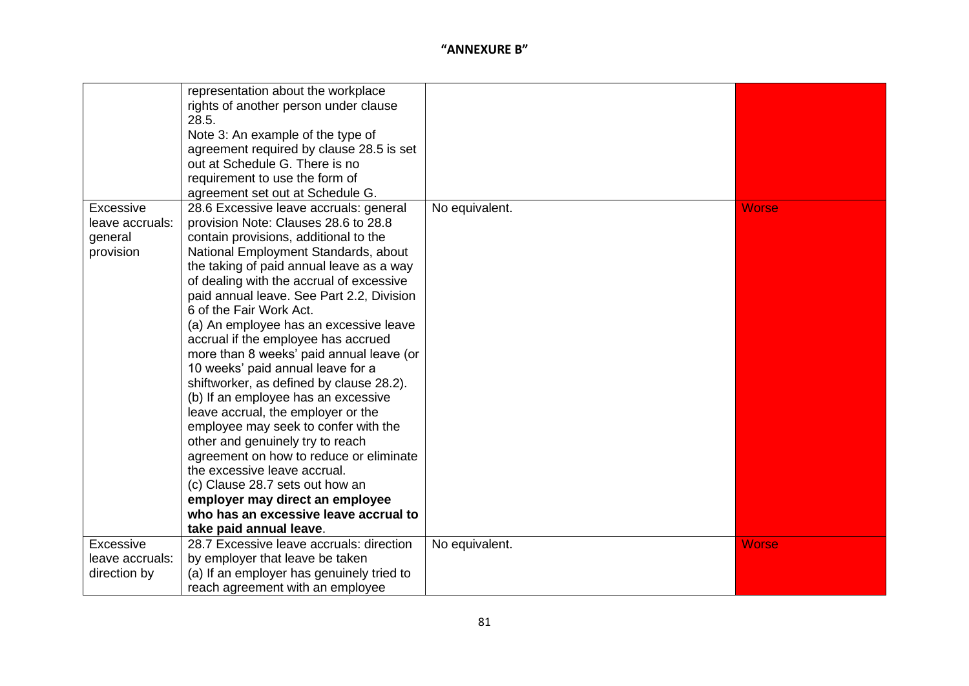|                 | representation about the workplace<br>rights of another person under clause<br>28.5. |                |              |
|-----------------|--------------------------------------------------------------------------------------|----------------|--------------|
|                 | Note 3: An example of the type of                                                    |                |              |
|                 | agreement required by clause 28.5 is set                                             |                |              |
|                 | out at Schedule G. There is no                                                       |                |              |
|                 | requirement to use the form of                                                       |                |              |
|                 | agreement set out at Schedule G.                                                     |                |              |
| Excessive       | 28.6 Excessive leave accruals: general                                               | No equivalent. | <b>Worse</b> |
| leave accruals: | provision Note: Clauses 28.6 to 28.8                                                 |                |              |
| general         | contain provisions, additional to the                                                |                |              |
| provision       | National Employment Standards, about                                                 |                |              |
|                 | the taking of paid annual leave as a way                                             |                |              |
|                 | of dealing with the accrual of excessive                                             |                |              |
|                 | paid annual leave. See Part 2.2, Division                                            |                |              |
|                 | 6 of the Fair Work Act.                                                              |                |              |
|                 | (a) An employee has an excessive leave                                               |                |              |
|                 | accrual if the employee has accrued                                                  |                |              |
|                 | more than 8 weeks' paid annual leave (or                                             |                |              |
|                 | 10 weeks' paid annual leave for a                                                    |                |              |
|                 | shiftworker, as defined by clause 28.2).                                             |                |              |
|                 | (b) If an employee has an excessive<br>leave accrual, the employer or the            |                |              |
|                 | employee may seek to confer with the                                                 |                |              |
|                 | other and genuinely try to reach                                                     |                |              |
|                 | agreement on how to reduce or eliminate                                              |                |              |
|                 | the excessive leave accrual.                                                         |                |              |
|                 | (c) Clause 28.7 sets out how an                                                      |                |              |
|                 | employer may direct an employee                                                      |                |              |
|                 | who has an excessive leave accrual to                                                |                |              |
|                 | take paid annual leave.                                                              |                |              |
| Excessive       | 28.7 Excessive leave accruals: direction                                             | No equivalent. | <b>Worse</b> |
| leave accruals: | by employer that leave be taken                                                      |                |              |
| direction by    | (a) If an employer has genuinely tried to                                            |                |              |
|                 | reach agreement with an employee                                                     |                |              |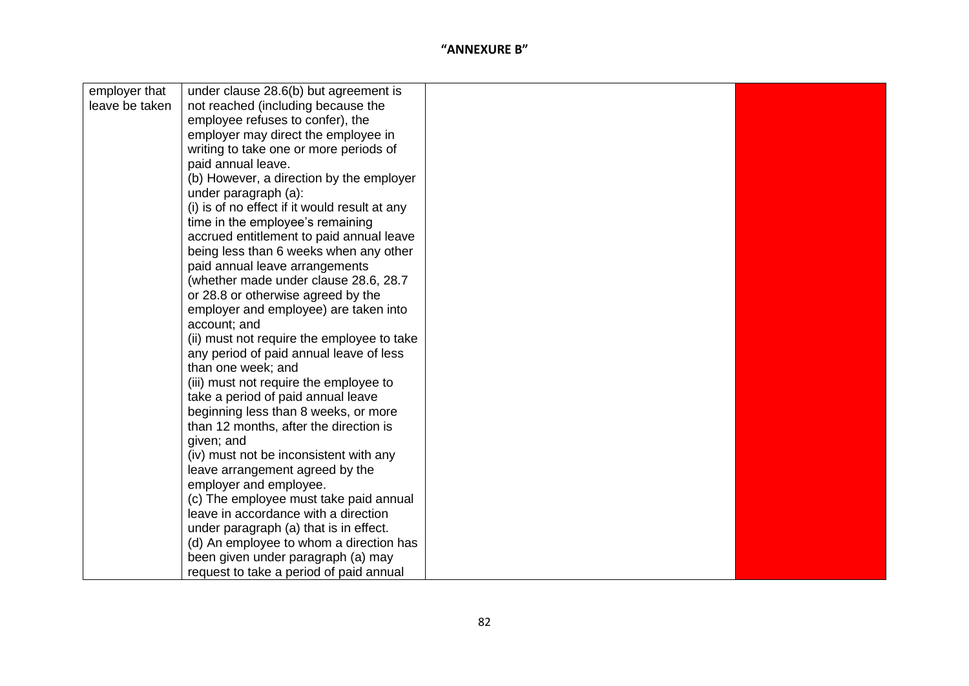| employer that  | under clause 28.6(b) but agreement is                                                                                                                                                                                                                                                                                                                                                                                                                                                                                                       |  |
|----------------|---------------------------------------------------------------------------------------------------------------------------------------------------------------------------------------------------------------------------------------------------------------------------------------------------------------------------------------------------------------------------------------------------------------------------------------------------------------------------------------------------------------------------------------------|--|
| leave be taken | not reached (including because the                                                                                                                                                                                                                                                                                                                                                                                                                                                                                                          |  |
|                | employee refuses to confer), the                                                                                                                                                                                                                                                                                                                                                                                                                                                                                                            |  |
|                | employer may direct the employee in                                                                                                                                                                                                                                                                                                                                                                                                                                                                                                         |  |
|                | writing to take one or more periods of                                                                                                                                                                                                                                                                                                                                                                                                                                                                                                      |  |
|                | paid annual leave.                                                                                                                                                                                                                                                                                                                                                                                                                                                                                                                          |  |
|                | (b) However, a direction by the employer                                                                                                                                                                                                                                                                                                                                                                                                                                                                                                    |  |
|                | under paragraph (a):                                                                                                                                                                                                                                                                                                                                                                                                                                                                                                                        |  |
|                | (i) is of no effect if it would result at any                                                                                                                                                                                                                                                                                                                                                                                                                                                                                               |  |
|                | time in the employee's remaining                                                                                                                                                                                                                                                                                                                                                                                                                                                                                                            |  |
|                | accrued entitlement to paid annual leave                                                                                                                                                                                                                                                                                                                                                                                                                                                                                                    |  |
|                | being less than 6 weeks when any other                                                                                                                                                                                                                                                                                                                                                                                                                                                                                                      |  |
|                | paid annual leave arrangements                                                                                                                                                                                                                                                                                                                                                                                                                                                                                                              |  |
|                | (whether made under clause 28.6, 28.7)                                                                                                                                                                                                                                                                                                                                                                                                                                                                                                      |  |
|                | or 28.8 or otherwise agreed by the                                                                                                                                                                                                                                                                                                                                                                                                                                                                                                          |  |
|                | employer and employee) are taken into                                                                                                                                                                                                                                                                                                                                                                                                                                                                                                       |  |
|                | account; and                                                                                                                                                                                                                                                                                                                                                                                                                                                                                                                                |  |
|                | (ii) must not require the employee to take                                                                                                                                                                                                                                                                                                                                                                                                                                                                                                  |  |
|                | any period of paid annual leave of less                                                                                                                                                                                                                                                                                                                                                                                                                                                                                                     |  |
|                | than one week; and                                                                                                                                                                                                                                                                                                                                                                                                                                                                                                                          |  |
|                |                                                                                                                                                                                                                                                                                                                                                                                                                                                                                                                                             |  |
|                |                                                                                                                                                                                                                                                                                                                                                                                                                                                                                                                                             |  |
|                |                                                                                                                                                                                                                                                                                                                                                                                                                                                                                                                                             |  |
|                |                                                                                                                                                                                                                                                                                                                                                                                                                                                                                                                                             |  |
|                |                                                                                                                                                                                                                                                                                                                                                                                                                                                                                                                                             |  |
|                |                                                                                                                                                                                                                                                                                                                                                                                                                                                                                                                                             |  |
|                |                                                                                                                                                                                                                                                                                                                                                                                                                                                                                                                                             |  |
|                |                                                                                                                                                                                                                                                                                                                                                                                                                                                                                                                                             |  |
|                |                                                                                                                                                                                                                                                                                                                                                                                                                                                                                                                                             |  |
|                |                                                                                                                                                                                                                                                                                                                                                                                                                                                                                                                                             |  |
|                |                                                                                                                                                                                                                                                                                                                                                                                                                                                                                                                                             |  |
|                |                                                                                                                                                                                                                                                                                                                                                                                                                                                                                                                                             |  |
|                |                                                                                                                                                                                                                                                                                                                                                                                                                                                                                                                                             |  |
|                |                                                                                                                                                                                                                                                                                                                                                                                                                                                                                                                                             |  |
|                | (iii) must not require the employee to<br>take a period of paid annual leave<br>beginning less than 8 weeks, or more<br>than 12 months, after the direction is<br>given; and<br>(iv) must not be inconsistent with any<br>leave arrangement agreed by the<br>employer and employee.<br>(c) The employee must take paid annual<br>leave in accordance with a direction<br>under paragraph (a) that is in effect.<br>(d) An employee to whom a direction has<br>been given under paragraph (a) may<br>request to take a period of paid annual |  |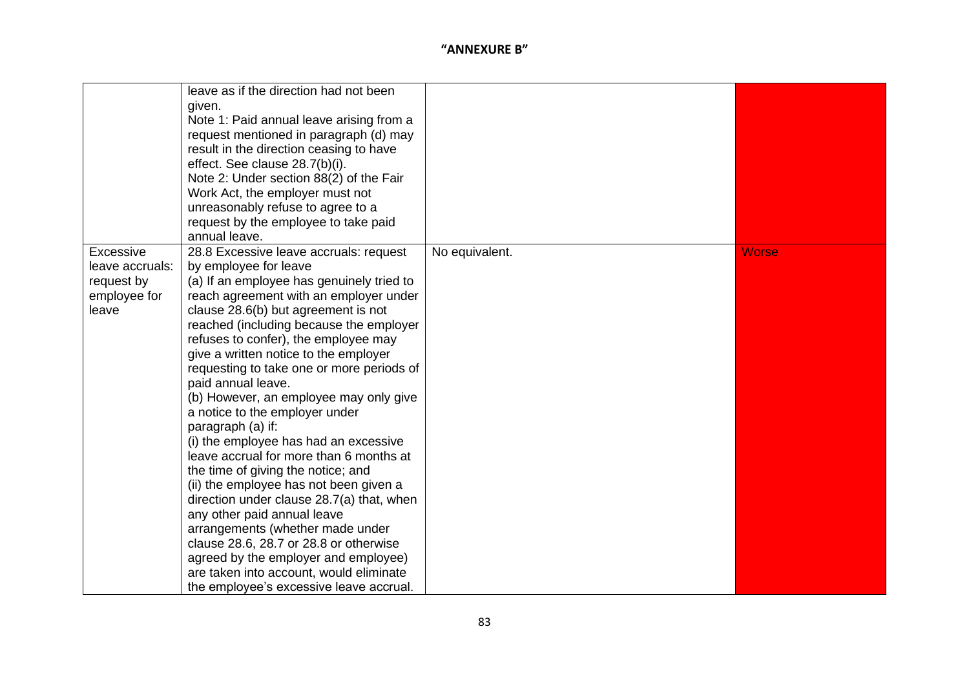|                 | leave as if the direction had not been    |                |              |
|-----------------|-------------------------------------------|----------------|--------------|
|                 | given.                                    |                |              |
|                 | Note 1: Paid annual leave arising from a  |                |              |
|                 | request mentioned in paragraph (d) may    |                |              |
|                 | result in the direction ceasing to have   |                |              |
|                 | effect. See clause 28.7(b)(i).            |                |              |
|                 | Note 2: Under section 88(2) of the Fair   |                |              |
|                 | Work Act, the employer must not           |                |              |
|                 | unreasonably refuse to agree to a         |                |              |
|                 | request by the employee to take paid      |                |              |
|                 | annual leave.                             |                |              |
| Excessive       | 28.8 Excessive leave accruals: request    | No equivalent. | <b>Worse</b> |
| leave accruals: | by employee for leave                     |                |              |
| request by      | (a) If an employee has genuinely tried to |                |              |
| employee for    | reach agreement with an employer under    |                |              |
| leave           | clause 28.6(b) but agreement is not       |                |              |
|                 | reached (including because the employer   |                |              |
|                 | refuses to confer), the employee may      |                |              |
|                 | give a written notice to the employer     |                |              |
|                 | requesting to take one or more periods of |                |              |
|                 | paid annual leave.                        |                |              |
|                 | (b) However, an employee may only give    |                |              |
|                 | a notice to the employer under            |                |              |
|                 | paragraph (a) if:                         |                |              |
|                 | (i) the employee has had an excessive     |                |              |
|                 | leave accrual for more than 6 months at   |                |              |
|                 | the time of giving the notice; and        |                |              |
|                 | (ii) the employee has not been given a    |                |              |
|                 | direction under clause 28.7(a) that, when |                |              |
|                 | any other paid annual leave               |                |              |
|                 | arrangements (whether made under          |                |              |
|                 | clause 28.6, 28.7 or 28.8 or otherwise    |                |              |
|                 | agreed by the employer and employee)      |                |              |
|                 | are taken into account, would eliminate   |                |              |
|                 | the employee's excessive leave accrual.   |                |              |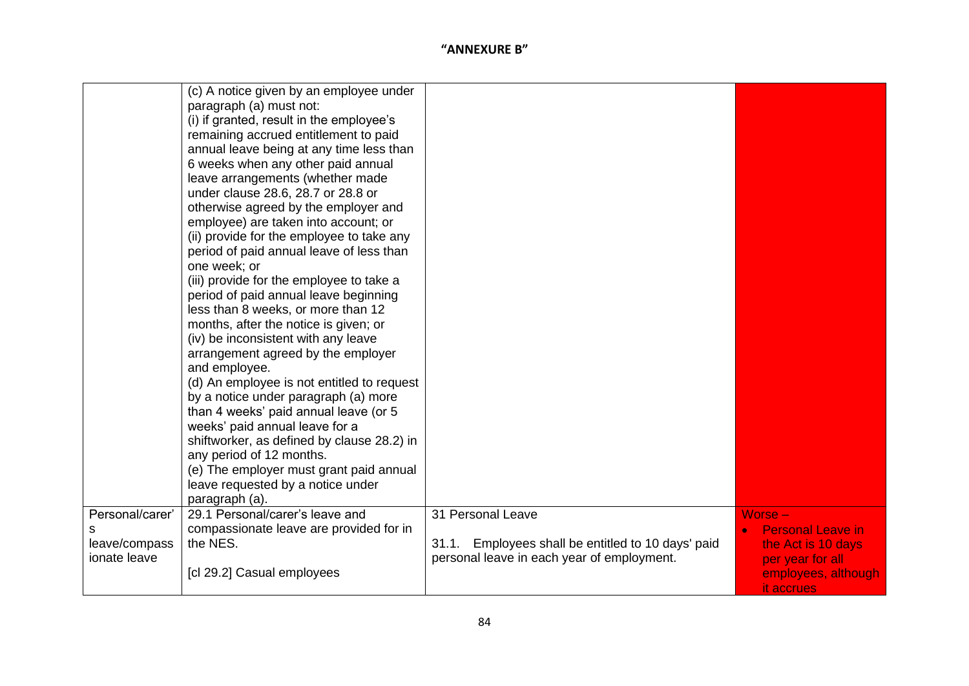|                                                  | (c) A notice given by an employee under<br>paragraph (a) must not:<br>(i) if granted, result in the employee's<br>remaining accrued entitlement to paid<br>annual leave being at any time less than<br>6 weeks when any other paid annual<br>leave arrangements (whether made<br>under clause 28.6, 28.7 or 28.8 or<br>otherwise agreed by the employer and<br>employee) are taken into account; or<br>(ii) provide for the employee to take any<br>period of paid annual leave of less than<br>one week; or<br>(iii) provide for the employee to take a<br>period of paid annual leave beginning<br>less than 8 weeks, or more than 12<br>months, after the notice is given; or<br>(iv) be inconsistent with any leave<br>arrangement agreed by the employer<br>and employee.<br>(d) An employee is not entitled to request<br>by a notice under paragraph (a) more<br>than 4 weeks' paid annual leave (or 5<br>weeks' paid annual leave for a<br>shiftworker, as defined by clause 28.2) in<br>any period of 12 months.<br>(e) The employer must grant paid annual<br>leave requested by a notice under |                                                                                                                          |                                                                                                                      |
|--------------------------------------------------|-----------------------------------------------------------------------------------------------------------------------------------------------------------------------------------------------------------------------------------------------------------------------------------------------------------------------------------------------------------------------------------------------------------------------------------------------------------------------------------------------------------------------------------------------------------------------------------------------------------------------------------------------------------------------------------------------------------------------------------------------------------------------------------------------------------------------------------------------------------------------------------------------------------------------------------------------------------------------------------------------------------------------------------------------------------------------------------------------------------|--------------------------------------------------------------------------------------------------------------------------|----------------------------------------------------------------------------------------------------------------------|
|                                                  | paragraph (a).                                                                                                                                                                                                                                                                                                                                                                                                                                                                                                                                                                                                                                                                                                                                                                                                                                                                                                                                                                                                                                                                                            |                                                                                                                          |                                                                                                                      |
| Personal/carer'<br>leave/compass<br>ionate leave | 29.1 Personal/carer's leave and<br>compassionate leave are provided for in<br>the NES.<br>[cl 29.2] Casual employees                                                                                                                                                                                                                                                                                                                                                                                                                                                                                                                                                                                                                                                                                                                                                                                                                                                                                                                                                                                      | 31 Personal Leave<br>Employees shall be entitled to 10 days' paid<br>31.1.<br>personal leave in each year of employment. | $Worse -$<br><b>Personal Leave in</b><br>the Act is 10 days<br>per year for all<br>employees, although<br>it accrues |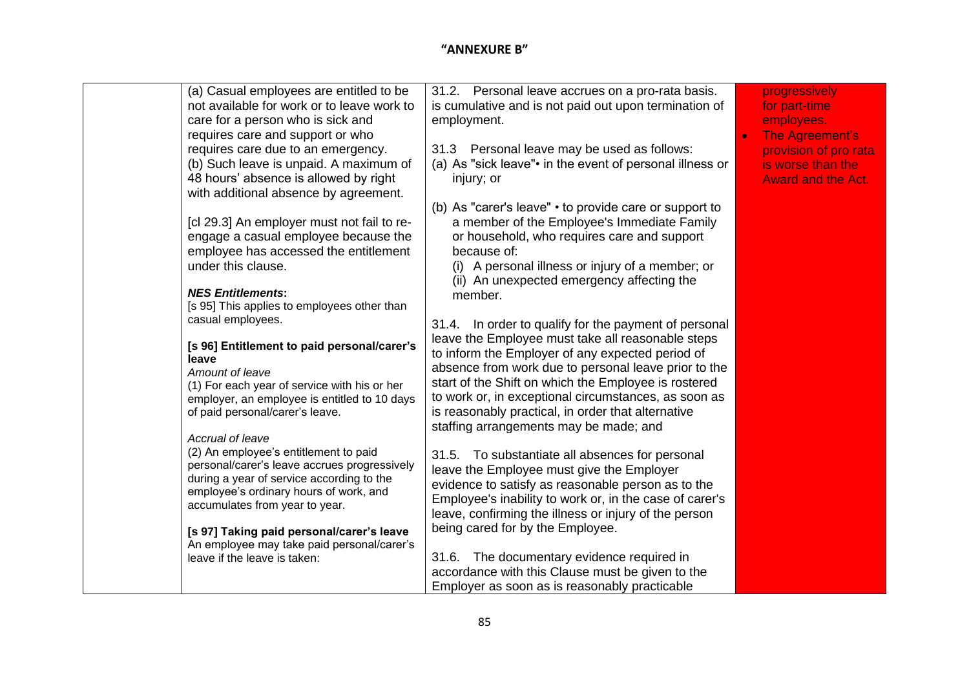| (a) Casual employees are entitled to be<br>not available for work or to leave work to<br>care for a person who is sick and<br>requires care and support or who<br>requires care due to an emergency.<br>(b) Such leave is unpaid. A maximum of<br>48 hours' absence is allowed by right                                                                                                                                                                                                                  | 31.2. Personal leave accrues on a pro-rata basis.<br>is cumulative and is not paid out upon termination of<br>employment.<br>31.3 Personal leave may be used as follows:<br>(a) As "sick leave". in the event of personal illness or<br>injury; or                                                                                                                                                                                                                                                                                                                                                                                                                               | progressively<br>for part-time<br>employees.<br><b>The Agreement's</b><br>provision of pro rata<br>is worse than the<br><b>Award and the Act.</b> |
|----------------------------------------------------------------------------------------------------------------------------------------------------------------------------------------------------------------------------------------------------------------------------------------------------------------------------------------------------------------------------------------------------------------------------------------------------------------------------------------------------------|----------------------------------------------------------------------------------------------------------------------------------------------------------------------------------------------------------------------------------------------------------------------------------------------------------------------------------------------------------------------------------------------------------------------------------------------------------------------------------------------------------------------------------------------------------------------------------------------------------------------------------------------------------------------------------|---------------------------------------------------------------------------------------------------------------------------------------------------|
| with additional absence by agreement.<br>[cl 29.3] An employer must not fail to re-<br>engage a casual employee because the<br>employee has accessed the entitlement<br>under this clause.<br><b>NES Entitlements:</b><br>[s 95] This applies to employees other than<br>casual employees.<br>[s 96] Entitlement to paid personal/carer's<br>leave<br>Amount of leave<br>(1) For each year of service with his or her<br>employer, an employee is entitled to 10 days<br>of paid personal/carer's leave. | (b) As "carer's leave" • to provide care or support to<br>a member of the Employee's Immediate Family<br>or household, who requires care and support<br>because of:<br>(i) A personal illness or injury of a member; or<br>(ii) An unexpected emergency affecting the<br>member.<br>31.4. In order to qualify for the payment of personal<br>leave the Employee must take all reasonable steps<br>to inform the Employer of any expected period of<br>absence from work due to personal leave prior to the<br>start of the Shift on which the Employee is rostered<br>to work or, in exceptional circumstances, as soon as<br>is reasonably practical, in order that alternative |                                                                                                                                                   |
| Accrual of leave<br>(2) An employee's entitlement to paid<br>personal/carer's leave accrues progressively<br>during a year of service according to the<br>employee's ordinary hours of work, and<br>accumulates from year to year.<br>[s 97] Taking paid personal/carer's leave<br>An employee may take paid personal/carer's<br>leave if the leave is taken:                                                                                                                                            | staffing arrangements may be made; and<br>31.5. To substantiate all absences for personal<br>leave the Employee must give the Employer<br>evidence to satisfy as reasonable person as to the<br>Employee's inability to work or, in the case of carer's<br>leave, confirming the illness or injury of the person<br>being cared for by the Employee.<br>The documentary evidence required in<br>31.6.<br>accordance with this Clause must be given to the<br>Employer as soon as is reasonably practicable                                                                                                                                                                       |                                                                                                                                                   |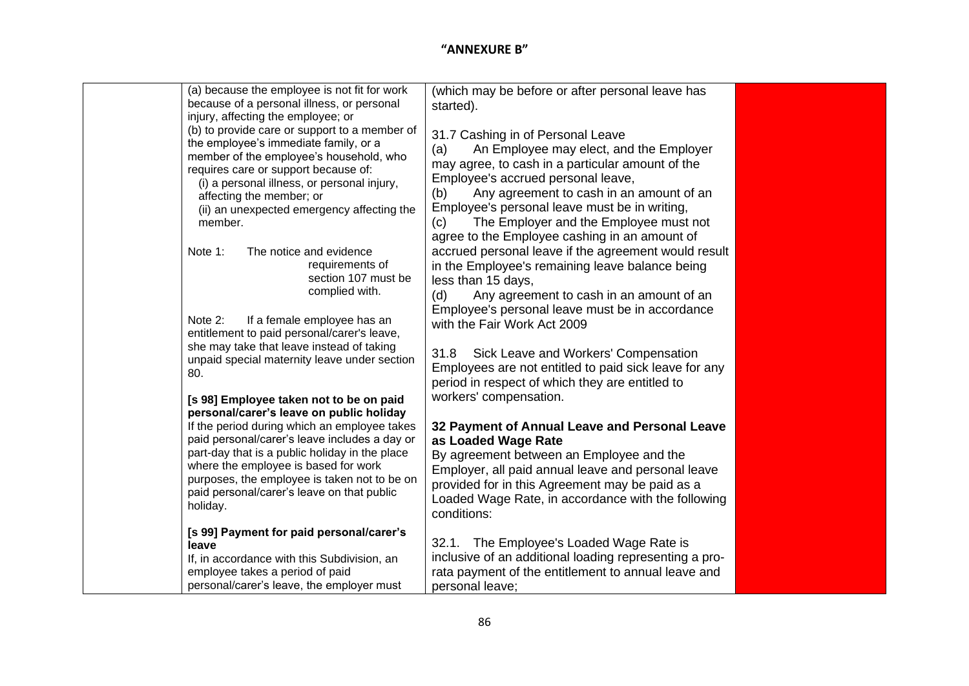| (a) because the employee is not fit for work<br>because of a personal illness, or personal<br>injury, affecting the employee; or<br>(b) to provide care or support to a member of<br>the employee's immediate family, or a<br>member of the employee's household, who<br>requires care or support because of:<br>(i) a personal illness, or personal injury,<br>affecting the member; or<br>(ii) an unexpected emergency affecting the<br>member. | (which may be before or after personal leave has<br>started).<br>31.7 Cashing in of Personal Leave<br>An Employee may elect, and the Employer<br>(a)<br>may agree, to cash in a particular amount of the<br>Employee's accrued personal leave,<br>Any agreement to cash in an amount of an<br>(b)<br>Employee's personal leave must be in writing,<br>The Employer and the Employee must not<br>(c)<br>agree to the Employee cashing in an amount of |  |
|---------------------------------------------------------------------------------------------------------------------------------------------------------------------------------------------------------------------------------------------------------------------------------------------------------------------------------------------------------------------------------------------------------------------------------------------------|------------------------------------------------------------------------------------------------------------------------------------------------------------------------------------------------------------------------------------------------------------------------------------------------------------------------------------------------------------------------------------------------------------------------------------------------------|--|
| Note 1:<br>The notice and evidence<br>requirements of<br>section 107 must be<br>complied with.<br>Note 2:<br>If a female employee has an<br>entitlement to paid personal/carer's leave,<br>she may take that leave instead of taking<br>unpaid special maternity leave under section<br>80.                                                                                                                                                       | accrued personal leave if the agreement would result<br>in the Employee's remaining leave balance being<br>less than 15 days,<br>(d)<br>Any agreement to cash in an amount of an<br>Employee's personal leave must be in accordance<br>with the Fair Work Act 2009<br>Sick Leave and Workers' Compensation<br>31.8<br>Employees are not entitled to paid sick leave for any<br>period in respect of which they are entitled to                       |  |
| [s 98] Employee taken not to be on paid<br>personal/carer's leave on public holiday<br>If the period during which an employee takes<br>paid personal/carer's leave includes a day or<br>part-day that is a public holiday in the place<br>where the employee is based for work<br>purposes, the employee is taken not to be on<br>paid personal/carer's leave on that public<br>holiday.                                                          | workers' compensation.<br>32 Payment of Annual Leave and Personal Leave<br>as Loaded Wage Rate<br>By agreement between an Employee and the<br>Employer, all paid annual leave and personal leave<br>provided for in this Agreement may be paid as a<br>Loaded Wage Rate, in accordance with the following<br>conditions:                                                                                                                             |  |
| [s 99] Payment for paid personal/carer's<br>leave<br>If, in accordance with this Subdivision, an<br>employee takes a period of paid<br>personal/carer's leave, the employer must                                                                                                                                                                                                                                                                  | 32.1. The Employee's Loaded Wage Rate is<br>inclusive of an additional loading representing a pro-<br>rata payment of the entitlement to annual leave and<br>personal leave;                                                                                                                                                                                                                                                                         |  |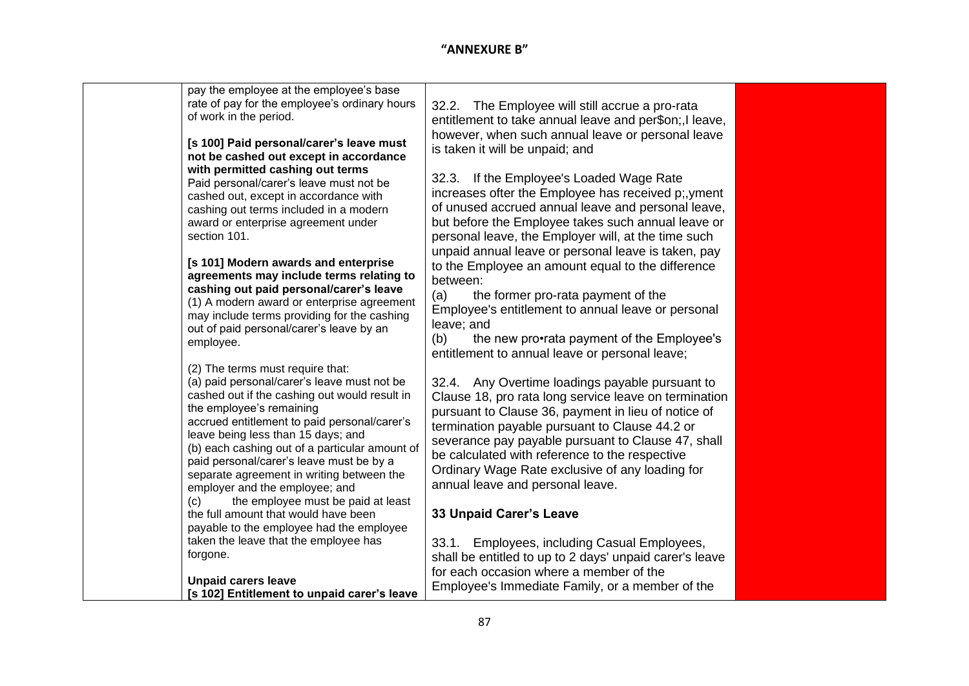| unpaid annual leave or personal leave is taken, pay |                                                                                                                                                                                                                                                                                                                                                                                                                                                                                                                                                                                                                                                                                                                                                                                                                                                                                                                                                                                                                                                                                                                                                                                                                       |
|-----------------------------------------------------|-----------------------------------------------------------------------------------------------------------------------------------------------------------------------------------------------------------------------------------------------------------------------------------------------------------------------------------------------------------------------------------------------------------------------------------------------------------------------------------------------------------------------------------------------------------------------------------------------------------------------------------------------------------------------------------------------------------------------------------------------------------------------------------------------------------------------------------------------------------------------------------------------------------------------------------------------------------------------------------------------------------------------------------------------------------------------------------------------------------------------------------------------------------------------------------------------------------------------|
| to the Employee an amount equal to the difference   |                                                                                                                                                                                                                                                                                                                                                                                                                                                                                                                                                                                                                                                                                                                                                                                                                                                                                                                                                                                                                                                                                                                                                                                                                       |
| between:                                            |                                                                                                                                                                                                                                                                                                                                                                                                                                                                                                                                                                                                                                                                                                                                                                                                                                                                                                                                                                                                                                                                                                                                                                                                                       |
|                                                     |                                                                                                                                                                                                                                                                                                                                                                                                                                                                                                                                                                                                                                                                                                                                                                                                                                                                                                                                                                                                                                                                                                                                                                                                                       |
|                                                     |                                                                                                                                                                                                                                                                                                                                                                                                                                                                                                                                                                                                                                                                                                                                                                                                                                                                                                                                                                                                                                                                                                                                                                                                                       |
|                                                     |                                                                                                                                                                                                                                                                                                                                                                                                                                                                                                                                                                                                                                                                                                                                                                                                                                                                                                                                                                                                                                                                                                                                                                                                                       |
|                                                     |                                                                                                                                                                                                                                                                                                                                                                                                                                                                                                                                                                                                                                                                                                                                                                                                                                                                                                                                                                                                                                                                                                                                                                                                                       |
|                                                     |                                                                                                                                                                                                                                                                                                                                                                                                                                                                                                                                                                                                                                                                                                                                                                                                                                                                                                                                                                                                                                                                                                                                                                                                                       |
|                                                     |                                                                                                                                                                                                                                                                                                                                                                                                                                                                                                                                                                                                                                                                                                                                                                                                                                                                                                                                                                                                                                                                                                                                                                                                                       |
|                                                     |                                                                                                                                                                                                                                                                                                                                                                                                                                                                                                                                                                                                                                                                                                                                                                                                                                                                                                                                                                                                                                                                                                                                                                                                                       |
|                                                     |                                                                                                                                                                                                                                                                                                                                                                                                                                                                                                                                                                                                                                                                                                                                                                                                                                                                                                                                                                                                                                                                                                                                                                                                                       |
|                                                     |                                                                                                                                                                                                                                                                                                                                                                                                                                                                                                                                                                                                                                                                                                                                                                                                                                                                                                                                                                                                                                                                                                                                                                                                                       |
|                                                     |                                                                                                                                                                                                                                                                                                                                                                                                                                                                                                                                                                                                                                                                                                                                                                                                                                                                                                                                                                                                                                                                                                                                                                                                                       |
|                                                     |                                                                                                                                                                                                                                                                                                                                                                                                                                                                                                                                                                                                                                                                                                                                                                                                                                                                                                                                                                                                                                                                                                                                                                                                                       |
|                                                     |                                                                                                                                                                                                                                                                                                                                                                                                                                                                                                                                                                                                                                                                                                                                                                                                                                                                                                                                                                                                                                                                                                                                                                                                                       |
| be calculated with reference to the respective      |                                                                                                                                                                                                                                                                                                                                                                                                                                                                                                                                                                                                                                                                                                                                                                                                                                                                                                                                                                                                                                                                                                                                                                                                                       |
| Ordinary Wage Rate exclusive of any loading for     |                                                                                                                                                                                                                                                                                                                                                                                                                                                                                                                                                                                                                                                                                                                                                                                                                                                                                                                                                                                                                                                                                                                                                                                                                       |
| annual leave and personal leave.                    |                                                                                                                                                                                                                                                                                                                                                                                                                                                                                                                                                                                                                                                                                                                                                                                                                                                                                                                                                                                                                                                                                                                                                                                                                       |
|                                                     |                                                                                                                                                                                                                                                                                                                                                                                                                                                                                                                                                                                                                                                                                                                                                                                                                                                                                                                                                                                                                                                                                                                                                                                                                       |
|                                                     |                                                                                                                                                                                                                                                                                                                                                                                                                                                                                                                                                                                                                                                                                                                                                                                                                                                                                                                                                                                                                                                                                                                                                                                                                       |
|                                                     |                                                                                                                                                                                                                                                                                                                                                                                                                                                                                                                                                                                                                                                                                                                                                                                                                                                                                                                                                                                                                                                                                                                                                                                                                       |
|                                                     |                                                                                                                                                                                                                                                                                                                                                                                                                                                                                                                                                                                                                                                                                                                                                                                                                                                                                                                                                                                                                                                                                                                                                                                                                       |
|                                                     |                                                                                                                                                                                                                                                                                                                                                                                                                                                                                                                                                                                                                                                                                                                                                                                                                                                                                                                                                                                                                                                                                                                                                                                                                       |
|                                                     |                                                                                                                                                                                                                                                                                                                                                                                                                                                                                                                                                                                                                                                                                                                                                                                                                                                                                                                                                                                                                                                                                                                                                                                                                       |
|                                                     |                                                                                                                                                                                                                                                                                                                                                                                                                                                                                                                                                                                                                                                                                                                                                                                                                                                                                                                                                                                                                                                                                                                                                                                                                       |
|                                                     |                                                                                                                                                                                                                                                                                                                                                                                                                                                                                                                                                                                                                                                                                                                                                                                                                                                                                                                                                                                                                                                                                                                                                                                                                       |
|                                                     | 32.2.<br>The Employee will still accrue a pro-rata<br>entitlement to take annual leave and per\$on;, I leave,<br>however, when such annual leave or personal leave<br>is taken it will be unpaid; and<br>32.3. If the Employee's Loaded Wage Rate<br>increases ofter the Employee has received p;, yment<br>of unused accrued annual leave and personal leave,<br>but before the Employee takes such annual leave or<br>personal leave, the Employer will, at the time such<br>the former pro-rata payment of the<br>(a)<br>Employee's entitlement to annual leave or personal<br>leave; and<br>the new pro•rata payment of the Employee's<br>(b)<br>entitlement to annual leave or personal leave;<br>32.4. Any Overtime loadings payable pursuant to<br>Clause 18, pro rata long service leave on termination<br>pursuant to Clause 36, payment in lieu of notice of<br>termination payable pursuant to Clause 44.2 or<br>severance pay payable pursuant to Clause 47, shall<br>33 Unpaid Carer's Leave<br>Employees, including Casual Employees,<br>33.1.<br>shall be entitled to up to 2 days' unpaid carer's leave<br>for each occasion where a member of the<br>Employee's Immediate Family, or a member of the |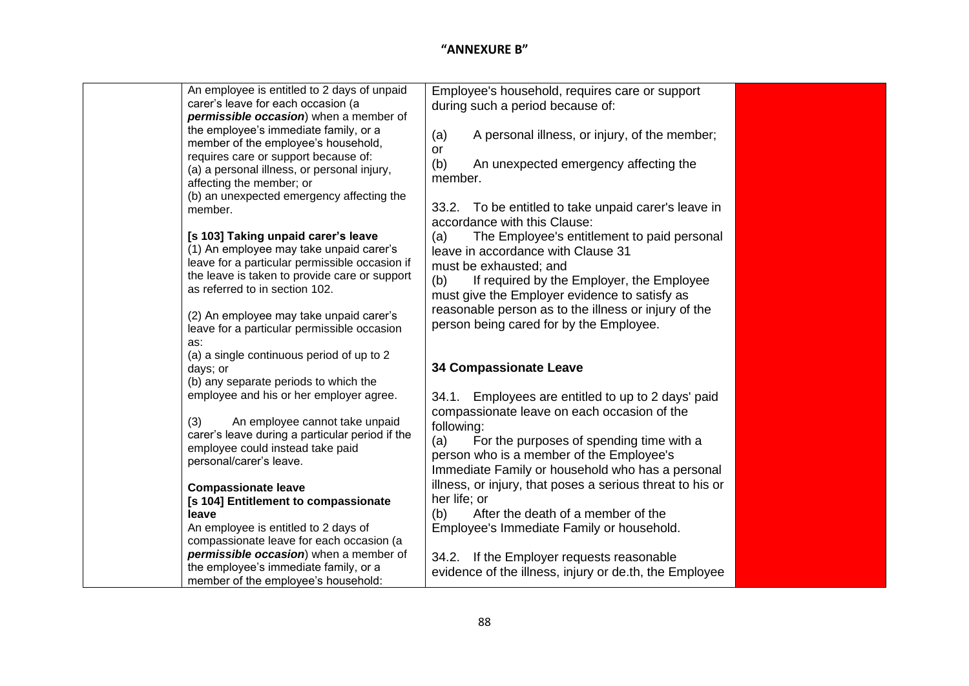| An employee is entitled to 2 days of unpaid<br>carer's leave for each occasion (a<br>permissible occasion) when a member of<br>the employee's immediate family, or a<br>member of the employee's household,<br>requires care or support because of:<br>(a) a personal illness, or personal injury,<br>affecting the member; or | Employee's household, requires care or support<br>during such a period because of:<br>A personal illness, or injury, of the member;<br>(a)<br>or<br>(b)<br>An unexpected emergency affecting the<br>member.                                                                                                     |  |
|--------------------------------------------------------------------------------------------------------------------------------------------------------------------------------------------------------------------------------------------------------------------------------------------------------------------------------|-----------------------------------------------------------------------------------------------------------------------------------------------------------------------------------------------------------------------------------------------------------------------------------------------------------------|--|
| (b) an unexpected emergency affecting the<br>member.<br>[s 103] Taking unpaid carer's leave<br>(1) An employee may take unpaid carer's<br>leave for a particular permissible occasion if<br>the leave is taken to provide care or support<br>as referred to in section 102.                                                    | 33.2. To be entitled to take unpaid carer's leave in<br>accordance with this Clause:<br>The Employee's entitlement to paid personal<br>(a)<br>leave in accordance with Clause 31<br>must be exhausted; and<br>(b)<br>If required by the Employer, the Employee<br>must give the Employer evidence to satisfy as |  |
| (2) An employee may take unpaid carer's<br>leave for a particular permissible occasion<br>as:<br>(a) a single continuous period of up to 2<br>days; or<br>(b) any separate periods to which the                                                                                                                                | reasonable person as to the illness or injury of the<br>person being cared for by the Employee.<br><b>34 Compassionate Leave</b>                                                                                                                                                                                |  |
| employee and his or her employer agree.<br>An employee cannot take unpaid<br>(3)<br>carer's leave during a particular period if the<br>employee could instead take paid<br>personal/carer's leave.                                                                                                                             | 34.1. Employees are entitled to up to 2 days' paid<br>compassionate leave on each occasion of the<br>following:<br>For the purposes of spending time with a<br>(a)<br>person who is a member of the Employee's<br>Immediate Family or household who has a personal                                              |  |
| <b>Compassionate leave</b><br>[s 104] Entitlement to compassionate<br>leave<br>An employee is entitled to 2 days of<br>compassionate leave for each occasion (a<br>permissible occasion) when a member of<br>the employee's immediate family, or a                                                                             | illness, or injury, that poses a serious threat to his or<br>her life; or<br>(b)<br>After the death of a member of the<br>Employee's Immediate Family or household.<br>34.2. If the Employer requests reasonable<br>evidence of the illness, injury or de.th, the Employee                                      |  |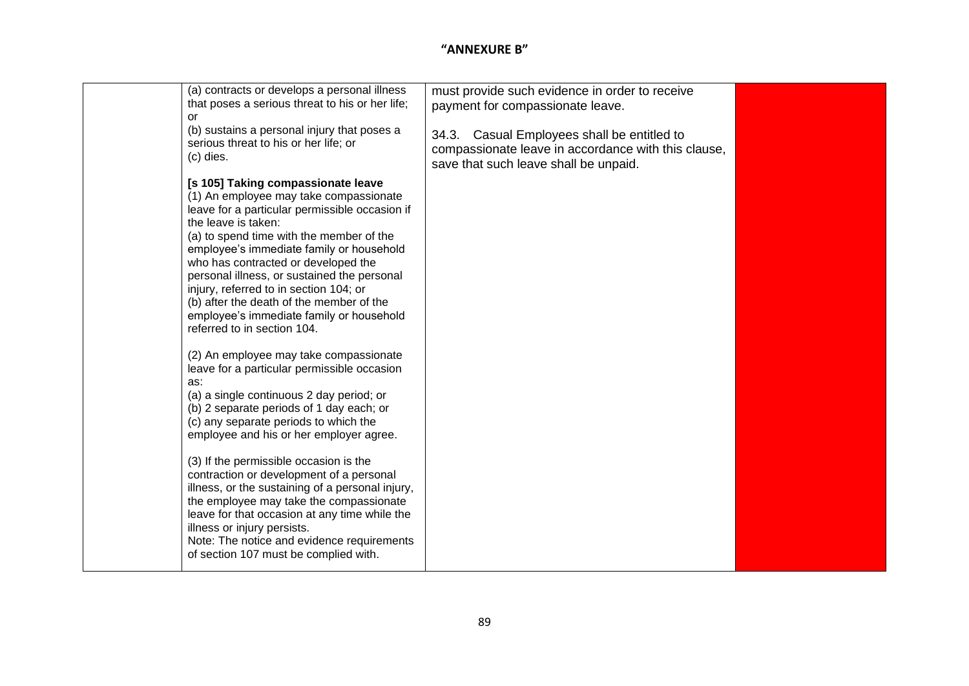| (a) contracts or develops a personal illness<br>that poses a serious threat to his or her life;<br>or<br>(b) sustains a personal injury that poses a<br>serious threat to his or her life; or<br>(c) dies.                                                                                                                                                                                                                                                                                                                                                                                                                                                                                                                                                                                                                                                             | must provide such evidence in order to receive<br>payment for compassionate leave.<br>34.3. Casual Employees shall be entitled to<br>compassionate leave in accordance with this clause,<br>save that such leave shall be unpaid. |  |
|------------------------------------------------------------------------------------------------------------------------------------------------------------------------------------------------------------------------------------------------------------------------------------------------------------------------------------------------------------------------------------------------------------------------------------------------------------------------------------------------------------------------------------------------------------------------------------------------------------------------------------------------------------------------------------------------------------------------------------------------------------------------------------------------------------------------------------------------------------------------|-----------------------------------------------------------------------------------------------------------------------------------------------------------------------------------------------------------------------------------|--|
| [s 105] Taking compassionate leave<br>(1) An employee may take compassionate<br>leave for a particular permissible occasion if<br>the leave is taken:<br>(a) to spend time with the member of the<br>employee's immediate family or household<br>who has contracted or developed the<br>personal illness, or sustained the personal<br>injury, referred to in section 104; or<br>(b) after the death of the member of the<br>employee's immediate family or household<br>referred to in section 104.<br>(2) An employee may take compassionate<br>leave for a particular permissible occasion<br>as:<br>(a) a single continuous 2 day period; or<br>(b) 2 separate periods of 1 day each; or<br>(c) any separate periods to which the<br>employee and his or her employer agree.<br>(3) If the permissible occasion is the<br>contraction or development of a personal |                                                                                                                                                                                                                                   |  |
| illness, or the sustaining of a personal injury,<br>the employee may take the compassionate<br>leave for that occasion at any time while the<br>illness or injury persists.<br>Note: The notice and evidence requirements<br>of section 107 must be complied with.                                                                                                                                                                                                                                                                                                                                                                                                                                                                                                                                                                                                     |                                                                                                                                                                                                                                   |  |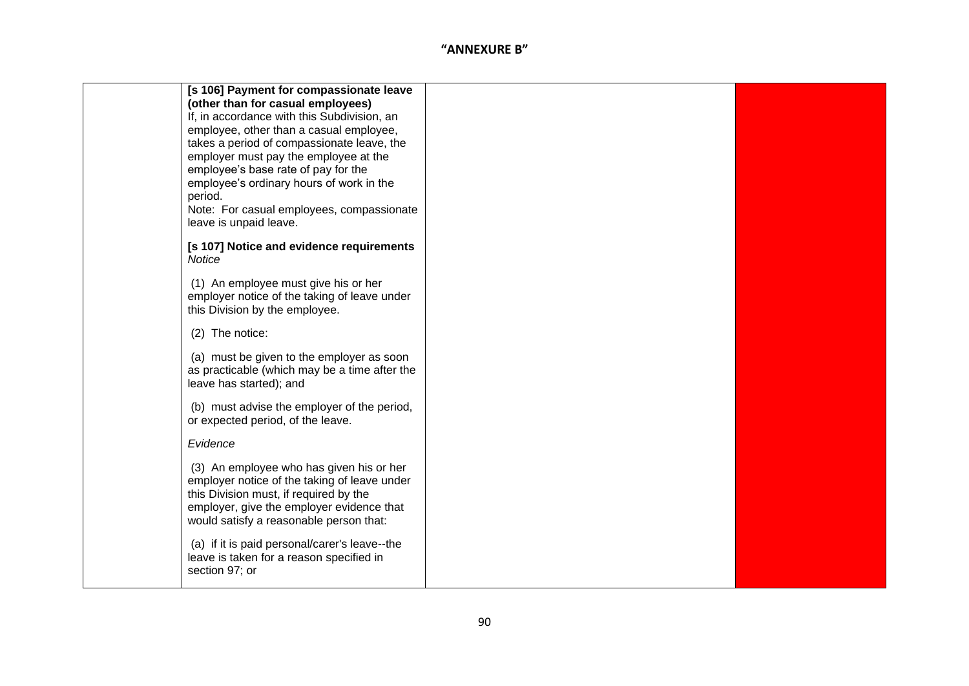|                 | [s 106] Payment for compassionate leave                                                   |
|-----------------|-------------------------------------------------------------------------------------------|
|                 | (other than for casual employees)                                                         |
|                 | If, in accordance with this Subdivision, an                                               |
|                 | employee, other than a casual employee,<br>takes a period of compassionate leave, the     |
|                 | employer must pay the employee at the                                                     |
|                 | employee's base rate of pay for the                                                       |
|                 | employee's ordinary hours of work in the                                                  |
| period.         |                                                                                           |
|                 | Note: For casual employees, compassionate                                                 |
|                 | leave is unpaid leave.                                                                    |
|                 | [s 107] Notice and evidence requirements                                                  |
| Notice          |                                                                                           |
|                 |                                                                                           |
|                 | (1) An employee must give his or her                                                      |
|                 | employer notice of the taking of leave under<br>this Division by the employee.            |
|                 |                                                                                           |
| (2) The notice: |                                                                                           |
|                 | (a) must be given to the employer as soon                                                 |
|                 | as practicable (which may be a time after the                                             |
|                 | leave has started); and                                                                   |
|                 |                                                                                           |
|                 | (b) must advise the employer of the period,                                               |
|                 | or expected period, of the leave.                                                         |
| Evidence        |                                                                                           |
|                 |                                                                                           |
|                 | (3) An employee who has given his or her<br>employer notice of the taking of leave under  |
|                 | this Division must, if required by the                                                    |
|                 | employer, give the employer evidence that                                                 |
|                 | would satisfy a reasonable person that:                                                   |
|                 |                                                                                           |
|                 | (a) if it is paid personal/carer's leave--the<br>leave is taken for a reason specified in |
| section 97; or  |                                                                                           |
|                 |                                                                                           |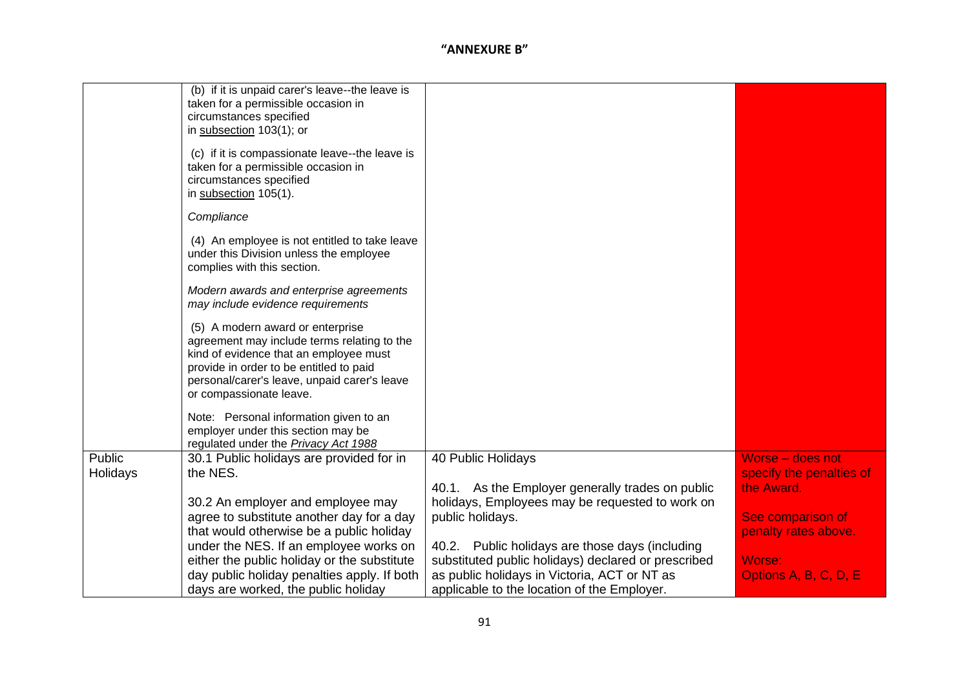|                    | (b) if it is unpaid carer's leave--the leave is<br>taken for a permissible occasion in<br>circumstances specified<br>in subsection 103(1); or<br>(c) if it is compassionate leave--the leave is                                                 |                                                                                                     |                                              |
|--------------------|-------------------------------------------------------------------------------------------------------------------------------------------------------------------------------------------------------------------------------------------------|-----------------------------------------------------------------------------------------------------|----------------------------------------------|
|                    | taken for a permissible occasion in<br>circumstances specified<br>in subsection 105(1).                                                                                                                                                         |                                                                                                     |                                              |
|                    | Compliance                                                                                                                                                                                                                                      |                                                                                                     |                                              |
|                    | (4) An employee is not entitled to take leave<br>under this Division unless the employee<br>complies with this section.                                                                                                                         |                                                                                                     |                                              |
|                    | Modern awards and enterprise agreements<br>may include evidence requirements                                                                                                                                                                    |                                                                                                     |                                              |
|                    | (5) A modern award or enterprise<br>agreement may include terms relating to the<br>kind of evidence that an employee must<br>provide in order to be entitled to paid<br>personal/carer's leave, unpaid carer's leave<br>or compassionate leave. |                                                                                                     |                                              |
|                    | Note: Personal information given to an<br>employer under this section may be<br>regulated under the <b>Privacy Act 1988</b>                                                                                                                     |                                                                                                     |                                              |
| Public<br>Holidays | 30.1 Public holidays are provided for in<br>the NES.                                                                                                                                                                                            | 40 Public Holidays                                                                                  | Worse - does not<br>specify the penalties of |
|                    |                                                                                                                                                                                                                                                 | 40.1. As the Employer generally trades on public<br>holidays, Employees may be requested to work on | the Award.                                   |
|                    | 30.2 An employer and employee may<br>agree to substitute another day for a day                                                                                                                                                                  | public holidays.                                                                                    | See comparison of                            |
|                    | that would otherwise be a public holiday                                                                                                                                                                                                        |                                                                                                     | penalty rates above.                         |
|                    | under the NES. If an employee works on                                                                                                                                                                                                          | 40.2. Public holidays are those days (including                                                     |                                              |
|                    | either the public holiday or the substitute<br>day public holiday penalties apply. If both                                                                                                                                                      | substituted public holidays) declared or prescribed<br>as public holidays in Victoria, ACT or NT as | Worse:<br>Options A, B, C, D, E              |
|                    | days are worked, the public holiday                                                                                                                                                                                                             | applicable to the location of the Employer.                                                         |                                              |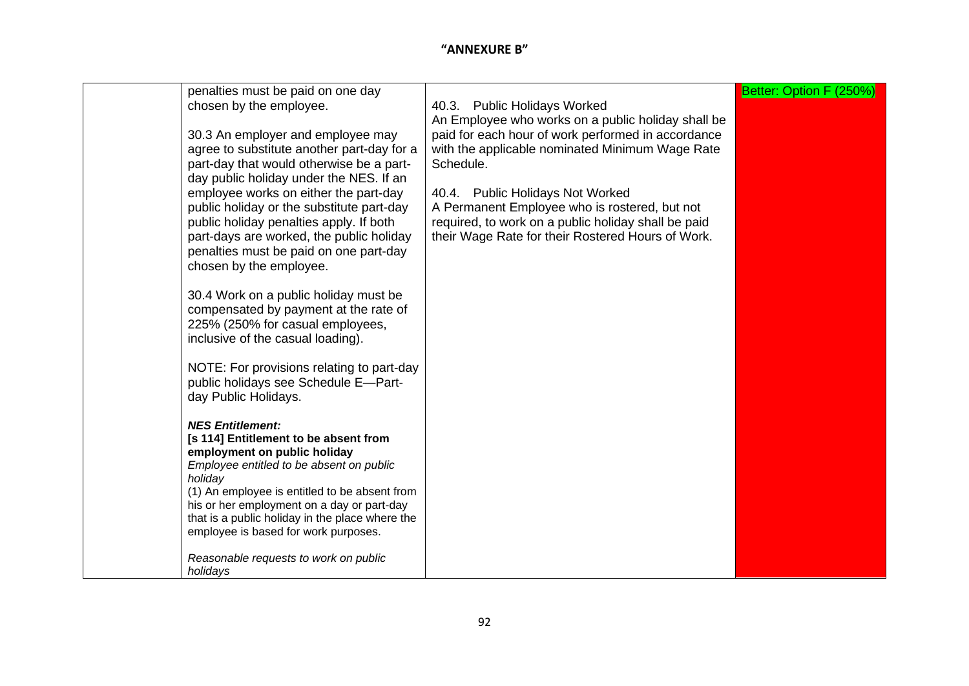| Better: Option F (250%) |                                                                                                      | penalties must be paid on one day                                                                                                                                                                                                                                                                                                                                                                                                                                                                                                                                                                                      |
|-------------------------|------------------------------------------------------------------------------------------------------|------------------------------------------------------------------------------------------------------------------------------------------------------------------------------------------------------------------------------------------------------------------------------------------------------------------------------------------------------------------------------------------------------------------------------------------------------------------------------------------------------------------------------------------------------------------------------------------------------------------------|
|                         | 40.3. Public Holidays Worked                                                                         | chosen by the employee.                                                                                                                                                                                                                                                                                                                                                                                                                                                                                                                                                                                                |
|                         | An Employee who works on a public holiday shall be                                                   |                                                                                                                                                                                                                                                                                                                                                                                                                                                                                                                                                                                                                        |
|                         | paid for each hour of work performed in accordance                                                   | 30.3 An employer and employee may                                                                                                                                                                                                                                                                                                                                                                                                                                                                                                                                                                                      |
|                         | with the applicable nominated Minimum Wage Rate                                                      | agree to substitute another part-day for a                                                                                                                                                                                                                                                                                                                                                                                                                                                                                                                                                                             |
|                         | Schedule.                                                                                            | part-day that would otherwise be a part-                                                                                                                                                                                                                                                                                                                                                                                                                                                                                                                                                                               |
|                         |                                                                                                      | day public holiday under the NES. If an                                                                                                                                                                                                                                                                                                                                                                                                                                                                                                                                                                                |
|                         | 40.4. Public Holidays Not Worked                                                                     | employee works on either the part-day                                                                                                                                                                                                                                                                                                                                                                                                                                                                                                                                                                                  |
|                         |                                                                                                      |                                                                                                                                                                                                                                                                                                                                                                                                                                                                                                                                                                                                                        |
|                         |                                                                                                      |                                                                                                                                                                                                                                                                                                                                                                                                                                                                                                                                                                                                                        |
|                         | their Wage Rate for their Rostered Hours of Work.                                                    |                                                                                                                                                                                                                                                                                                                                                                                                                                                                                                                                                                                                                        |
|                         |                                                                                                      | penalties must be paid on one part-day                                                                                                                                                                                                                                                                                                                                                                                                                                                                                                                                                                                 |
|                         |                                                                                                      | chosen by the employee.                                                                                                                                                                                                                                                                                                                                                                                                                                                                                                                                                                                                |
|                         |                                                                                                      |                                                                                                                                                                                                                                                                                                                                                                                                                                                                                                                                                                                                                        |
|                         |                                                                                                      | 30.4 Work on a public holiday must be                                                                                                                                                                                                                                                                                                                                                                                                                                                                                                                                                                                  |
|                         |                                                                                                      | compensated by payment at the rate of                                                                                                                                                                                                                                                                                                                                                                                                                                                                                                                                                                                  |
|                         |                                                                                                      |                                                                                                                                                                                                                                                                                                                                                                                                                                                                                                                                                                                                                        |
|                         |                                                                                                      |                                                                                                                                                                                                                                                                                                                                                                                                                                                                                                                                                                                                                        |
|                         |                                                                                                      |                                                                                                                                                                                                                                                                                                                                                                                                                                                                                                                                                                                                                        |
|                         |                                                                                                      |                                                                                                                                                                                                                                                                                                                                                                                                                                                                                                                                                                                                                        |
|                         |                                                                                                      |                                                                                                                                                                                                                                                                                                                                                                                                                                                                                                                                                                                                                        |
|                         |                                                                                                      |                                                                                                                                                                                                                                                                                                                                                                                                                                                                                                                                                                                                                        |
|                         |                                                                                                      |                                                                                                                                                                                                                                                                                                                                                                                                                                                                                                                                                                                                                        |
|                         |                                                                                                      |                                                                                                                                                                                                                                                                                                                                                                                                                                                                                                                                                                                                                        |
|                         |                                                                                                      |                                                                                                                                                                                                                                                                                                                                                                                                                                                                                                                                                                                                                        |
|                         |                                                                                                      |                                                                                                                                                                                                                                                                                                                                                                                                                                                                                                                                                                                                                        |
|                         |                                                                                                      | holiday                                                                                                                                                                                                                                                                                                                                                                                                                                                                                                                                                                                                                |
|                         |                                                                                                      | (1) An employee is entitled to be absent from                                                                                                                                                                                                                                                                                                                                                                                                                                                                                                                                                                          |
|                         |                                                                                                      | his or her employment on a day or part-day                                                                                                                                                                                                                                                                                                                                                                                                                                                                                                                                                                             |
|                         |                                                                                                      |                                                                                                                                                                                                                                                                                                                                                                                                                                                                                                                                                                                                                        |
|                         |                                                                                                      |                                                                                                                                                                                                                                                                                                                                                                                                                                                                                                                                                                                                                        |
|                         |                                                                                                      |                                                                                                                                                                                                                                                                                                                                                                                                                                                                                                                                                                                                                        |
|                         |                                                                                                      |                                                                                                                                                                                                                                                                                                                                                                                                                                                                                                                                                                                                                        |
|                         | A Permanent Employee who is rostered, but not<br>required, to work on a public holiday shall be paid | public holiday or the substitute part-day<br>public holiday penalties apply. If both<br>part-days are worked, the public holiday<br>225% (250% for casual employees,<br>inclusive of the casual loading).<br>NOTE: For provisions relating to part-day<br>public holidays see Schedule E-Part-<br>day Public Holidays.<br><b>NES Entitlement:</b><br>[s 114] Entitlement to be absent from<br>employment on public holiday<br>Employee entitled to be absent on public<br>that is a public holiday in the place where the<br>employee is based for work purposes.<br>Reasonable requests to work on public<br>holidays |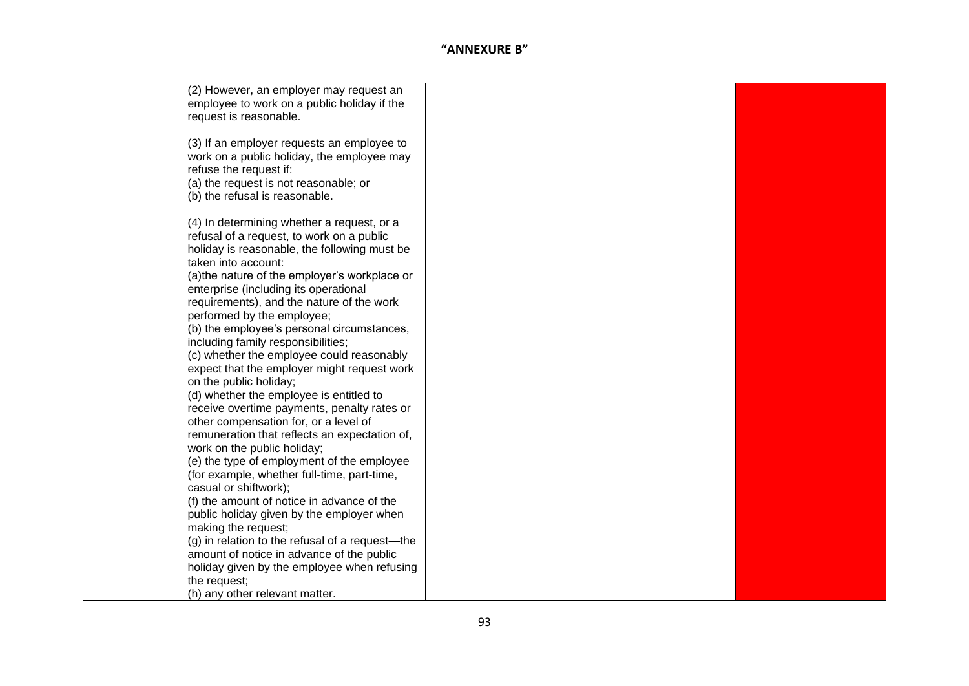| (2) However, an employer may request an         |  |
|-------------------------------------------------|--|
| employee to work on a public holiday if the     |  |
| request is reasonable.                          |  |
|                                                 |  |
|                                                 |  |
| (3) If an employer requests an employee to      |  |
| work on a public holiday, the employee may      |  |
| refuse the request if:                          |  |
| (a) the request is not reasonable; or           |  |
|                                                 |  |
| (b) the refusal is reasonable.                  |  |
|                                                 |  |
| (4) In determining whether a request, or a      |  |
| refusal of a request, to work on a public       |  |
| holiday is reasonable, the following must be    |  |
| taken into account:                             |  |
|                                                 |  |
| (a) the nature of the employer's workplace or   |  |
| enterprise (including its operational           |  |
| requirements), and the nature of the work       |  |
| performed by the employee;                      |  |
| (b) the employee's personal circumstances,      |  |
| including family responsibilities;              |  |
|                                                 |  |
| (c) whether the employee could reasonably       |  |
| expect that the employer might request work     |  |
| on the public holiday;                          |  |
| (d) whether the employee is entitled to         |  |
| receive overtime payments, penalty rates or     |  |
| other compensation for, or a level of           |  |
| remuneration that reflects an expectation of,   |  |
|                                                 |  |
| work on the public holiday;                     |  |
| (e) the type of employment of the employee      |  |
| (for example, whether full-time, part-time,     |  |
| casual or shiftwork);                           |  |
| (f) the amount of notice in advance of the      |  |
| public holiday given by the employer when       |  |
| making the request;                             |  |
| (g) in relation to the refusal of a request-the |  |
|                                                 |  |
| amount of notice in advance of the public       |  |
| holiday given by the employee when refusing     |  |
| the request;                                    |  |
| (h) any other relevant matter.                  |  |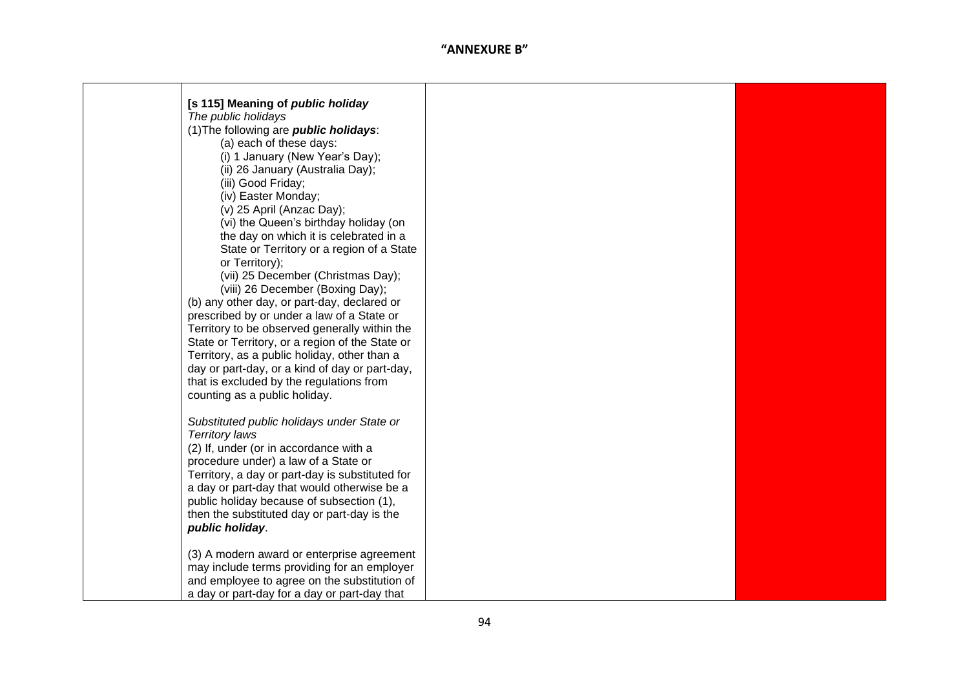| [s 115] Meaning of public holiday               |  |
|-------------------------------------------------|--|
| The public holidays                             |  |
| (1) The following are <i>public holidays</i> :  |  |
| (a) each of these days:                         |  |
| (i) 1 January (New Year's Day);                 |  |
| (ii) 26 January (Australia Day);                |  |
|                                                 |  |
| (iii) Good Friday;                              |  |
| (iv) Easter Monday;                             |  |
| (v) 25 April (Anzac Day);                       |  |
| (vi) the Queen's birthday holiday (on           |  |
| the day on which it is celebrated in a          |  |
| State or Territory or a region of a State       |  |
| or Territory);                                  |  |
| (vii) 25 December (Christmas Day);              |  |
| (viii) 26 December (Boxing Day);                |  |
| (b) any other day, or part-day, declared or     |  |
| prescribed by or under a law of a State or      |  |
| Territory to be observed generally within the   |  |
| State or Territory, or a region of the State or |  |
| Territory, as a public holiday, other than a    |  |
| day or part-day, or a kind of day or part-day,  |  |
| that is excluded by the regulations from        |  |
| counting as a public holiday.                   |  |
|                                                 |  |
| Substituted public holidays under State or      |  |
| <b>Territory laws</b>                           |  |
| (2) If, under (or in accordance with a          |  |
| procedure under) a law of a State or            |  |
| Territory, a day or part-day is substituted for |  |
| a day or part-day that would otherwise be a     |  |
| public holiday because of subsection (1),       |  |
| then the substituted day or part-day is the     |  |
| public holiday.                                 |  |
|                                                 |  |
| (3) A modern award or enterprise agreement      |  |
| may include terms providing for an employer     |  |
| and employee to agree on the substitution of    |  |
| a day or part-day for a day or part-day that    |  |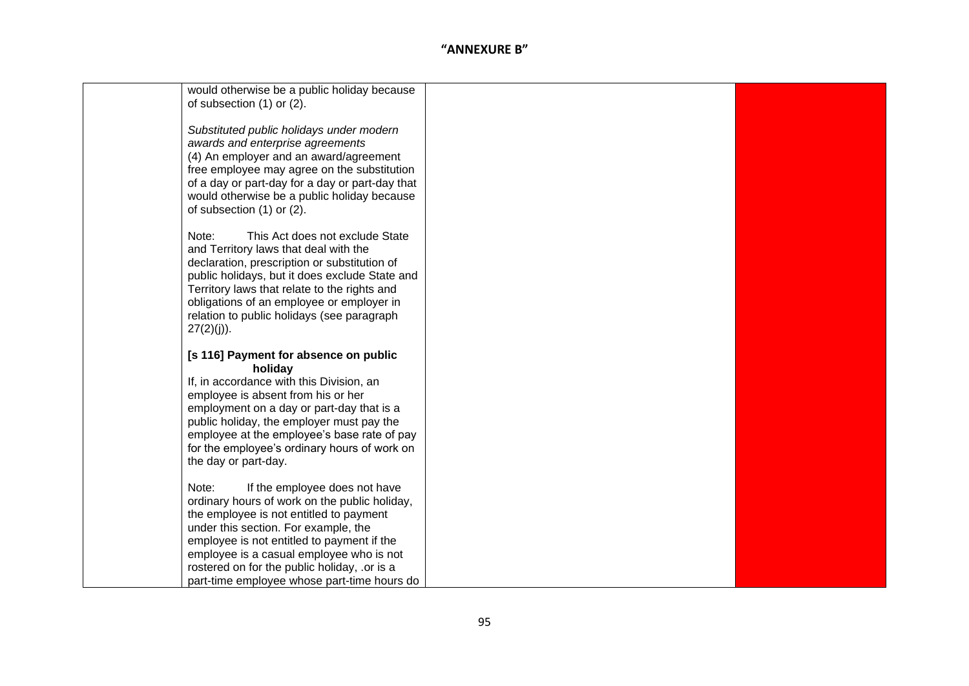| would otherwise be a public holiday because<br>of subsection (1) or (2).                                                                                                                                                                                                                                                                                            |  |
|---------------------------------------------------------------------------------------------------------------------------------------------------------------------------------------------------------------------------------------------------------------------------------------------------------------------------------------------------------------------|--|
| Substituted public holidays under modern<br>awards and enterprise agreements<br>(4) An employer and an award/agreement<br>free employee may agree on the substitution<br>of a day or part-day for a day or part-day that<br>would otherwise be a public holiday because<br>of subsection (1) or (2).                                                                |  |
| Note:<br>This Act does not exclude State<br>and Territory laws that deal with the<br>declaration, prescription or substitution of<br>public holidays, but it does exclude State and<br>Territory laws that relate to the rights and<br>obligations of an employee or employer in<br>relation to public holidays (see paragraph<br>$27(2)(j)$ ).                     |  |
| [s 116] Payment for absence on public<br>holiday<br>If, in accordance with this Division, an<br>employee is absent from his or her<br>employment on a day or part-day that is a<br>public holiday, the employer must pay the<br>employee at the employee's base rate of pay<br>for the employee's ordinary hours of work on<br>the day or part-day.                 |  |
| If the employee does not have<br>Note:<br>ordinary hours of work on the public holiday,<br>the employee is not entitled to payment<br>under this section. For example, the<br>employee is not entitled to payment if the<br>employee is a casual employee who is not<br>rostered on for the public holiday, .or is a<br>part-time employee whose part-time hours do |  |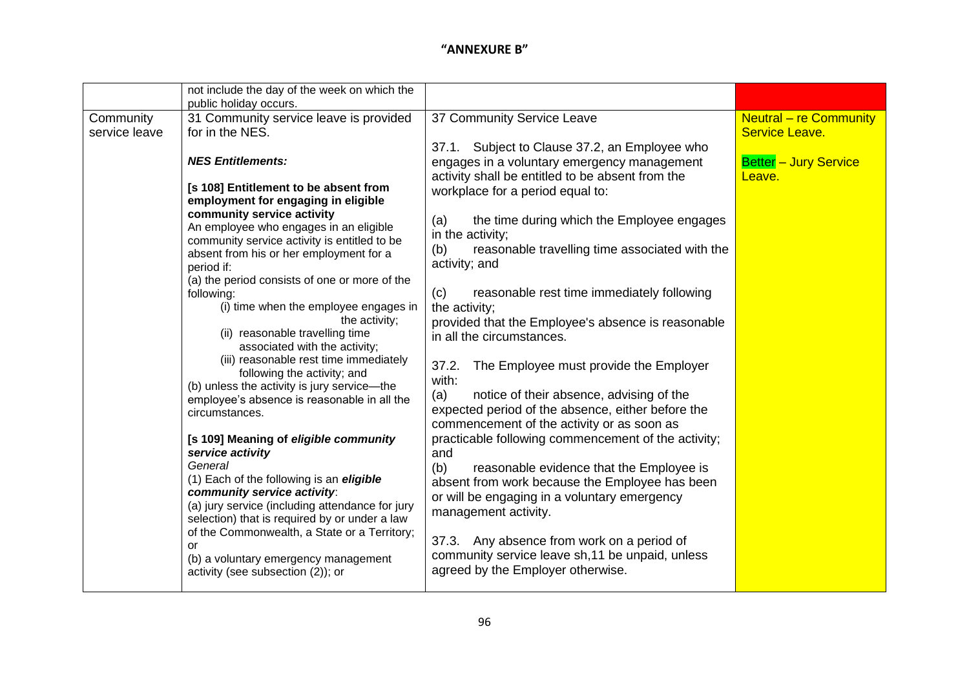|                            | not include the day of the week on which the                                                                                                                                                                                                                                                                                                                                                                                                    |                                                                                                                                                                                                                                                                                                                                                                                                                            |                                                                                           |
|----------------------------|-------------------------------------------------------------------------------------------------------------------------------------------------------------------------------------------------------------------------------------------------------------------------------------------------------------------------------------------------------------------------------------------------------------------------------------------------|----------------------------------------------------------------------------------------------------------------------------------------------------------------------------------------------------------------------------------------------------------------------------------------------------------------------------------------------------------------------------------------------------------------------------|-------------------------------------------------------------------------------------------|
| Community<br>service leave | public holiday occurs.<br>31 Community service leave is provided<br>for in the NES.<br><b>NES Entitlements:</b><br>[s 108] Entitlement to be absent from<br>employment for engaging in eligible<br>community service activity<br>An employee who engages in an eligible<br>community service activity is entitled to be<br>absent from his or her employment for a<br>period if:<br>(a) the period consists of one or more of the<br>following: | 37 Community Service Leave<br>37.1. Subject to Clause 37.2, an Employee who<br>engages in a voluntary emergency management<br>activity shall be entitled to be absent from the<br>workplace for a period equal to:<br>the time during which the Employee engages<br>(a)<br>in the activity;<br>reasonable travelling time associated with the<br>(b)<br>activity; and<br>reasonable rest time immediately following<br>(c) | <b>Neutral - re Community</b><br>Service Leave.<br><b>Better - Jury Service</b><br>Leave. |
|                            | (i) time when the employee engages in<br>the activity;<br>(ii) reasonable travelling time<br>associated with the activity;<br>(iii) reasonable rest time immediately<br>following the activity; and<br>(b) unless the activity is jury service-the<br>employee's absence is reasonable in all the<br>circumstances.                                                                                                                             | the activity;<br>provided that the Employee's absence is reasonable<br>in all the circumstances.<br>The Employee must provide the Employer<br>37.2.<br>with:<br>(a)<br>notice of their absence, advising of the<br>expected period of the absence, either before the<br>commencement of the activity or as soon as                                                                                                         |                                                                                           |
|                            | [s 109] Meaning of eligible community<br>service activity<br>General<br>(1) Each of the following is an eligible<br>community service activity:<br>(a) jury service (including attendance for jury<br>selection) that is required by or under a law<br>of the Commonwealth, a State or a Territory;<br>or<br>(b) a voluntary emergency management<br>activity (see subsection (2)); or                                                          | practicable following commencement of the activity;<br>and<br>(b)<br>reasonable evidence that the Employee is<br>absent from work because the Employee has been<br>or will be engaging in a voluntary emergency<br>management activity.<br>37.3. Any absence from work on a period of<br>community service leave sh, 11 be unpaid, unless<br>agreed by the Employer otherwise.                                             |                                                                                           |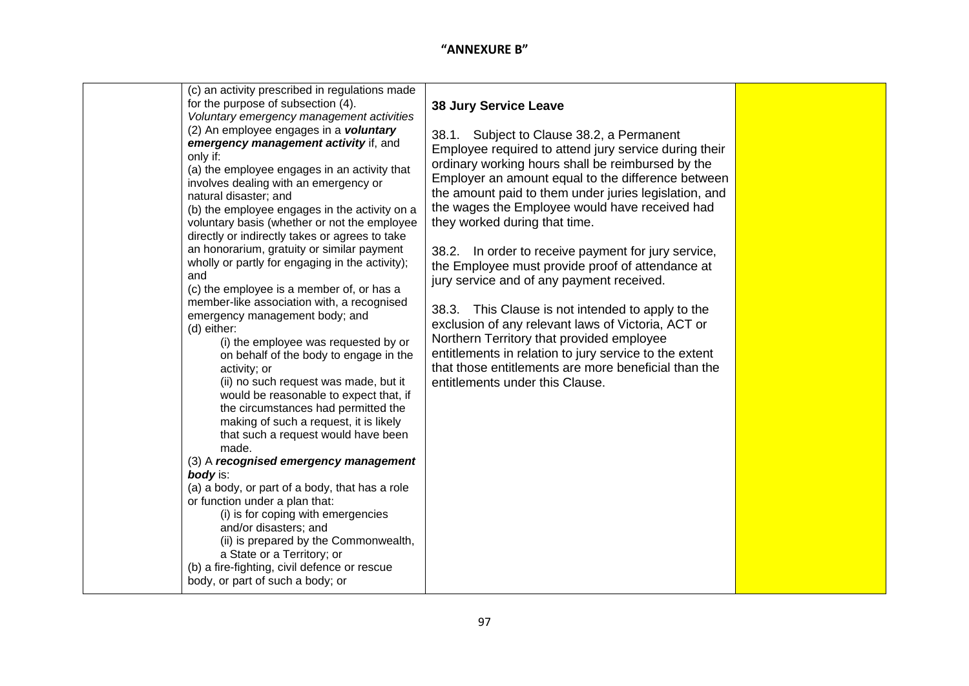| (c) an activity prescribed in regulations made<br>for the purpose of subsection (4).                                                                                                                                                                                                                                                                                                                                                                                                                                                                                                                                                                                                                                                                                                                                                                                                                                                                                                                                                                                                                                                                                                                                                                                                                                                                       | <b>38 Jury Service Leave</b>                                                                                                                                                                                                                                                                                                                                                                                                                                                                                                                                                                                                                                                                                                                                                                                                   |  |
|------------------------------------------------------------------------------------------------------------------------------------------------------------------------------------------------------------------------------------------------------------------------------------------------------------------------------------------------------------------------------------------------------------------------------------------------------------------------------------------------------------------------------------------------------------------------------------------------------------------------------------------------------------------------------------------------------------------------------------------------------------------------------------------------------------------------------------------------------------------------------------------------------------------------------------------------------------------------------------------------------------------------------------------------------------------------------------------------------------------------------------------------------------------------------------------------------------------------------------------------------------------------------------------------------------------------------------------------------------|--------------------------------------------------------------------------------------------------------------------------------------------------------------------------------------------------------------------------------------------------------------------------------------------------------------------------------------------------------------------------------------------------------------------------------------------------------------------------------------------------------------------------------------------------------------------------------------------------------------------------------------------------------------------------------------------------------------------------------------------------------------------------------------------------------------------------------|--|
| Voluntary emergency management activities<br>(2) An employee engages in a voluntary<br>emergency management activity if, and<br>only if:<br>(a) the employee engages in an activity that<br>involves dealing with an emergency or<br>natural disaster; and<br>(b) the employee engages in the activity on a<br>voluntary basis (whether or not the employee<br>directly or indirectly takes or agrees to take<br>an honorarium, gratuity or similar payment<br>wholly or partly for engaging in the activity);<br>and<br>(c) the employee is a member of, or has a<br>member-like association with, a recognised<br>emergency management body; and<br>(d) either:<br>(i) the employee was requested by or<br>on behalf of the body to engage in the<br>activity; or<br>(ii) no such request was made, but it<br>would be reasonable to expect that, if<br>the circumstances had permitted the<br>making of such a request, it is likely<br>that such a request would have been<br>made.<br>(3) A recognised emergency management<br>body is:<br>(a) a body, or part of a body, that has a role<br>or function under a plan that:<br>(i) is for coping with emergencies<br>and/or disasters; and<br>(ii) is prepared by the Commonwealth,<br>a State or a Territory; or<br>(b) a fire-fighting, civil defence or rescue<br>body, or part of such a body; or | 38.1. Subject to Clause 38.2, a Permanent<br>Employee required to attend jury service during their<br>ordinary working hours shall be reimbursed by the<br>Employer an amount equal to the difference between<br>the amount paid to them under juries legislation, and<br>the wages the Employee would have received had<br>they worked during that time.<br>38.2. In order to receive payment for jury service,<br>the Employee must provide proof of attendance at<br>jury service and of any payment received.<br>38.3. This Clause is not intended to apply to the<br>exclusion of any relevant laws of Victoria, ACT or<br>Northern Territory that provided employee<br>entitlements in relation to jury service to the extent<br>that those entitlements are more beneficial than the<br>entitlements under this Clause. |  |
|                                                                                                                                                                                                                                                                                                                                                                                                                                                                                                                                                                                                                                                                                                                                                                                                                                                                                                                                                                                                                                                                                                                                                                                                                                                                                                                                                            |                                                                                                                                                                                                                                                                                                                                                                                                                                                                                                                                                                                                                                                                                                                                                                                                                                |  |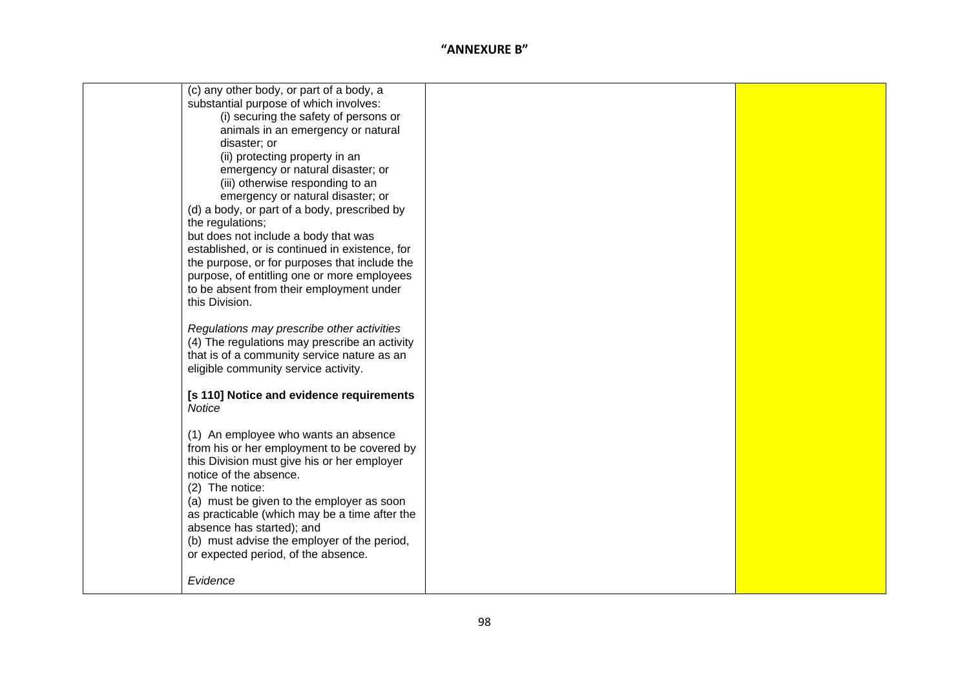| (c) any other body, or part of a body, a       |  |
|------------------------------------------------|--|
| substantial purpose of which involves:         |  |
| (i) securing the safety of persons or          |  |
| animals in an emergency or natural             |  |
| disaster; or                                   |  |
| (ii) protecting property in an                 |  |
| emergency or natural disaster; or              |  |
| (iii) otherwise responding to an               |  |
| emergency or natural disaster; or              |  |
| (d) a body, or part of a body, prescribed by   |  |
| the regulations;                               |  |
| but does not include a body that was           |  |
| established, or is continued in existence, for |  |
| the purpose, or for purposes that include the  |  |
| purpose, of entitling one or more employees    |  |
| to be absent from their employment under       |  |
| this Division.                                 |  |
|                                                |  |
| Regulations may prescribe other activities     |  |
| (4) The regulations may prescribe an activity  |  |
| that is of a community service nature as an    |  |
| eligible community service activity.           |  |
| [s 110] Notice and evidence requirements       |  |
| Notice                                         |  |
|                                                |  |
| (1) An employee who wants an absence           |  |
| from his or her employment to be covered by    |  |
| this Division must give his or her employer    |  |
| notice of the absence.                         |  |
| (2) The notice:                                |  |
| (a) must be given to the employer as soon      |  |
| as practicable (which may be a time after the  |  |
| absence has started); and                      |  |
| (b) must advise the employer of the period,    |  |
| or expected period, of the absence.            |  |
|                                                |  |
| Evidence                                       |  |
|                                                |  |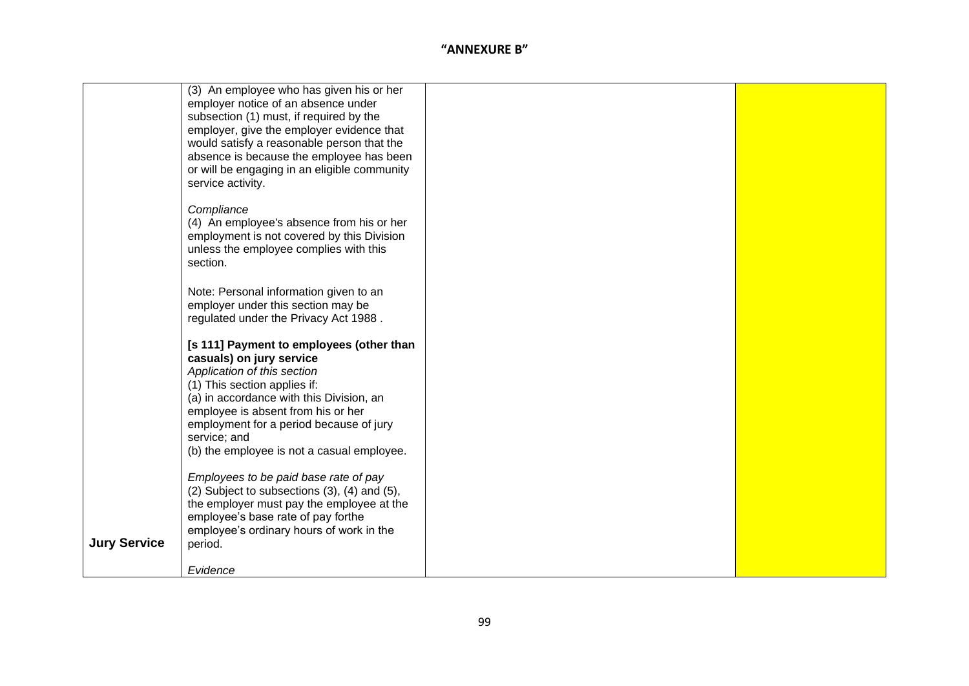|                     | (3) An employee who has given his or her               |  |
|---------------------|--------------------------------------------------------|--|
|                     | employer notice of an absence under                    |  |
|                     | subsection (1) must, if required by the                |  |
|                     | employer, give the employer evidence that              |  |
|                     | would satisfy a reasonable person that the             |  |
|                     | absence is because the employee has been               |  |
|                     |                                                        |  |
|                     | or will be engaging in an eligible community           |  |
|                     | service activity.                                      |  |
|                     |                                                        |  |
|                     | Compliance                                             |  |
|                     | (4) An employee's absence from his or her              |  |
|                     | employment is not covered by this Division             |  |
|                     | unless the employee complies with this                 |  |
|                     | section.                                               |  |
|                     |                                                        |  |
|                     |                                                        |  |
|                     | Note: Personal information given to an                 |  |
|                     | employer under this section may be                     |  |
|                     | regulated under the Privacy Act 1988.                  |  |
|                     |                                                        |  |
|                     | [s 111] Payment to employees (other than               |  |
|                     | casuals) on jury service                               |  |
|                     | Application of this section                            |  |
|                     |                                                        |  |
|                     | (1) This section applies if:                           |  |
|                     | (a) in accordance with this Division, an               |  |
|                     | employee is absent from his or her                     |  |
|                     | employment for a period because of jury                |  |
|                     | service; and                                           |  |
|                     | (b) the employee is not a casual employee.             |  |
|                     |                                                        |  |
|                     | Employees to be paid base rate of pay                  |  |
|                     | $(2)$ Subject to subsections $(3)$ , $(4)$ and $(5)$ , |  |
|                     | the employer must pay the employee at the              |  |
|                     |                                                        |  |
|                     | employee's base rate of pay forthe                     |  |
|                     | employee's ordinary hours of work in the               |  |
| <b>Jury Service</b> | period.                                                |  |
|                     |                                                        |  |
|                     | Evidence                                               |  |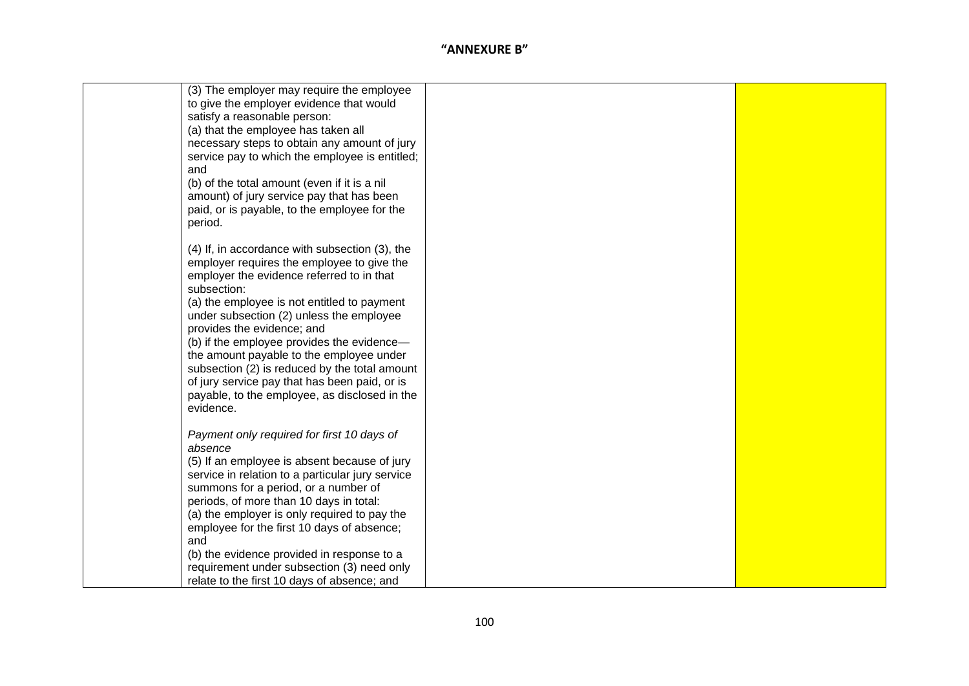| (3) The employer may require the employee        |  |
|--------------------------------------------------|--|
| to give the employer evidence that would         |  |
| satisfy a reasonable person:                     |  |
| (a) that the employee has taken all              |  |
| necessary steps to obtain any amount of jury     |  |
| service pay to which the employee is entitled;   |  |
| and                                              |  |
| (b) of the total amount (even if it is a nil     |  |
| amount) of jury service pay that has been        |  |
| paid, or is payable, to the employee for the     |  |
| period.                                          |  |
|                                                  |  |
| (4) If, in accordance with subsection (3), the   |  |
| employer requires the employee to give the       |  |
| employer the evidence referred to in that        |  |
| subsection:                                      |  |
| (a) the employee is not entitled to payment      |  |
| under subsection (2) unless the employee         |  |
| provides the evidence; and                       |  |
| (b) if the employee provides the evidence-       |  |
| the amount payable to the employee under         |  |
| subsection (2) is reduced by the total amount    |  |
| of jury service pay that has been paid, or is    |  |
| payable, to the employee, as disclosed in the    |  |
| evidence.                                        |  |
|                                                  |  |
| Payment only required for first 10 days of       |  |
| absence                                          |  |
| (5) If an employee is absent because of jury     |  |
| service in relation to a particular jury service |  |
| summons for a period, or a number of             |  |
| periods, of more than 10 days in total:          |  |
| (a) the employer is only required to pay the     |  |
| employee for the first 10 days of absence;       |  |
| and                                              |  |
| (b) the evidence provided in response to a       |  |
| requirement under subsection (3) need only       |  |
| relate to the first 10 days of absence; and      |  |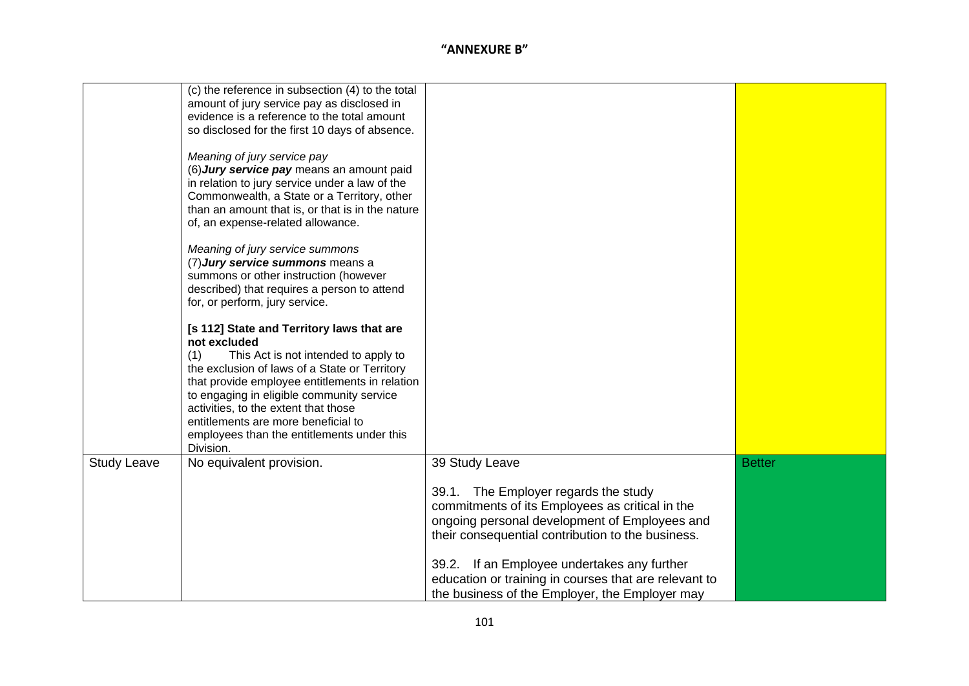|                    | (c) the reference in subsection (4) to the total<br>amount of jury service pay as disclosed in<br>evidence is a reference to the total amount<br>so disclosed for the first 10 days of absence.<br>Meaning of jury service pay<br>(6) Jury service pay means an amount paid<br>in relation to jury service under a law of the<br>Commonwealth, a State or a Territory, other<br>than an amount that is, or that is in the nature<br>of, an expense-related allowance.<br>Meaning of jury service summons<br>(7) Jury service summons means a<br>summons or other instruction (however<br>described) that requires a person to attend<br>for, or perform, jury service.<br>[s 112] State and Territory laws that are<br>not excluded<br>(1)<br>This Act is not intended to apply to<br>the exclusion of laws of a State or Territory<br>that provide employee entitlements in relation<br>to engaging in eligible community service<br>activities, to the extent that those |                                                                                                                                                                                                                                                                                                                                                                           |               |
|--------------------|----------------------------------------------------------------------------------------------------------------------------------------------------------------------------------------------------------------------------------------------------------------------------------------------------------------------------------------------------------------------------------------------------------------------------------------------------------------------------------------------------------------------------------------------------------------------------------------------------------------------------------------------------------------------------------------------------------------------------------------------------------------------------------------------------------------------------------------------------------------------------------------------------------------------------------------------------------------------------|---------------------------------------------------------------------------------------------------------------------------------------------------------------------------------------------------------------------------------------------------------------------------------------------------------------------------------------------------------------------------|---------------|
|                    | entitlements are more beneficial to<br>employees than the entitlements under this<br>Division.                                                                                                                                                                                                                                                                                                                                                                                                                                                                                                                                                                                                                                                                                                                                                                                                                                                                             |                                                                                                                                                                                                                                                                                                                                                                           |               |
| <b>Study Leave</b> | No equivalent provision.                                                                                                                                                                                                                                                                                                                                                                                                                                                                                                                                                                                                                                                                                                                                                                                                                                                                                                                                                   | 39 Study Leave<br>39.1. The Employer regards the study<br>commitments of its Employees as critical in the<br>ongoing personal development of Employees and<br>their consequential contribution to the business.<br>39.2. If an Employee undertakes any further<br>education or training in courses that are relevant to<br>the business of the Employer, the Employer may | <b>Better</b> |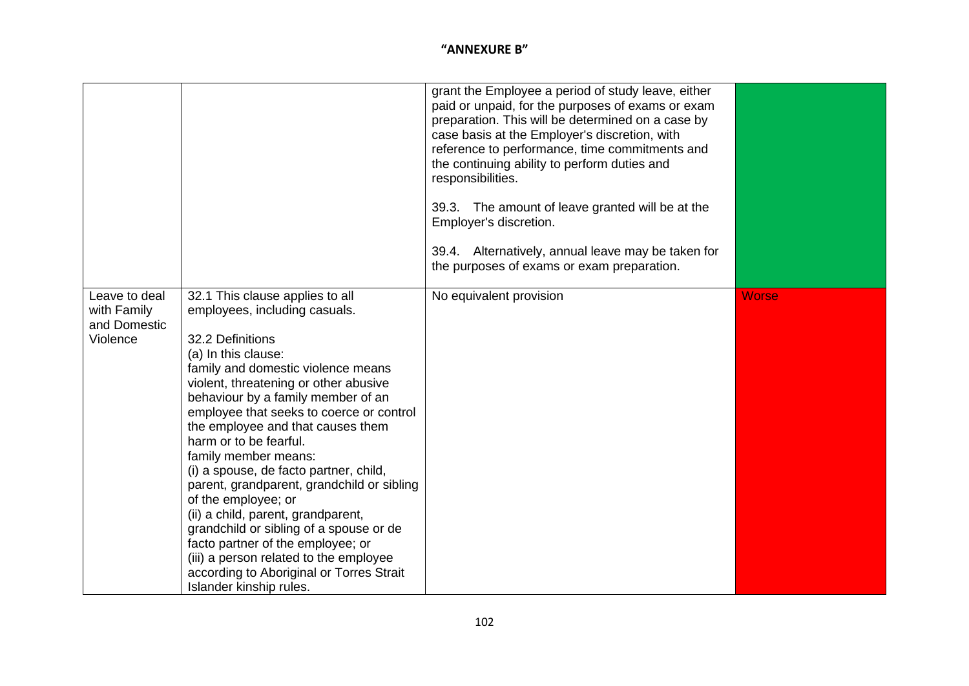|                                                          |                                                                                                                                                                                                                                                                                                                                                                                                                                                                                                                                                                                                                                                                                                                           | grant the Employee a period of study leave, either<br>paid or unpaid, for the purposes of exams or exam<br>preparation. This will be determined on a case by<br>case basis at the Employer's discretion, with<br>reference to performance, time commitments and<br>the continuing ability to perform duties and<br>responsibilities.<br>39.3. The amount of leave granted will be at the<br>Employer's discretion.<br>39.4. Alternatively, annual leave may be taken for<br>the purposes of exams or exam preparation. |              |
|----------------------------------------------------------|---------------------------------------------------------------------------------------------------------------------------------------------------------------------------------------------------------------------------------------------------------------------------------------------------------------------------------------------------------------------------------------------------------------------------------------------------------------------------------------------------------------------------------------------------------------------------------------------------------------------------------------------------------------------------------------------------------------------------|------------------------------------------------------------------------------------------------------------------------------------------------------------------------------------------------------------------------------------------------------------------------------------------------------------------------------------------------------------------------------------------------------------------------------------------------------------------------------------------------------------------------|--------------|
| Leave to deal<br>with Family<br>and Domestic<br>Violence | 32.1 This clause applies to all<br>employees, including casuals.<br>32.2 Definitions<br>(a) In this clause:<br>family and domestic violence means<br>violent, threatening or other abusive<br>behaviour by a family member of an<br>employee that seeks to coerce or control<br>the employee and that causes them<br>harm or to be fearful.<br>family member means:<br>(i) a spouse, de facto partner, child,<br>parent, grandparent, grandchild or sibling<br>of the employee; or<br>(ii) a child, parent, grandparent,<br>grandchild or sibling of a spouse or de<br>facto partner of the employee; or<br>(iii) a person related to the employee<br>according to Aboriginal or Torres Strait<br>Islander kinship rules. | No equivalent provision                                                                                                                                                                                                                                                                                                                                                                                                                                                                                                | <b>Worse</b> |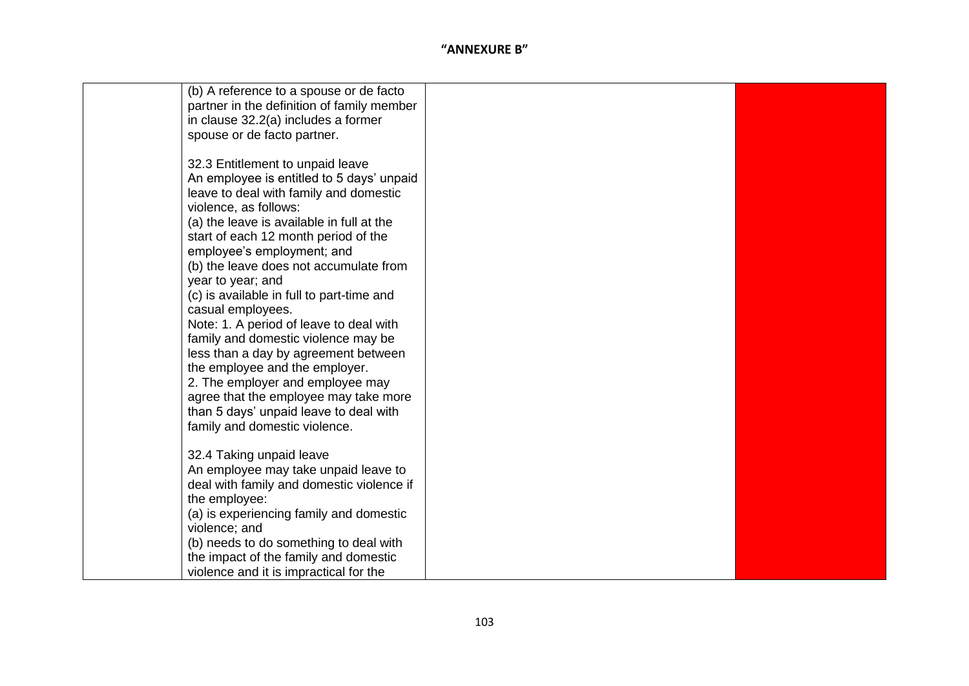| (b) A reference to a spouse or de facto    |  |
|--------------------------------------------|--|
| partner in the definition of family member |  |
| in clause 32.2(a) includes a former        |  |
| spouse or de facto partner.                |  |
|                                            |  |
| 32.3 Entitlement to unpaid leave           |  |
| An employee is entitled to 5 days' unpaid  |  |
| leave to deal with family and domestic     |  |
| violence, as follows:                      |  |
| (a) the leave is available in full at the  |  |
| start of each 12 month period of the       |  |
| employee's employment; and                 |  |
| (b) the leave does not accumulate from     |  |
| year to year; and                          |  |
| (c) is available in full to part-time and  |  |
| casual employees.                          |  |
| Note: 1. A period of leave to deal with    |  |
| family and domestic violence may be        |  |
| less than a day by agreement between       |  |
| the employee and the employer.             |  |
| 2. The employer and employee may           |  |
| agree that the employee may take more      |  |
| than 5 days' unpaid leave to deal with     |  |
| family and domestic violence.              |  |
|                                            |  |
| 32.4 Taking unpaid leave                   |  |
| An employee may take unpaid leave to       |  |
| deal with family and domestic violence if  |  |
| the employee:                              |  |
| (a) is experiencing family and domestic    |  |
| violence; and                              |  |
| (b) needs to do something to deal with     |  |
| the impact of the family and domestic      |  |
| violence and it is impractical for the     |  |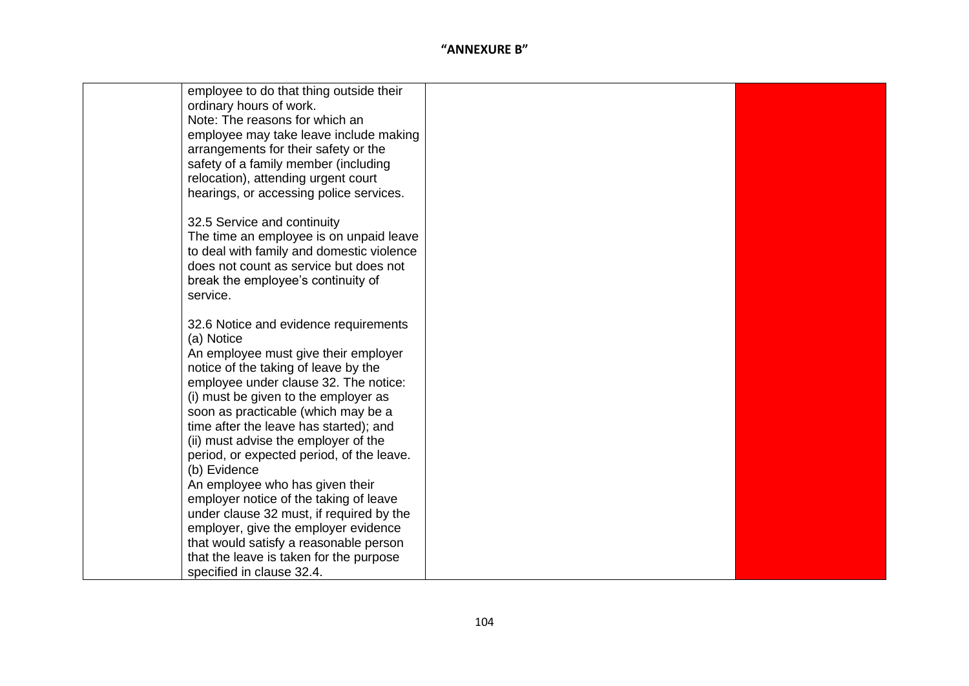| employee to do that thing outside their   |  |
|-------------------------------------------|--|
| ordinary hours of work.                   |  |
| Note: The reasons for which an            |  |
| employee may take leave include making    |  |
| arrangements for their safety or the      |  |
|                                           |  |
| safety of a family member (including      |  |
| relocation), attending urgent court       |  |
| hearings, or accessing police services.   |  |
| 32.5 Service and continuity               |  |
| The time an employee is on unpaid leave   |  |
| to deal with family and domestic violence |  |
| does not count as service but does not    |  |
| break the employee's continuity of        |  |
| service.                                  |  |
|                                           |  |
| 32.6 Notice and evidence requirements     |  |
| (a) Notice                                |  |
| An employee must give their employer      |  |
| notice of the taking of leave by the      |  |
| employee under clause 32. The notice:     |  |
| (i) must be given to the employer as      |  |
| soon as practicable (which may be a       |  |
| time after the leave has started); and    |  |
|                                           |  |
| (ii) must advise the employer of the      |  |
| period, or expected period, of the leave. |  |
| (b) Evidence                              |  |
| An employee who has given their           |  |
| employer notice of the taking of leave    |  |
| under clause 32 must, if required by the  |  |
| employer, give the employer evidence      |  |
| that would satisfy a reasonable person    |  |
| that the leave is taken for the purpose   |  |
| specified in clause 32.4.                 |  |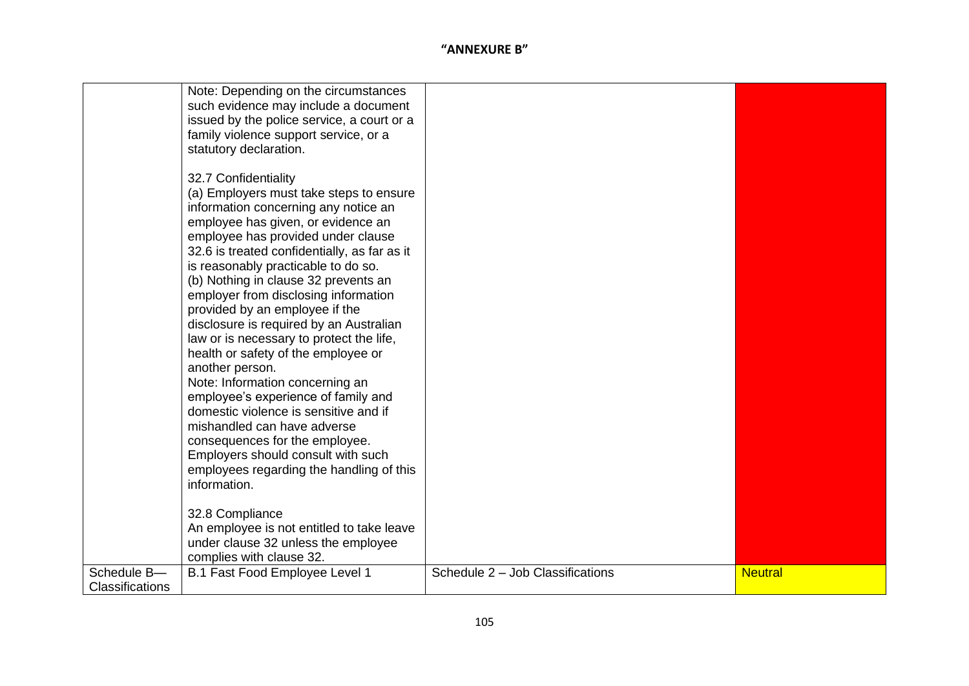|                                | Note: Depending on the circumstances<br>such evidence may include a document<br>issued by the police service, a court or a<br>family violence support service, or a<br>statutory declaration.                                                                                                                                                                                                                                                                                                                                                                                                                                                                                                                                                                                                                                       |                                  |                |
|--------------------------------|-------------------------------------------------------------------------------------------------------------------------------------------------------------------------------------------------------------------------------------------------------------------------------------------------------------------------------------------------------------------------------------------------------------------------------------------------------------------------------------------------------------------------------------------------------------------------------------------------------------------------------------------------------------------------------------------------------------------------------------------------------------------------------------------------------------------------------------|----------------------------------|----------------|
|                                | 32.7 Confidentiality<br>(a) Employers must take steps to ensure<br>information concerning any notice an<br>employee has given, or evidence an<br>employee has provided under clause<br>32.6 is treated confidentially, as far as it<br>is reasonably practicable to do so.<br>(b) Nothing in clause 32 prevents an<br>employer from disclosing information<br>provided by an employee if the<br>disclosure is required by an Australian<br>law or is necessary to protect the life,<br>health or safety of the employee or<br>another person.<br>Note: Information concerning an<br>employee's experience of family and<br>domestic violence is sensitive and if<br>mishandled can have adverse<br>consequences for the employee.<br>Employers should consult with such<br>employees regarding the handling of this<br>information. |                                  |                |
|                                | 32.8 Compliance<br>An employee is not entitled to take leave<br>under clause 32 unless the employee<br>complies with clause 32.                                                                                                                                                                                                                                                                                                                                                                                                                                                                                                                                                                                                                                                                                                     |                                  |                |
| Schedule B-<br>Classifications | B.1 Fast Food Employee Level 1                                                                                                                                                                                                                                                                                                                                                                                                                                                                                                                                                                                                                                                                                                                                                                                                      | Schedule 2 - Job Classifications | <b>Neutral</b> |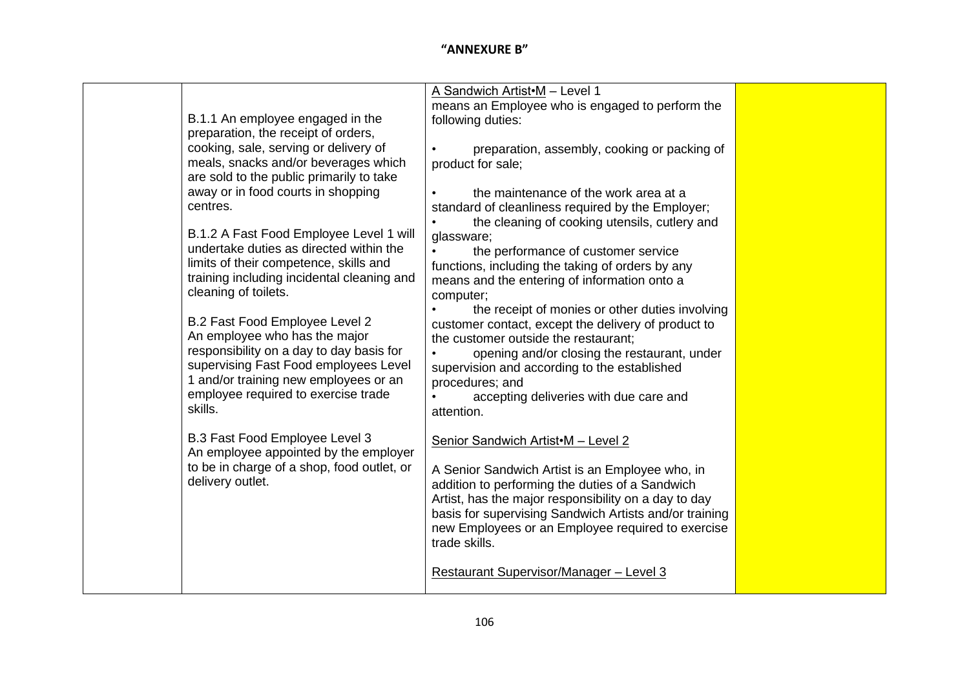| B.1.1 An employee engaged in the<br>preparation, the receipt of orders,<br>cooking, sale, serving or delivery of<br>meals, snacks and/or beverages which<br>are sold to the public primarily to take<br>away or in food courts in shopping<br>centres.<br>B.1.2 A Fast Food Employee Level 1 will<br>undertake duties as directed within the<br>limits of their competence, skills and<br>training including incidental cleaning and<br>cleaning of toilets.<br>B.2 Fast Food Employee Level 2<br>An employee who has the major<br>responsibility on a day to day basis for<br>supervising Fast Food employees Level<br>1 and/or training new employees or an<br>employee required to exercise trade<br>skills. | A Sandwich Artist M - Level 1<br>means an Employee who is engaged to perform the<br>following duties:<br>preparation, assembly, cooking or packing of<br>product for sale;<br>the maintenance of the work area at a<br>standard of cleanliness required by the Employer;<br>the cleaning of cooking utensils, cutlery and<br>glassware;<br>the performance of customer service<br>functions, including the taking of orders by any<br>means and the entering of information onto a<br>computer;<br>the receipt of monies or other duties involving<br>customer contact, except the delivery of product to<br>the customer outside the restaurant;<br>opening and/or closing the restaurant, under<br>supervision and according to the established<br>procedures; and<br>accepting deliveries with due care and<br>attention. |  |
|-----------------------------------------------------------------------------------------------------------------------------------------------------------------------------------------------------------------------------------------------------------------------------------------------------------------------------------------------------------------------------------------------------------------------------------------------------------------------------------------------------------------------------------------------------------------------------------------------------------------------------------------------------------------------------------------------------------------|------------------------------------------------------------------------------------------------------------------------------------------------------------------------------------------------------------------------------------------------------------------------------------------------------------------------------------------------------------------------------------------------------------------------------------------------------------------------------------------------------------------------------------------------------------------------------------------------------------------------------------------------------------------------------------------------------------------------------------------------------------------------------------------------------------------------------|--|
|                                                                                                                                                                                                                                                                                                                                                                                                                                                                                                                                                                                                                                                                                                                 |                                                                                                                                                                                                                                                                                                                                                                                                                                                                                                                                                                                                                                                                                                                                                                                                                              |  |
|                                                                                                                                                                                                                                                                                                                                                                                                                                                                                                                                                                                                                                                                                                                 |                                                                                                                                                                                                                                                                                                                                                                                                                                                                                                                                                                                                                                                                                                                                                                                                                              |  |
|                                                                                                                                                                                                                                                                                                                                                                                                                                                                                                                                                                                                                                                                                                                 |                                                                                                                                                                                                                                                                                                                                                                                                                                                                                                                                                                                                                                                                                                                                                                                                                              |  |
|                                                                                                                                                                                                                                                                                                                                                                                                                                                                                                                                                                                                                                                                                                                 |                                                                                                                                                                                                                                                                                                                                                                                                                                                                                                                                                                                                                                                                                                                                                                                                                              |  |
| B.3 Fast Food Employee Level 3<br>An employee appointed by the employer<br>to be in charge of a shop, food outlet, or                                                                                                                                                                                                                                                                                                                                                                                                                                                                                                                                                                                           | Senior Sandwich Artist M - Level 2                                                                                                                                                                                                                                                                                                                                                                                                                                                                                                                                                                                                                                                                                                                                                                                           |  |
| delivery outlet.                                                                                                                                                                                                                                                                                                                                                                                                                                                                                                                                                                                                                                                                                                | A Senior Sandwich Artist is an Employee who, in<br>addition to performing the duties of a Sandwich<br>Artist, has the major responsibility on a day to day<br>basis for supervising Sandwich Artists and/or training<br>new Employees or an Employee required to exercise<br>trade skills.<br>Restaurant Supervisor/Manager - Level 3                                                                                                                                                                                                                                                                                                                                                                                                                                                                                        |  |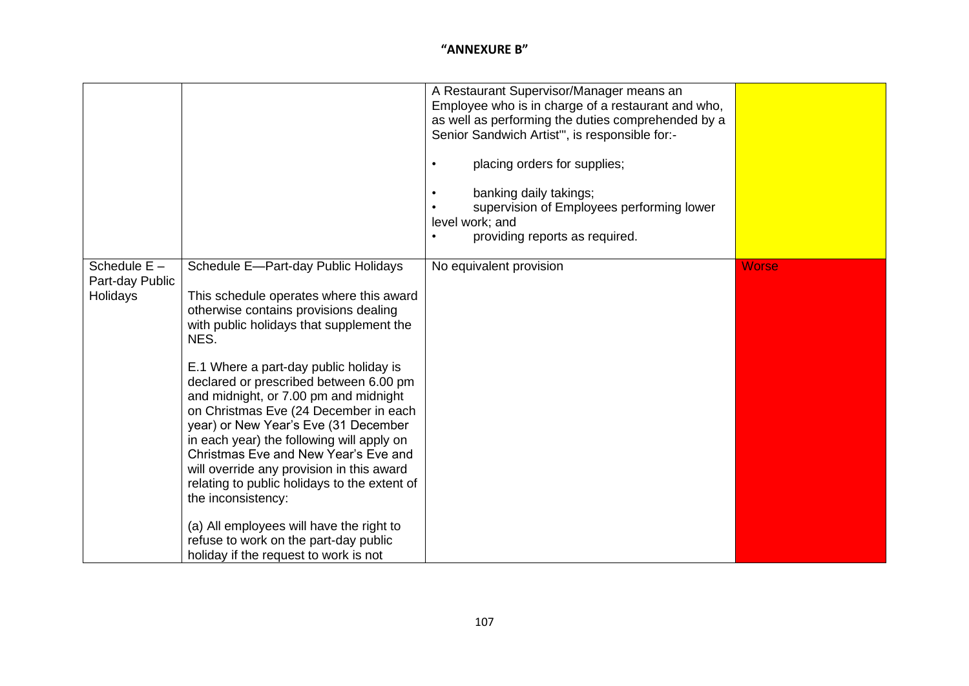|                                               |                                                                                                                                                                                                                                                                                                                                                                                                                                                                                                                                                                                                                                                                                                                                 | A Restaurant Supervisor/Manager means an<br>Employee who is in charge of a restaurant and who,<br>as well as performing the duties comprehended by a<br>Senior Sandwich Artist", is responsible for:-<br>placing orders for supplies;<br>banking daily takings;<br>supervision of Employees performing lower<br>level work; and<br>providing reports as required. |              |
|-----------------------------------------------|---------------------------------------------------------------------------------------------------------------------------------------------------------------------------------------------------------------------------------------------------------------------------------------------------------------------------------------------------------------------------------------------------------------------------------------------------------------------------------------------------------------------------------------------------------------------------------------------------------------------------------------------------------------------------------------------------------------------------------|-------------------------------------------------------------------------------------------------------------------------------------------------------------------------------------------------------------------------------------------------------------------------------------------------------------------------------------------------------------------|--------------|
| Schedule $E -$<br>Part-day Public<br>Holidays | Schedule E-Part-day Public Holidays<br>This schedule operates where this award<br>otherwise contains provisions dealing<br>with public holidays that supplement the<br>NES.<br>E.1 Where a part-day public holiday is<br>declared or prescribed between 6.00 pm<br>and midnight, or 7.00 pm and midnight<br>on Christmas Eve (24 December in each<br>year) or New Year's Eve (31 December<br>in each year) the following will apply on<br>Christmas Eve and New Year's Eve and<br>will override any provision in this award<br>relating to public holidays to the extent of<br>the inconsistency:<br>(a) All employees will have the right to<br>refuse to work on the part-day public<br>holiday if the request to work is not | No equivalent provision                                                                                                                                                                                                                                                                                                                                           | <b>Worse</b> |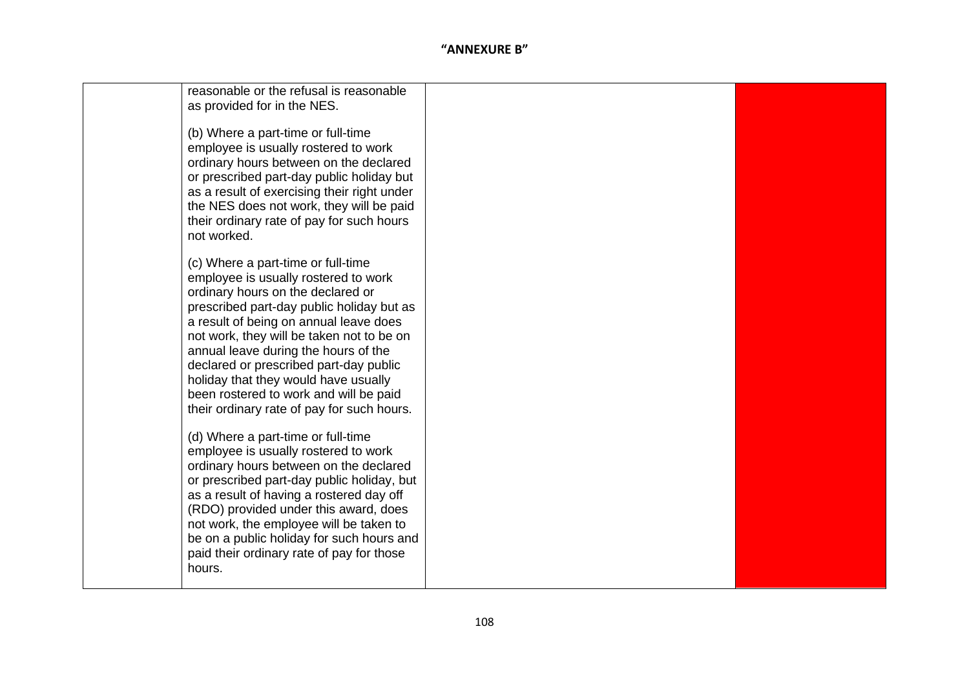| reasonable or the refusal is reasonable<br>as provided for in the NES.                                                                                                                                                                                                                                                                                                                                                                                                |  |
|-----------------------------------------------------------------------------------------------------------------------------------------------------------------------------------------------------------------------------------------------------------------------------------------------------------------------------------------------------------------------------------------------------------------------------------------------------------------------|--|
| (b) Where a part-time or full-time<br>employee is usually rostered to work<br>ordinary hours between on the declared<br>or prescribed part-day public holiday but<br>as a result of exercising their right under<br>the NES does not work, they will be paid<br>their ordinary rate of pay for such hours<br>not worked.                                                                                                                                              |  |
| (c) Where a part-time or full-time<br>employee is usually rostered to work<br>ordinary hours on the declared or<br>prescribed part-day public holiday but as<br>a result of being on annual leave does<br>not work, they will be taken not to be on<br>annual leave during the hours of the<br>declared or prescribed part-day public<br>holiday that they would have usually<br>been rostered to work and will be paid<br>their ordinary rate of pay for such hours. |  |
| (d) Where a part-time or full-time<br>employee is usually rostered to work<br>ordinary hours between on the declared<br>or prescribed part-day public holiday, but<br>as a result of having a rostered day off<br>(RDO) provided under this award, does<br>not work, the employee will be taken to<br>be on a public holiday for such hours and<br>paid their ordinary rate of pay for those<br>hours.                                                                |  |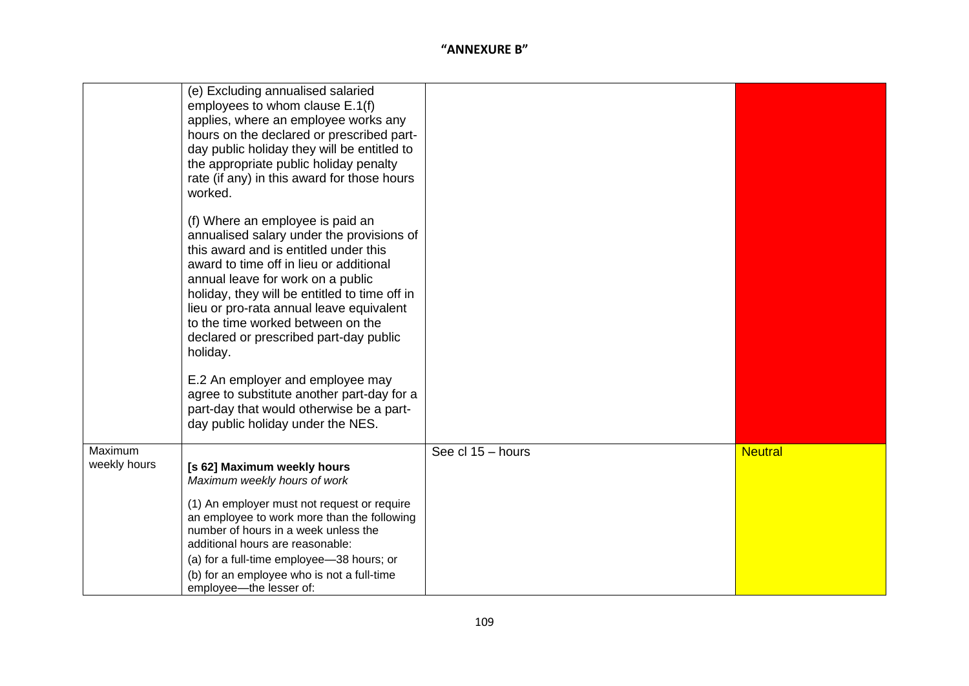| (e) Excluding annualised salaried<br>employees to whom clause E.1(f)<br>applies, where an employee works any<br>hours on the declared or prescribed part-<br>day public holiday they will be entitled to<br>the appropriate public holiday penalty<br>rate (if any) in this award for those hours                                                                                                  |  |
|----------------------------------------------------------------------------------------------------------------------------------------------------------------------------------------------------------------------------------------------------------------------------------------------------------------------------------------------------------------------------------------------------|--|
| worked.                                                                                                                                                                                                                                                                                                                                                                                            |  |
| (f) Where an employee is paid an<br>annualised salary under the provisions of<br>this award and is entitled under this<br>award to time off in lieu or additional<br>annual leave for work on a public<br>holiday, they will be entitled to time off in<br>lieu or pro-rata annual leave equivalent<br>to the time worked between on the<br>declared or prescribed part-day public<br>holiday.     |  |
| E.2 An employer and employee may<br>agree to substitute another part-day for a<br>part-day that would otherwise be a part-<br>day public holiday under the NES.                                                                                                                                                                                                                                    |  |
| Maximum<br>See cl 15 - hours<br><b>Neutral</b><br>weekly hours<br>[s 62] Maximum weekly hours<br>Maximum weekly hours of work<br>(1) An employer must not request or require<br>an employee to work more than the following<br>number of hours in a week unless the<br>additional hours are reasonable:<br>(a) for a full-time employee-38 hours; or<br>(b) for an employee who is not a full-time |  |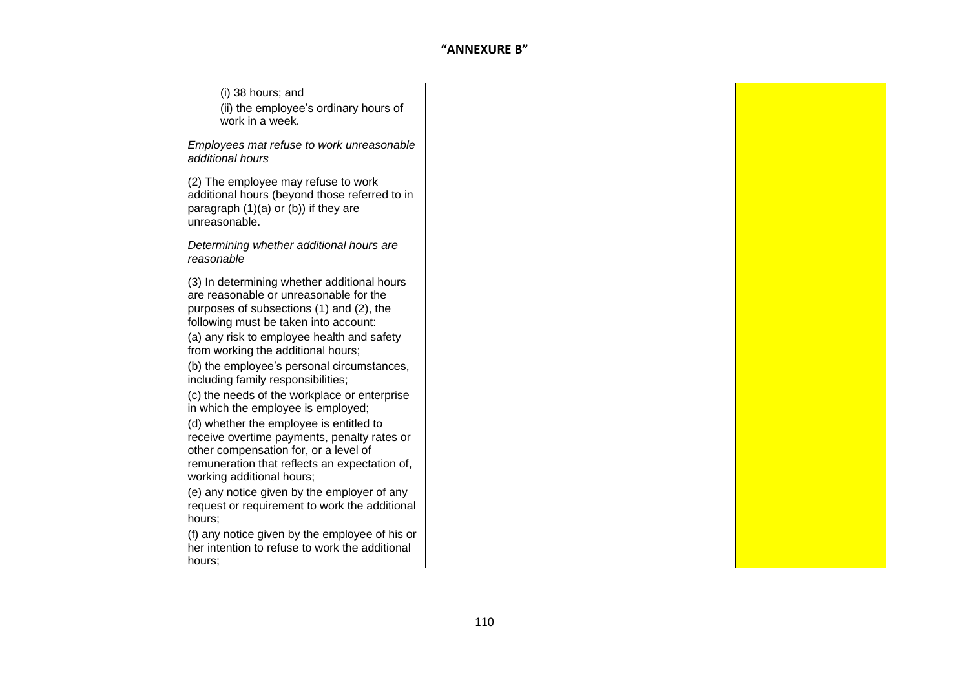| (i) 38 hours; and                                                                                |  |
|--------------------------------------------------------------------------------------------------|--|
| (ii) the employee's ordinary hours of                                                            |  |
| work in a week.                                                                                  |  |
|                                                                                                  |  |
| Employees mat refuse to work unreasonable                                                        |  |
| additional hours                                                                                 |  |
| (2) The employee may refuse to work                                                              |  |
| additional hours (beyond those referred to in                                                    |  |
| paragraph (1)(a) or (b)) if they are                                                             |  |
| unreasonable.                                                                                    |  |
| Determining whether additional hours are                                                         |  |
| reasonable                                                                                       |  |
|                                                                                                  |  |
| (3) In determining whether additional hours                                                      |  |
| are reasonable or unreasonable for the                                                           |  |
| purposes of subsections (1) and (2), the                                                         |  |
| following must be taken into account:<br>(a) any risk to employee health and safety              |  |
| from working the additional hours;                                                               |  |
| (b) the employee's personal circumstances,                                                       |  |
| including family responsibilities;                                                               |  |
| (c) the needs of the workplace or enterprise                                                     |  |
| in which the employee is employed;                                                               |  |
| (d) whether the employee is entitled to                                                          |  |
| receive overtime payments, penalty rates or                                                      |  |
| other compensation for, or a level of                                                            |  |
| remuneration that reflects an expectation of,                                                    |  |
| working additional hours;                                                                        |  |
| (e) any notice given by the employer of any                                                      |  |
| request or requirement to work the additional                                                    |  |
| hours;                                                                                           |  |
| (f) any notice given by the employee of his or<br>her intention to refuse to work the additional |  |
| hours:                                                                                           |  |
|                                                                                                  |  |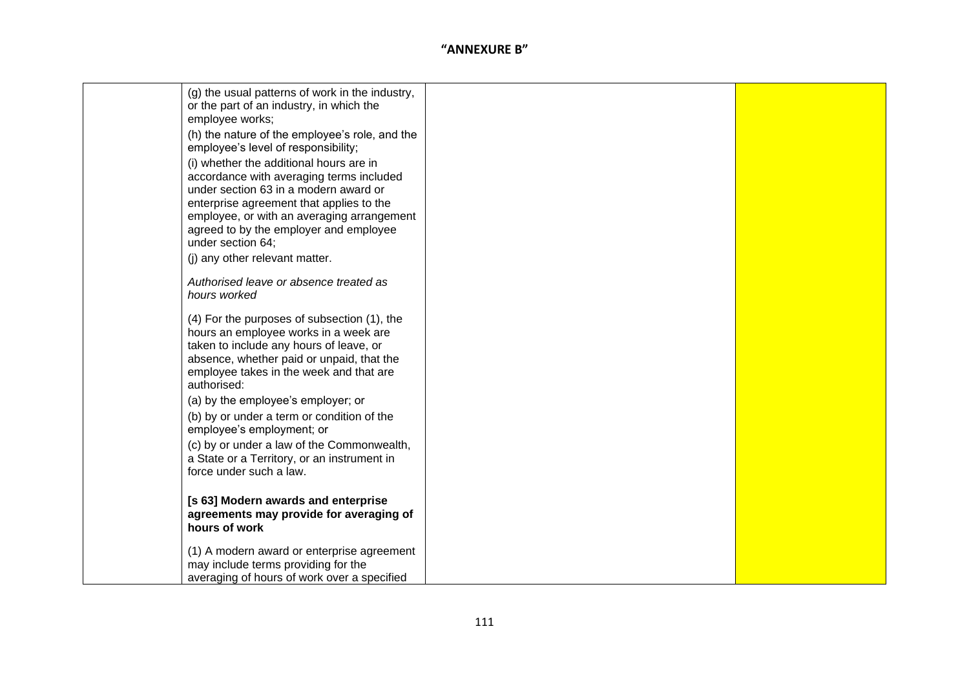| (g) the usual patterns of work in the industry,<br>or the part of an industry, in which the |  |
|---------------------------------------------------------------------------------------------|--|
| employee works;<br>(h) the nature of the employee's role, and the                           |  |
| employee's level of responsibility;                                                         |  |
| (i) whether the additional hours are in                                                     |  |
| accordance with averaging terms included<br>under section 63 in a modern award or           |  |
| enterprise agreement that applies to the                                                    |  |
| employee, or with an averaging arrangement<br>agreed to by the employer and employee        |  |
| under section 64;                                                                           |  |
| (j) any other relevant matter.                                                              |  |
| Authorised leave or absence treated as                                                      |  |
| hours worked                                                                                |  |
| (4) For the purposes of subsection (1), the                                                 |  |
| hours an employee works in a week are<br>taken to include any hours of leave, or            |  |
| absence, whether paid or unpaid, that the                                                   |  |
| employee takes in the week and that are<br>authorised:                                      |  |
| (a) by the employee's employer; or                                                          |  |
| (b) by or under a term or condition of the<br>employee's employment; or                     |  |
| (c) by or under a law of the Commonwealth,                                                  |  |
| a State or a Territory, or an instrument in<br>force under such a law.                      |  |
|                                                                                             |  |
| [s 63] Modern awards and enterprise                                                         |  |
| agreements may provide for averaging of<br>hours of work                                    |  |
| (1) A modern award or enterprise agreement                                                  |  |
| may include terms providing for the<br>averaging of hours of work over a specified          |  |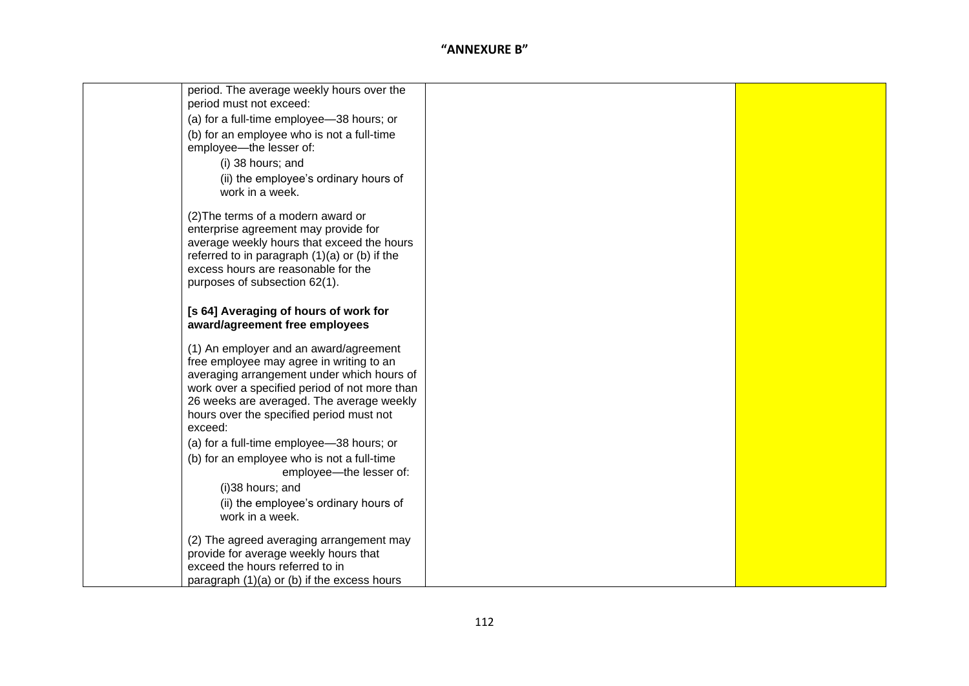| period. The average weekly hours over the<br>period must not exceed:                        |  |
|---------------------------------------------------------------------------------------------|--|
| (a) for a full-time employee-38 hours; or                                                   |  |
| (b) for an employee who is not a full-time                                                  |  |
| employee-the lesser of:                                                                     |  |
| (i) 38 hours; and                                                                           |  |
| (ii) the employee's ordinary hours of                                                       |  |
| work in a week.                                                                             |  |
| (2) The terms of a modern award or                                                          |  |
| enterprise agreement may provide for                                                        |  |
| average weekly hours that exceed the hours                                                  |  |
| referred to in paragraph $(1)(a)$ or $(b)$ if the<br>excess hours are reasonable for the    |  |
| purposes of subsection 62(1).                                                               |  |
|                                                                                             |  |
| [s 64] Averaging of hours of work for                                                       |  |
| award/agreement free employees                                                              |  |
| (1) An employer and an award/agreement                                                      |  |
| free employee may agree in writing to an                                                    |  |
| averaging arrangement under which hours of<br>work over a specified period of not more than |  |
| 26 weeks are averaged. The average weekly                                                   |  |
| hours over the specified period must not                                                    |  |
| exceed:                                                                                     |  |
| (a) for a full-time employee-38 hours; or                                                   |  |
| (b) for an employee who is not a full-time                                                  |  |
| employee---the lesser of:                                                                   |  |
| (i)38 hours; and                                                                            |  |
| (ii) the employee's ordinary hours of<br>work in a week.                                    |  |
|                                                                                             |  |
| (2) The agreed averaging arrangement may                                                    |  |
| provide for average weekly hours that<br>exceed the hours referred to in                    |  |
| paragraph (1)(a) or (b) if the excess hours                                                 |  |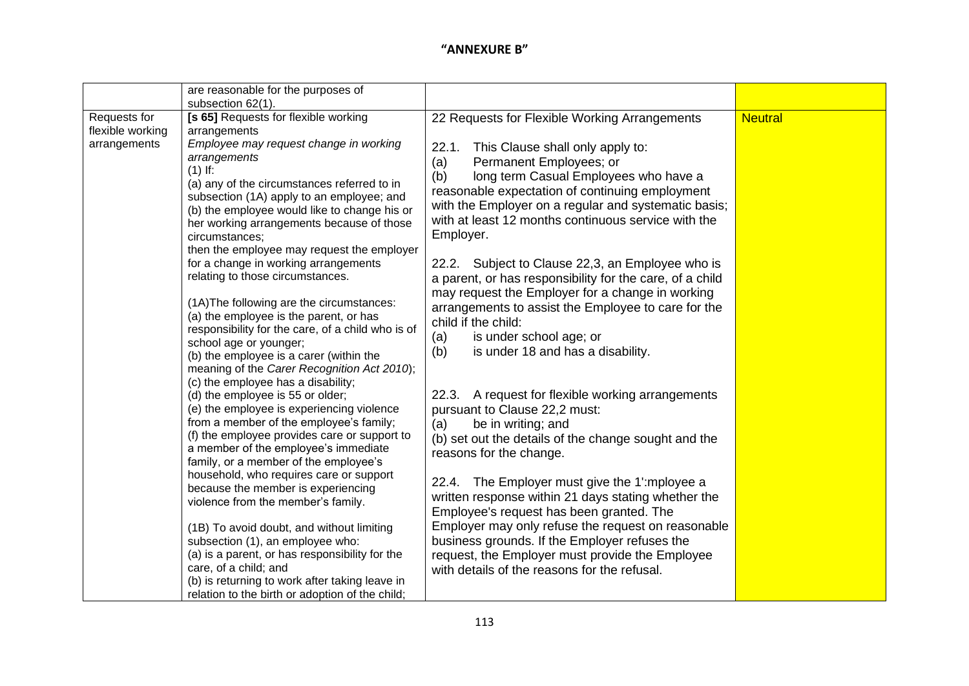|                  | are reasonable for the purposes of                                                        |                                                          |                |
|------------------|-------------------------------------------------------------------------------------------|----------------------------------------------------------|----------------|
|                  | subsection 62(1).                                                                         |                                                          |                |
| Requests for     | [s 65] Requests for flexible working                                                      | 22 Requests for Flexible Working Arrangements            | <b>Neutral</b> |
| flexible working | arrangements                                                                              |                                                          |                |
| arrangements     | Employee may request change in working                                                    | This Clause shall only apply to:<br>22.1.                |                |
|                  | arrangements                                                                              | Permanent Employees; or<br>(a)                           |                |
|                  | $(1)$ If:                                                                                 | (b)<br>long term Casual Employees who have a             |                |
|                  | (a) any of the circumstances referred to in                                               | reasonable expectation of continuing employment          |                |
|                  | subsection (1A) apply to an employee; and<br>(b) the employee would like to change his or | with the Employer on a regular and systematic basis;     |                |
|                  | her working arrangements because of those                                                 | with at least 12 months continuous service with the      |                |
|                  | circumstances;                                                                            | Employer.                                                |                |
|                  | then the employee may request the employer                                                |                                                          |                |
|                  | for a change in working arrangements                                                      | 22.2. Subject to Clause 22,3, an Employee who is         |                |
|                  | relating to those circumstances.                                                          | a parent, or has responsibility for the care, of a child |                |
|                  |                                                                                           | may request the Employer for a change in working         |                |
|                  | (1A) The following are the circumstances:                                                 | arrangements to assist the Employee to care for the      |                |
|                  | (a) the employee is the parent, or has                                                    | child if the child:                                      |                |
|                  | responsibility for the care, of a child who is of                                         | is under school age; or<br>(a)                           |                |
|                  | school age or younger;                                                                    | is under 18 and has a disability.<br>(b)                 |                |
|                  | (b) the employee is a carer (within the                                                   |                                                          |                |
|                  | meaning of the Carer Recognition Act 2010);                                               |                                                          |                |
|                  | (c) the employee has a disability;<br>(d) the employee is 55 or older;                    | 22.3. A request for flexible working arrangements        |                |
|                  | (e) the employee is experiencing violence                                                 | pursuant to Clause 22,2 must:                            |                |
|                  | from a member of the employee's family;                                                   | be in writing; and<br>(a)                                |                |
|                  | (f) the employee provides care or support to                                              | (b) set out the details of the change sought and the     |                |
|                  | a member of the employee's immediate                                                      | reasons for the change.                                  |                |
|                  | family, or a member of the employee's                                                     |                                                          |                |
|                  | household, who requires care or support                                                   | 22.4. The Employer must give the 1'mployee a             |                |
|                  | because the member is experiencing                                                        | written response within 21 days stating whether the      |                |
|                  | violence from the member's family.                                                        | Employee's request has been granted. The                 |                |
|                  |                                                                                           |                                                          |                |
|                  | (1B) To avoid doubt, and without limiting                                                 | Employer may only refuse the request on reasonable       |                |
|                  | subsection (1), an employee who:                                                          | business grounds. If the Employer refuses the            |                |
|                  | (a) is a parent, or has responsibility for the<br>care, of a child; and                   | request, the Employer must provide the Employee          |                |
|                  | (b) is returning to work after taking leave in                                            | with details of the reasons for the refusal.             |                |
|                  | relation to the birth or adoption of the child;                                           |                                                          |                |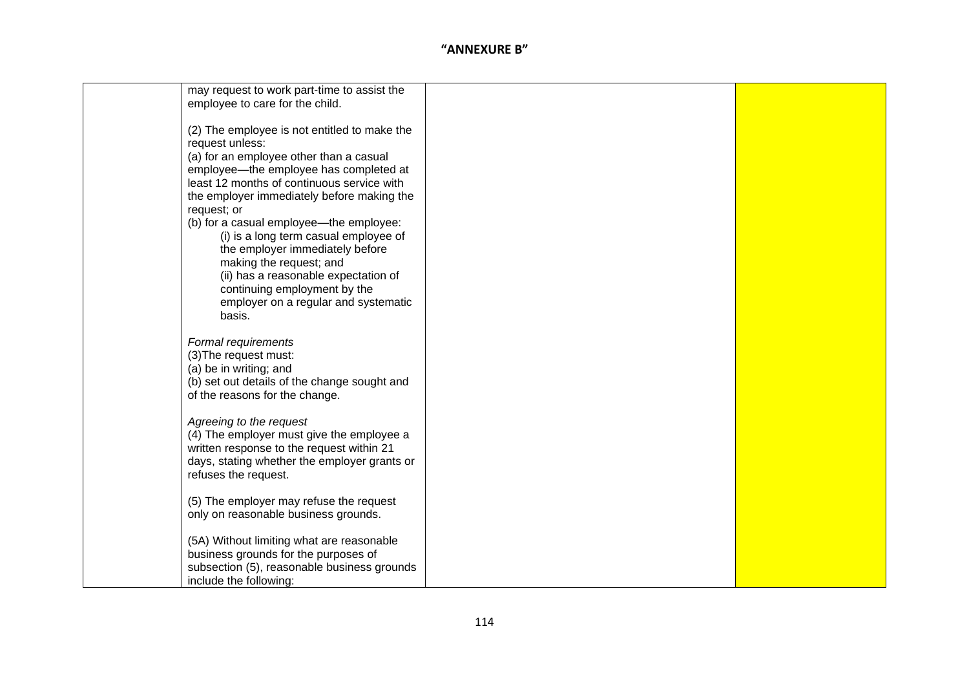| may request to work part-time to assist the  |  |
|----------------------------------------------|--|
| employee to care for the child.              |  |
|                                              |  |
|                                              |  |
| (2) The employee is not entitled to make the |  |
| request unless:                              |  |
| (a) for an employee other than a casual      |  |
| employee-the employee has completed at       |  |
|                                              |  |
| least 12 months of continuous service with   |  |
| the employer immediately before making the   |  |
| request; or                                  |  |
| (b) for a casual employee-the employee:      |  |
| (i) is a long term casual employee of        |  |
|                                              |  |
| the employer immediately before              |  |
| making the request; and                      |  |
| (ii) has a reasonable expectation of         |  |
| continuing employment by the                 |  |
| employer on a regular and systematic         |  |
| basis.                                       |  |
|                                              |  |
|                                              |  |
| Formal requirements                          |  |
| (3) The request must:                        |  |
| (a) be in writing; and                       |  |
| (b) set out details of the change sought and |  |
| of the reasons for the change.               |  |
|                                              |  |
|                                              |  |
| Agreeing to the request                      |  |
| (4) The employer must give the employee a    |  |
| written response to the request within 21    |  |
| days, stating whether the employer grants or |  |
| refuses the request.                         |  |
|                                              |  |
|                                              |  |
| (5) The employer may refuse the request      |  |
| only on reasonable business grounds.         |  |
|                                              |  |
| (5A) Without limiting what are reasonable    |  |
| business grounds for the purposes of         |  |
| subsection (5), reasonable business grounds  |  |
| include the following:                       |  |
|                                              |  |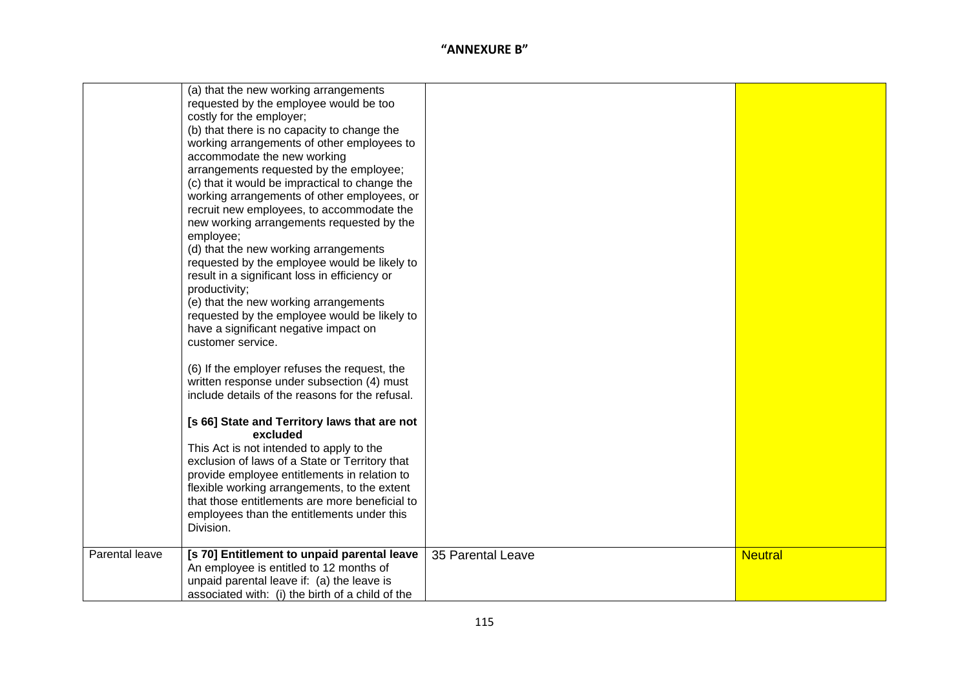|                | (a) that the new working arrangements<br>requested by the employee would be too<br>costly for the employer;<br>(b) that there is no capacity to change the<br>working arrangements of other employees to<br>accommodate the new working<br>arrangements requested by the employee;<br>(c) that it would be impractical to change the<br>working arrangements of other employees, or<br>recruit new employees, to accommodate the<br>new working arrangements requested by the<br>employee;<br>(d) that the new working arrangements |                   |                |
|----------------|-------------------------------------------------------------------------------------------------------------------------------------------------------------------------------------------------------------------------------------------------------------------------------------------------------------------------------------------------------------------------------------------------------------------------------------------------------------------------------------------------------------------------------------|-------------------|----------------|
|                | requested by the employee would be likely to<br>result in a significant loss in efficiency or<br>productivity;<br>(e) that the new working arrangements<br>requested by the employee would be likely to<br>have a significant negative impact on<br>customer service.                                                                                                                                                                                                                                                               |                   |                |
|                | (6) If the employer refuses the request, the<br>written response under subsection (4) must<br>include details of the reasons for the refusal.                                                                                                                                                                                                                                                                                                                                                                                       |                   |                |
|                | [s 66] State and Territory laws that are not<br>excluded<br>This Act is not intended to apply to the<br>exclusion of laws of a State or Territory that<br>provide employee entitlements in relation to<br>flexible working arrangements, to the extent<br>that those entitlements are more beneficial to<br>employees than the entitlements under this<br>Division.                                                                                                                                                                 |                   |                |
| Parental leave | [s 70] Entitlement to unpaid parental leave<br>An employee is entitled to 12 months of<br>unpaid parental leave if: (a) the leave is<br>associated with: (i) the birth of a child of the                                                                                                                                                                                                                                                                                                                                            | 35 Parental Leave | <b>Neutral</b> |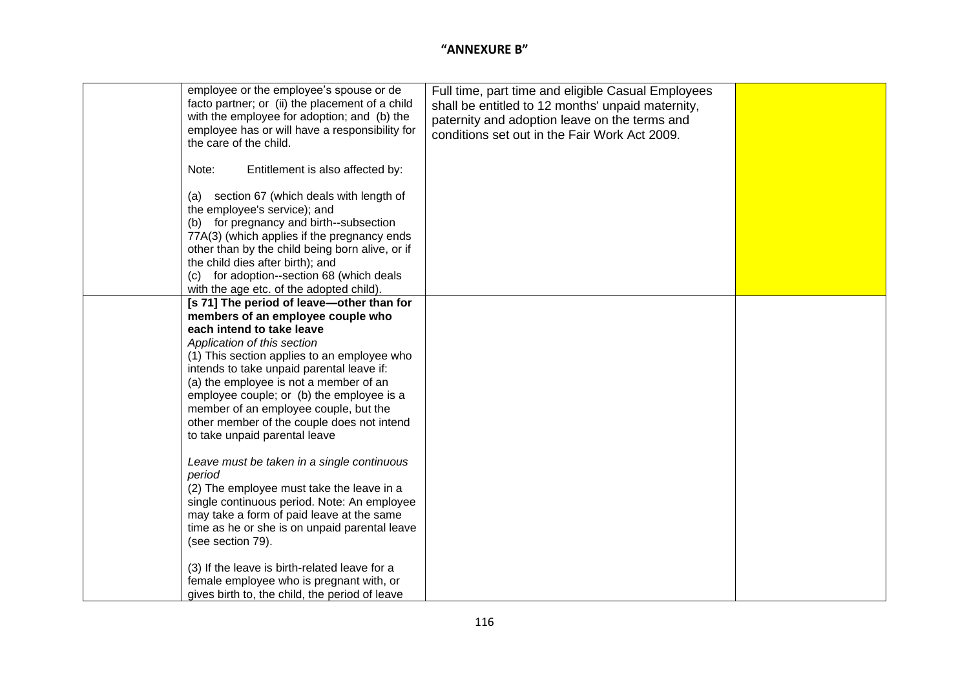| employee or the employee's spouse or de<br>facto partner; or (ii) the placement of a child<br>with the employee for adoption; and (b) the<br>employee has or will have a responsibility for<br>the care of the child.<br>Note:<br>Entitlement is also affected by:<br>(a) section 67 (which deals with length of<br>the employee's service); and<br>(b) for pregnancy and birth--subsection<br>77A(3) (which applies if the pregnancy ends<br>other than by the child being born alive, or if<br>the child dies after birth); and<br>for adoption--section 68 (which deals<br>(c)<br>with the age etc. of the adopted child). | Full time, part time and eligible Casual Employees<br>shall be entitled to 12 months' unpaid maternity,<br>paternity and adoption leave on the terms and<br>conditions set out in the Fair Work Act 2009. |  |
|-------------------------------------------------------------------------------------------------------------------------------------------------------------------------------------------------------------------------------------------------------------------------------------------------------------------------------------------------------------------------------------------------------------------------------------------------------------------------------------------------------------------------------------------------------------------------------------------------------------------------------|-----------------------------------------------------------------------------------------------------------------------------------------------------------------------------------------------------------|--|
| [s 71] The period of leave-other than for<br>members of an employee couple who<br>each intend to take leave<br>Application of this section<br>(1) This section applies to an employee who<br>intends to take unpaid parental leave if:<br>(a) the employee is not a member of an<br>employee couple; or (b) the employee is a<br>member of an employee couple, but the<br>other member of the couple does not intend<br>to take unpaid parental leave                                                                                                                                                                         |                                                                                                                                                                                                           |  |
| Leave must be taken in a single continuous<br>period<br>(2) The employee must take the leave in a<br>single continuous period. Note: An employee<br>may take a form of paid leave at the same<br>time as he or she is on unpaid parental leave<br>(see section 79).<br>(3) If the leave is birth-related leave for a                                                                                                                                                                                                                                                                                                          |                                                                                                                                                                                                           |  |
| female employee who is pregnant with, or<br>gives birth to, the child, the period of leave                                                                                                                                                                                                                                                                                                                                                                                                                                                                                                                                    |                                                                                                                                                                                                           |  |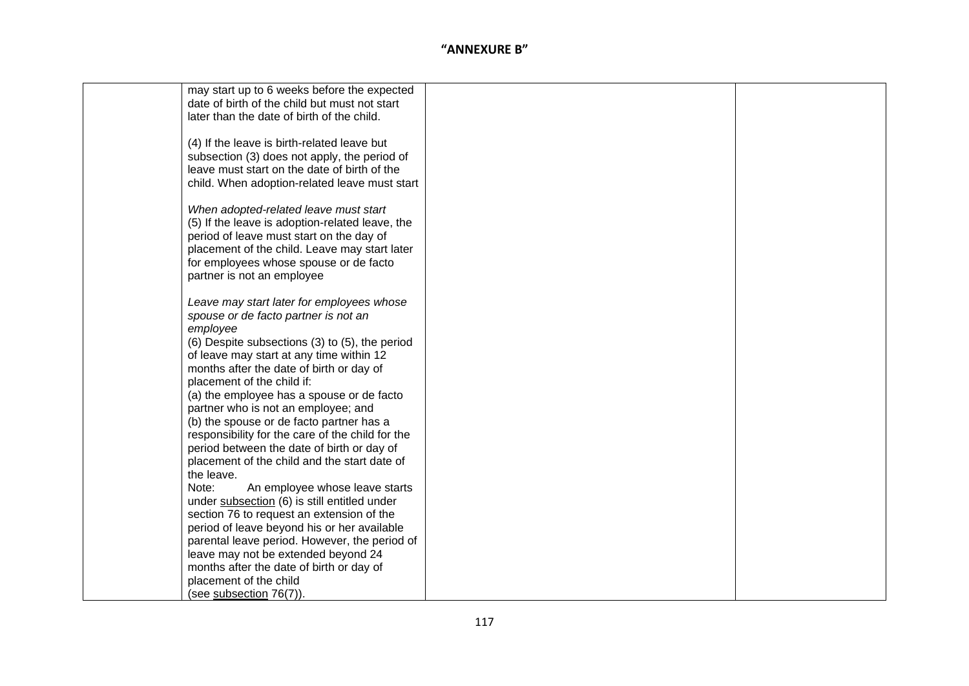| may start up to 6 weeks before the expected      |  |
|--------------------------------------------------|--|
| date of birth of the child but must not start    |  |
| later than the date of birth of the child.       |  |
|                                                  |  |
| (4) If the leave is birth-related leave but      |  |
|                                                  |  |
| subsection (3) does not apply, the period of     |  |
| leave must start on the date of birth of the     |  |
| child. When adoption-related leave must start    |  |
|                                                  |  |
| When adopted-related leave must start            |  |
| (5) If the leave is adoption-related leave, the  |  |
| period of leave must start on the day of         |  |
| placement of the child. Leave may start later    |  |
| for employees whose spouse or de facto           |  |
| partner is not an employee                       |  |
|                                                  |  |
|                                                  |  |
| Leave may start later for employees whose        |  |
| spouse or de facto partner is not an             |  |
| employee                                         |  |
| (6) Despite subsections (3) to (5), the period   |  |
| of leave may start at any time within 12         |  |
| months after the date of birth or day of         |  |
| placement of the child if:                       |  |
| (a) the employee has a spouse or de facto        |  |
| partner who is not an employee; and              |  |
|                                                  |  |
| (b) the spouse or de facto partner has a         |  |
| responsibility for the care of the child for the |  |
| period between the date of birth or day of       |  |
| placement of the child and the start date of     |  |
| the leave.                                       |  |
| Note:<br>An employee whose leave starts          |  |
| under subsection (6) is still entitled under     |  |
| section 76 to request an extension of the        |  |
| period of leave beyond his or her available      |  |
| parental leave period. However, the period of    |  |
| leave may not be extended beyond 24              |  |
| months after the date of birth or day of         |  |
|                                                  |  |
| placement of the child                           |  |
| (see subsection 76(7)).                          |  |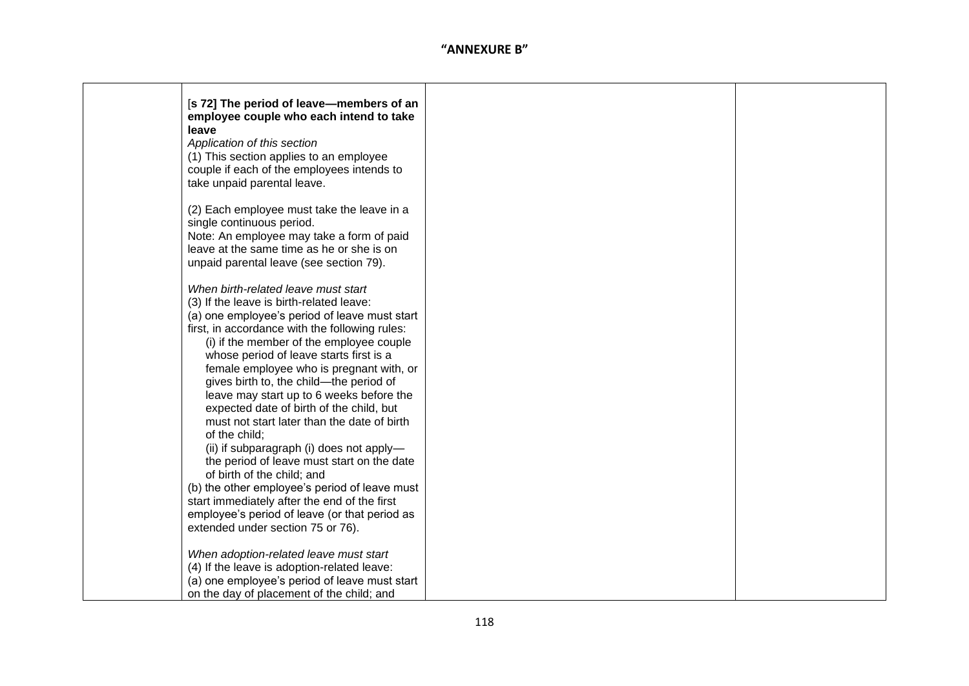| [s 72] The period of leave-members of an                                              |  |
|---------------------------------------------------------------------------------------|--|
| employee couple who each intend to take                                               |  |
| leave                                                                                 |  |
| Application of this section                                                           |  |
| (1) This section applies to an employee<br>couple if each of the employees intends to |  |
| take unpaid parental leave.                                                           |  |
|                                                                                       |  |
| (2) Each employee must take the leave in a                                            |  |
| single continuous period.                                                             |  |
| Note: An employee may take a form of paid                                             |  |
| leave at the same time as he or she is on                                             |  |
| unpaid parental leave (see section 79).                                               |  |
| When birth-related leave must start                                                   |  |
| (3) If the leave is birth-related leave:                                              |  |
| (a) one employee's period of leave must start                                         |  |
| first, in accordance with the following rules:                                        |  |
| (i) if the member of the employee couple                                              |  |
| whose period of leave starts first is a                                               |  |
| female employee who is pregnant with, or                                              |  |
| gives birth to, the child-the period of                                               |  |
| leave may start up to 6 weeks before the                                              |  |
| expected date of birth of the child, but                                              |  |
| must not start later than the date of birth                                           |  |
| of the child;                                                                         |  |
| (ii) if subparagraph (i) does not apply-                                              |  |
| the period of leave must start on the date                                            |  |
| of birth of the child; and<br>(b) the other employee's period of leave must           |  |
| start immediately after the end of the first                                          |  |
| employee's period of leave (or that period as                                         |  |
| extended under section 75 or 76).                                                     |  |
|                                                                                       |  |
| When adoption-related leave must start                                                |  |
| (4) If the leave is adoption-related leave:                                           |  |
| (a) one employee's period of leave must start                                         |  |
| on the day of placement of the child; and                                             |  |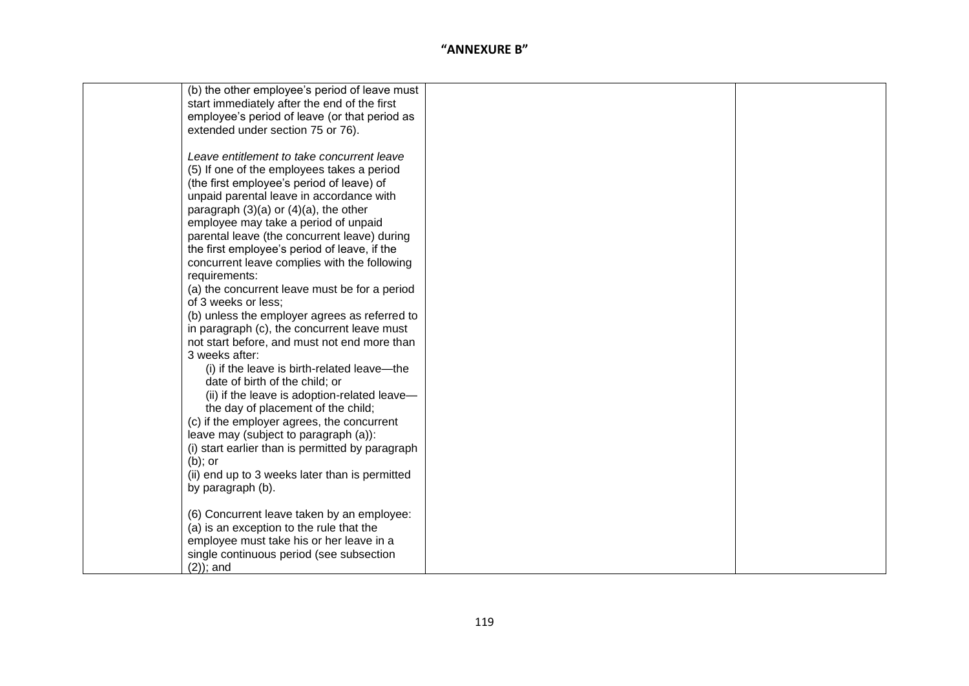| (b) the other employee's period of leave must    |  |
|--------------------------------------------------|--|
| start immediately after the end of the first     |  |
| employee's period of leave (or that period as    |  |
| extended under section 75 or 76).                |  |
|                                                  |  |
| Leave entitlement to take concurrent leave       |  |
| (5) If one of the employees takes a period       |  |
| (the first employee's period of leave) of        |  |
| unpaid parental leave in accordance with         |  |
| paragraph $(3)(a)$ or $(4)(a)$ , the other       |  |
| employee may take a period of unpaid             |  |
| parental leave (the concurrent leave) during     |  |
| the first employee's period of leave, if the     |  |
| concurrent leave complies with the following     |  |
| requirements:                                    |  |
| (a) the concurrent leave must be for a period    |  |
| of 3 weeks or less;                              |  |
| (b) unless the employer agrees as referred to    |  |
| in paragraph (c), the concurrent leave must      |  |
| not start before, and must not end more than     |  |
| 3 weeks after:                                   |  |
| (i) if the leave is birth-related leave—the      |  |
| date of birth of the child; or                   |  |
| (ii) if the leave is adoption-related leave-     |  |
| the day of placement of the child;               |  |
| (c) if the employer agrees, the concurrent       |  |
| leave may (subject to paragraph (a)):            |  |
| (i) start earlier than is permitted by paragraph |  |
| $(b)$ ; or                                       |  |
| (ii) end up to 3 weeks later than is permitted   |  |
| by paragraph (b).                                |  |
|                                                  |  |
| (6) Concurrent leave taken by an employee:       |  |
| (a) is an exception to the rule that the         |  |
| employee must take his or her leave in a         |  |
| single continuous period (see subsection         |  |
| $(2)$ ; and                                      |  |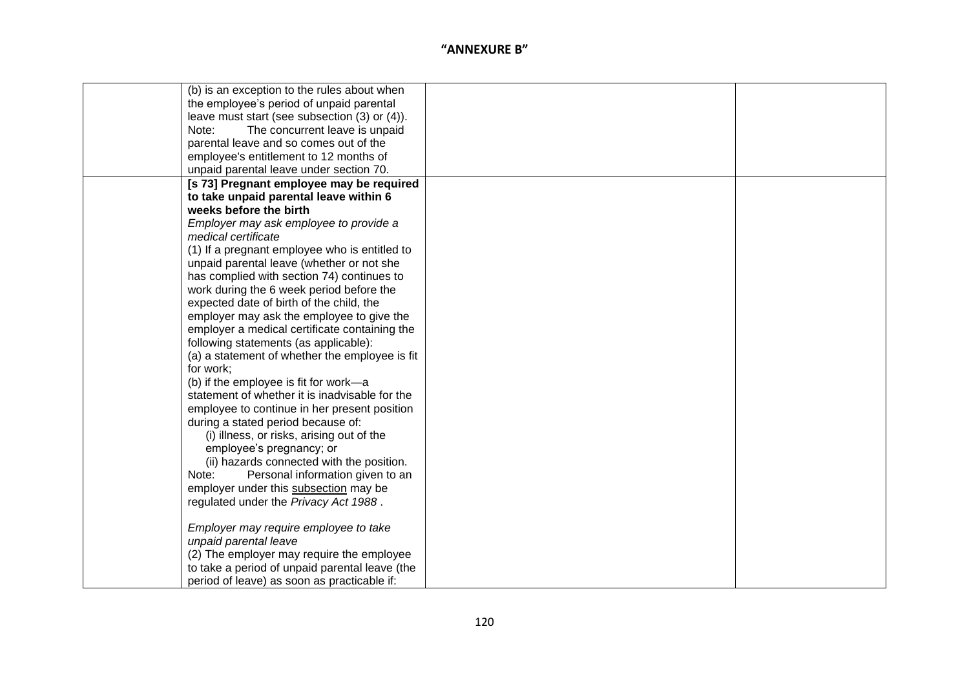| (b) is an exception to the rules about when    |  |
|------------------------------------------------|--|
| the employee's period of unpaid parental       |  |
| leave must start (see subsection (3) or (4)).  |  |
| The concurrent leave is unpaid<br>Note:        |  |
| parental leave and so comes out of the         |  |
| employee's entitlement to 12 months of         |  |
| unpaid parental leave under section 70.        |  |
| [s 73] Pregnant employee may be required       |  |
| to take unpaid parental leave within 6         |  |
| weeks before the birth                         |  |
| Employer may ask employee to provide a         |  |
| medical certificate                            |  |
| (1) If a pregnant employee who is entitled to  |  |
| unpaid parental leave (whether or not she      |  |
| has complied with section 74) continues to     |  |
| work during the 6 week period before the       |  |
| expected date of birth of the child, the       |  |
| employer may ask the employee to give the      |  |
| employer a medical certificate containing the  |  |
| following statements (as applicable):          |  |
| (a) a statement of whether the employee is fit |  |
| for work;                                      |  |
| (b) if the employee is fit for work-a          |  |
| statement of whether it is inadvisable for the |  |
| employee to continue in her present position   |  |
| during a stated period because of:             |  |
| (i) illness, or risks, arising out of the      |  |
| employee's pregnancy; or                       |  |
| (ii) hazards connected with the position.      |  |
| Personal information given to an<br>Note:      |  |
| employer under this subsection may be          |  |
| regulated under the Privacy Act 1988.          |  |
|                                                |  |
| Employer may require employee to take          |  |
| unpaid parental leave                          |  |
| (2) The employer may require the employee      |  |
| to take a period of unpaid parental leave (the |  |
| period of leave) as soon as practicable if:    |  |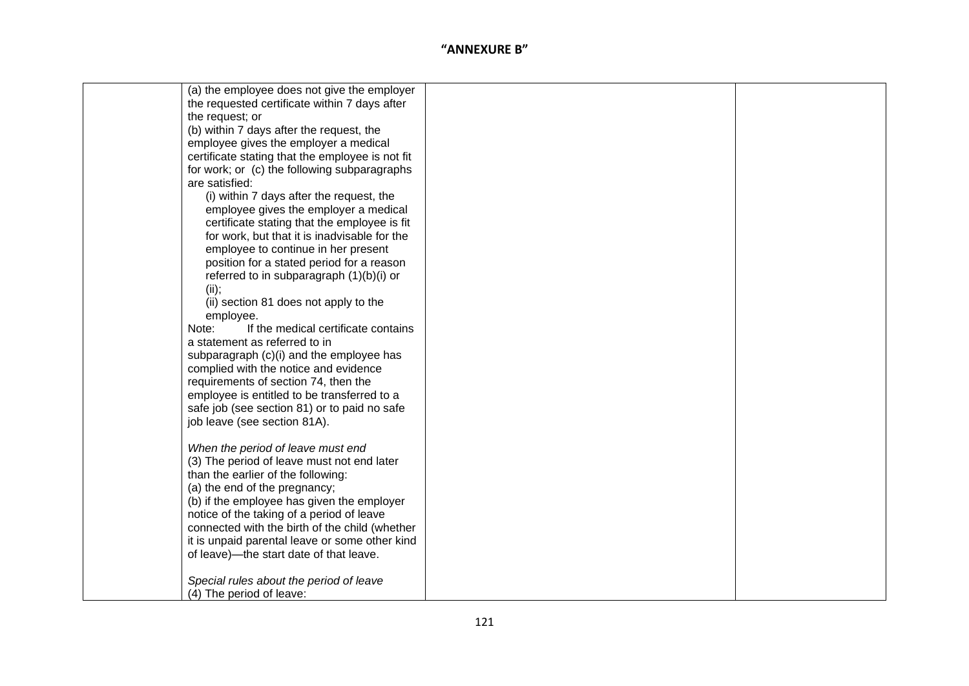| (a) the employee does not give the employer      |  |
|--------------------------------------------------|--|
| the requested certificate within 7 days after    |  |
| the request; or                                  |  |
| (b) within 7 days after the request, the         |  |
| employee gives the employer a medical            |  |
| certificate stating that the employee is not fit |  |
| for work; or (c) the following subparagraphs     |  |
| are satisfied:                                   |  |
| (i) within 7 days after the request, the         |  |
| employee gives the employer a medical            |  |
| certificate stating that the employee is fit     |  |
| for work, but that it is inadvisable for the     |  |
| employee to continue in her present              |  |
| position for a stated period for a reason        |  |
| referred to in subparagraph (1)(b)(i) or         |  |
| (ii);                                            |  |
| (ii) section 81 does not apply to the            |  |
| employee.                                        |  |
| If the medical certificate contains<br>Note:     |  |
| a statement as referred to in                    |  |
| subparagraph (c)(i) and the employee has         |  |
| complied with the notice and evidence            |  |
| requirements of section 74, then the             |  |
| employee is entitled to be transferred to a      |  |
| safe job (see section 81) or to paid no safe     |  |
| job leave (see section 81A).                     |  |
|                                                  |  |
| When the period of leave must end                |  |
| (3) The period of leave must not end later       |  |
| than the earlier of the following:               |  |
| (a) the end of the pregnancy;                    |  |
| (b) if the employee has given the employer       |  |
| notice of the taking of a period of leave        |  |
| connected with the birth of the child (whether   |  |
| it is unpaid parental leave or some other kind   |  |
| of leave)—the start date of that leave.          |  |
|                                                  |  |
| Special rules about the period of leave          |  |
| (4) The period of leave:                         |  |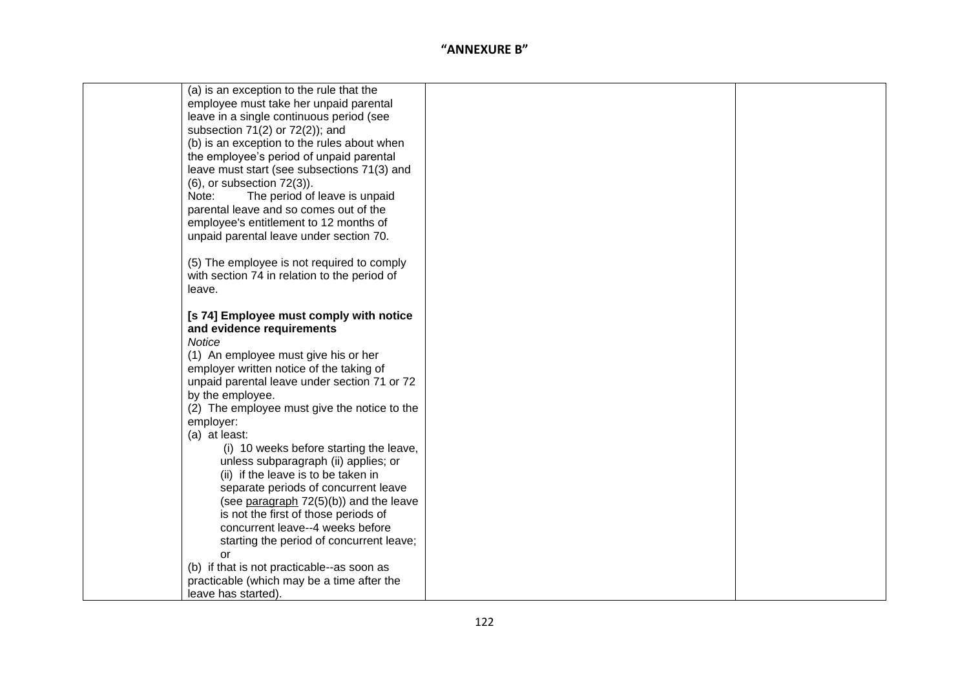| (a) is an exception to the rule that the     |  |
|----------------------------------------------|--|
| employee must take her unpaid parental       |  |
| leave in a single continuous period (see     |  |
| subsection 71(2) or 72(2)); and              |  |
| (b) is an exception to the rules about when  |  |
| the employee's period of unpaid parental     |  |
| leave must start (see subsections 71(3) and  |  |
| $(6)$ , or subsection $72(3)$ ).             |  |
| Note:<br>The period of leave is unpaid       |  |
| parental leave and so comes out of the       |  |
|                                              |  |
| employee's entitlement to 12 months of       |  |
| unpaid parental leave under section 70.      |  |
|                                              |  |
| (5) The employee is not required to comply   |  |
| with section 74 in relation to the period of |  |
| leave.                                       |  |
|                                              |  |
| [s 74] Employee must comply with notice      |  |
| and evidence requirements                    |  |
| Notice                                       |  |
| (1) An employee must give his or her         |  |
| employer written notice of the taking of     |  |
| unpaid parental leave under section 71 or 72 |  |
| by the employee.                             |  |
| (2) The employee must give the notice to the |  |
| employer:                                    |  |
| (a) at least:                                |  |
| (i) 10 weeks before starting the leave,      |  |
| unless subparagraph (ii) applies; or         |  |
| (ii) if the leave is to be taken in          |  |
| separate periods of concurrent leave         |  |
| (see paragraph 72(5)(b)) and the leave       |  |
| is not the first of those periods of         |  |
| concurrent leave--4 weeks before             |  |
| starting the period of concurrent leave;     |  |
| <b>or</b>                                    |  |
| (b) if that is not practicable--as soon as   |  |
| practicable (which may be a time after the   |  |
| leave has started).                          |  |
|                                              |  |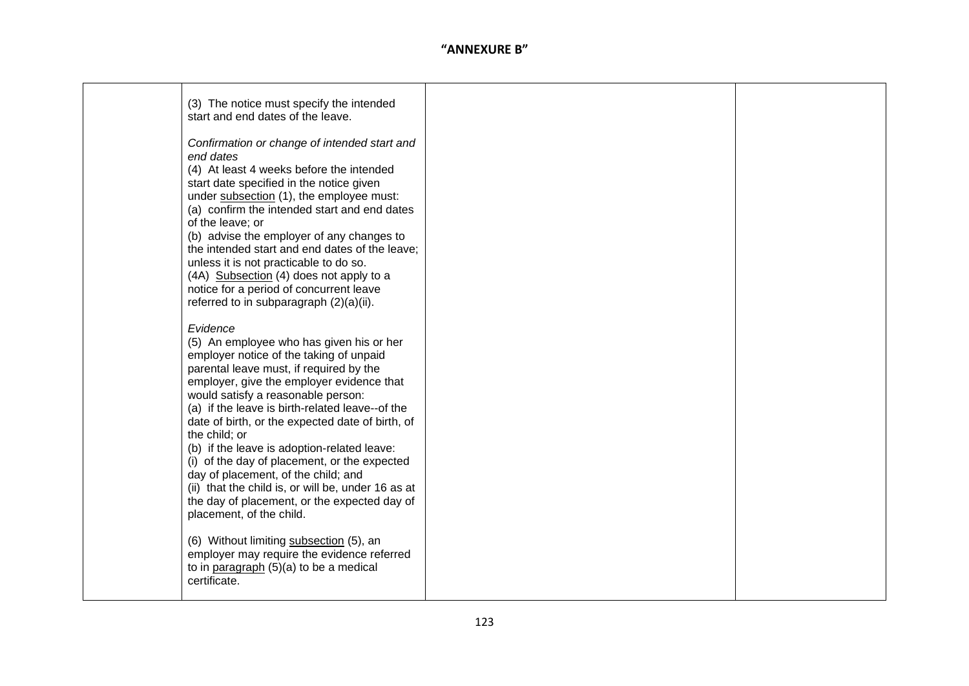| (3) The notice must specify the intended<br>start and end dates of the leave.<br>Confirmation or change of intended start and<br>end dates<br>(4) At least 4 weeks before the intended<br>start date specified in the notice given<br>under subsection (1), the employee must:<br>(a) confirm the intended start and end dates<br>of the leave; or<br>(b) advise the employer of any changes to<br>the intended start and end dates of the leave;<br>unless it is not practicable to do so.<br>(4A) Subsection (4) does not apply to a<br>notice for a period of concurrent leave<br>referred to in subparagraph (2)(a)(ii).                                                                                                                                                     |  |
|----------------------------------------------------------------------------------------------------------------------------------------------------------------------------------------------------------------------------------------------------------------------------------------------------------------------------------------------------------------------------------------------------------------------------------------------------------------------------------------------------------------------------------------------------------------------------------------------------------------------------------------------------------------------------------------------------------------------------------------------------------------------------------|--|
| Evidence<br>(5) An employee who has given his or her<br>employer notice of the taking of unpaid<br>parental leave must, if required by the<br>employer, give the employer evidence that<br>would satisfy a reasonable person:<br>(a) if the leave is birth-related leave--of the<br>date of birth, or the expected date of birth, of<br>the child; or<br>(b) if the leave is adoption-related leave:<br>(i) of the day of placement, or the expected<br>day of placement, of the child; and<br>(ii) that the child is, or will be, under 16 as at<br>the day of placement, or the expected day of<br>placement, of the child.<br>(6) Without limiting subsection (5), an<br>employer may require the evidence referred<br>to in paragraph (5)(a) to be a medical<br>certificate. |  |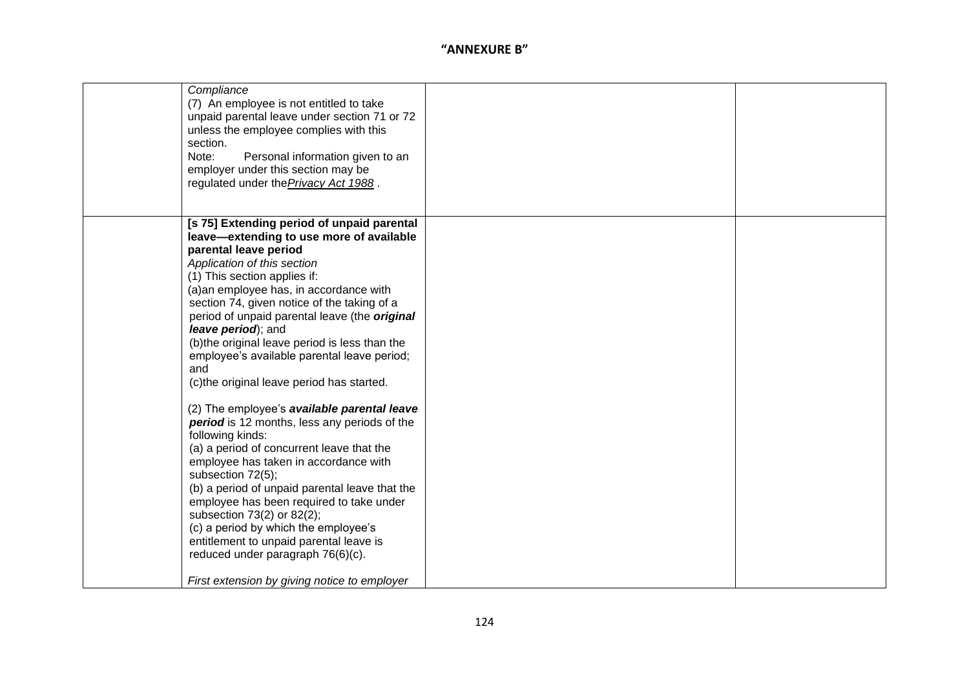| Compliance<br>(7) An employee is not entitled to take<br>unpaid parental leave under section 71 or 72<br>unless the employee complies with this<br>section.<br>Note:<br>Personal information given to an<br>employer under this section may be<br>regulated under the Privacy Act 1988.                                                                                                                                                                                                                                        |  |
|--------------------------------------------------------------------------------------------------------------------------------------------------------------------------------------------------------------------------------------------------------------------------------------------------------------------------------------------------------------------------------------------------------------------------------------------------------------------------------------------------------------------------------|--|
| [s 75] Extending period of unpaid parental<br>leave-extending to use more of available<br>parental leave period<br>Application of this section<br>(1) This section applies if:<br>(a) an employee has, in accordance with<br>section 74, given notice of the taking of a<br>period of unpaid parental leave (the <i>original</i><br>leave period); and<br>(b) the original leave period is less than the<br>employee's available parental leave period;<br>and<br>(c)the original leave period has started.                    |  |
| (2) The employee's available parental leave<br>period is 12 months, less any periods of the<br>following kinds:<br>(a) a period of concurrent leave that the<br>employee has taken in accordance with<br>subsection 72(5);<br>(b) a period of unpaid parental leave that the<br>employee has been required to take under<br>subsection 73(2) or 82(2);<br>(c) a period by which the employee's<br>entitlement to unpaid parental leave is<br>reduced under paragraph 76(6)(c).<br>First extension by giving notice to employer |  |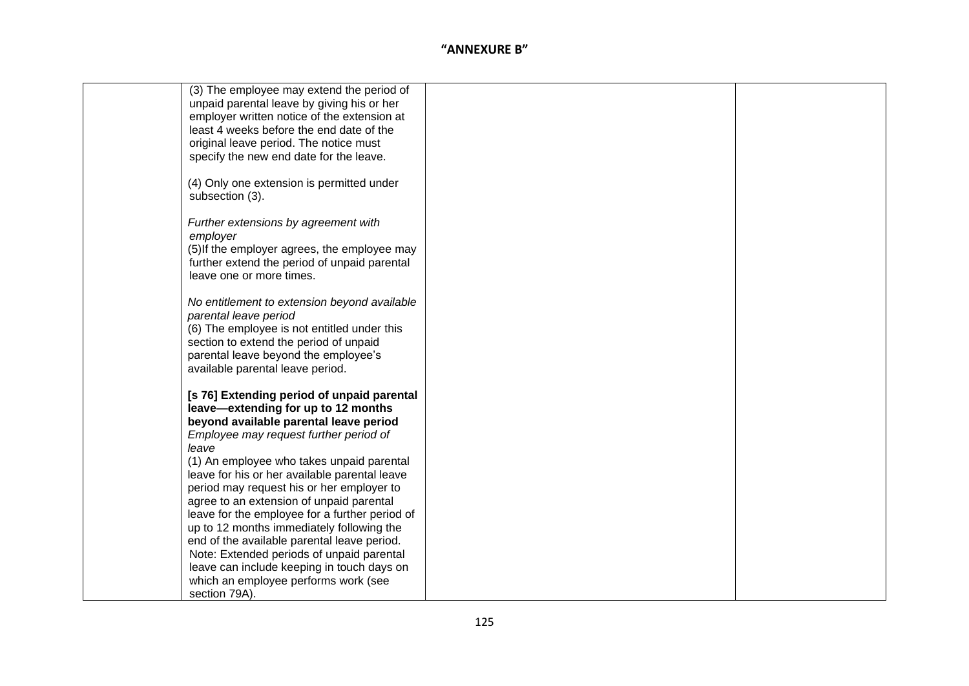| (3) The employee may extend the period of                    |  |
|--------------------------------------------------------------|--|
| unpaid parental leave by giving his or her                   |  |
| employer written notice of the extension at                  |  |
| least 4 weeks before the end date of the                     |  |
| original leave period. The notice must                       |  |
| specify the new end date for the leave.                      |  |
|                                                              |  |
| (4) Only one extension is permitted under<br>subsection (3). |  |
|                                                              |  |
| Further extensions by agreement with                         |  |
| employer                                                     |  |
| (5) If the employer agrees, the employee may                 |  |
| further extend the period of unpaid parental                 |  |
| leave one or more times.                                     |  |
|                                                              |  |
| No entitlement to extension beyond available                 |  |
| parental leave period                                        |  |
| (6) The employee is not entitled under this                  |  |
| section to extend the period of unpaid                       |  |
| parental leave beyond the employee's                         |  |
| available parental leave period.                             |  |
| [s 76] Extending period of unpaid parental                   |  |
| leave-extending for up to 12 months                          |  |
| beyond available parental leave period                       |  |
| Employee may request further period of                       |  |
| leave                                                        |  |
| (1) An employee who takes unpaid parental                    |  |
| leave for his or her available parental leave                |  |
| period may request his or her employer to                    |  |
| agree to an extension of unpaid parental                     |  |
| leave for the employee for a further period of               |  |
| up to 12 months immediately following the                    |  |
| end of the available parental leave period.                  |  |
| Note: Extended periods of unpaid parental                    |  |
| leave can include keeping in touch days on                   |  |
| which an employee performs work (see                         |  |
| section 79A).                                                |  |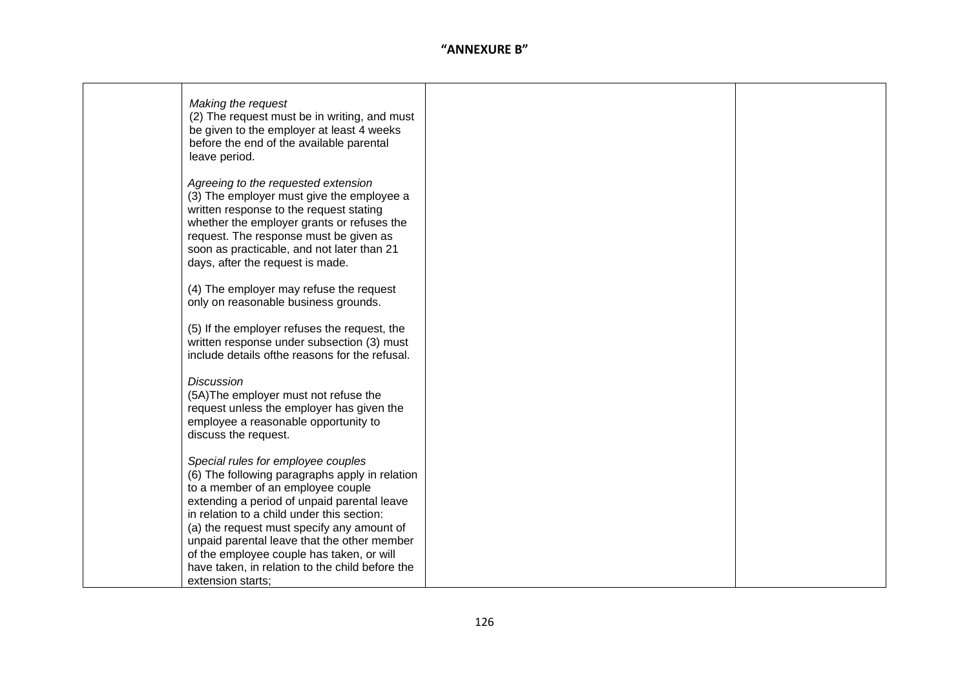| Making the request<br>(2) The request must be in writing, and must<br>be given to the employer at least 4 weeks<br>before the end of the available parental<br>leave period.                                                                                                                          |  |
|-------------------------------------------------------------------------------------------------------------------------------------------------------------------------------------------------------------------------------------------------------------------------------------------------------|--|
| Agreeing to the requested extension<br>(3) The employer must give the employee a<br>written response to the request stating<br>whether the employer grants or refuses the<br>request. The response must be given as<br>soon as practicable, and not later than 21<br>days, after the request is made. |  |
| (4) The employer may refuse the request<br>only on reasonable business grounds.                                                                                                                                                                                                                       |  |
| (5) If the employer refuses the request, the<br>written response under subsection (3) must<br>include details of the reasons for the refusal.                                                                                                                                                         |  |
| <b>Discussion</b><br>(5A) The employer must not refuse the<br>request unless the employer has given the<br>employee a reasonable opportunity to<br>discuss the request.                                                                                                                               |  |
| Special rules for employee couples<br>(6) The following paragraphs apply in relation<br>to a member of an employee couple<br>extending a period of unpaid parental leave<br>in relation to a child under this section:                                                                                |  |
| (a) the request must specify any amount of<br>unpaid parental leave that the other member<br>of the employee couple has taken, or will<br>have taken, in relation to the child before the<br>extension starts;                                                                                        |  |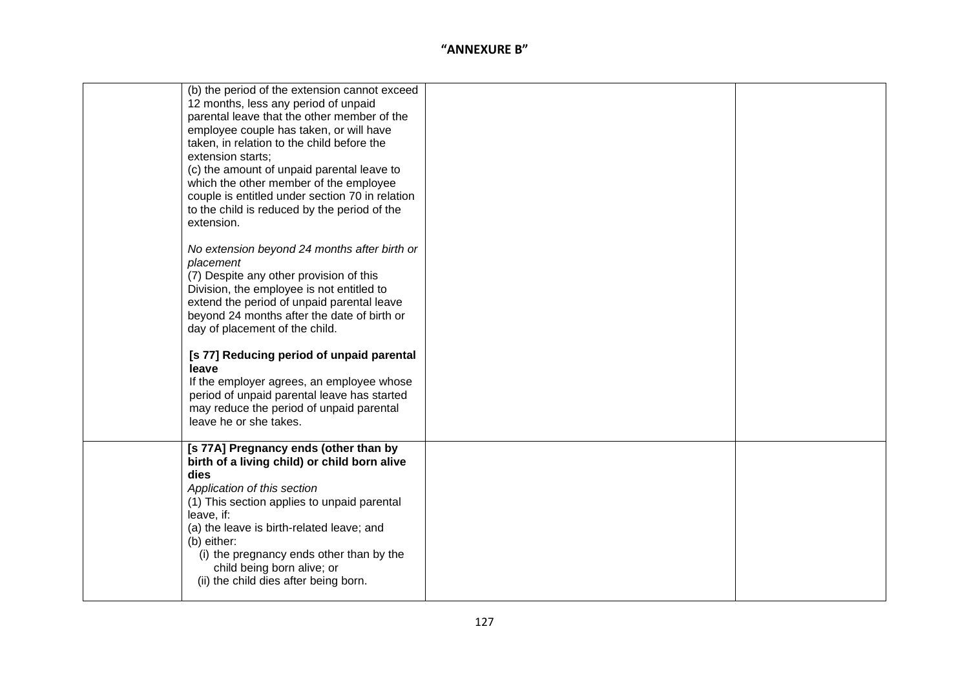| (b) the period of the extension cannot exceed<br>12 months, less any period of unpaid<br>parental leave that the other member of the<br>employee couple has taken, or will have<br>taken, in relation to the child before the<br>extension starts;<br>(c) the amount of unpaid parental leave to<br>which the other member of the employee<br>couple is entitled under section 70 in relation<br>to the child is reduced by the period of the<br>extension. |  |
|-------------------------------------------------------------------------------------------------------------------------------------------------------------------------------------------------------------------------------------------------------------------------------------------------------------------------------------------------------------------------------------------------------------------------------------------------------------|--|
| No extension beyond 24 months after birth or<br>placement<br>(7) Despite any other provision of this<br>Division, the employee is not entitled to<br>extend the period of unpaid parental leave<br>beyond 24 months after the date of birth or<br>day of placement of the child.                                                                                                                                                                            |  |
| [s 77] Reducing period of unpaid parental<br>leave<br>If the employer agrees, an employee whose<br>period of unpaid parental leave has started<br>may reduce the period of unpaid parental<br>leave he or she takes.                                                                                                                                                                                                                                        |  |
| [s 77A] Pregnancy ends (other than by<br>birth of a living child) or child born alive<br>dies<br>Application of this section<br>(1) This section applies to unpaid parental<br>leave, if:<br>(a) the leave is birth-related leave; and<br>(b) either:<br>(i) the pregnancy ends other than by the<br>child being born alive; or<br>(ii) the child dies after being born.                                                                                    |  |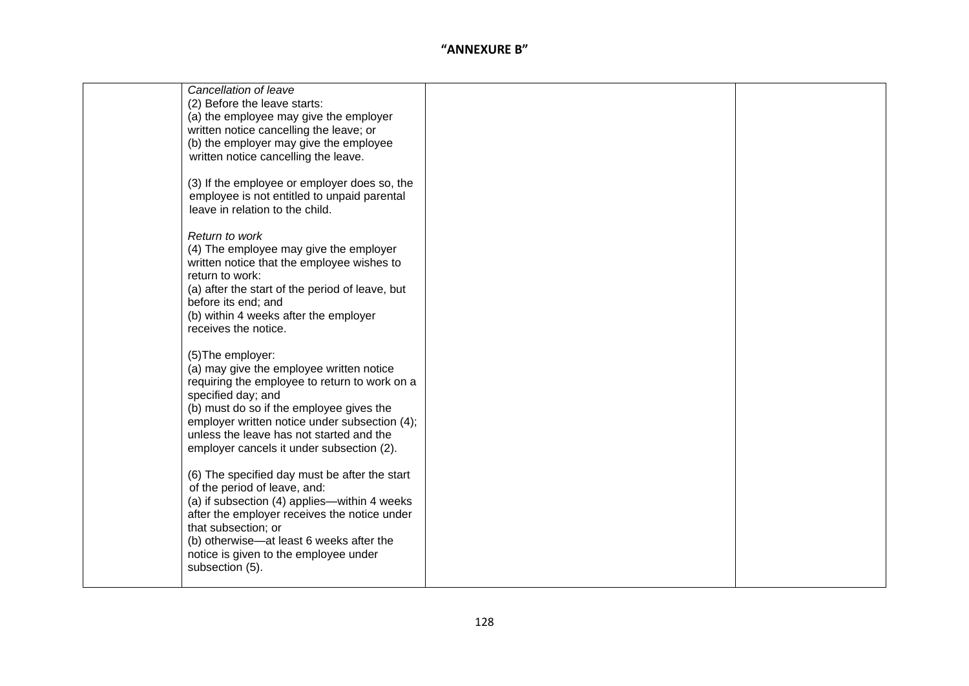| Cancellation of leave                           |  |
|-------------------------------------------------|--|
| (2) Before the leave starts:                    |  |
| (a) the employee may give the employer          |  |
| written notice cancelling the leave; or         |  |
| (b) the employer may give the employee          |  |
| written notice cancelling the leave.            |  |
|                                                 |  |
| (3) If the employee or employer does so, the    |  |
| employee is not entitled to unpaid parental     |  |
| leave in relation to the child.                 |  |
|                                                 |  |
| Return to work                                  |  |
|                                                 |  |
| (4) The employee may give the employer          |  |
| written notice that the employee wishes to      |  |
| return to work:                                 |  |
| (a) after the start of the period of leave, but |  |
| before its end; and                             |  |
| (b) within 4 weeks after the employer           |  |
| receives the notice.                            |  |
|                                                 |  |
| (5) The employer:                               |  |
| (a) may give the employee written notice        |  |
| requiring the employee to return to work on a   |  |
| specified day; and                              |  |
| (b) must do so if the employee gives the        |  |
| employer written notice under subsection (4);   |  |
| unless the leave has not started and the        |  |
| employer cancels it under subsection (2).       |  |
|                                                 |  |
| (6) The specified day must be after the start   |  |
| of the period of leave, and:                    |  |
| (a) if subsection (4) applies—within 4 weeks    |  |
| after the employer receives the notice under    |  |
| that subsection; or                             |  |
| (b) otherwise—at least 6 weeks after the        |  |
| notice is given to the employee under           |  |
| subsection (5).                                 |  |
|                                                 |  |
|                                                 |  |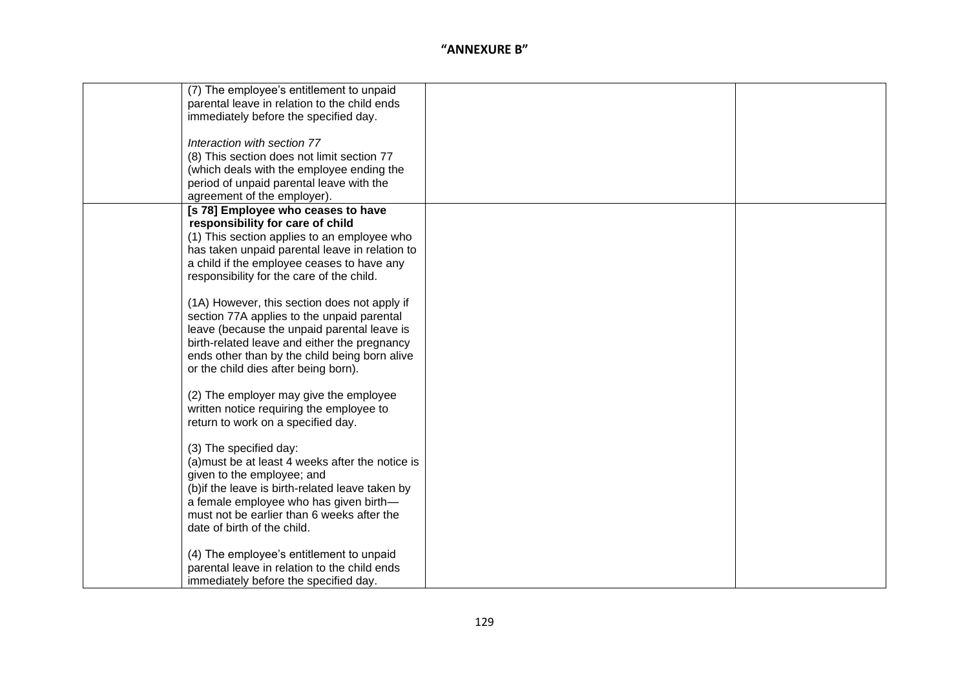| (7) The employee's entitlement to unpaid         |  |
|--------------------------------------------------|--|
| parental leave in relation to the child ends     |  |
| immediately before the specified day.            |  |
|                                                  |  |
| Interaction with section 77                      |  |
| (8) This section does not limit section 77       |  |
| (which deals with the employee ending the        |  |
| period of unpaid parental leave with the         |  |
| agreement of the employer).                      |  |
| [s 78] Employee who ceases to have               |  |
| responsibility for care of child                 |  |
| (1) This section applies to an employee who      |  |
| has taken unpaid parental leave in relation to   |  |
| a child if the employee ceases to have any       |  |
| responsibility for the care of the child.        |  |
|                                                  |  |
| (1A) However, this section does not apply if     |  |
| section 77A applies to the unpaid parental       |  |
| leave (because the unpaid parental leave is      |  |
| birth-related leave and either the pregnancy     |  |
| ends other than by the child being born alive    |  |
| or the child dies after being born).             |  |
|                                                  |  |
| (2) The employer may give the employee           |  |
| written notice requiring the employee to         |  |
| return to work on a specified day.               |  |
|                                                  |  |
| (3) The specified day:                           |  |
| (a) must be at least 4 weeks after the notice is |  |
| given to the employee; and                       |  |
| (b) if the leave is birth-related leave taken by |  |
| a female employee who has given birth-           |  |
| must not be earlier than 6 weeks after the       |  |
| date of birth of the child.                      |  |
|                                                  |  |
| (4) The employee's entitlement to unpaid         |  |
| parental leave in relation to the child ends     |  |
| immediately before the specified day.            |  |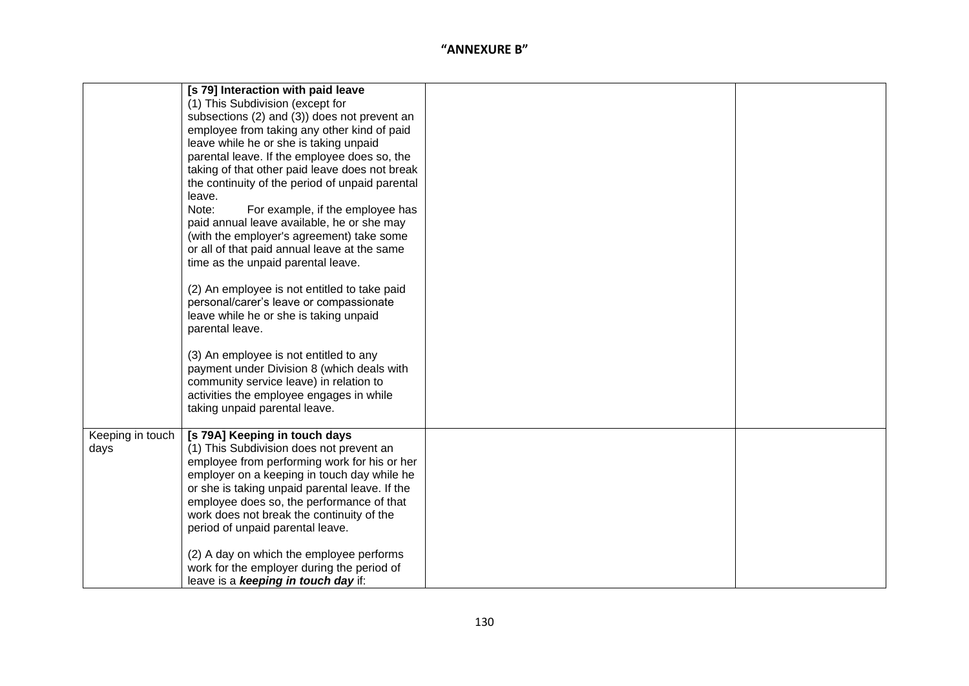|                  | [s 79] Interaction with paid leave              |  |
|------------------|-------------------------------------------------|--|
|                  | (1) This Subdivision (except for                |  |
|                  | subsections (2) and (3)) does not prevent an    |  |
|                  | employee from taking any other kind of paid     |  |
|                  | leave while he or she is taking unpaid          |  |
|                  | parental leave. If the employee does so, the    |  |
|                  | taking of that other paid leave does not break  |  |
|                  | the continuity of the period of unpaid parental |  |
|                  | leave.                                          |  |
|                  | Note:<br>For example, if the employee has       |  |
|                  | paid annual leave available, he or she may      |  |
|                  | (with the employer's agreement) take some       |  |
|                  | or all of that paid annual leave at the same    |  |
|                  | time as the unpaid parental leave.              |  |
|                  | (2) An employee is not entitled to take paid    |  |
|                  | personal/carer's leave or compassionate         |  |
|                  | leave while he or she is taking unpaid          |  |
|                  | parental leave.                                 |  |
|                  |                                                 |  |
|                  | (3) An employee is not entitled to any          |  |
|                  | payment under Division 8 (which deals with      |  |
|                  | community service leave) in relation to         |  |
|                  | activities the employee engages in while        |  |
|                  | taking unpaid parental leave.                   |  |
|                  |                                                 |  |
| Keeping in touch | [s 79A] Keeping in touch days                   |  |
| days             | (1) This Subdivision does not prevent an        |  |
|                  | employee from performing work for his or her    |  |
|                  | employer on a keeping in touch day while he     |  |
|                  | or she is taking unpaid parental leave. If the  |  |
|                  | employee does so, the performance of that       |  |
|                  | work does not break the continuity of the       |  |
|                  | period of unpaid parental leave.                |  |
|                  | (2) A day on which the employee performs        |  |
|                  | work for the employer during the period of      |  |
|                  | leave is a keeping in touch day if:             |  |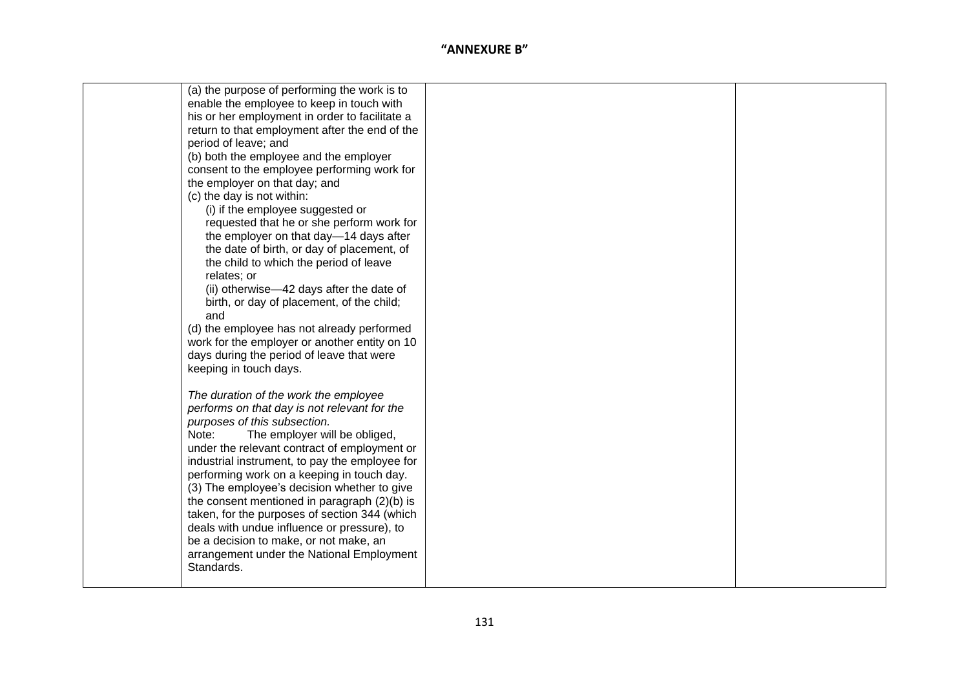| (a) the purpose of performing the work is to   |  |
|------------------------------------------------|--|
| enable the employee to keep in touch with      |  |
| his or her employment in order to facilitate a |  |
| return to that employment after the end of the |  |
| period of leave; and                           |  |
| (b) both the employee and the employer         |  |
| consent to the employee performing work for    |  |
| the employer on that day; and                  |  |
| (c) the day is not within:                     |  |
| (i) if the employee suggested or               |  |
| requested that he or she perform work for      |  |
| the employer on that day-14 days after         |  |
| the date of birth, or day of placement, of     |  |
| the child to which the period of leave         |  |
| relates; or                                    |  |
| (ii) otherwise-42 days after the date of       |  |
| birth, or day of placement, of the child;      |  |
| and                                            |  |
| (d) the employee has not already performed     |  |
| work for the employer or another entity on 10  |  |
| days during the period of leave that were      |  |
| keeping in touch days.                         |  |
|                                                |  |
| The duration of the work the employee          |  |
| performs on that day is not relevant for the   |  |
| purposes of this subsection.                   |  |
| The employer will be obliged,<br>Note:         |  |
| under the relevant contract of employment or   |  |
| industrial instrument, to pay the employee for |  |
| performing work on a keeping in touch day.     |  |
| (3) The employee's decision whether to give    |  |
| the consent mentioned in paragraph $(2)(b)$ is |  |
| taken, for the purposes of section 344 (which  |  |
| deals with undue influence or pressure), to    |  |
| be a decision to make, or not make, an         |  |
| arrangement under the National Employment      |  |
| Standards.                                     |  |
|                                                |  |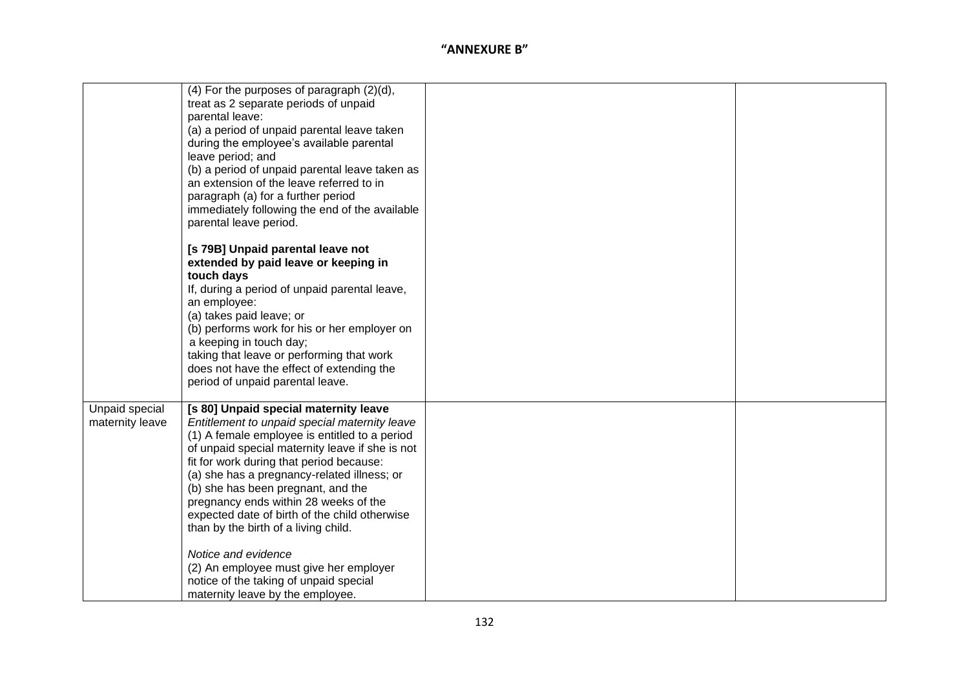|                                   | $(4)$ For the purposes of paragraph $(2)(d)$ ,<br>treat as 2 separate periods of unpaid<br>parental leave:<br>(a) a period of unpaid parental leave taken<br>during the employee's available parental<br>leave period; and<br>(b) a period of unpaid parental leave taken as<br>an extension of the leave referred to in<br>paragraph (a) for a further period<br>immediately following the end of the available<br>parental leave period.                                                                                                                                                                   |  |
|-----------------------------------|--------------------------------------------------------------------------------------------------------------------------------------------------------------------------------------------------------------------------------------------------------------------------------------------------------------------------------------------------------------------------------------------------------------------------------------------------------------------------------------------------------------------------------------------------------------------------------------------------------------|--|
|                                   | [s 79B] Unpaid parental leave not<br>extended by paid leave or keeping in<br>touch days<br>If, during a period of unpaid parental leave,<br>an employee:<br>(a) takes paid leave; or<br>(b) performs work for his or her employer on<br>a keeping in touch day;<br>taking that leave or performing that work<br>does not have the effect of extending the<br>period of unpaid parental leave.                                                                                                                                                                                                                |  |
| Unpaid special<br>maternity leave | [s 80] Unpaid special maternity leave<br>Entitlement to unpaid special maternity leave<br>(1) A female employee is entitled to a period<br>of unpaid special maternity leave if she is not<br>fit for work during that period because:<br>(a) she has a pregnancy-related illness; or<br>(b) she has been pregnant, and the<br>pregnancy ends within 28 weeks of the<br>expected date of birth of the child otherwise<br>than by the birth of a living child.<br>Notice and evidence<br>(2) An employee must give her employer<br>notice of the taking of unpaid special<br>maternity leave by the employee. |  |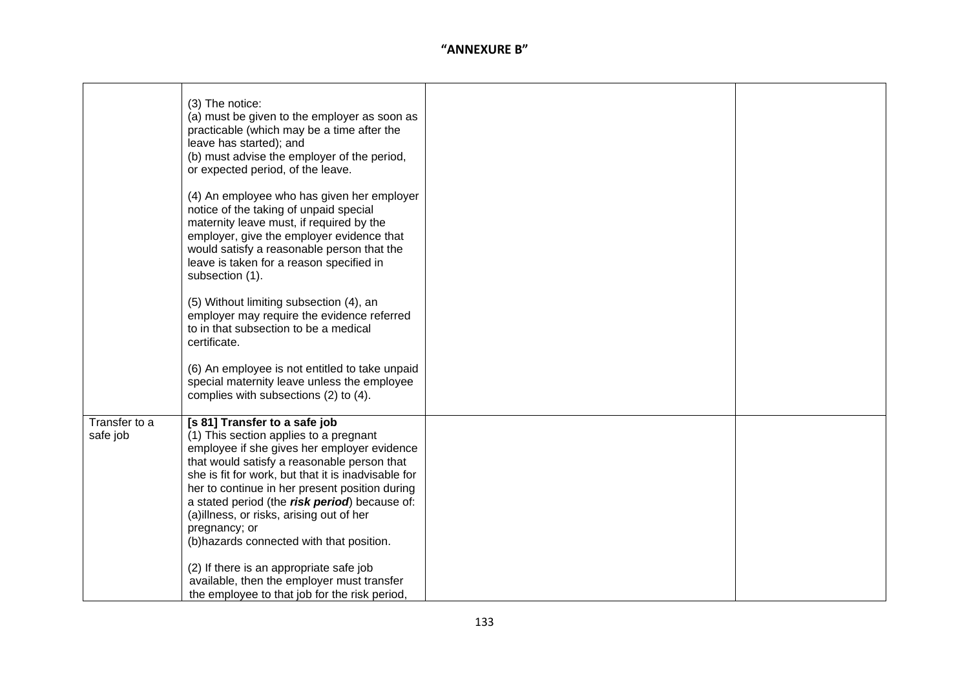|                           | (3) The notice:<br>(a) must be given to the employer as soon as<br>practicable (which may be a time after the<br>leave has started); and<br>(b) must advise the employer of the period,<br>or expected period, of the leave.<br>(4) An employee who has given her employer<br>notice of the taking of unpaid special<br>maternity leave must, if required by the<br>employer, give the employer evidence that<br>would satisfy a reasonable person that the<br>leave is taken for a reason specified in<br>subsection (1).<br>(5) Without limiting subsection (4), an<br>employer may require the evidence referred<br>to in that subsection to be a medical<br>certificate.<br>(6) An employee is not entitled to take unpaid<br>special maternity leave unless the employee<br>complies with subsections (2) to (4). |  |
|---------------------------|------------------------------------------------------------------------------------------------------------------------------------------------------------------------------------------------------------------------------------------------------------------------------------------------------------------------------------------------------------------------------------------------------------------------------------------------------------------------------------------------------------------------------------------------------------------------------------------------------------------------------------------------------------------------------------------------------------------------------------------------------------------------------------------------------------------------|--|
|                           |                                                                                                                                                                                                                                                                                                                                                                                                                                                                                                                                                                                                                                                                                                                                                                                                                        |  |
| Transfer to a<br>safe job | [s 81] Transfer to a safe job<br>(1) This section applies to a pregnant<br>employee if she gives her employer evidence<br>that would satisfy a reasonable person that<br>she is fit for work, but that it is inadvisable for<br>her to continue in her present position during<br>a stated period (the risk period) because of:<br>(a)illness, or risks, arising out of her<br>pregnancy; or<br>(b) hazards connected with that position.<br>(2) If there is an appropriate safe job<br>available, then the employer must transfer                                                                                                                                                                                                                                                                                     |  |
|                           | the employee to that job for the risk period.                                                                                                                                                                                                                                                                                                                                                                                                                                                                                                                                                                                                                                                                                                                                                                          |  |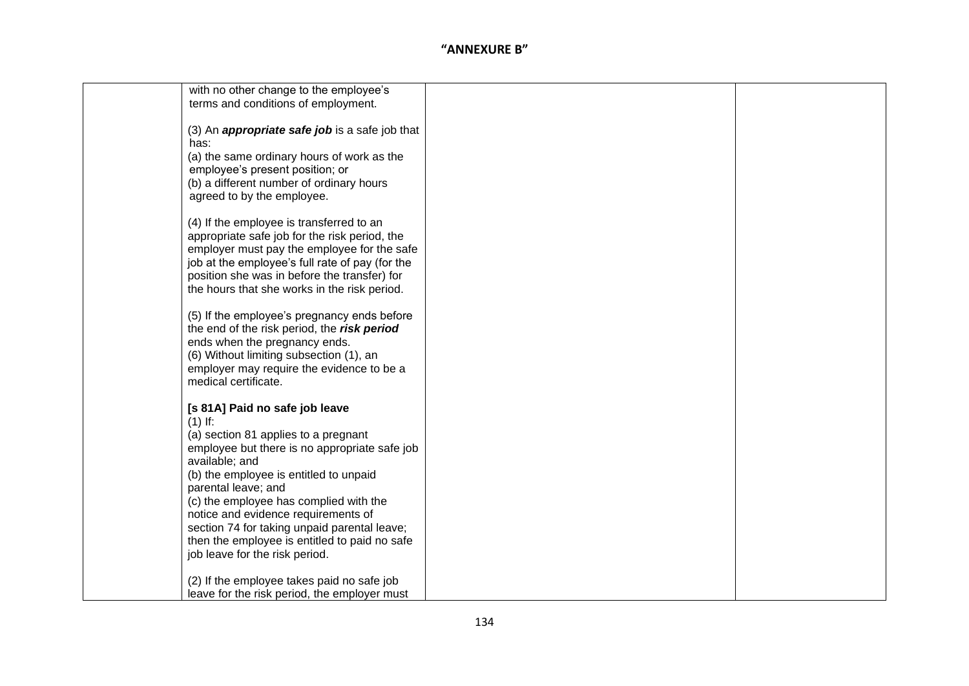| with no other change to the employee's                |  |
|-------------------------------------------------------|--|
| terms and conditions of employment.                   |  |
|                                                       |  |
| (3) An <i>appropriate safe job</i> is a safe job that |  |
| has:                                                  |  |
| (a) the same ordinary hours of work as the            |  |
| employee's present position; or                       |  |
| (b) a different number of ordinary hours              |  |
| agreed to by the employee.                            |  |
| (4) If the employee is transferred to an              |  |
| appropriate safe job for the risk period, the         |  |
| employer must pay the employee for the safe           |  |
| job at the employee's full rate of pay (for the       |  |
| position she was in before the transfer) for          |  |
| the hours that she works in the risk period.          |  |
|                                                       |  |
| (5) If the employee's pregnancy ends before           |  |
| the end of the risk period, the risk period           |  |
| ends when the pregnancy ends.                         |  |
| (6) Without limiting subsection (1), an               |  |
| employer may require the evidence to be a             |  |
| medical certificate.                                  |  |
| [s 81A] Paid no safe job leave                        |  |
| $(1)$ If:                                             |  |
| (a) section 81 applies to a pregnant                  |  |
| employee but there is no appropriate safe job         |  |
| available; and                                        |  |
| (b) the employee is entitled to unpaid                |  |
| parental leave; and                                   |  |
| (c) the employee has complied with the                |  |
| notice and evidence requirements of                   |  |
| section 74 for taking unpaid parental leave;          |  |
| then the employee is entitled to paid no safe         |  |
| job leave for the risk period.                        |  |
| (2) If the employee takes paid no safe job            |  |
| leave for the risk period, the employer must          |  |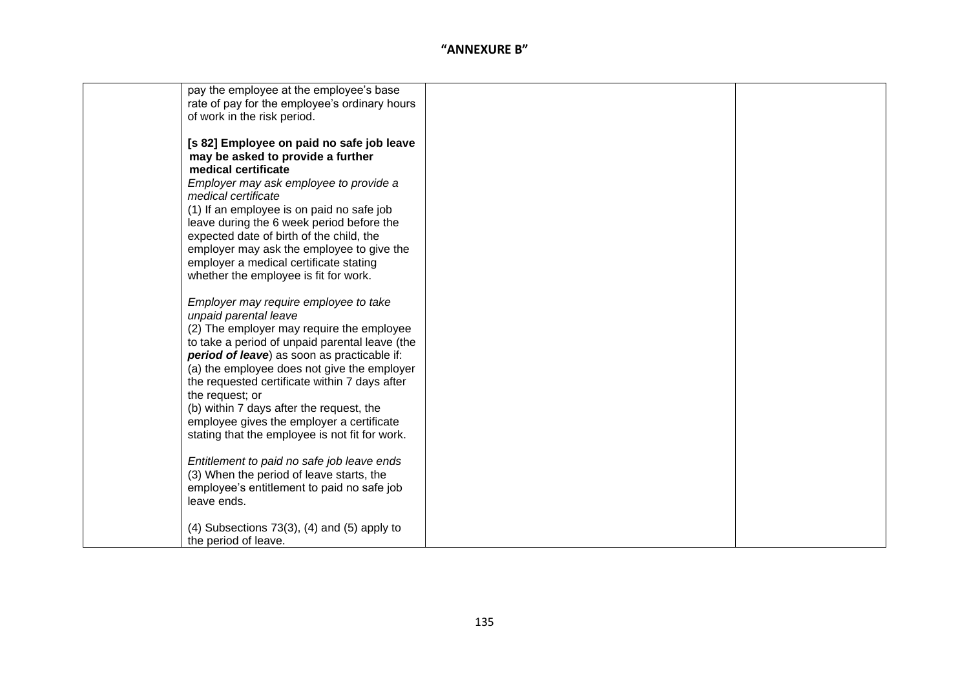| pay the employee at the employee's base               |  |
|-------------------------------------------------------|--|
| rate of pay for the employee's ordinary hours         |  |
| of work in the risk period.                           |  |
|                                                       |  |
| [s 82] Employee on paid no safe job leave             |  |
|                                                       |  |
| may be asked to provide a further                     |  |
| medical certificate                                   |  |
| Employer may ask employee to provide a                |  |
| medical certificate                                   |  |
| (1) If an employee is on paid no safe job             |  |
| leave during the 6 week period before the             |  |
| expected date of birth of the child, the              |  |
| employer may ask the employee to give the             |  |
| employer a medical certificate stating                |  |
| whether the employee is fit for work.                 |  |
|                                                       |  |
|                                                       |  |
| Employer may require employee to take                 |  |
| unpaid parental leave                                 |  |
| (2) The employer may require the employee             |  |
| to take a period of unpaid parental leave (the        |  |
| period of leave) as soon as practicable if:           |  |
| (a) the employee does not give the employer           |  |
| the requested certificate within 7 days after         |  |
| the request; or                                       |  |
| (b) within 7 days after the request, the              |  |
| employee gives the employer a certificate             |  |
| stating that the employee is not fit for work.        |  |
|                                                       |  |
| Entitlement to paid no safe job leave ends            |  |
|                                                       |  |
| (3) When the period of leave starts, the              |  |
| employee's entitlement to paid no safe job            |  |
| leave ends.                                           |  |
|                                                       |  |
| $(4)$ Subsections 73 $(3)$ , $(4)$ and $(5)$ apply to |  |
| the period of leave.                                  |  |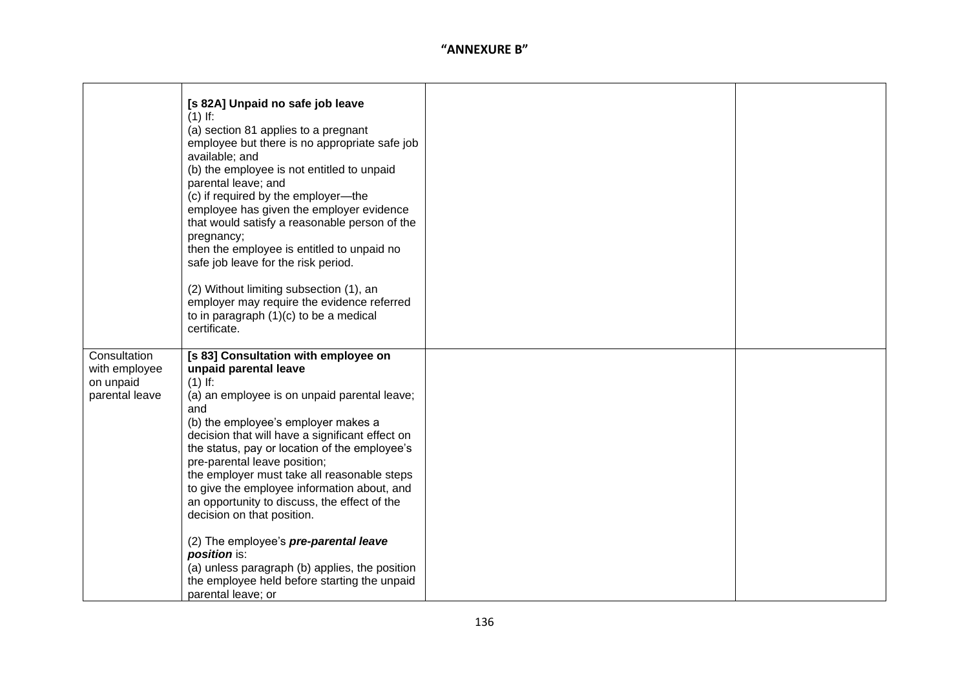|                                                              | [s 82A] Unpaid no safe job leave<br>$(1)$ If:<br>(a) section 81 applies to a pregnant<br>employee but there is no appropriate safe job<br>available; and<br>(b) the employee is not entitled to unpaid<br>parental leave; and<br>(c) if required by the employer-the<br>employee has given the employer evidence<br>that would satisfy a reasonable person of the<br>pregnancy;<br>then the employee is entitled to unpaid no<br>safe job leave for the risk period.<br>(2) Without limiting subsection (1), an<br>employer may require the evidence referred<br>to in paragraph (1)(c) to be a medical<br>certificate.                                                   |  |
|--------------------------------------------------------------|---------------------------------------------------------------------------------------------------------------------------------------------------------------------------------------------------------------------------------------------------------------------------------------------------------------------------------------------------------------------------------------------------------------------------------------------------------------------------------------------------------------------------------------------------------------------------------------------------------------------------------------------------------------------------|--|
| Consultation<br>with employee<br>on unpaid<br>parental leave | [s 83] Consultation with employee on<br>unpaid parental leave<br>$(1)$ If:<br>(a) an employee is on unpaid parental leave;<br>and<br>(b) the employee's employer makes a<br>decision that will have a significant effect on<br>the status, pay or location of the employee's<br>pre-parental leave position;<br>the employer must take all reasonable steps<br>to give the employee information about, and<br>an opportunity to discuss, the effect of the<br>decision on that position.<br>(2) The employee's pre-parental leave<br>position is:<br>(a) unless paragraph (b) applies, the position<br>the employee held before starting the unpaid<br>parental leave; or |  |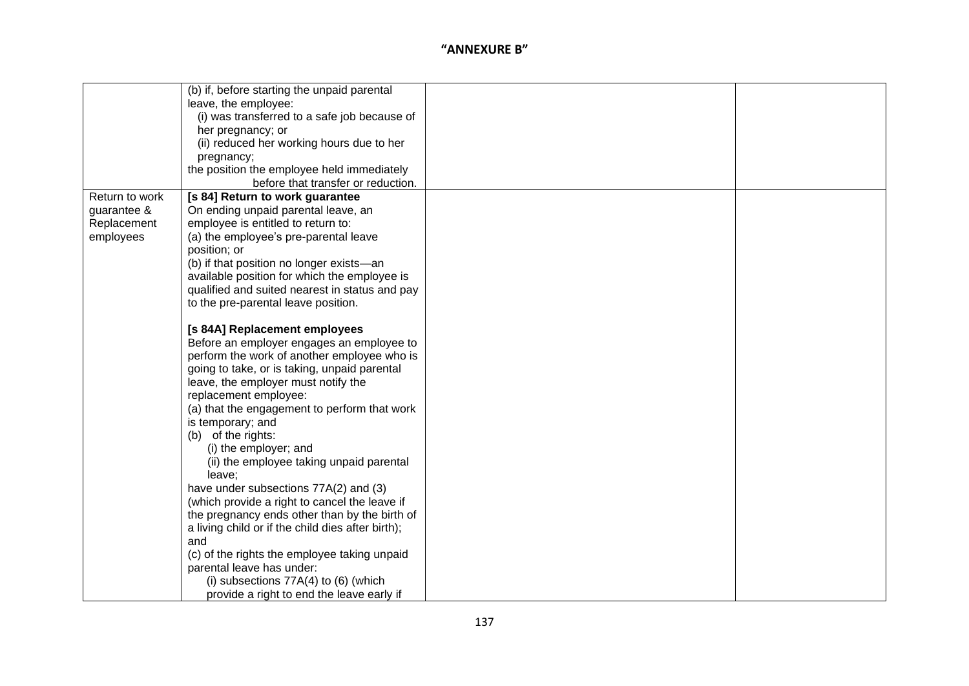|                | (b) if, before starting the unpaid parental       |  |
|----------------|---------------------------------------------------|--|
|                | leave, the employee:                              |  |
|                | (i) was transferred to a safe job because of      |  |
|                | her pregnancy; or                                 |  |
|                |                                                   |  |
|                | (ii) reduced her working hours due to her         |  |
|                | pregnancy;                                        |  |
|                | the position the employee held immediately        |  |
|                | before that transfer or reduction.                |  |
| Return to work | [s 84] Return to work guarantee                   |  |
| guarantee &    | On ending unpaid parental leave, an               |  |
| Replacement    | employee is entitled to return to:                |  |
| employees      | (a) the employee's pre-parental leave             |  |
|                | position; or                                      |  |
|                | (b) if that position no longer exists-an          |  |
|                | available position for which the employee is      |  |
|                | qualified and suited nearest in status and pay    |  |
|                | to the pre-parental leave position.               |  |
|                |                                                   |  |
|                | [s 84A] Replacement employees                     |  |
|                | Before an employer engages an employee to         |  |
|                | perform the work of another employee who is       |  |
|                | going to take, or is taking, unpaid parental      |  |
|                | leave, the employer must notify the               |  |
|                | replacement employee:                             |  |
|                | (a) that the engagement to perform that work      |  |
|                | is temporary; and                                 |  |
|                | (b) of the rights:                                |  |
|                | (i) the employer; and                             |  |
|                | (ii) the employee taking unpaid parental          |  |
|                | leave;                                            |  |
|                | have under subsections 77A(2) and (3)             |  |
|                | (which provide a right to cancel the leave if     |  |
|                | the pregnancy ends other than by the birth of     |  |
|                | a living child or if the child dies after birth); |  |
|                | and                                               |  |
|                | (c) of the rights the employee taking unpaid      |  |
|                | parental leave has under:                         |  |
|                | (i) subsections $77A(4)$ to $(6)$ (which          |  |
|                | provide a right to end the leave early if         |  |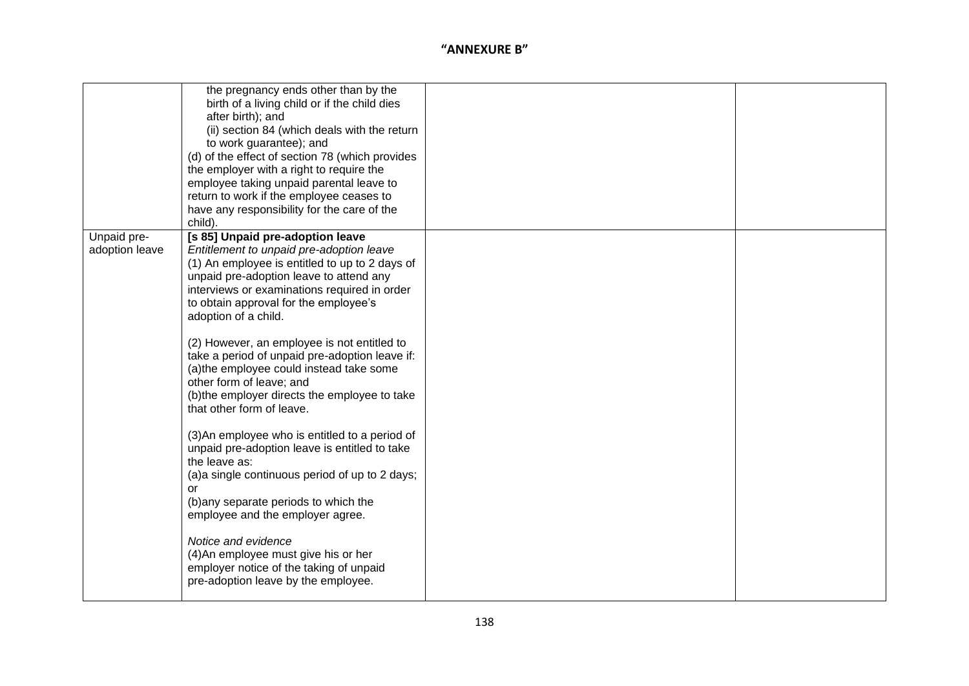|                               | the pregnancy ends other than by the<br>birth of a living child or if the child dies<br>after birth); and<br>(ii) section 84 (which deals with the return<br>to work guarantee); and<br>(d) of the effect of section 78 (which provides<br>the employer with a right to require the<br>employee taking unpaid parental leave to<br>return to work if the employee ceases to<br>have any responsibility for the care of the<br>child). |  |
|-------------------------------|---------------------------------------------------------------------------------------------------------------------------------------------------------------------------------------------------------------------------------------------------------------------------------------------------------------------------------------------------------------------------------------------------------------------------------------|--|
| Unpaid pre-<br>adoption leave | [s 85] Unpaid pre-adoption leave<br>Entitlement to unpaid pre-adoption leave<br>(1) An employee is entitled to up to 2 days of<br>unpaid pre-adoption leave to attend any<br>interviews or examinations required in order<br>to obtain approval for the employee's<br>adoption of a child.                                                                                                                                            |  |
|                               | (2) However, an employee is not entitled to<br>take a period of unpaid pre-adoption leave if:<br>(a) the employee could instead take some<br>other form of leave; and<br>(b) the employer directs the employee to take<br>that other form of leave.                                                                                                                                                                                   |  |
|                               | (3) An employee who is entitled to a period of<br>unpaid pre-adoption leave is entitled to take<br>the leave as:<br>(a)a single continuous period of up to 2 days;<br><b>or</b><br>(b) any separate periods to which the<br>employee and the employer agree.                                                                                                                                                                          |  |
|                               | Notice and evidence<br>(4) An employee must give his or her<br>employer notice of the taking of unpaid<br>pre-adoption leave by the employee.                                                                                                                                                                                                                                                                                         |  |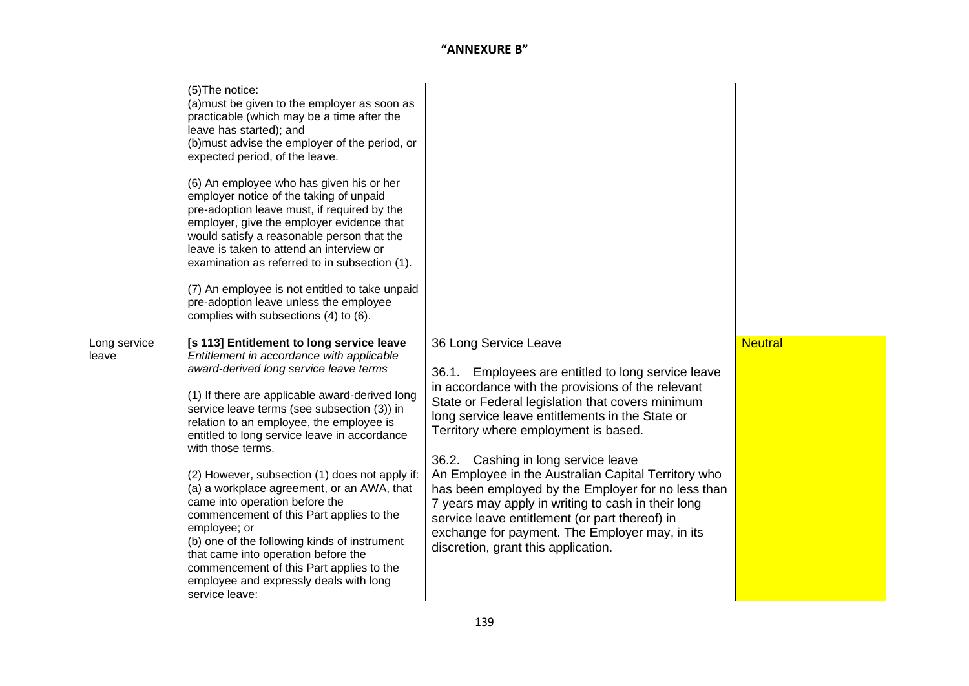|                       | (5) The notice:<br>(a) must be given to the employer as soon as<br>practicable (which may be a time after the<br>leave has started); and<br>(b) must advise the employer of the period, or<br>expected period, of the leave.                                                                                                                                                                                                                                                                                                                                                                                                                                                                                                                    |                                                                                                                                                                                                                                                                                                                                                                                                                                                                                                                                                                                                                                         |                |
|-----------------------|-------------------------------------------------------------------------------------------------------------------------------------------------------------------------------------------------------------------------------------------------------------------------------------------------------------------------------------------------------------------------------------------------------------------------------------------------------------------------------------------------------------------------------------------------------------------------------------------------------------------------------------------------------------------------------------------------------------------------------------------------|-----------------------------------------------------------------------------------------------------------------------------------------------------------------------------------------------------------------------------------------------------------------------------------------------------------------------------------------------------------------------------------------------------------------------------------------------------------------------------------------------------------------------------------------------------------------------------------------------------------------------------------------|----------------|
|                       | (6) An employee who has given his or her<br>employer notice of the taking of unpaid<br>pre-adoption leave must, if required by the<br>employer, give the employer evidence that<br>would satisfy a reasonable person that the<br>leave is taken to attend an interview or<br>examination as referred to in subsection (1).<br>(7) An employee is not entitled to take unpaid<br>pre-adoption leave unless the employee<br>complies with subsections (4) to (6).                                                                                                                                                                                                                                                                                 |                                                                                                                                                                                                                                                                                                                                                                                                                                                                                                                                                                                                                                         |                |
| Long service<br>leave | [s 113] Entitlement to long service leave<br>Entitlement in accordance with applicable<br>award-derived long service leave terms<br>(1) If there are applicable award-derived long<br>service leave terms (see subsection (3)) in<br>relation to an employee, the employee is<br>entitled to long service leave in accordance<br>with those terms.<br>(2) However, subsection (1) does not apply if:<br>(a) a workplace agreement, or an AWA, that<br>came into operation before the<br>commencement of this Part applies to the<br>employee; or<br>(b) one of the following kinds of instrument<br>that came into operation before the<br>commencement of this Part applies to the<br>employee and expressly deals with long<br>service leave: | 36 Long Service Leave<br>Employees are entitled to long service leave<br>36.1.<br>in accordance with the provisions of the relevant<br>State or Federal legislation that covers minimum<br>long service leave entitlements in the State or<br>Territory where employment is based.<br>36.2. Cashing in long service leave<br>An Employee in the Australian Capital Territory who<br>has been employed by the Employer for no less than<br>7 years may apply in writing to cash in their long<br>service leave entitlement (or part thereof) in<br>exchange for payment. The Employer may, in its<br>discretion, grant this application. | <b>Neutral</b> |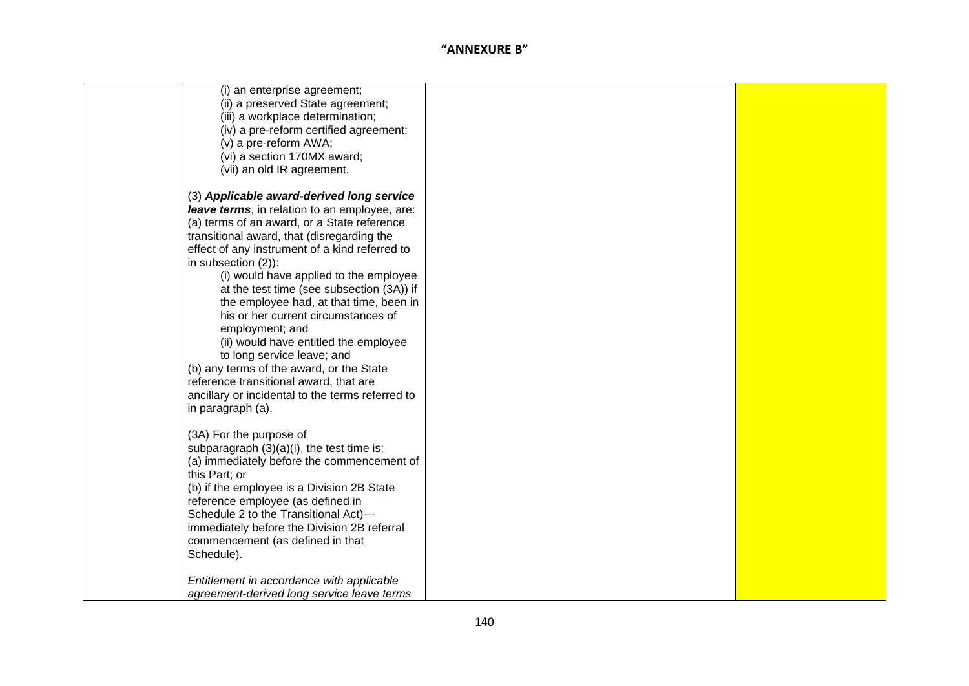| (i) an enterprise agreement;<br>(ii) a preserved State agreement;<br>(iii) a workplace determination;<br>(iv) a pre-reform certified agreement;<br>(v) a pre-reform AWA;<br>(vi) a section 170MX award;<br>(vii) an old IR agreement.                                                                                                                                                                                                                                                                                                                                                                                                                                                                |  |
|------------------------------------------------------------------------------------------------------------------------------------------------------------------------------------------------------------------------------------------------------------------------------------------------------------------------------------------------------------------------------------------------------------------------------------------------------------------------------------------------------------------------------------------------------------------------------------------------------------------------------------------------------------------------------------------------------|--|
| (3) Applicable award-derived long service<br>leave terms, in relation to an employee, are:<br>(a) terms of an award, or a State reference<br>transitional award, that (disregarding the<br>effect of any instrument of a kind referred to<br>in subsection $(2)$ :<br>(i) would have applied to the employee<br>at the test time (see subsection (3A)) if<br>the employee had, at that time, been in<br>his or her current circumstances of<br>employment; and<br>(ii) would have entitled the employee<br>to long service leave; and<br>(b) any terms of the award, or the State<br>reference transitional award, that are<br>ancillary or incidental to the terms referred to<br>in paragraph (a). |  |
| (3A) For the purpose of<br>subparagraph $(3)(a)(i)$ , the test time is:<br>(a) immediately before the commencement of<br>this Part; or<br>(b) if the employee is a Division 2B State<br>reference employee (as defined in<br>Schedule 2 to the Transitional Act)-<br>immediately before the Division 2B referral<br>commencement (as defined in that<br>Schedule).                                                                                                                                                                                                                                                                                                                                   |  |
| Entitlement in accordance with applicable<br>agreement-derived long service leave terms                                                                                                                                                                                                                                                                                                                                                                                                                                                                                                                                                                                                              |  |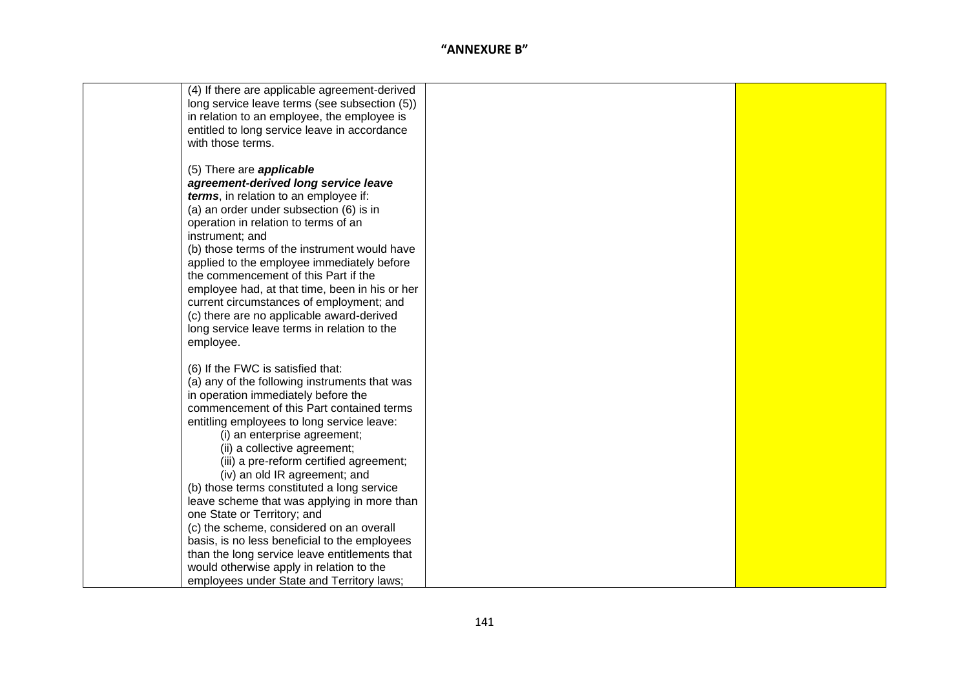| (4) If there are applicable agreement-derived  |  |
|------------------------------------------------|--|
| long service leave terms (see subsection (5))  |  |
|                                                |  |
| in relation to an employee, the employee is    |  |
| entitled to long service leave in accordance   |  |
| with those terms.                              |  |
|                                                |  |
| (5) There are <b>applicable</b>                |  |
| agreement-derived long service leave           |  |
| terms, in relation to an employee if:          |  |
| (a) an order under subsection (6) is in        |  |
| operation in relation to terms of an           |  |
| instrument; and                                |  |
| (b) those terms of the instrument would have   |  |
| applied to the employee immediately before     |  |
| the commencement of this Part if the           |  |
| employee had, at that time, been in his or her |  |
| current circumstances of employment; and       |  |
| (c) there are no applicable award-derived      |  |
| long service leave terms in relation to the    |  |
| employee.                                      |  |
|                                                |  |
| (6) If the FWC is satisfied that:              |  |
| (a) any of the following instruments that was  |  |
| in operation immediately before the            |  |
| commencement of this Part contained terms      |  |
| entitling employees to long service leave:     |  |
| (i) an enterprise agreement;                   |  |
| (ii) a collective agreement;                   |  |
| (iii) a pre-reform certified agreement;        |  |
| (iv) an old IR agreement; and                  |  |
| (b) those terms constituted a long service     |  |
| leave scheme that was applying in more than    |  |
| one State or Territory; and                    |  |
| (c) the scheme, considered on an overall       |  |
| basis, is no less beneficial to the employees  |  |
| than the long service leave entitlements that  |  |
| would otherwise apply in relation to the       |  |
| employees under State and Territory laws;      |  |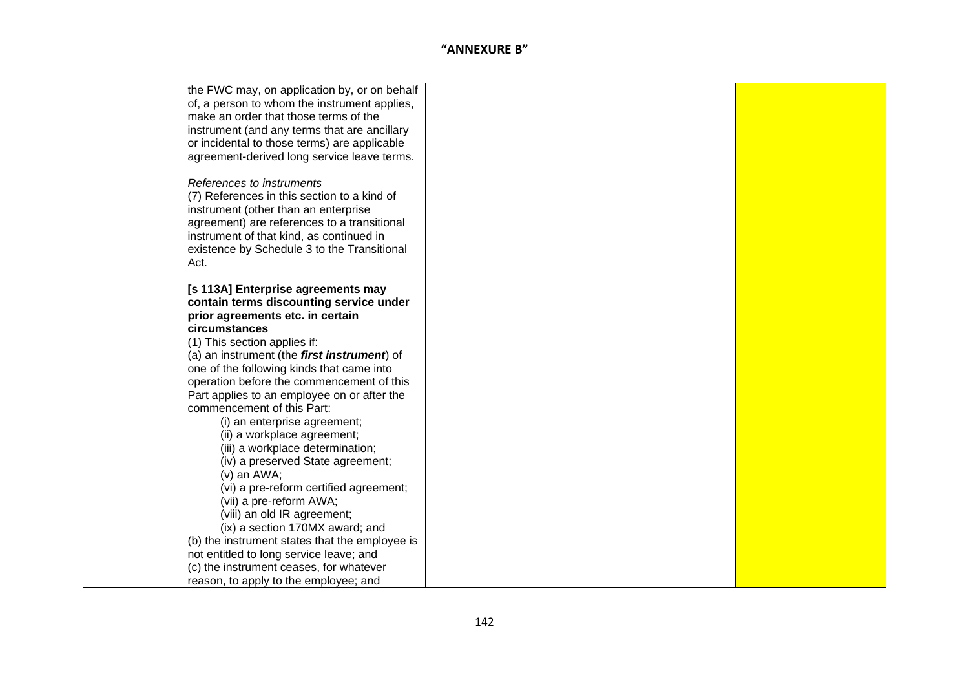| the FWC may, on application by, or on behalf   |  |
|------------------------------------------------|--|
| of, a person to whom the instrument applies,   |  |
| make an order that those terms of the          |  |
| instrument (and any terms that are ancillary   |  |
| or incidental to those terms) are applicable   |  |
| agreement-derived long service leave terms.    |  |
|                                                |  |
| References to instruments                      |  |
| (7) References in this section to a kind of    |  |
| instrument (other than an enterprise           |  |
| agreement) are references to a transitional    |  |
| instrument of that kind, as continued in       |  |
| existence by Schedule 3 to the Transitional    |  |
| Act.                                           |  |
|                                                |  |
| [s 113A] Enterprise agreements may             |  |
| contain terms discounting service under        |  |
| prior agreements etc. in certain               |  |
| circumstances                                  |  |
| (1) This section applies if:                   |  |
| (a) an instrument (the first instrument) of    |  |
| one of the following kinds that came into      |  |
| operation before the commencement of this      |  |
| Part applies to an employee on or after the    |  |
| commencement of this Part:                     |  |
| (i) an enterprise agreement;                   |  |
| (ii) a workplace agreement;                    |  |
| (iii) a workplace determination;               |  |
| (iv) a preserved State agreement;              |  |
| $(v)$ an AWA;                                  |  |
| (vi) a pre-reform certified agreement;         |  |
| (vii) a pre-reform AWA;                        |  |
| (viii) an old IR agreement;                    |  |
| (ix) a section 170MX award; and                |  |
| (b) the instrument states that the employee is |  |
| not entitled to long service leave; and        |  |
| (c) the instrument ceases, for whatever        |  |
| reason, to apply to the employee; and          |  |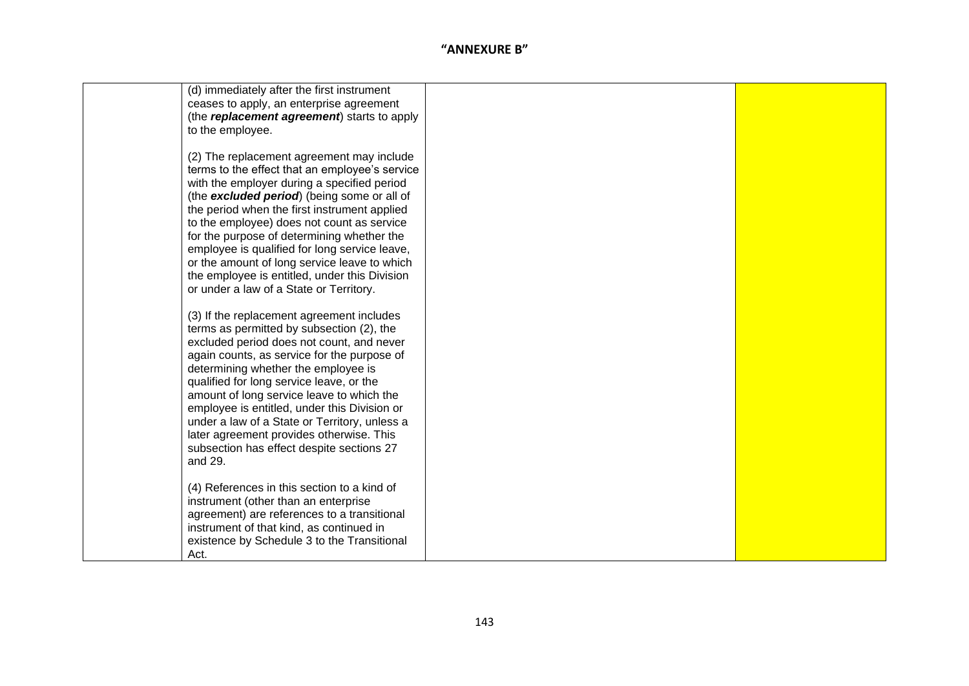| (d) immediately after the first instrument<br>ceases to apply, an enterprise agreement<br>(the replacement agreement) starts to apply<br>to the employee.                                                                                                                                                                                                                                                                                                                                                                          |  |
|------------------------------------------------------------------------------------------------------------------------------------------------------------------------------------------------------------------------------------------------------------------------------------------------------------------------------------------------------------------------------------------------------------------------------------------------------------------------------------------------------------------------------------|--|
| (2) The replacement agreement may include<br>terms to the effect that an employee's service<br>with the employer during a specified period<br>(the excluded period) (being some or all of<br>the period when the first instrument applied<br>to the employee) does not count as service<br>for the purpose of determining whether the<br>employee is qualified for long service leave,<br>or the amount of long service leave to which<br>the employee is entitled, under this Division<br>or under a law of a State or Territory. |  |
| (3) If the replacement agreement includes<br>terms as permitted by subsection (2), the<br>excluded period does not count, and never<br>again counts, as service for the purpose of<br>determining whether the employee is<br>qualified for long service leave, or the<br>amount of long service leave to which the<br>employee is entitled, under this Division or<br>under a law of a State or Territory, unless a<br>later agreement provides otherwise. This<br>subsection has effect despite sections 27<br>and 29.            |  |
| (4) References in this section to a kind of<br>instrument (other than an enterprise<br>agreement) are references to a transitional<br>instrument of that kind, as continued in<br>existence by Schedule 3 to the Transitional<br>Act.                                                                                                                                                                                                                                                                                              |  |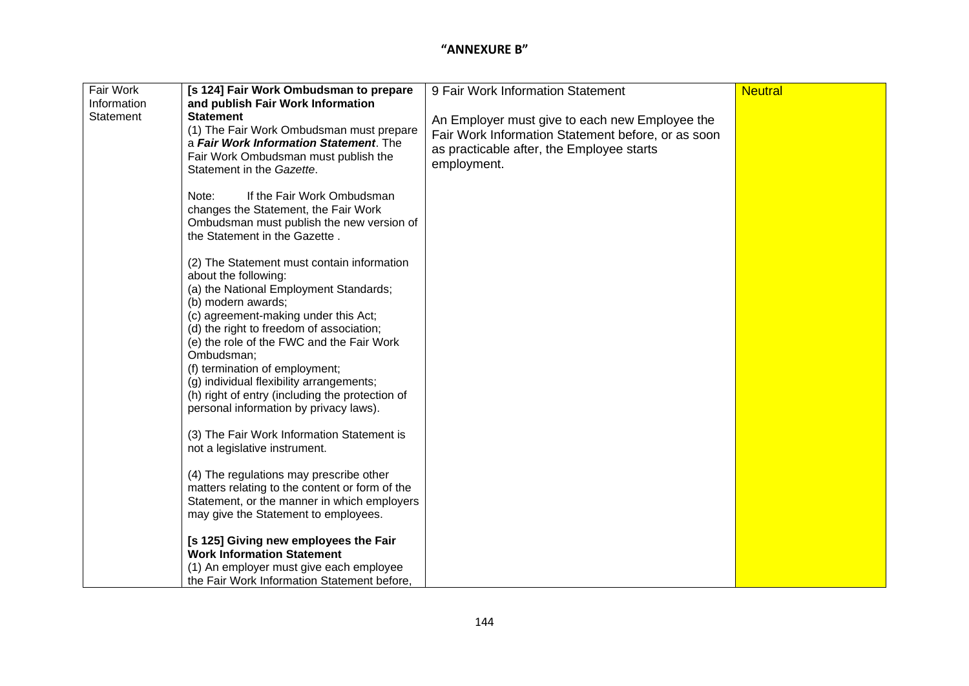| Fair Work   | [s 124] Fair Work Ombudsman to prepare                                                    | 9 Fair Work Information Statement                  | <b>Neutral</b> |
|-------------|-------------------------------------------------------------------------------------------|----------------------------------------------------|----------------|
| Information | and publish Fair Work Information                                                         |                                                    |                |
| Statement   | <b>Statement</b>                                                                          | An Employer must give to each new Employee the     |                |
|             | (1) The Fair Work Ombudsman must prepare<br>a Fair Work Information Statement. The        | Fair Work Information Statement before, or as soon |                |
|             | Fair Work Ombudsman must publish the                                                      | as practicable after, the Employee starts          |                |
|             | Statement in the Gazette.                                                                 | employment.                                        |                |
|             |                                                                                           |                                                    |                |
|             | Note:<br>If the Fair Work Ombudsman                                                       |                                                    |                |
|             | changes the Statement, the Fair Work                                                      |                                                    |                |
|             | Ombudsman must publish the new version of<br>the Statement in the Gazette.                |                                                    |                |
|             |                                                                                           |                                                    |                |
|             | (2) The Statement must contain information                                                |                                                    |                |
|             | about the following:                                                                      |                                                    |                |
|             | (a) the National Employment Standards;                                                    |                                                    |                |
|             | (b) modern awards;<br>(c) agreement-making under this Act;                                |                                                    |                |
|             | (d) the right to freedom of association;                                                  |                                                    |                |
|             | (e) the role of the FWC and the Fair Work                                                 |                                                    |                |
|             | Ombudsman;                                                                                |                                                    |                |
|             | (f) termination of employment;                                                            |                                                    |                |
|             | (g) individual flexibility arrangements;                                                  |                                                    |                |
|             | (h) right of entry (including the protection of<br>personal information by privacy laws). |                                                    |                |
|             |                                                                                           |                                                    |                |
|             | (3) The Fair Work Information Statement is                                                |                                                    |                |
|             | not a legislative instrument.                                                             |                                                    |                |
|             |                                                                                           |                                                    |                |
|             | (4) The regulations may prescribe other<br>matters relating to the content or form of the |                                                    |                |
|             | Statement, or the manner in which employers                                               |                                                    |                |
|             | may give the Statement to employees.                                                      |                                                    |                |
|             |                                                                                           |                                                    |                |
|             | [s 125] Giving new employees the Fair                                                     |                                                    |                |
|             | <b>Work Information Statement</b>                                                         |                                                    |                |
|             | (1) An employer must give each employee<br>the Fair Work Information Statement before,    |                                                    |                |